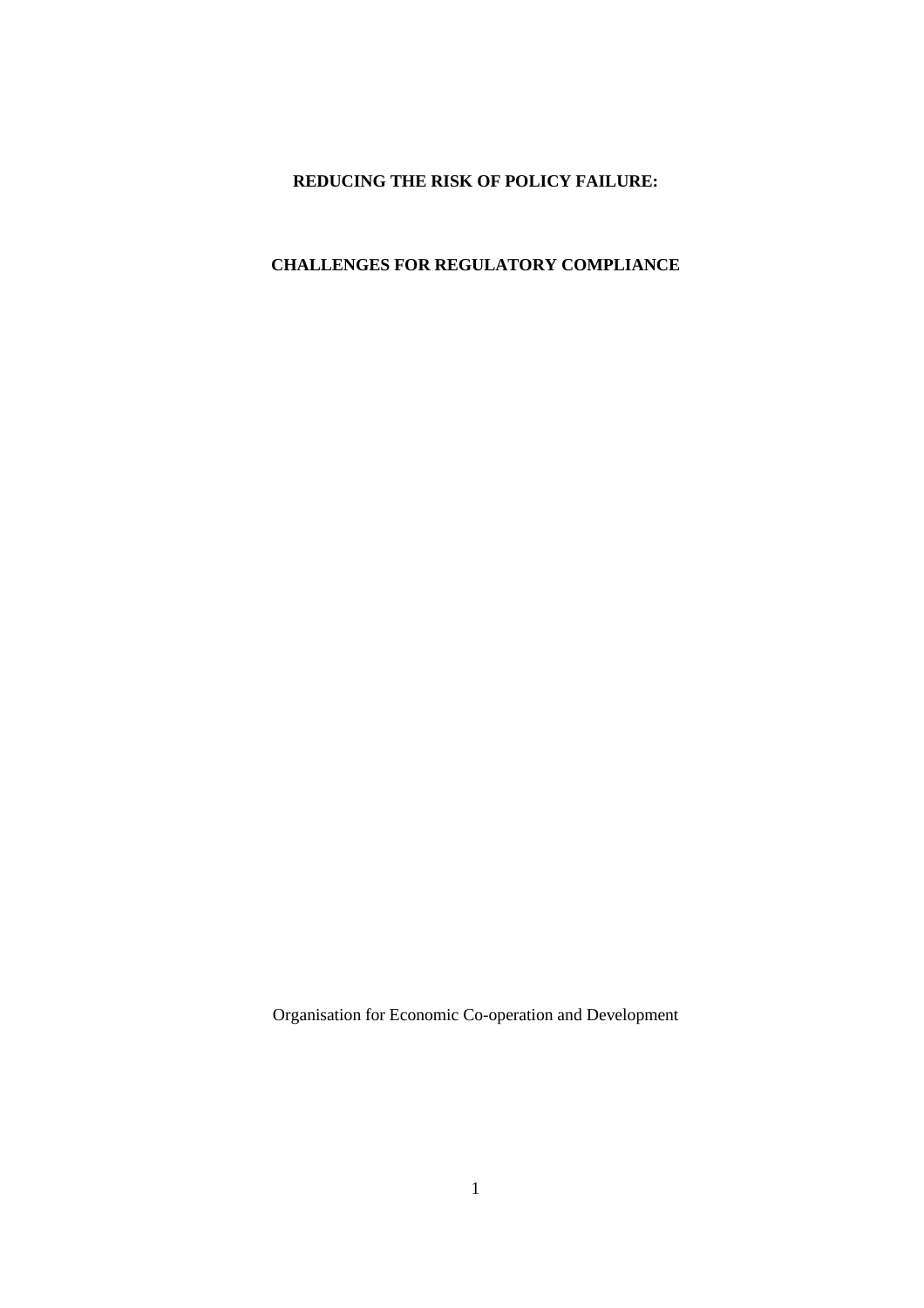# **REDUCING THE RISK OF POLICY FAILURE:**

# **CHALLENGES FOR REGULATORY COMPLIANCE**

Organisation for Economic Co-operation and Development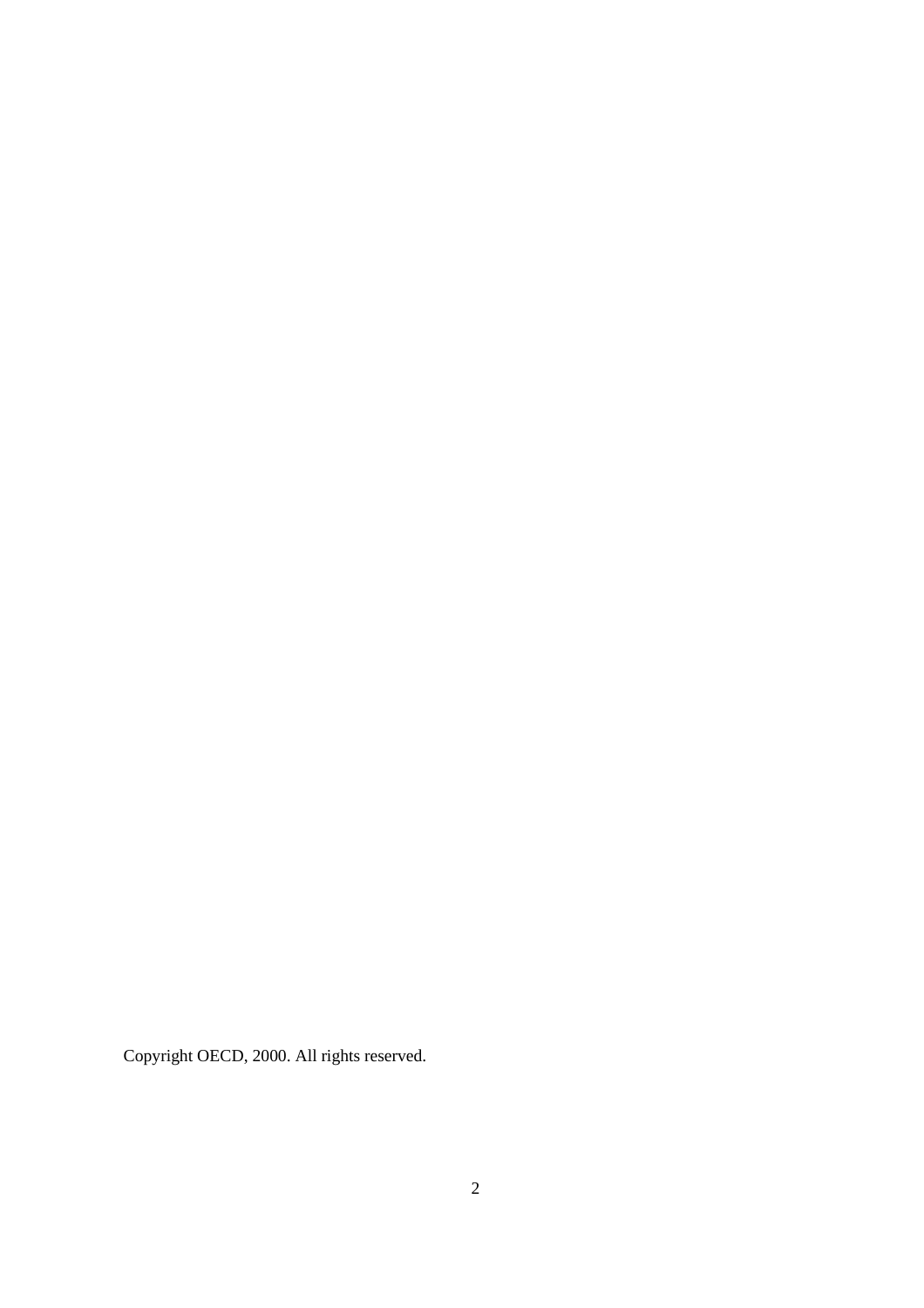Copyright OECD, 2000. All rights reserved.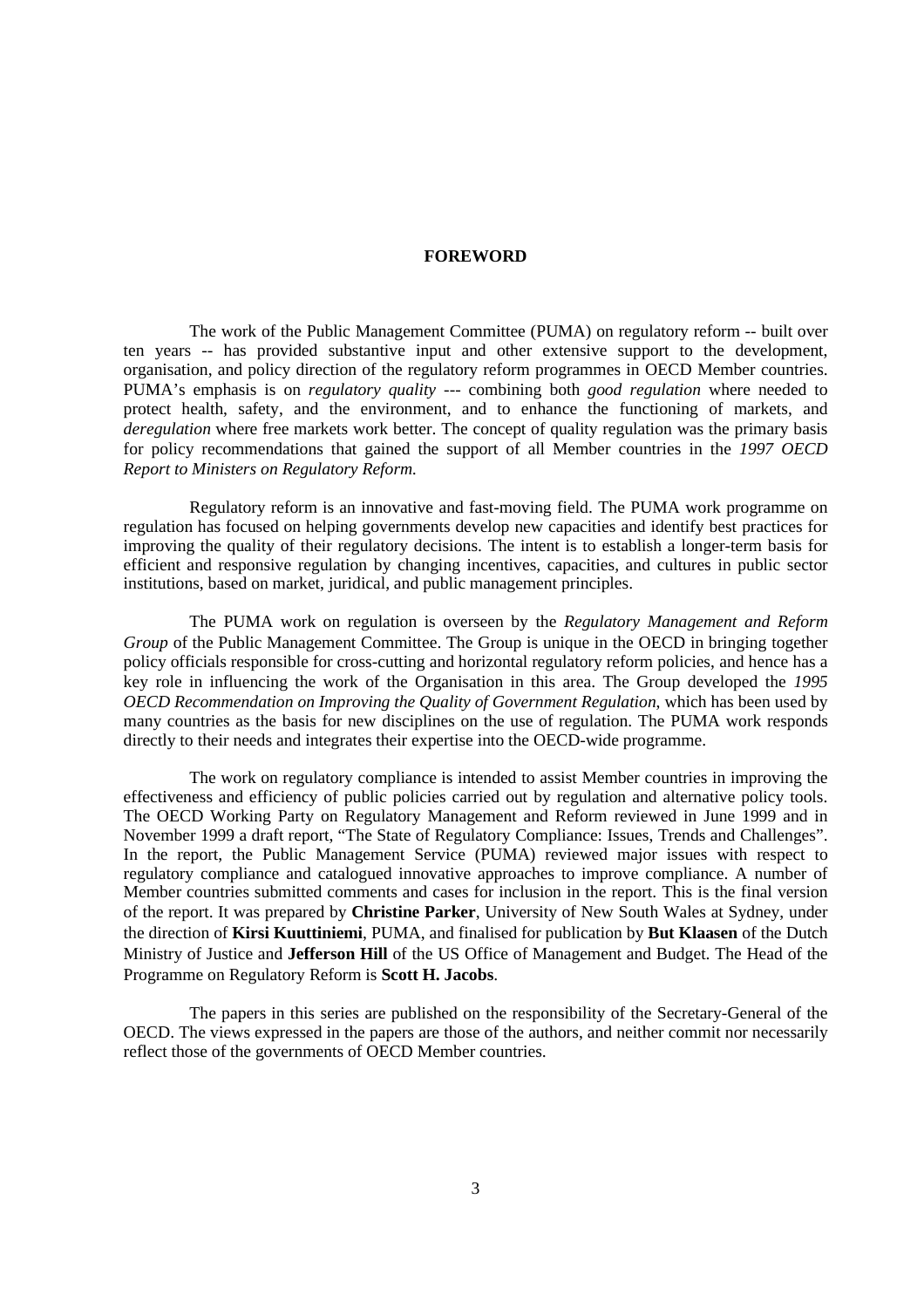### **FOREWORD**

The work of the Public Management Committee (PUMA) on regulatory reform -- built over ten years -- has provided substantive input and other extensive support to the development, organisation, and policy direction of the regulatory reform programmes in OECD Member countries. PUMA's emphasis is on *regulatory quality* --- combining both *good regulation* where needed to protect health, safety, and the environment, and to enhance the functioning of markets, and *deregulation* where free markets work better. The concept of quality regulation was the primary basis for policy recommendations that gained the support of all Member countries in the *1997 OECD Report to Ministers on Regulatory Reform.*

Regulatory reform is an innovative and fast-moving field. The PUMA work programme on regulation has focused on helping governments develop new capacities and identify best practices for improving the quality of their regulatory decisions. The intent is to establish a longer-term basis for efficient and responsive regulation by changing incentives, capacities, and cultures in public sector institutions, based on market, juridical, and public management principles.

The PUMA work on regulation is overseen by the *Regulatory Management and Reform Group* of the Public Management Committee. The Group is unique in the OECD in bringing together policy officials responsible for cross-cutting and horizontal regulatory reform policies, and hence has a key role in influencing the work of the Organisation in this area. The Group developed the *1995 OECD Recommendation on Improving the Quality of Government Regulation*, which has been used by many countries as the basis for new disciplines on the use of regulation. The PUMA work responds directly to their needs and integrates their expertise into the OECD-wide programme.

The work on regulatory compliance is intended to assist Member countries in improving the effectiveness and efficiency of public policies carried out by regulation and alternative policy tools. The OECD Working Party on Regulatory Management and Reform reviewed in June 1999 and in November 1999 a draft report, "The State of Regulatory Compliance: Issues, Trends and Challenges". In the report, the Public Management Service (PUMA) reviewed major issues with respect to regulatory compliance and catalogued innovative approaches to improve compliance. A number of Member countries submitted comments and cases for inclusion in the report. This is the final version of the report. It was prepared by **Christine Parker**, University of New South Wales at Sydney, under the direction of **Kirsi Kuuttiniemi**, PUMA, and finalised for publication by **But Klaasen** of the Dutch Ministry of Justice and **Jefferson Hill** of the US Office of Management and Budget. The Head of the Programme on Regulatory Reform is **Scott H. Jacobs**.

The papers in this series are published on the responsibility of the Secretary-General of the OECD. The views expressed in the papers are those of the authors, and neither commit nor necessarily reflect those of the governments of OECD Member countries.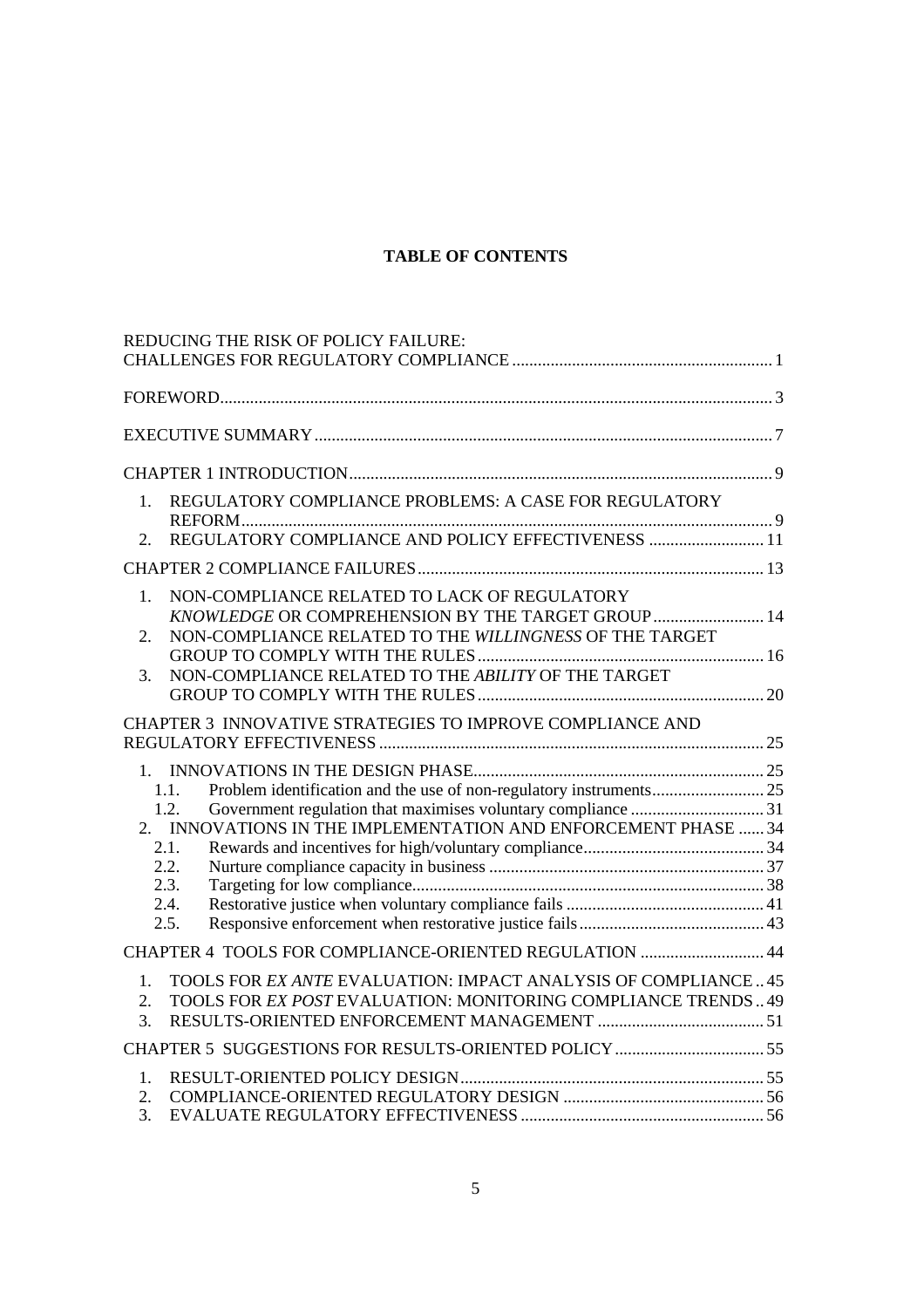# **TABLE OF CONTENTS**

| REDUCING THE RISK OF POLICY FAILURE:                                            |  |
|---------------------------------------------------------------------------------|--|
|                                                                                 |  |
|                                                                                 |  |
|                                                                                 |  |
|                                                                                 |  |
| REGULATORY COMPLIANCE PROBLEMS: A CASE FOR REGULATORY<br>$1_{-}$                |  |
| REGULATORY COMPLIANCE AND POLICY EFFECTIVENESS  11<br>2.                        |  |
|                                                                                 |  |
| NON-COMPLIANCE RELATED TO LACK OF REGULATORY<br>1.                              |  |
| KNOWLEDGE OR COMPREHENSION BY THE TARGET GROUP  14                              |  |
| NON-COMPLIANCE RELATED TO THE WILLINGNESS OF THE TARGET<br>2.                   |  |
| NON-COMPLIANCE RELATED TO THE ABILITY OF THE TARGET<br>3.                       |  |
|                                                                                 |  |
| <b>CHAPTER 3 INNOVATIVE STRATEGIES TO IMPROVE COMPLIANCE AND</b>                |  |
|                                                                                 |  |
| 1.                                                                              |  |
| 1.1.<br>1.2.                                                                    |  |
| 2. INNOVATIONS IN THE IMPLEMENTATION AND ENFORCEMENT PHASE  34                  |  |
| 2.1.                                                                            |  |
| 2.2.                                                                            |  |
| 2.3.                                                                            |  |
| 2.4.                                                                            |  |
| 2.5.                                                                            |  |
| CHAPTER 4 TOOLS FOR COMPLIANCE-ORIENTED REGULATION  44                          |  |
| TOOLS FOR EX ANTE EVALUATION: IMPACT ANALYSIS OF COMPLIANCE45<br>$\mathbf{1}$ . |  |
| TOOLS FOR EX POST EVALUATION: MONITORING COMPLIANCE TRENDS49<br>2.              |  |
| 3.                                                                              |  |
|                                                                                 |  |
| 1.                                                                              |  |
| 2.                                                                              |  |
| 3.                                                                              |  |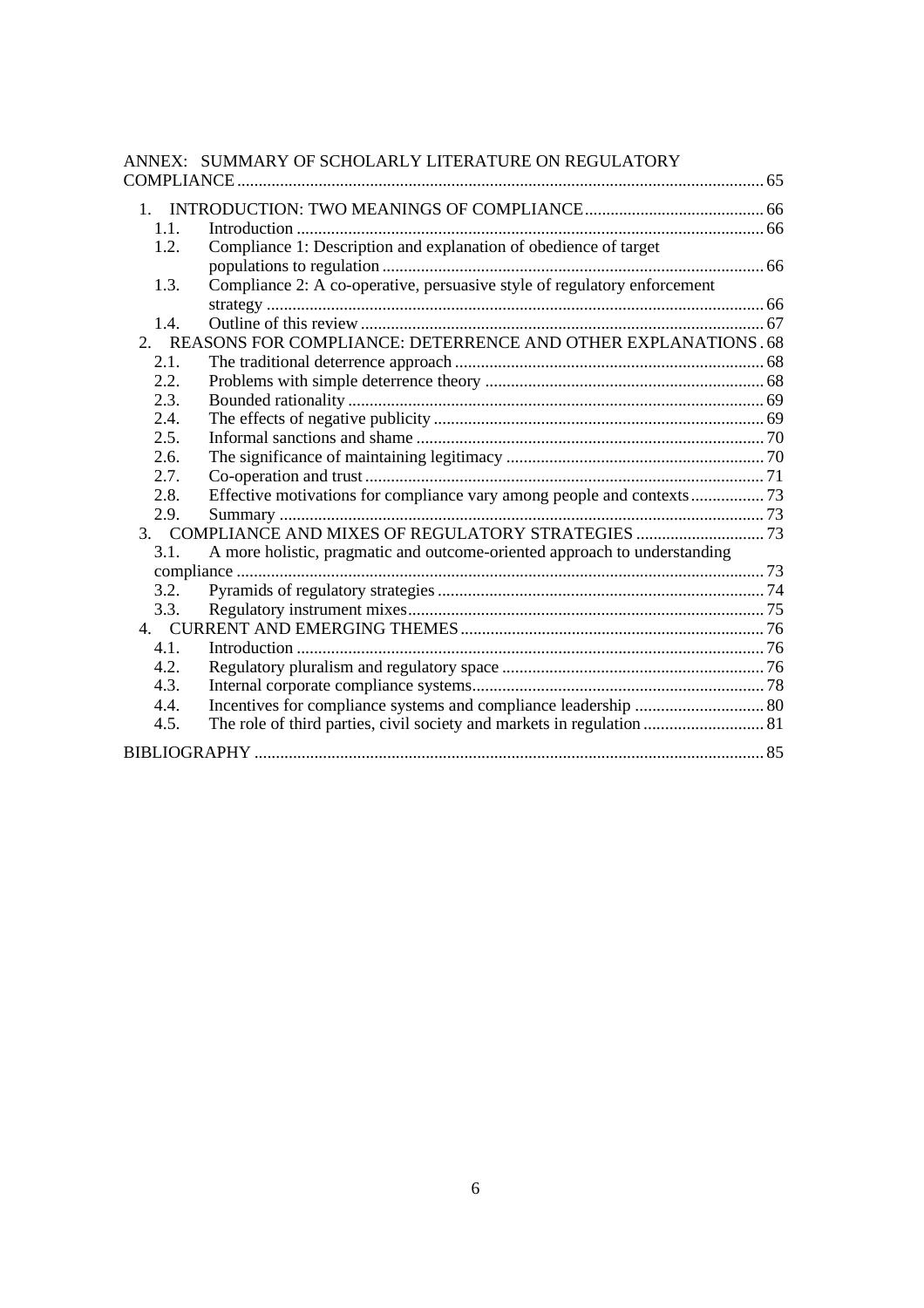|      | ANNEX: SUMMARY OF SCHOLARLY LITERATURE ON REGULATORY                      |  |
|------|---------------------------------------------------------------------------|--|
|      |                                                                           |  |
|      |                                                                           |  |
| 1.1. |                                                                           |  |
| 1.2. | Compliance 1: Description and explanation of obedience of target          |  |
|      |                                                                           |  |
| 1.3. | Compliance 2: A co-operative, persuasive style of regulatory enforcement  |  |
|      |                                                                           |  |
| 1.4. |                                                                           |  |
|      | 2. REASONS FOR COMPLIANCE: DETERRENCE AND OTHER EXPLANATIONS . 68         |  |
| 2.1. |                                                                           |  |
| 2.2. |                                                                           |  |
| 2.3. |                                                                           |  |
| 2.4. |                                                                           |  |
| 2.5. |                                                                           |  |
| 2.6. |                                                                           |  |
| 2.7. |                                                                           |  |
| 2.8. | Effective motivations for compliance vary among people and contexts73     |  |
| 2.9. |                                                                           |  |
|      | 3. COMPLIANCE AND MIXES OF REGULATORY STRATEGIES  73                      |  |
| 3.1. | A more holistic, pragmatic and outcome-oriented approach to understanding |  |
|      |                                                                           |  |
| 3.2. |                                                                           |  |
| 3.3. |                                                                           |  |
|      |                                                                           |  |
| 4.1. |                                                                           |  |
| 4.2. |                                                                           |  |
| 4.3. |                                                                           |  |
| 4.4. |                                                                           |  |
| 4.5. |                                                                           |  |
|      |                                                                           |  |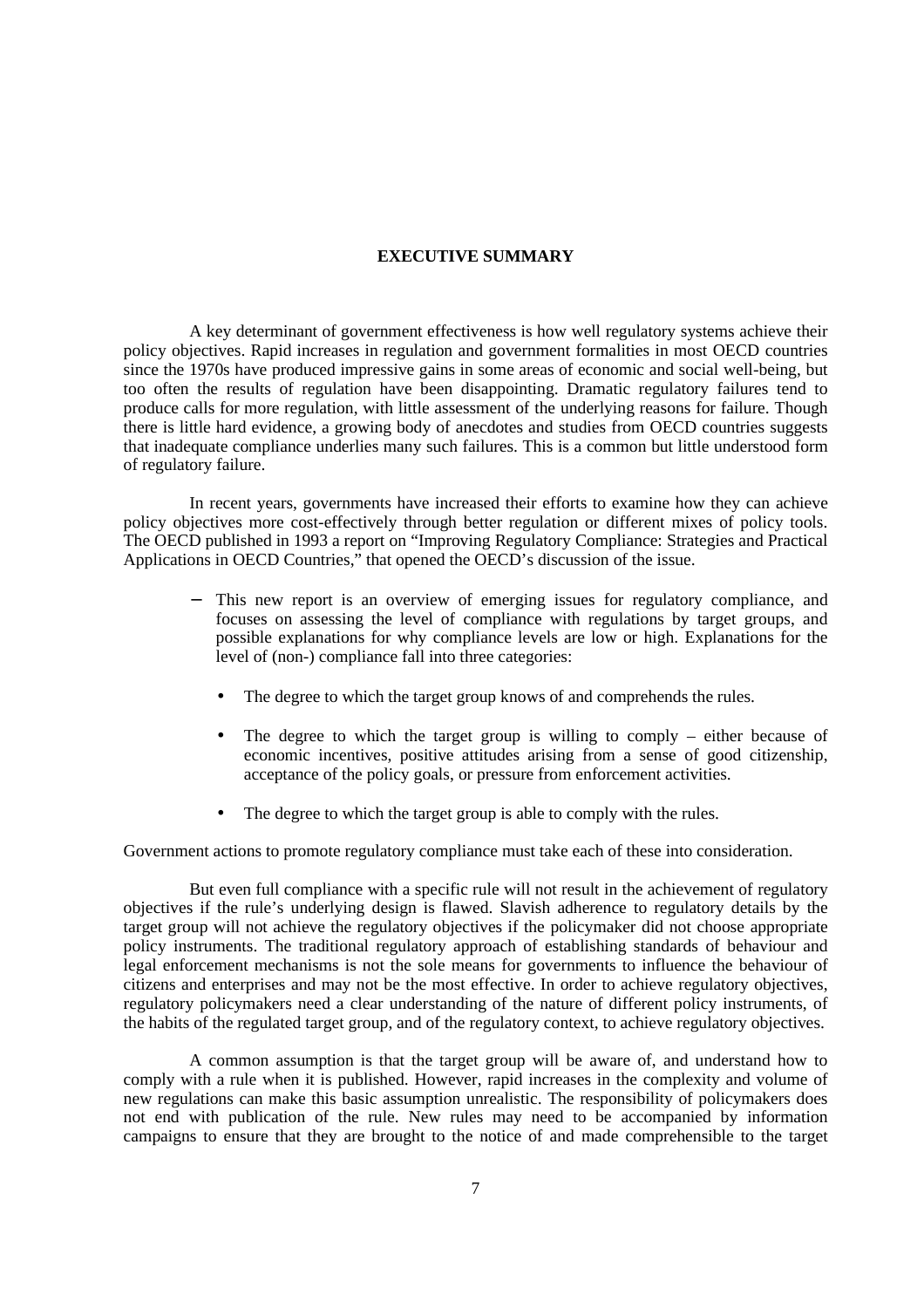## **EXECUTIVE SUMMARY**

A key determinant of government effectiveness is how well regulatory systems achieve their policy objectives. Rapid increases in regulation and government formalities in most OECD countries since the 1970s have produced impressive gains in some areas of economic and social well-being, but too often the results of regulation have been disappointing. Dramatic regulatory failures tend to produce calls for more regulation, with little assessment of the underlying reasons for failure. Though there is little hard evidence, a growing body of anecdotes and studies from OECD countries suggests that inadequate compliance underlies many such failures. This is a common but little understood form of regulatory failure.

In recent years, governments have increased their efforts to examine how they can achieve policy objectives more cost-effectively through better regulation or different mixes of policy tools. The OECD published in 1993 a report on "Improving Regulatory Compliance: Strategies and Practical Applications in OECD Countries," that opened the OECD's discussion of the issue.

- − This new report is an overview of emerging issues for regulatory compliance, and focuses on assessing the level of compliance with regulations by target groups, and possible explanations for why compliance levels are low or high. Explanations for the level of (non-) compliance fall into three categories:
	- The degree to which the target group knows of and comprehends the rules.
	- The degree to which the target group is willing to comply either because of economic incentives, positive attitudes arising from a sense of good citizenship, acceptance of the policy goals, or pressure from enforcement activities.
	- The degree to which the target group is able to comply with the rules.

Government actions to promote regulatory compliance must take each of these into consideration.

But even full compliance with a specific rule will not result in the achievement of regulatory objectives if the rule's underlying design is flawed. Slavish adherence to regulatory details by the target group will not achieve the regulatory objectives if the policymaker did not choose appropriate policy instruments. The traditional regulatory approach of establishing standards of behaviour and legal enforcement mechanisms is not the sole means for governments to influence the behaviour of citizens and enterprises and may not be the most effective. In order to achieve regulatory objectives, regulatory policymakers need a clear understanding of the nature of different policy instruments, of the habits of the regulated target group, and of the regulatory context, to achieve regulatory objectives.

A common assumption is that the target group will be aware of, and understand how to comply with a rule when it is published. However, rapid increases in the complexity and volume of new regulations can make this basic assumption unrealistic. The responsibility of policymakers does not end with publication of the rule. New rules may need to be accompanied by information campaigns to ensure that they are brought to the notice of and made comprehensible to the target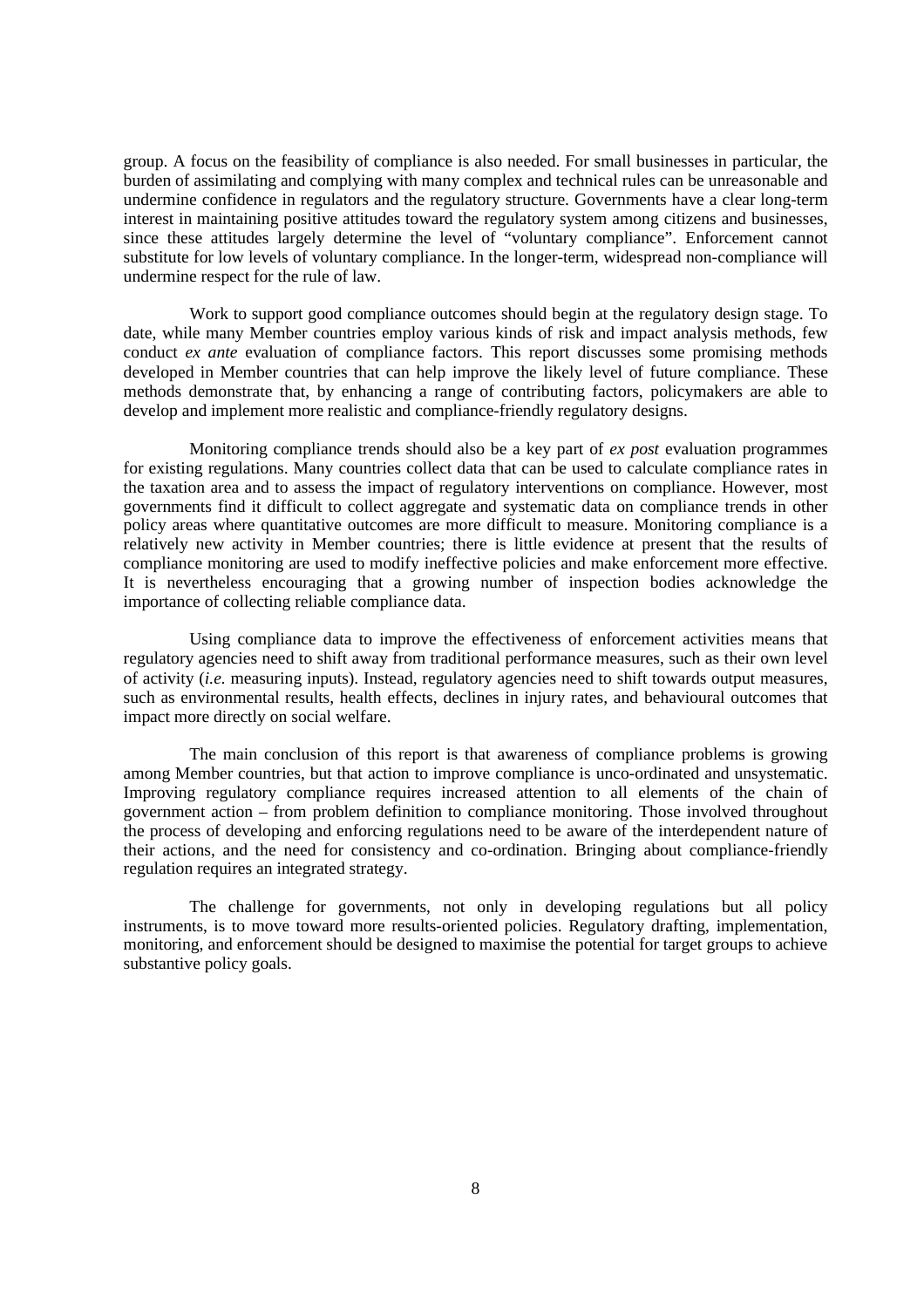group. A focus on the feasibility of compliance is also needed. For small businesses in particular, the burden of assimilating and complying with many complex and technical rules can be unreasonable and undermine confidence in regulators and the regulatory structure. Governments have a clear long-term interest in maintaining positive attitudes toward the regulatory system among citizens and businesses, since these attitudes largely determine the level of "voluntary compliance". Enforcement cannot substitute for low levels of voluntary compliance. In the longer-term, widespread non-compliance will undermine respect for the rule of law.

Work to support good compliance outcomes should begin at the regulatory design stage. To date, while many Member countries employ various kinds of risk and impact analysis methods, few conduct *ex ante* evaluation of compliance factors. This report discusses some promising methods developed in Member countries that can help improve the likely level of future compliance. These methods demonstrate that, by enhancing a range of contributing factors, policymakers are able to develop and implement more realistic and compliance-friendly regulatory designs.

Monitoring compliance trends should also be a key part of *ex post* evaluation programmes for existing regulations. Many countries collect data that can be used to calculate compliance rates in the taxation area and to assess the impact of regulatory interventions on compliance. However, most governments find it difficult to collect aggregate and systematic data on compliance trends in other policy areas where quantitative outcomes are more difficult to measure. Monitoring compliance is a relatively new activity in Member countries; there is little evidence at present that the results of compliance monitoring are used to modify ineffective policies and make enforcement more effective. It is nevertheless encouraging that a growing number of inspection bodies acknowledge the importance of collecting reliable compliance data.

Using compliance data to improve the effectiveness of enforcement activities means that regulatory agencies need to shift away from traditional performance measures, such as their own level of activity (*i.e.* measuring inputs). Instead, regulatory agencies need to shift towards output measures, such as environmental results, health effects, declines in injury rates, and behavioural outcomes that impact more directly on social welfare.

The main conclusion of this report is that awareness of compliance problems is growing among Member countries, but that action to improve compliance is unco-ordinated and unsystematic. Improving regulatory compliance requires increased attention to all elements of the chain of government action – from problem definition to compliance monitoring. Those involved throughout the process of developing and enforcing regulations need to be aware of the interdependent nature of their actions, and the need for consistency and co-ordination. Bringing about compliance-friendly regulation requires an integrated strategy.

The challenge for governments, not only in developing regulations but all policy instruments, is to move toward more results-oriented policies. Regulatory drafting, implementation, monitoring, and enforcement should be designed to maximise the potential for target groups to achieve substantive policy goals.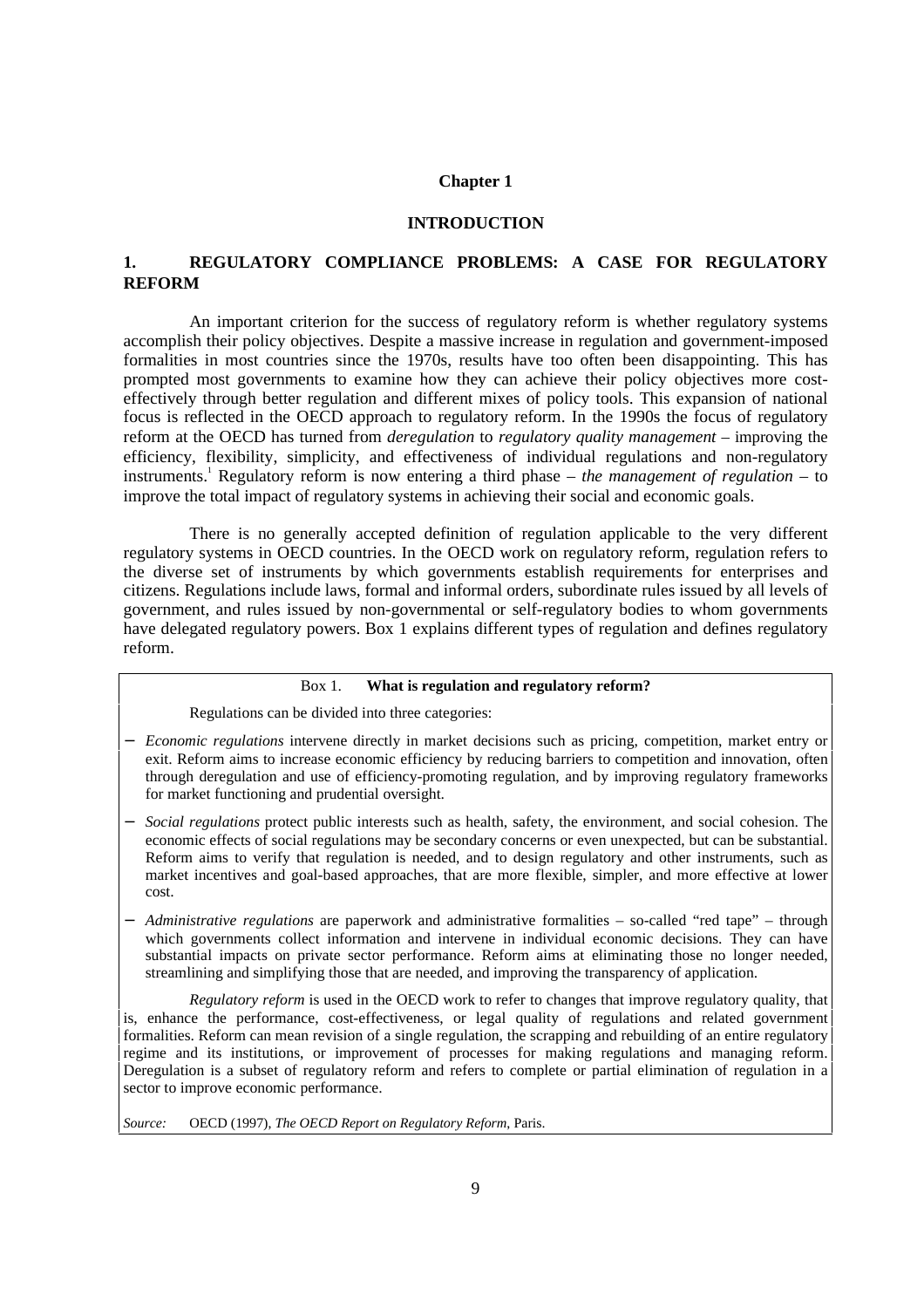## **Chapter 1**

#### **INTRODUCTION**

## **1. REGULATORY COMPLIANCE PROBLEMS: A CASE FOR REGULATORY REFORM**

An important criterion for the success of regulatory reform is whether regulatory systems accomplish their policy objectives. Despite a massive increase in regulation and government-imposed formalities in most countries since the 1970s, results have too often been disappointing. This has prompted most governments to examine how they can achieve their policy objectives more costeffectively through better regulation and different mixes of policy tools. This expansion of national focus is reflected in the OECD approach to regulatory reform. In the 1990s the focus of regulatory reform at the OECD has turned from *deregulation* to *regulatory quality management* – improving the efficiency, flexibility, simplicity, and effectiveness of individual regulations and non-regulatory instruments.<sup>1</sup> Regulatory reform is now entering a third phase – *the management of regulation* – to improve the total impact of regulatory systems in achieving their social and economic goals.

There is no generally accepted definition of regulation applicable to the very different regulatory systems in OECD countries. In the OECD work on regulatory reform, regulation refers to the diverse set of instruments by which governments establish requirements for enterprises and citizens. Regulations include laws, formal and informal orders, subordinate rules issued by all levels of government, and rules issued by non-governmental or self-regulatory bodies to whom governments have delegated regulatory powers. Box 1 explains different types of regulation and defines regulatory reform.

### Box 1. **What is regulation and regulatory reform?**

Regulations can be divided into three categories:

- − *Economic regulations* intervene directly in market decisions such as pricing, competition, market entry or exit. Reform aims to increase economic efficiency by reducing barriers to competition and innovation, often through deregulation and use of efficiency-promoting regulation, and by improving regulatory frameworks for market functioning and prudential oversight.
- − *Social regulations* protect public interests such as health, safety, the environment, and social cohesion. The economic effects of social regulations may be secondary concerns or even unexpected, but can be substantial. Reform aims to verify that regulation is needed, and to design regulatory and other instruments, such as market incentives and goal-based approaches, that are more flexible, simpler, and more effective at lower cost.
- − *Administrative regulations* are paperwork and administrative formalities so-called "red tape" through which governments collect information and intervene in individual economic decisions. They can have substantial impacts on private sector performance. Reform aims at eliminating those no longer needed, streamlining and simplifying those that are needed, and improving the transparency of application.

*Regulatory reform* is used in the OECD work to refer to changes that improve regulatory quality, that is, enhance the performance, cost-effectiveness, or legal quality of regulations and related government formalities. Reform can mean revision of a single regulation, the scrapping and rebuilding of an entire regulatory regime and its institutions, or improvement of processes for making regulations and managing reform. Deregulation is a subset of regulatory reform and refers to complete or partial elimination of regulation in a sector to improve economic performance.

*Source:* OECD (1997), *The OECD Report on Regulatory Reform*, Paris.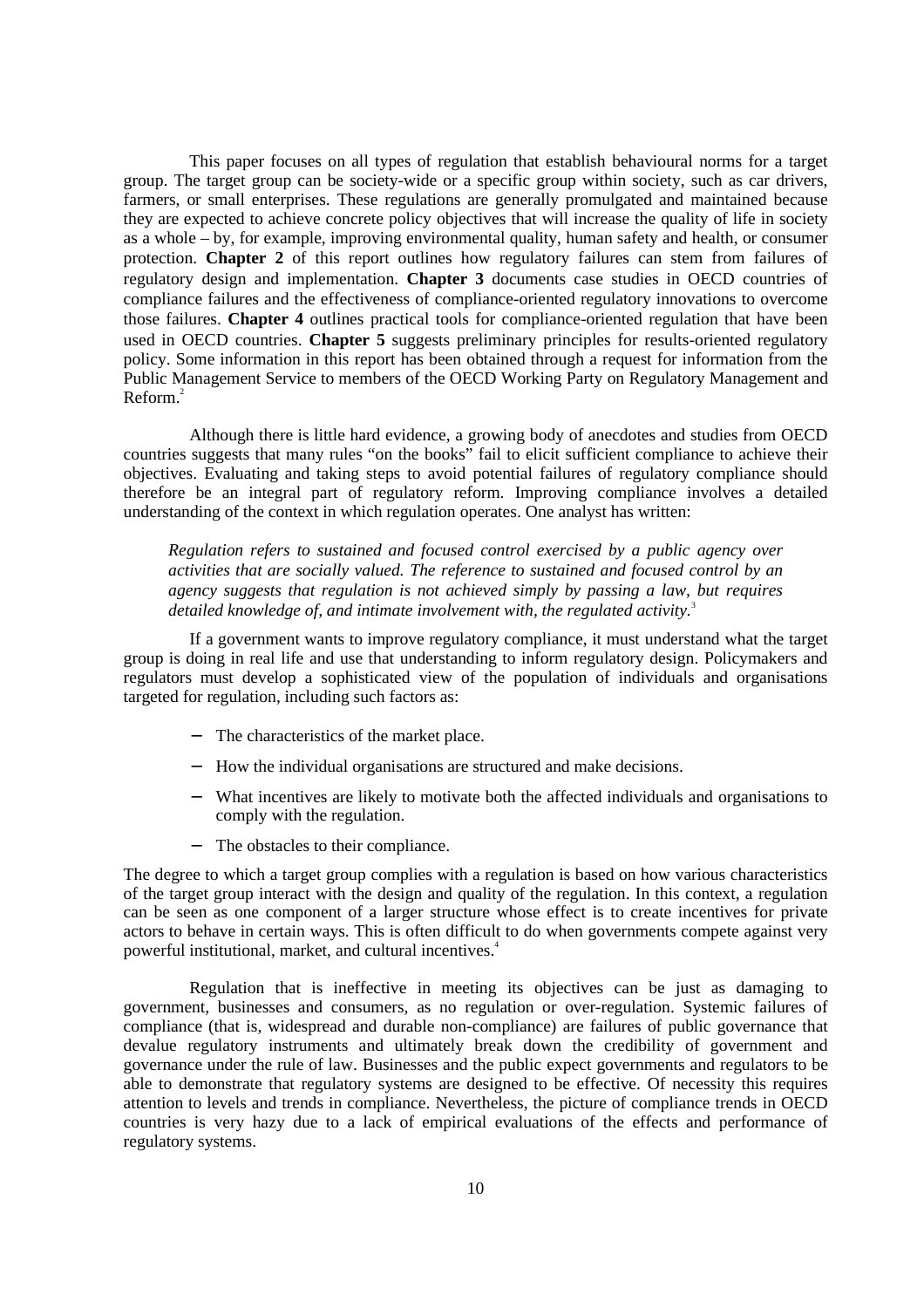This paper focuses on all types of regulation that establish behavioural norms for a target group. The target group can be society-wide or a specific group within society, such as car drivers, farmers, or small enterprises. These regulations are generally promulgated and maintained because they are expected to achieve concrete policy objectives that will increase the quality of life in society as a whole – by, for example, improving environmental quality, human safety and health, or consumer protection. **Chapter 2** of this report outlines how regulatory failures can stem from failures of regulatory design and implementation. **Chapter 3** documents case studies in OECD countries of compliance failures and the effectiveness of compliance-oriented regulatory innovations to overcome those failures. **Chapter 4** outlines practical tools for compliance-oriented regulation that have been used in OECD countries. **Chapter 5** suggests preliminary principles for results-oriented regulatory policy. Some information in this report has been obtained through a request for information from the Public Management Service to members of the OECD Working Party on Regulatory Management and Reform.<sup>2</sup>

Although there is little hard evidence, a growing body of anecdotes and studies from OECD countries suggests that many rules "on the books" fail to elicit sufficient compliance to achieve their objectives. Evaluating and taking steps to avoid potential failures of regulatory compliance should therefore be an integral part of regulatory reform. Improving compliance involves a detailed understanding of the context in which regulation operates. One analyst has written:

*Regulation refers to sustained and focused control exercised by a public agency over activities that are socially valued. The reference to sustained and focused control by an agency suggests that regulation is not achieved simply by passing a law, but requires detailed knowledge of, and intimate involvement with, the regulated activity.*<sup>3</sup>

If a government wants to improve regulatory compliance, it must understand what the target group is doing in real life and use that understanding to inform regulatory design. Policymakers and regulators must develop a sophisticated view of the population of individuals and organisations targeted for regulation, including such factors as:

- − The characteristics of the market place.
- − How the individual organisations are structured and make decisions.
- − What incentives are likely to motivate both the affected individuals and organisations to comply with the regulation.
- − The obstacles to their compliance.

The degree to which a target group complies with a regulation is based on how various characteristics of the target group interact with the design and quality of the regulation. In this context, a regulation can be seen as one component of a larger structure whose effect is to create incentives for private actors to behave in certain ways. This is often difficult to do when governments compete against very powerful institutional, market, and cultural incentives.4

Regulation that is ineffective in meeting its objectives can be just as damaging to government, businesses and consumers, as no regulation or over-regulation. Systemic failures of compliance (that is, widespread and durable non-compliance) are failures of public governance that devalue regulatory instruments and ultimately break down the credibility of government and governance under the rule of law. Businesses and the public expect governments and regulators to be able to demonstrate that regulatory systems are designed to be effective. Of necessity this requires attention to levels and trends in compliance. Nevertheless, the picture of compliance trends in OECD countries is very hazy due to a lack of empirical evaluations of the effects and performance of regulatory systems.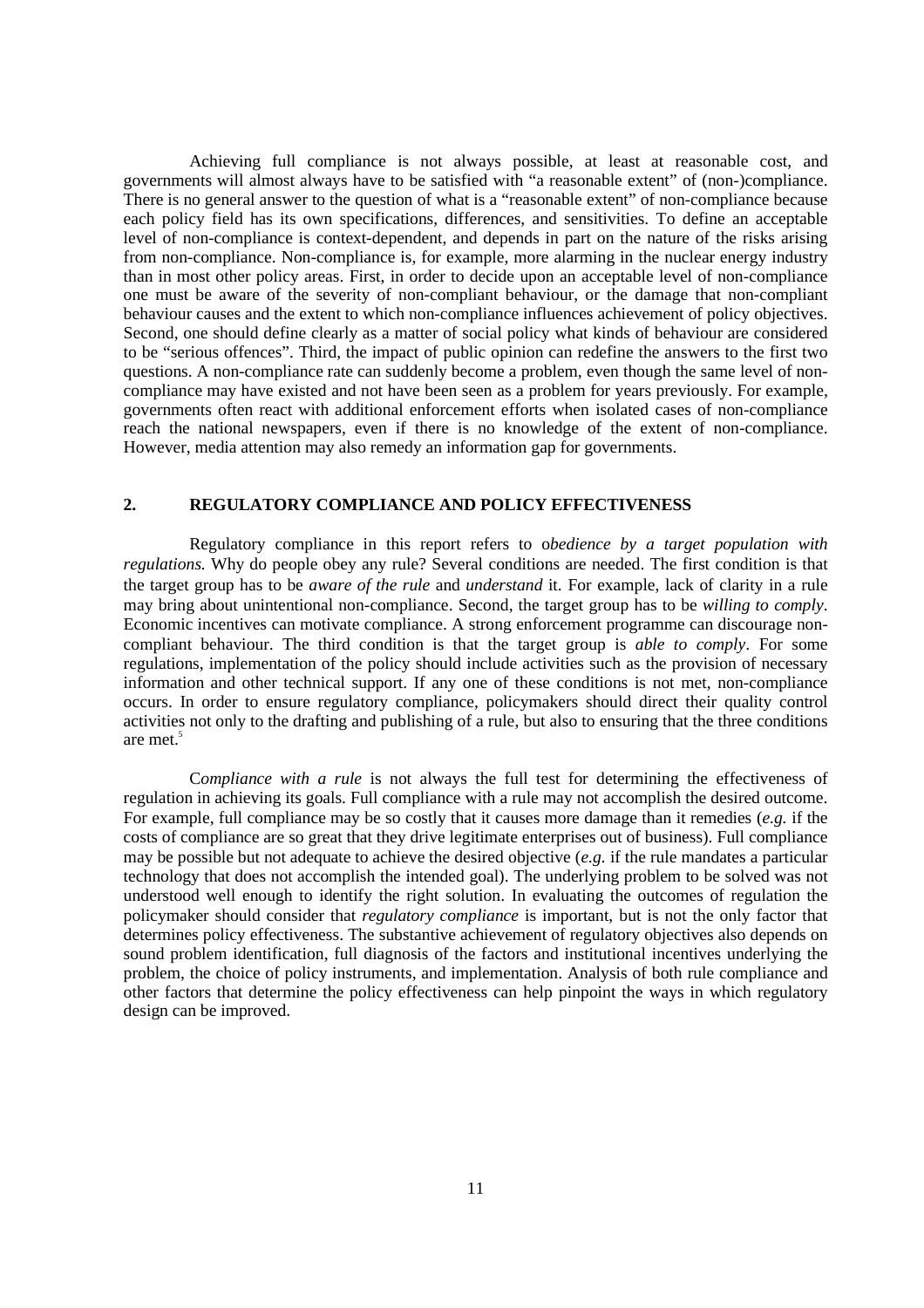Achieving full compliance is not always possible, at least at reasonable cost, and governments will almost always have to be satisfied with "a reasonable extent" of (non-)compliance. There is no general answer to the question of what is a "reasonable extent" of non-compliance because each policy field has its own specifications, differences, and sensitivities. To define an acceptable level of non-compliance is context-dependent, and depends in part on the nature of the risks arising from non-compliance. Non-compliance is, for example, more alarming in the nuclear energy industry than in most other policy areas. First, in order to decide upon an acceptable level of non-compliance one must be aware of the severity of non-compliant behaviour, or the damage that non-compliant behaviour causes and the extent to which non-compliance influences achievement of policy objectives. Second, one should define clearly as a matter of social policy what kinds of behaviour are considered to be "serious offences". Third, the impact of public opinion can redefine the answers to the first two questions. A non-compliance rate can suddenly become a problem, even though the same level of noncompliance may have existed and not have been seen as a problem for years previously. For example, governments often react with additional enforcement efforts when isolated cases of non-compliance reach the national newspapers, even if there is no knowledge of the extent of non-compliance. However, media attention may also remedy an information gap for governments.

## **2. REGULATORY COMPLIANCE AND POLICY EFFECTIVENESS**

Regulatory compliance in this report refers to o*bedience by a target population with regulations.* Why do people obey any rule? Several conditions are needed. The first condition is that the target group has to be *aware of the rule* and *understand* it. For example, lack of clarity in a rule may bring about unintentional non-compliance. Second, the target group has to be *willing to comply*. Economic incentives can motivate compliance. A strong enforcement programme can discourage noncompliant behaviour. The third condition is that the target group is *able to comply*. For some regulations, implementation of the policy should include activities such as the provision of necessary information and other technical support. If any one of these conditions is not met, non-compliance occurs. In order to ensure regulatory compliance, policymakers should direct their quality control activities not only to the drafting and publishing of a rule, but also to ensuring that the three conditions are met. $5$ 

C*ompliance with a rule* is not always the full test for determining the effectiveness of regulation in achieving its goals. Full compliance with a rule may not accomplish the desired outcome. For example, full compliance may be so costly that it causes more damage than it remedies (*e.g.* if the costs of compliance are so great that they drive legitimate enterprises out of business). Full compliance may be possible but not adequate to achieve the desired objective (*e.g.* if the rule mandates a particular technology that does not accomplish the intended goal). The underlying problem to be solved was not understood well enough to identify the right solution. In evaluating the outcomes of regulation the policymaker should consider that *regulatory compliance* is important, but is not the only factor that determines policy effectiveness. The substantive achievement of regulatory objectives also depends on sound problem identification, full diagnosis of the factors and institutional incentives underlying the problem, the choice of policy instruments, and implementation. Analysis of both rule compliance and other factors that determine the policy effectiveness can help pinpoint the ways in which regulatory design can be improved.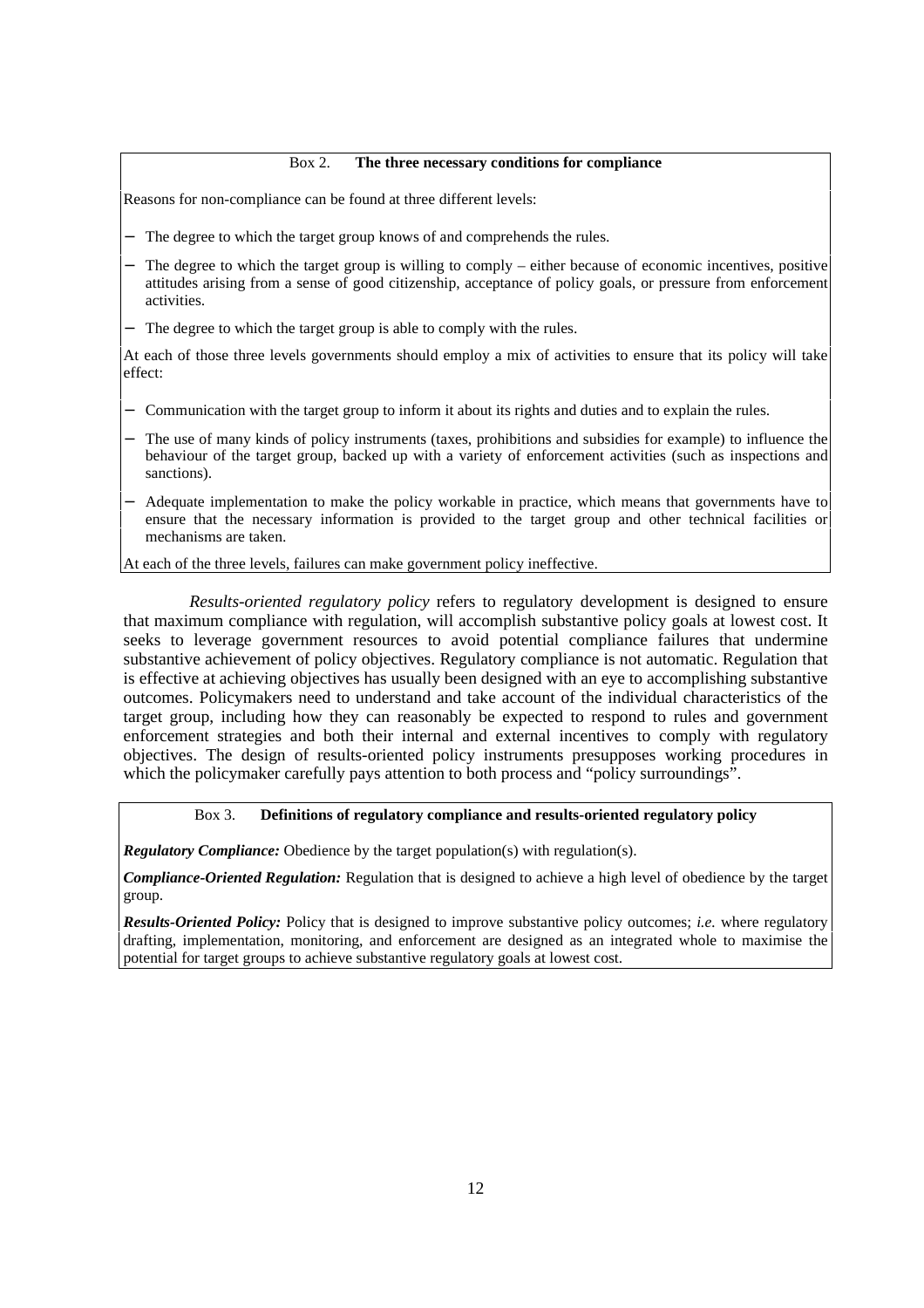## Box 2. **The three necessary conditions for compliance**

Reasons for non-compliance can be found at three different levels:

- − The degree to which the target group knows of and comprehends the rules.
- − The degree to which the target group is willing to comply either because of economic incentives, positive attitudes arising from a sense of good citizenship, acceptance of policy goals, or pressure from enforcement activities.
- − The degree to which the target group is able to comply with the rules.

At each of those three levels governments should employ a mix of activities to ensure that its policy will take effect:

- − Communication with the target group to inform it about its rights and duties and to explain the rules.
- − The use of many kinds of policy instruments (taxes, prohibitions and subsidies for example) to influence the behaviour of the target group, backed up with a variety of enforcement activities (such as inspections and sanctions).
- − Adequate implementation to make the policy workable in practice, which means that governments have to ensure that the necessary information is provided to the target group and other technical facilities or mechanisms are taken.

At each of the three levels, failures can make government policy ineffective.

*Results-oriented regulatory policy* refers to regulatory development is designed to ensure that maximum compliance with regulation, will accomplish substantive policy goals at lowest cost. It seeks to leverage government resources to avoid potential compliance failures that undermine substantive achievement of policy objectives. Regulatory compliance is not automatic. Regulation that is effective at achieving objectives has usually been designed with an eye to accomplishing substantive outcomes. Policymakers need to understand and take account of the individual characteristics of the target group, including how they can reasonably be expected to respond to rules and government enforcement strategies and both their internal and external incentives to comply with regulatory objectives. The design of results-oriented policy instruments presupposes working procedures in which the policymaker carefully pays attention to both process and "policy surroundings".

## Box 3. **Definitions of regulatory compliance and results-oriented regulatory policy**

*Regulatory Compliance:* Obedience by the target population(s) with regulation(s).

*Compliance-Oriented Regulation:* Regulation that is designed to achieve a high level of obedience by the target group.

*Results-Oriented Policy:* Policy that is designed to improve substantive policy outcomes; *i.e.* where regulatory drafting, implementation, monitoring, and enforcement are designed as an integrated whole to maximise the potential for target groups to achieve substantive regulatory goals at lowest cost.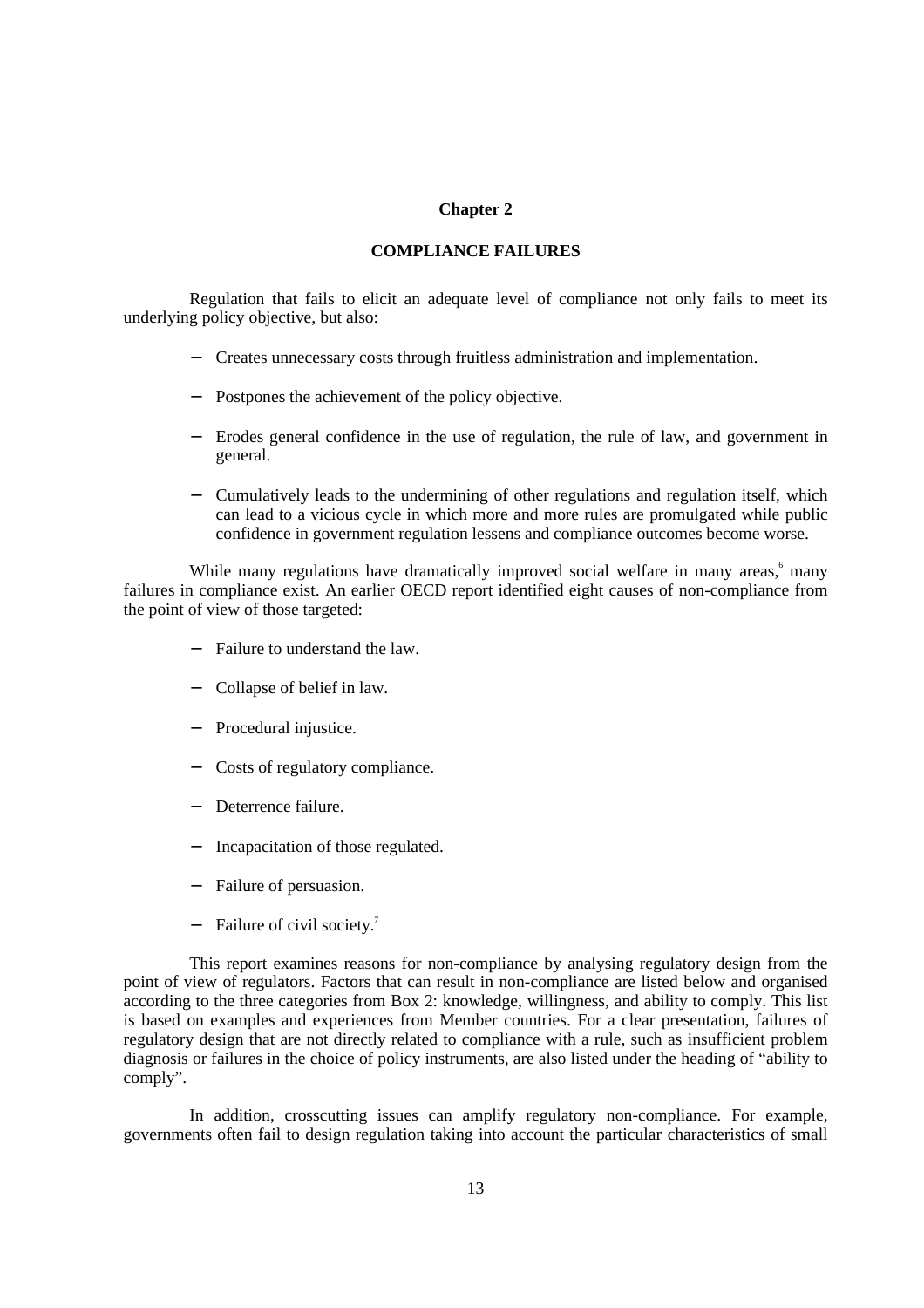### **Chapter 2**

## **COMPLIANCE FAILURES**

Regulation that fails to elicit an adequate level of compliance not only fails to meet its underlying policy objective, but also:

- − Creates unnecessary costs through fruitless administration and implementation.
- − Postpones the achievement of the policy objective.
- − Erodes general confidence in the use of regulation, the rule of law, and government in general.
- − Cumulatively leads to the undermining of other regulations and regulation itself, which can lead to a vicious cycle in which more and more rules are promulgated while public confidence in government regulation lessens and compliance outcomes become worse.

While many regulations have dramatically improved social welfare in many areas, many failures in compliance exist. An earlier OECD report identified eight causes of non-compliance from the point of view of those targeted:

- − Failure to understand the law.
- − Collapse of belief in law.
- − Procedural injustice.
- − Costs of regulatory compliance.
- − Deterrence failure.
- − Incapacitation of those regulated.
- − Failure of persuasion.
- − Failure of civil society.7

This report examines reasons for non-compliance by analysing regulatory design from the point of view of regulators. Factors that can result in non-compliance are listed below and organised according to the three categories from Box 2: knowledge, willingness, and ability to comply. This list is based on examples and experiences from Member countries. For a clear presentation, failures of regulatory design that are not directly related to compliance with a rule, such as insufficient problem diagnosis or failures in the choice of policy instruments, are also listed under the heading of "ability to comply".

In addition, crosscutting issues can amplify regulatory non-compliance. For example, governments often fail to design regulation taking into account the particular characteristics of small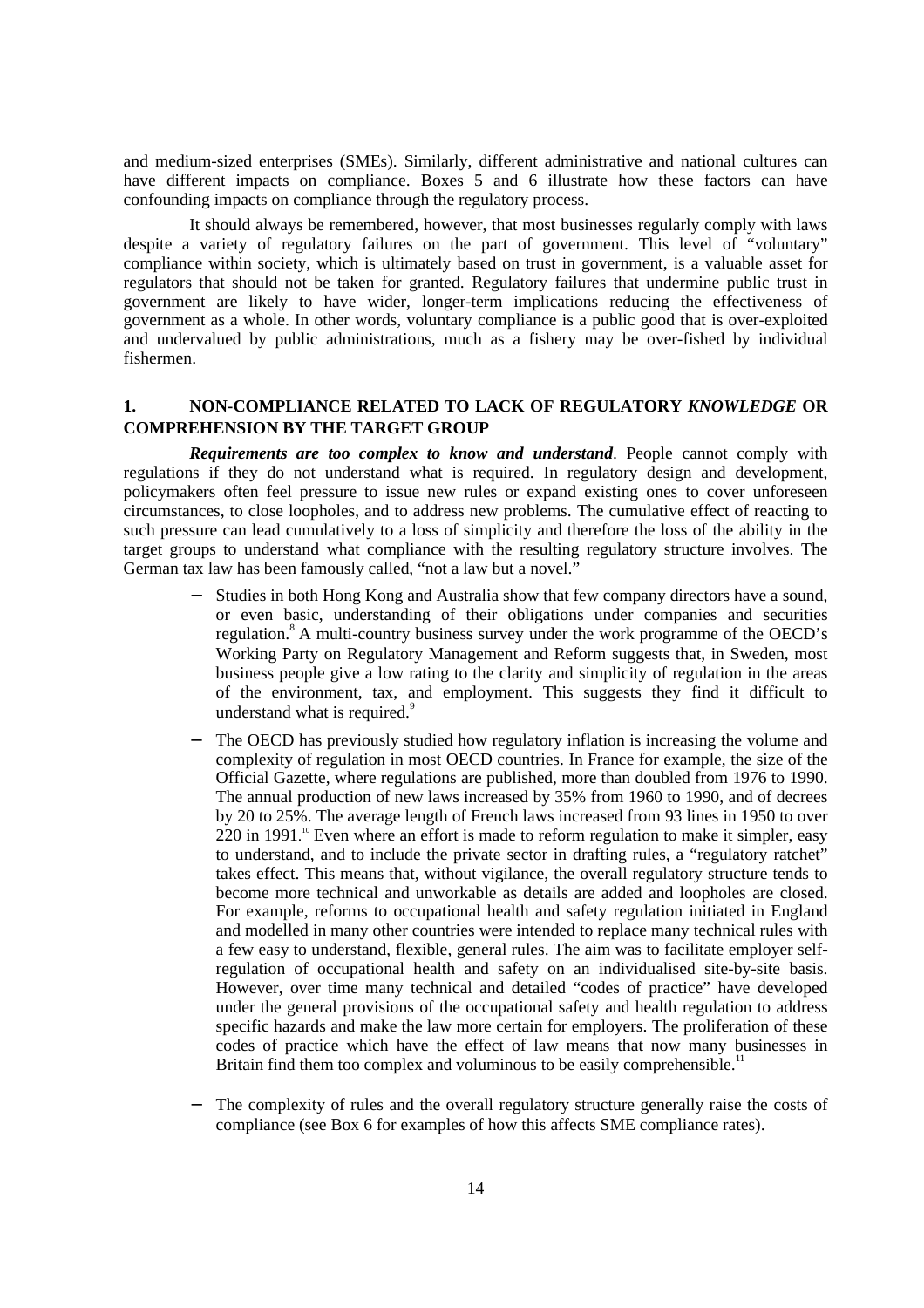and medium-sized enterprises (SMEs). Similarly, different administrative and national cultures can have different impacts on compliance. Boxes 5 and 6 illustrate how these factors can have confounding impacts on compliance through the regulatory process.

It should always be remembered, however, that most businesses regularly comply with laws despite a variety of regulatory failures on the part of government. This level of "voluntary" compliance within society, which is ultimately based on trust in government, is a valuable asset for regulators that should not be taken for granted. Regulatory failures that undermine public trust in government are likely to have wider, longer-term implications reducing the effectiveness of government as a whole. In other words, voluntary compliance is a public good that is over-exploited and undervalued by public administrations, much as a fishery may be over-fished by individual fishermen.

## **1. NON-COMPLIANCE RELATED TO LACK OF REGULATORY** *KNOWLEDGE* **OR COMPREHENSION BY THE TARGET GROUP**

*Requirements are too complex to know and understand*. People cannot comply with regulations if they do not understand what is required. In regulatory design and development, policymakers often feel pressure to issue new rules or expand existing ones to cover unforeseen circumstances, to close loopholes, and to address new problems. The cumulative effect of reacting to such pressure can lead cumulatively to a loss of simplicity and therefore the loss of the ability in the target groups to understand what compliance with the resulting regulatory structure involves. The German tax law has been famously called, "not a law but a novel."

- Studies in both Hong Kong and Australia show that few company directors have a sound, or even basic, understanding of their obligations under companies and securities regulation.<sup>8</sup> A multi-country business survey under the work programme of the OECD's Working Party on Regulatory Management and Reform suggests that, in Sweden, most business people give a low rating to the clarity and simplicity of regulation in the areas of the environment, tax, and employment. This suggests they find it difficult to understand what is required.<sup>9</sup>
- − The OECD has previously studied how regulatory inflation is increasing the volume and complexity of regulation in most OECD countries. In France for example, the size of the Official Gazette, where regulations are published, more than doubled from 1976 to 1990. The annual production of new laws increased by 35% from 1960 to 1990, and of decrees by 20 to 25%. The average length of French laws increased from 93 lines in 1950 to over 220 in 1991.<sup>10</sup> Even where an effort is made to reform regulation to make it simpler, easy to understand, and to include the private sector in drafting rules, a "regulatory ratchet" takes effect. This means that, without vigilance, the overall regulatory structure tends to become more technical and unworkable as details are added and loopholes are closed. For example, reforms to occupational health and safety regulation initiated in England and modelled in many other countries were intended to replace many technical rules with a few easy to understand, flexible, general rules. The aim was to facilitate employer selfregulation of occupational health and safety on an individualised site-by-site basis. However, over time many technical and detailed "codes of practice" have developed under the general provisions of the occupational safety and health regulation to address specific hazards and make the law more certain for employers. The proliferation of these codes of practice which have the effect of law means that now many businesses in Britain find them too complex and voluminous to be easily comprehensible.<sup>11</sup>
- The complexity of rules and the overall regulatory structure generally raise the costs of compliance (see Box 6 for examples of how this affects SME compliance rates).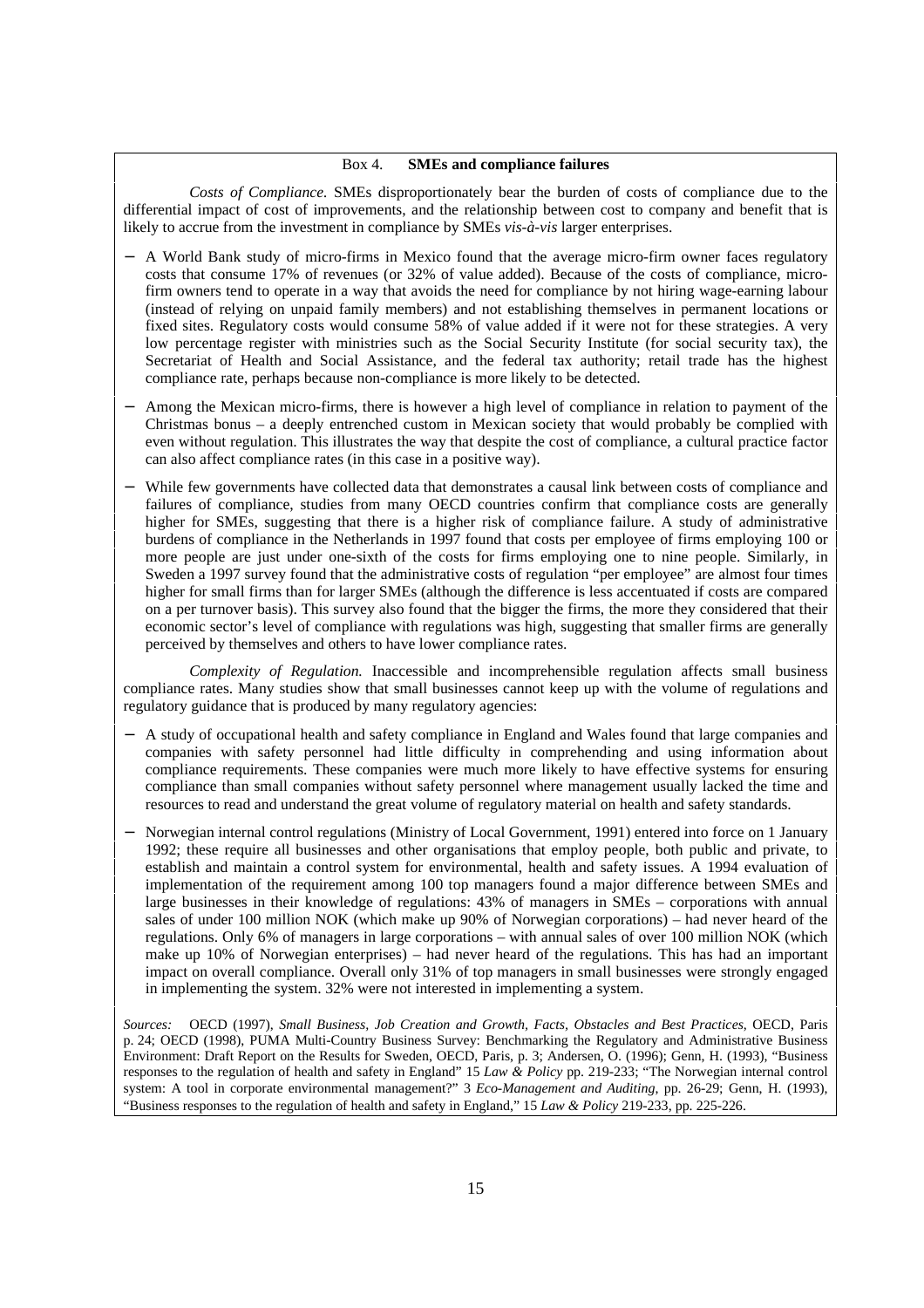#### Box 4. **SMEs and compliance failures**

*Costs of Compliance.* SMEs disproportionately bear the burden of costs of compliance due to the differential impact of cost of improvements, and the relationship between cost to company and benefit that is likely to accrue from the investment in compliance by SMEs *vis-à-vis* larger enterprises.

- − A World Bank study of micro-firms in Mexico found that the average micro-firm owner faces regulatory costs that consume 17% of revenues (or 32% of value added). Because of the costs of compliance, microfirm owners tend to operate in a way that avoids the need for compliance by not hiring wage-earning labour (instead of relying on unpaid family members) and not establishing themselves in permanent locations or fixed sites. Regulatory costs would consume 58% of value added if it were not for these strategies. A very low percentage register with ministries such as the Social Security Institute (for social security tax), the Secretariat of Health and Social Assistance, and the federal tax authority; retail trade has the highest compliance rate, perhaps because non-compliance is more likely to be detected.
- Among the Mexican micro-firms, there is however a high level of compliance in relation to payment of the Christmas bonus – a deeply entrenched custom in Mexican society that would probably be complied with even without regulation. This illustrates the way that despite the cost of compliance, a cultural practice factor can also affect compliance rates (in this case in a positive way).
- While few governments have collected data that demonstrates a causal link between costs of compliance and failures of compliance, studies from many OECD countries confirm that compliance costs are generally higher for SMEs, suggesting that there is a higher risk of compliance failure. A study of administrative burdens of compliance in the Netherlands in 1997 found that costs per employee of firms employing 100 or more people are just under one-sixth of the costs for firms employing one to nine people. Similarly, in Sweden a 1997 survey found that the administrative costs of regulation "per employee" are almost four times higher for small firms than for larger SMEs (although the difference is less accentuated if costs are compared on a per turnover basis). This survey also found that the bigger the firms, the more they considered that their economic sector's level of compliance with regulations was high, suggesting that smaller firms are generally perceived by themselves and others to have lower compliance rates.

*Complexity of Regulation.* Inaccessible and incomprehensible regulation affects small business compliance rates. Many studies show that small businesses cannot keep up with the volume of regulations and regulatory guidance that is produced by many regulatory agencies:

- A study of occupational health and safety compliance in England and Wales found that large companies and companies with safety personnel had little difficulty in comprehending and using information about compliance requirements. These companies were much more likely to have effective systems for ensuring compliance than small companies without safety personnel where management usually lacked the time and resources to read and understand the great volume of regulatory material on health and safety standards.
- − Norwegian internal control regulations (Ministry of Local Government, 1991) entered into force on 1 January 1992; these require all businesses and other organisations that employ people, both public and private, to establish and maintain a control system for environmental, health and safety issues. A 1994 evaluation of implementation of the requirement among 100 top managers found a major difference between SMEs and large businesses in their knowledge of regulations: 43% of managers in SMEs – corporations with annual sales of under 100 million NOK (which make up 90% of Norwegian corporations) – had never heard of the regulations. Only 6% of managers in large corporations – with annual sales of over 100 million NOK (which make up 10% of Norwegian enterprises) – had never heard of the regulations. This has had an important impact on overall compliance. Overall only 31% of top managers in small businesses were strongly engaged in implementing the system. 32% were not interested in implementing a system.

*Sources:* OECD (1997), *Small Business, Job Creation and Growth, Facts, Obstacles and Best Practices*, OECD, Paris p. 24; OECD (1998), PUMA Multi-Country Business Survey: Benchmarking the Regulatory and Administrative Business Environment: Draft Report on the Results for Sweden, OECD, Paris, p. 3; Andersen, O. (1996); Genn, H. (1993), "Business responses to the regulation of health and safety in England" 15 *Law & Policy* pp. 219-233; "The Norwegian internal control system: A tool in corporate environmental management?" 3 *Eco-Management and Auditing*, pp. 26-29; Genn, H. (1993), "Business responses to the regulation of health and safety in England," 15 *Law & Policy* 219-233, pp. 225-226.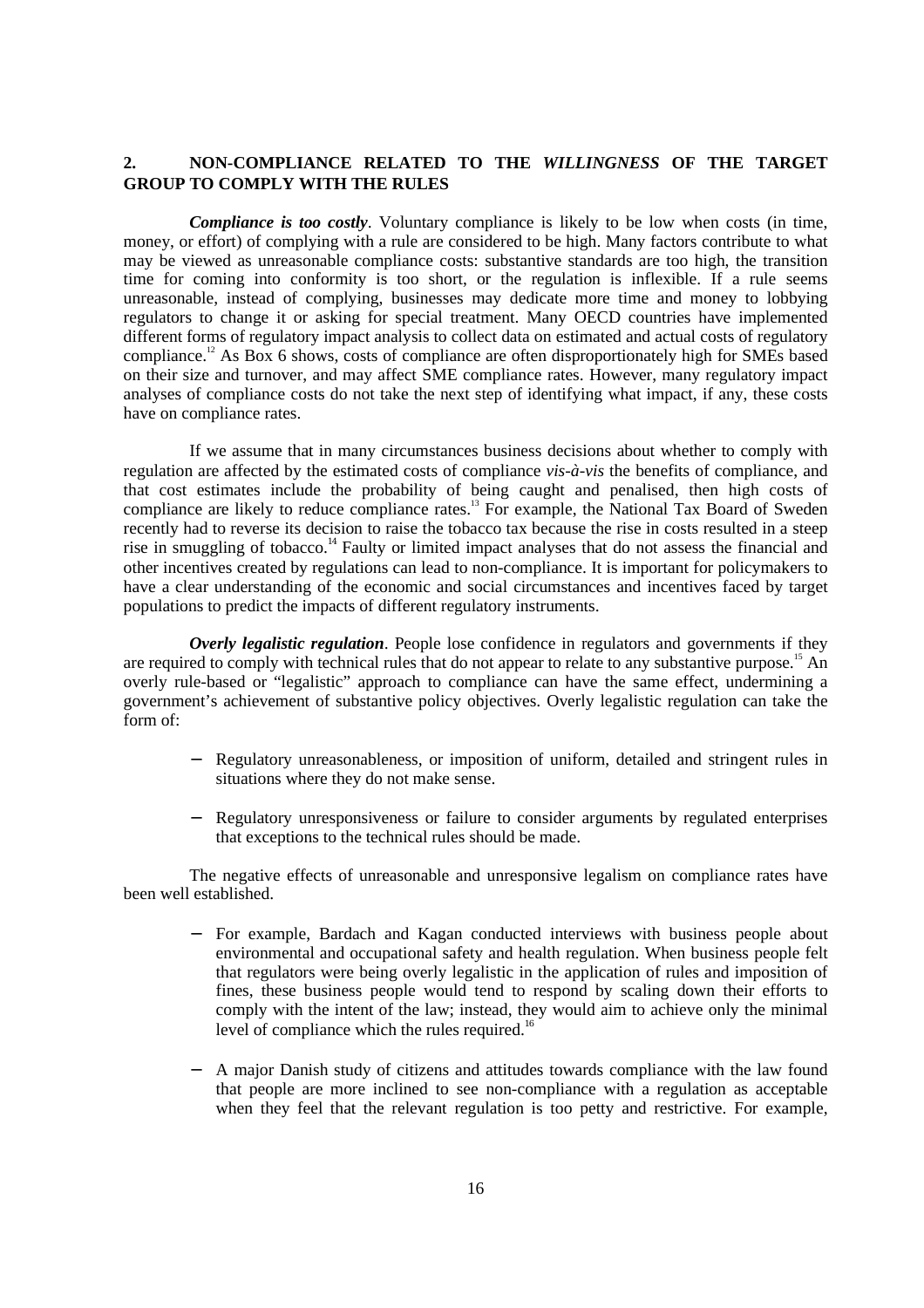## **2. NON-COMPLIANCE RELATED TO THE** *WILLINGNESS* **OF THE TARGET GROUP TO COMPLY WITH THE RULES**

*Compliance is too costly.* Voluntary compliance is likely to be low when costs (in time, money, or effort) of complying with a rule are considered to be high. Many factors contribute to what may be viewed as unreasonable compliance costs: substantive standards are too high, the transition time for coming into conformity is too short, or the regulation is inflexible. If a rule seems unreasonable, instead of complying, businesses may dedicate more time and money to lobbying regulators to change it or asking for special treatment. Many OECD countries have implemented different forms of regulatory impact analysis to collect data on estimated and actual costs of regulatory compliance.<sup>12</sup> As Box 6 shows, costs of compliance are often disproportionately high for SMEs based on their size and turnover, and may affect SME compliance rates. However, many regulatory impact analyses of compliance costs do not take the next step of identifying what impact, if any, these costs have on compliance rates.

If we assume that in many circumstances business decisions about whether to comply with regulation are affected by the estimated costs of compliance *vis-à-vis* the benefits of compliance, and that cost estimates include the probability of being caught and penalised, then high costs of compliance are likely to reduce compliance rates.<sup>13</sup> For example, the National Tax Board of Sweden recently had to reverse its decision to raise the tobacco tax because the rise in costs resulted in a steep rise in smuggling of tobacco.<sup>14</sup> Faulty or limited impact analyses that do not assess the financial and other incentives created by regulations can lead to non-compliance. It is important for policymakers to have a clear understanding of the economic and social circumstances and incentives faced by target populations to predict the impacts of different regulatory instruments.

*Overly legalistic regulation*. People lose confidence in regulators and governments if they are required to comply with technical rules that do not appear to relate to any substantive purpose.<sup>15</sup> An overly rule-based or "legalistic" approach to compliance can have the same effect, undermining a government's achievement of substantive policy objectives. Overly legalistic regulation can take the form of:

- − Regulatory unreasonableness, or imposition of uniform, detailed and stringent rules in situations where they do not make sense.
- − Regulatory unresponsiveness or failure to consider arguments by regulated enterprises that exceptions to the technical rules should be made.

The negative effects of unreasonable and unresponsive legalism on compliance rates have been well established.

- − For example, Bardach and Kagan conducted interviews with business people about environmental and occupational safety and health regulation. When business people felt that regulators were being overly legalistic in the application of rules and imposition of fines, these business people would tend to respond by scaling down their efforts to comply with the intent of the law; instead, they would aim to achieve only the minimal level of compliance which the rules required.<sup>16</sup>
- − A major Danish study of citizens and attitudes towards compliance with the law found that people are more inclined to see non-compliance with a regulation as acceptable when they feel that the relevant regulation is too petty and restrictive. For example,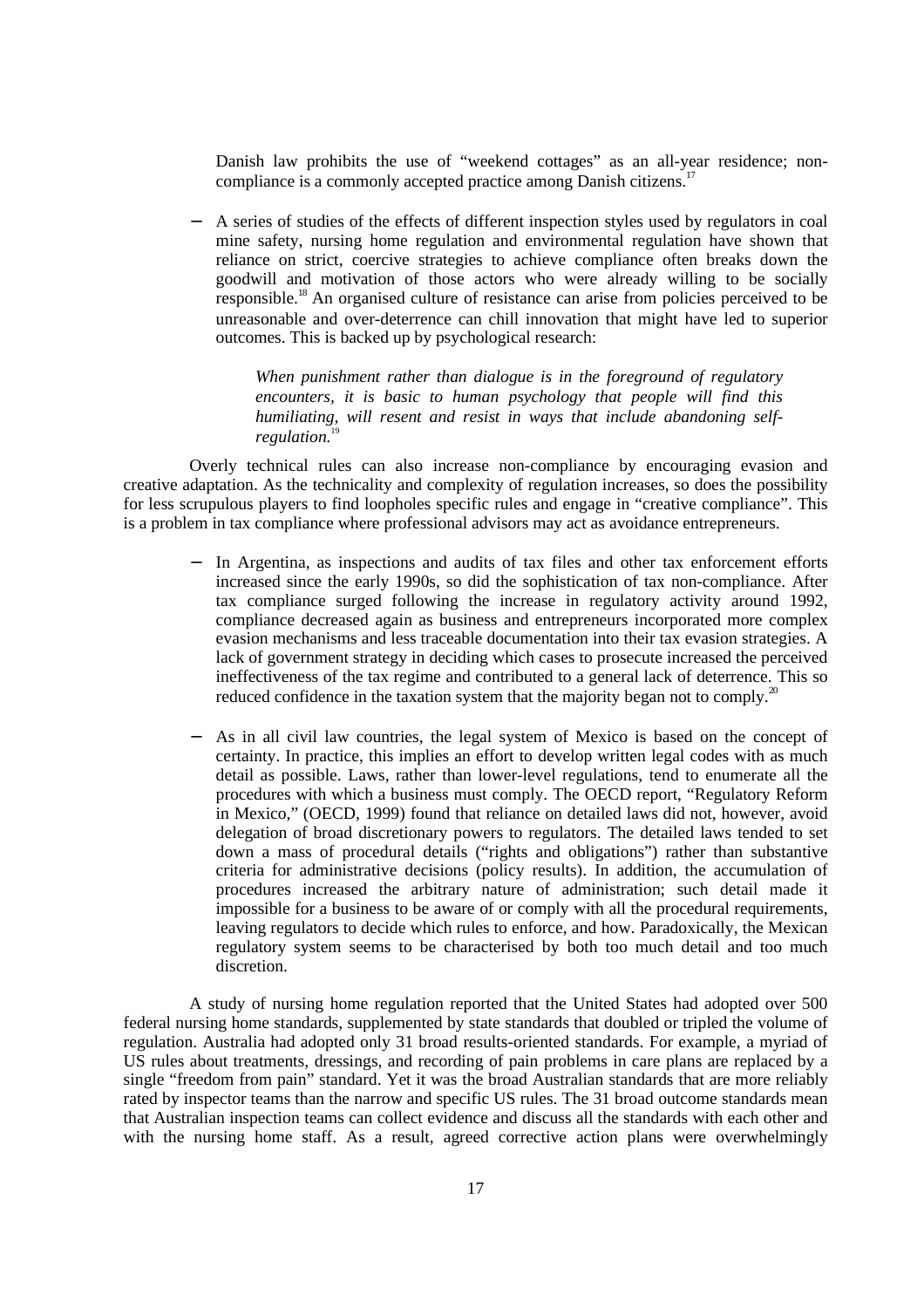Danish law prohibits the use of "weekend cottages" as an all-year residence; noncompliance is a commonly accepted practice among Danish citizens.<sup>17</sup>

− A series of studies of the effects of different inspection styles used by regulators in coal mine safety, nursing home regulation and environmental regulation have shown that reliance on strict, coercive strategies to achieve compliance often breaks down the goodwill and motivation of those actors who were already willing to be socially responsible.<sup>18</sup> An organised culture of resistance can arise from policies perceived to be unreasonable and over-deterrence can chill innovation that might have led to superior outcomes. This is backed up by psychological research:

> *When punishment rather than dialogue is in the foreground of regulatory encounters, it is basic to human psychology that people will find this humiliating, will resent and resist in ways that include abandoning selfregulation.*<sup>19</sup>

Overly technical rules can also increase non-compliance by encouraging evasion and creative adaptation. As the technicality and complexity of regulation increases, so does the possibility for less scrupulous players to find loopholes specific rules and engage in "creative compliance". This is a problem in tax compliance where professional advisors may act as avoidance entrepreneurs.

- − In Argentina, as inspections and audits of tax files and other tax enforcement efforts increased since the early 1990s, so did the sophistication of tax non-compliance. After tax compliance surged following the increase in regulatory activity around 1992, compliance decreased again as business and entrepreneurs incorporated more complex evasion mechanisms and less traceable documentation into their tax evasion strategies. A lack of government strategy in deciding which cases to prosecute increased the perceived ineffectiveness of the tax regime and contributed to a general lack of deterrence. This so reduced confidence in the taxation system that the majority began not to comply.<sup>20</sup>
- − As in all civil law countries, the legal system of Mexico is based on the concept of certainty. In practice, this implies an effort to develop written legal codes with as much detail as possible. Laws, rather than lower-level regulations, tend to enumerate all the procedures with which a business must comply. The OECD report, "Regulatory Reform in Mexico," (OECD, 1999) found that reliance on detailed laws did not, however, avoid delegation of broad discretionary powers to regulators. The detailed laws tended to set down a mass of procedural details ("rights and obligations") rather than substantive criteria for administrative decisions (policy results). In addition, the accumulation of procedures increased the arbitrary nature of administration; such detail made it impossible for a business to be aware of or comply with all the procedural requirements, leaving regulators to decide which rules to enforce, and how. Paradoxically, the Mexican regulatory system seems to be characterised by both too much detail and too much discretion.

A study of nursing home regulation reported that the United States had adopted over 500 federal nursing home standards, supplemented by state standards that doubled or tripled the volume of regulation. Australia had adopted only 31 broad results-oriented standards. For example, a myriad of US rules about treatments, dressings, and recording of pain problems in care plans are replaced by a single "freedom from pain" standard. Yet it was the broad Australian standards that are more reliably rated by inspector teams than the narrow and specific US rules. The 31 broad outcome standards mean that Australian inspection teams can collect evidence and discuss all the standards with each other and with the nursing home staff. As a result, agreed corrective action plans were overwhelmingly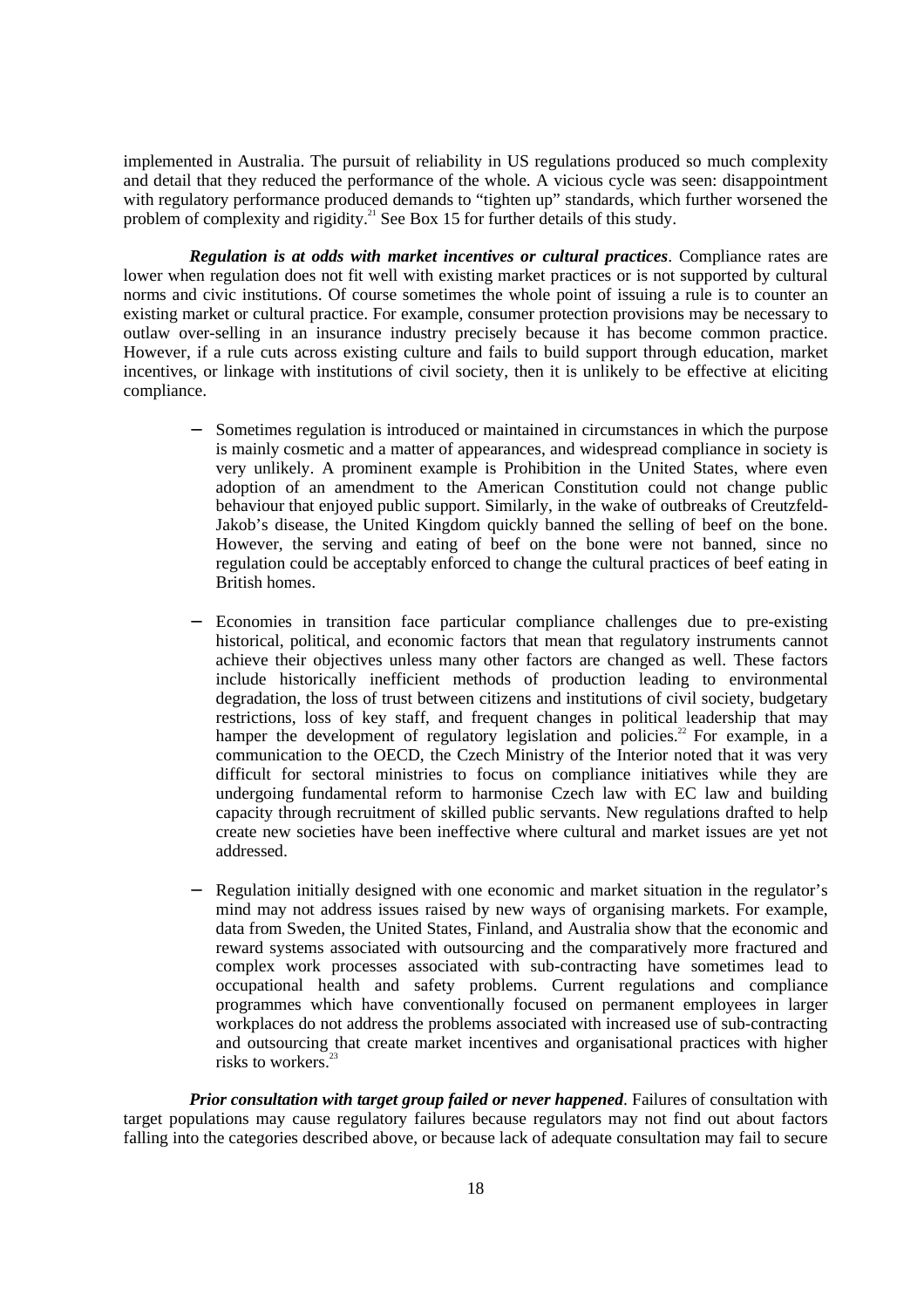implemented in Australia. The pursuit of reliability in US regulations produced so much complexity and detail that they reduced the performance of the whole. A vicious cycle was seen: disappointment with regulatory performance produced demands to "tighten up" standards, which further worsened the problem of complexity and rigidity.<sup>21</sup> See Box 15 for further details of this study.

*Regulation is at odds with market incentives or cultural practices*. Compliance rates are lower when regulation does not fit well with existing market practices or is not supported by cultural norms and civic institutions. Of course sometimes the whole point of issuing a rule is to counter an existing market or cultural practice. For example, consumer protection provisions may be necessary to outlaw over-selling in an insurance industry precisely because it has become common practice. However, if a rule cuts across existing culture and fails to build support through education, market incentives, or linkage with institutions of civil society, then it is unlikely to be effective at eliciting compliance.

- − Sometimes regulation is introduced or maintained in circumstances in which the purpose is mainly cosmetic and a matter of appearances, and widespread compliance in society is very unlikely. A prominent example is Prohibition in the United States, where even adoption of an amendment to the American Constitution could not change public behaviour that enjoyed public support. Similarly, in the wake of outbreaks of Creutzfeld-Jakob's disease, the United Kingdom quickly banned the selling of beef on the bone. However, the serving and eating of beef on the bone were not banned, since no regulation could be acceptably enforced to change the cultural practices of beef eating in British homes.
- Economies in transition face particular compliance challenges due to pre-existing historical, political, and economic factors that mean that regulatory instruments cannot achieve their objectives unless many other factors are changed as well. These factors include historically inefficient methods of production leading to environmental degradation, the loss of trust between citizens and institutions of civil society, budgetary restrictions, loss of key staff, and frequent changes in political leadership that may hamper the development of regulatory legislation and policies.<sup>22</sup> For example, in a communication to the OECD, the Czech Ministry of the Interior noted that it was very difficult for sectoral ministries to focus on compliance initiatives while they are undergoing fundamental reform to harmonise Czech law with EC law and building capacity through recruitment of skilled public servants. New regulations drafted to help create new societies have been ineffective where cultural and market issues are yet not addressed.
- − Regulation initially designed with one economic and market situation in the regulator's mind may not address issues raised by new ways of organising markets. For example, data from Sweden, the United States, Finland, and Australia show that the economic and reward systems associated with outsourcing and the comparatively more fractured and complex work processes associated with sub-contracting have sometimes lead to occupational health and safety problems. Current regulations and compliance programmes which have conventionally focused on permanent employees in larger workplaces do not address the problems associated with increased use of sub-contracting and outsourcing that create market incentives and organisational practices with higher risks to workers.<sup>23</sup>

*Prior consultation with target group failed or never happened*. Failures of consultation with target populations may cause regulatory failures because regulators may not find out about factors falling into the categories described above, or because lack of adequate consultation may fail to secure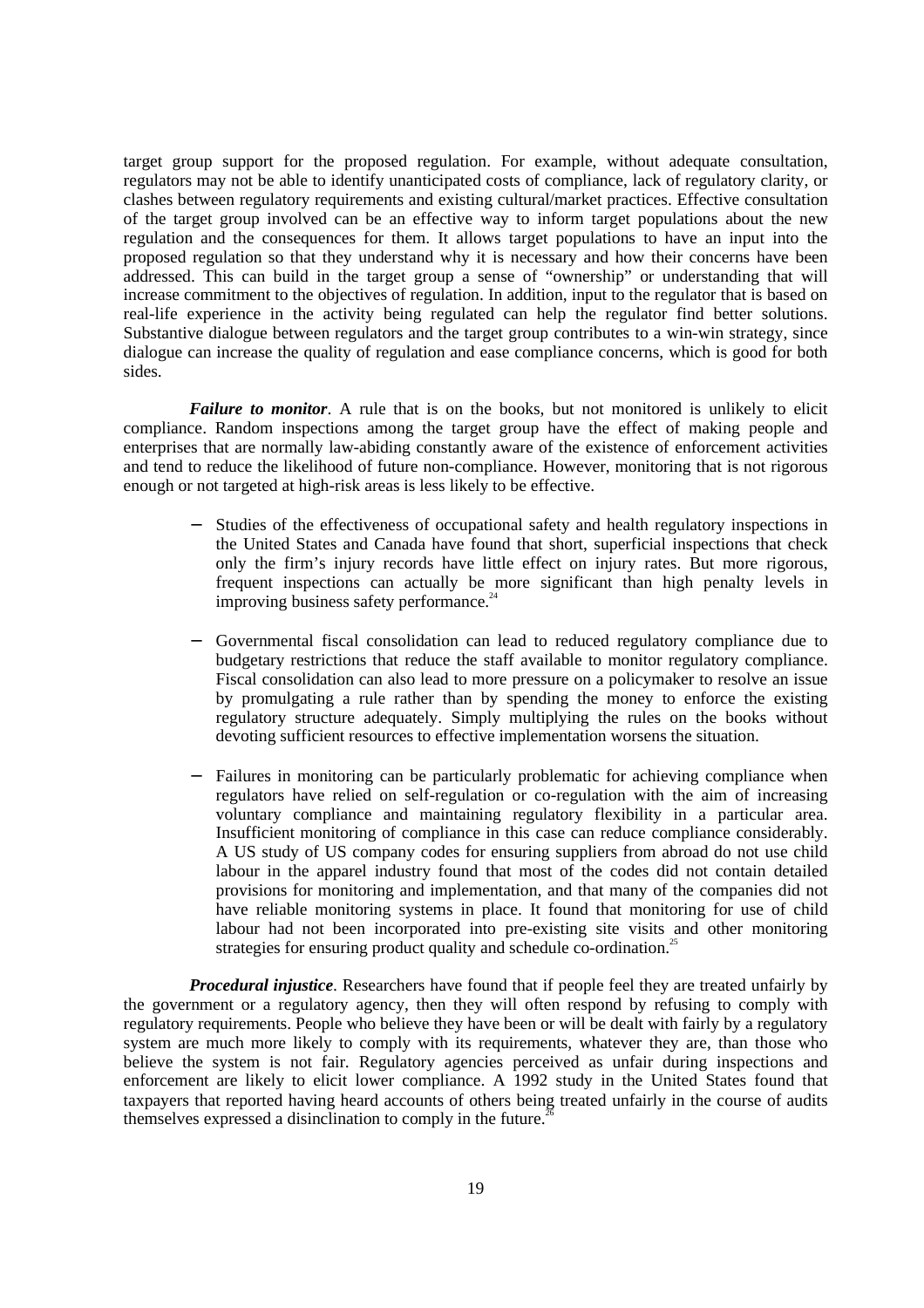target group support for the proposed regulation. For example, without adequate consultation, regulators may not be able to identify unanticipated costs of compliance, lack of regulatory clarity, or clashes between regulatory requirements and existing cultural/market practices. Effective consultation of the target group involved can be an effective way to inform target populations about the new regulation and the consequences for them. It allows target populations to have an input into the proposed regulation so that they understand why it is necessary and how their concerns have been addressed. This can build in the target group a sense of "ownership" or understanding that will increase commitment to the objectives of regulation. In addition, input to the regulator that is based on real-life experience in the activity being regulated can help the regulator find better solutions. Substantive dialogue between regulators and the target group contributes to a win-win strategy, since dialogue can increase the quality of regulation and ease compliance concerns, which is good for both sides.

*Failure to monitor*. A rule that is on the books, but not monitored is unlikely to elicit compliance. Random inspections among the target group have the effect of making people and enterprises that are normally law-abiding constantly aware of the existence of enforcement activities and tend to reduce the likelihood of future non-compliance. However, monitoring that is not rigorous enough or not targeted at high-risk areas is less likely to be effective.

- − Studies of the effectiveness of occupational safety and health regulatory inspections in the United States and Canada have found that short, superficial inspections that check only the firm's injury records have little effect on injury rates. But more rigorous, frequent inspections can actually be more significant than high penalty levels in improving business safety performance. $^{24}$
- − Governmental fiscal consolidation can lead to reduced regulatory compliance due to budgetary restrictions that reduce the staff available to monitor regulatory compliance. Fiscal consolidation can also lead to more pressure on a policymaker to resolve an issue by promulgating a rule rather than by spending the money to enforce the existing regulatory structure adequately. Simply multiplying the rules on the books without devoting sufficient resources to effective implementation worsens the situation.
- Failures in monitoring can be particularly problematic for achieving compliance when regulators have relied on self-regulation or co-regulation with the aim of increasing voluntary compliance and maintaining regulatory flexibility in a particular area. Insufficient monitoring of compliance in this case can reduce compliance considerably. A US study of US company codes for ensuring suppliers from abroad do not use child labour in the apparel industry found that most of the codes did not contain detailed provisions for monitoring and implementation, and that many of the companies did not have reliable monitoring systems in place. It found that monitoring for use of child labour had not been incorporated into pre-existing site visits and other monitoring strategies for ensuring product quality and schedule co-ordination.<sup>25</sup>

*Procedural injustice*. Researchers have found that if people feel they are treated unfairly by the government or a regulatory agency, then they will often respond by refusing to comply with regulatory requirements. People who believe they have been or will be dealt with fairly by a regulatory system are much more likely to comply with its requirements, whatever they are, than those who believe the system is not fair. Regulatory agencies perceived as unfair during inspections and enforcement are likely to elicit lower compliance. A 1992 study in the United States found that taxpayers that reported having heard accounts of others being treated unfairly in the course of audits themselves expressed a disinclination to comply in the future.<sup>26</sup>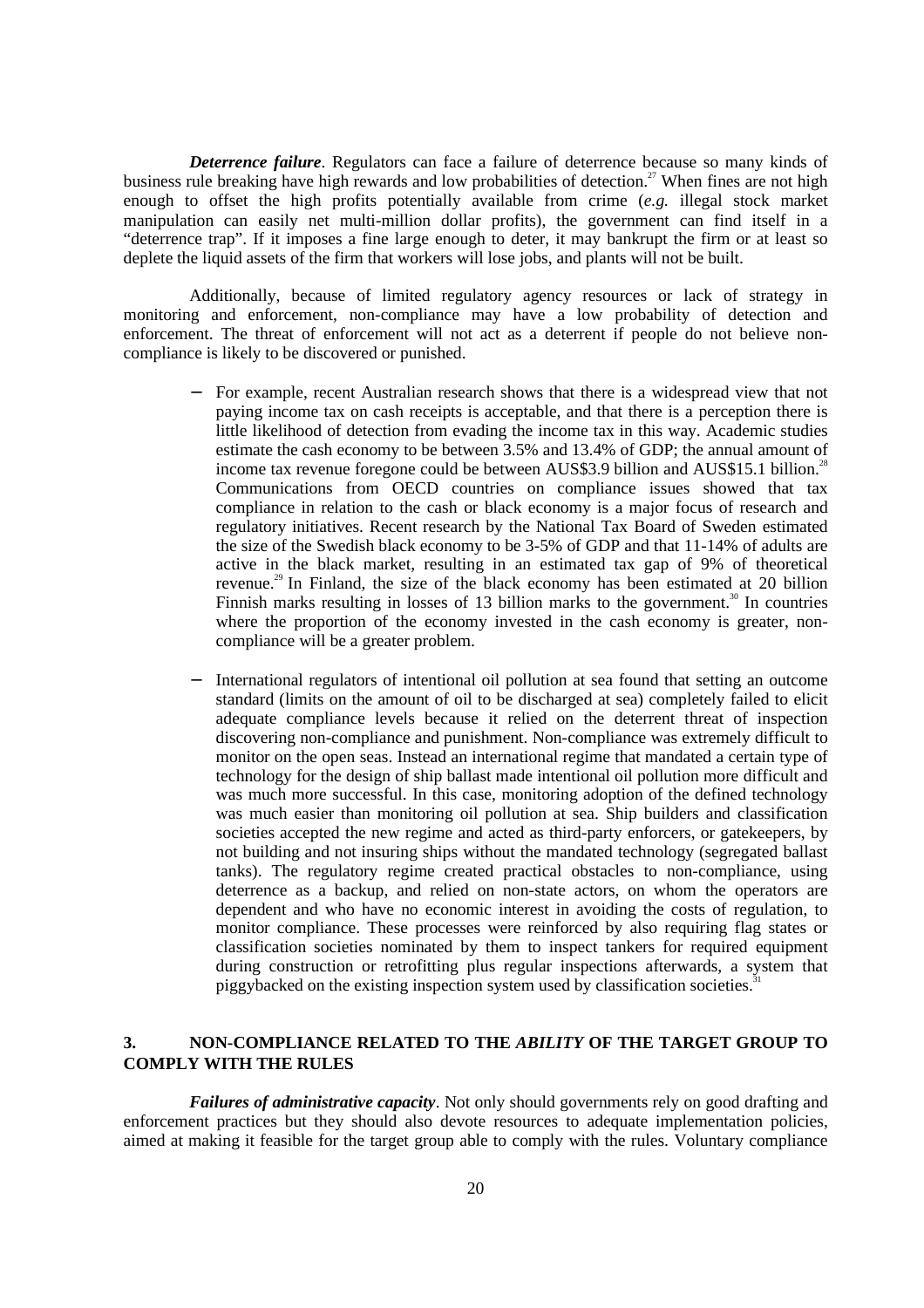*Deterrence failure*. Regulators can face a failure of deterrence because so many kinds of business rule breaking have high rewards and low probabilities of detection.<sup>27</sup> When fines are not high enough to offset the high profits potentially available from crime (*e.g.* illegal stock market manipulation can easily net multi-million dollar profits), the government can find itself in a "deterrence trap". If it imposes a fine large enough to deter, it may bankrupt the firm or at least so deplete the liquid assets of the firm that workers will lose jobs, and plants will not be built.

Additionally, because of limited regulatory agency resources or lack of strategy in monitoring and enforcement, non-compliance may have a low probability of detection and enforcement. The threat of enforcement will not act as a deterrent if people do not believe noncompliance is likely to be discovered or punished.

- − For example, recent Australian research shows that there is a widespread view that not paying income tax on cash receipts is acceptable, and that there is a perception there is little likelihood of detection from evading the income tax in this way. Academic studies estimate the cash economy to be between 3.5% and 13.4% of GDP; the annual amount of income tax revenue foregone could be between AUS\$3.9 billion and AUS\$15.1 billion.<sup>28</sup> Communications from OECD countries on compliance issues showed that tax compliance in relation to the cash or black economy is a major focus of research and regulatory initiatives. Recent research by the National Tax Board of Sweden estimated the size of the Swedish black economy to be 3-5% of GDP and that 11-14% of adults are active in the black market, resulting in an estimated tax gap of 9% of theoretical revenue.<sup>29</sup> In Finland, the size of the black economy has been estimated at 20 billion Finnish marks resulting in losses of 13 billion marks to the government.<sup>30</sup> In countries where the proportion of the economy invested in the cash economy is greater, noncompliance will be a greater problem.
- International regulators of intentional oil pollution at sea found that setting an outcome standard (limits on the amount of oil to be discharged at sea) completely failed to elicit adequate compliance levels because it relied on the deterrent threat of inspection discovering non-compliance and punishment. Non-compliance was extremely difficult to monitor on the open seas. Instead an international regime that mandated a certain type of technology for the design of ship ballast made intentional oil pollution more difficult and was much more successful. In this case, monitoring adoption of the defined technology was much easier than monitoring oil pollution at sea. Ship builders and classification societies accepted the new regime and acted as third-party enforcers, or gatekeepers, by not building and not insuring ships without the mandated technology (segregated ballast tanks). The regulatory regime created practical obstacles to non-compliance, using deterrence as a backup, and relied on non-state actors, on whom the operators are dependent and who have no economic interest in avoiding the costs of regulation, to monitor compliance. These processes were reinforced by also requiring flag states or classification societies nominated by them to inspect tankers for required equipment during construction or retrofitting plus regular inspections afterwards, a system that piggybacked on the existing inspection system used by classification societies.<sup>3</sup>

## **3. NON-COMPLIANCE RELATED TO THE** *ABILITY* **OF THE TARGET GROUP TO COMPLY WITH THE RULES**

*Failures of administrative capacity*. Not only should governments rely on good drafting and enforcement practices but they should also devote resources to adequate implementation policies, aimed at making it feasible for the target group able to comply with the rules. Voluntary compliance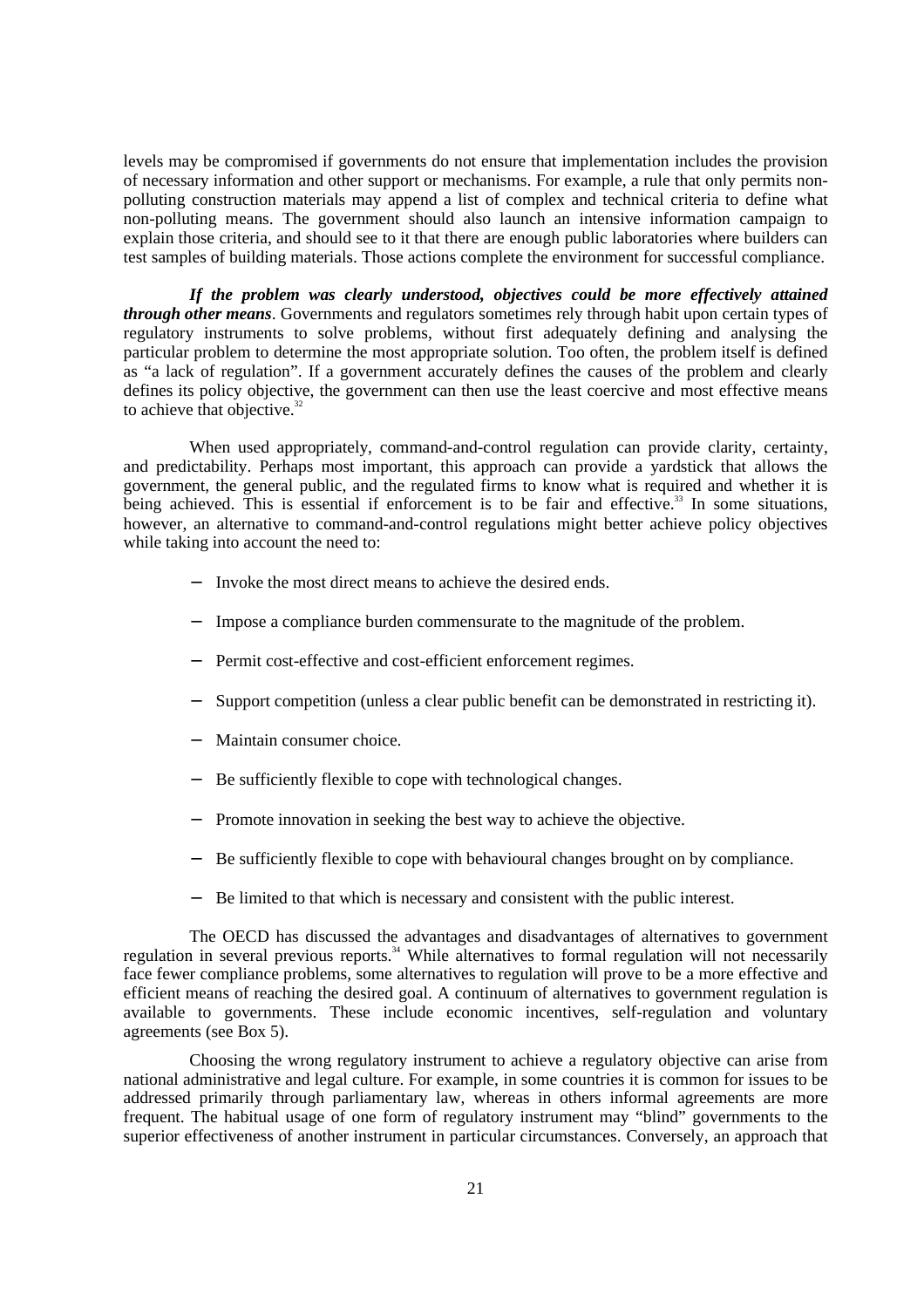levels may be compromised if governments do not ensure that implementation includes the provision of necessary information and other support or mechanisms. For example, a rule that only permits nonpolluting construction materials may append a list of complex and technical criteria to define what non-polluting means. The government should also launch an intensive information campaign to explain those criteria, and should see to it that there are enough public laboratories where builders can test samples of building materials. Those actions complete the environment for successful compliance.

*If the problem was clearly understood, objectives could be more effectively attained through other means*. Governments and regulators sometimes rely through habit upon certain types of regulatory instruments to solve problems, without first adequately defining and analysing the particular problem to determine the most appropriate solution. Too often, the problem itself is defined as "a lack of regulation". If a government accurately defines the causes of the problem and clearly defines its policy objective, the government can then use the least coercive and most effective means to achieve that objective.<sup>32</sup>

When used appropriately, command-and-control regulation can provide clarity, certainty, and predictability. Perhaps most important, this approach can provide a yardstick that allows the government, the general public, and the regulated firms to know what is required and whether it is being achieved. This is essential if enforcement is to be fair and effective.<sup>33</sup> In some situations, however, an alternative to command-and-control regulations might better achieve policy objectives while taking into account the need to:

- − Invoke the most direct means to achieve the desired ends.
- Impose a compliance burden commensurate to the magnitude of the problem.
- − Permit cost-effective and cost-efficient enforcement regimes.
- − Support competition (unless a clear public benefit can be demonstrated in restricting it).
- − Maintain consumer choice.
- − Be sufficiently flexible to cope with technological changes.
- − Promote innovation in seeking the best way to achieve the objective.
- − Be sufficiently flexible to cope with behavioural changes brought on by compliance.
- − Be limited to that which is necessary and consistent with the public interest.

The OECD has discussed the advantages and disadvantages of alternatives to government regulation in several previous reports.<sup>34</sup> While alternatives to formal regulation will not necessarily face fewer compliance problems, some alternatives to regulation will prove to be a more effective and efficient means of reaching the desired goal. A continuum of alternatives to government regulation is available to governments. These include economic incentives, self-regulation and voluntary agreements (see Box 5).

Choosing the wrong regulatory instrument to achieve a regulatory objective can arise from national administrative and legal culture. For example, in some countries it is common for issues to be addressed primarily through parliamentary law, whereas in others informal agreements are more frequent. The habitual usage of one form of regulatory instrument may "blind" governments to the superior effectiveness of another instrument in particular circumstances. Conversely, an approach that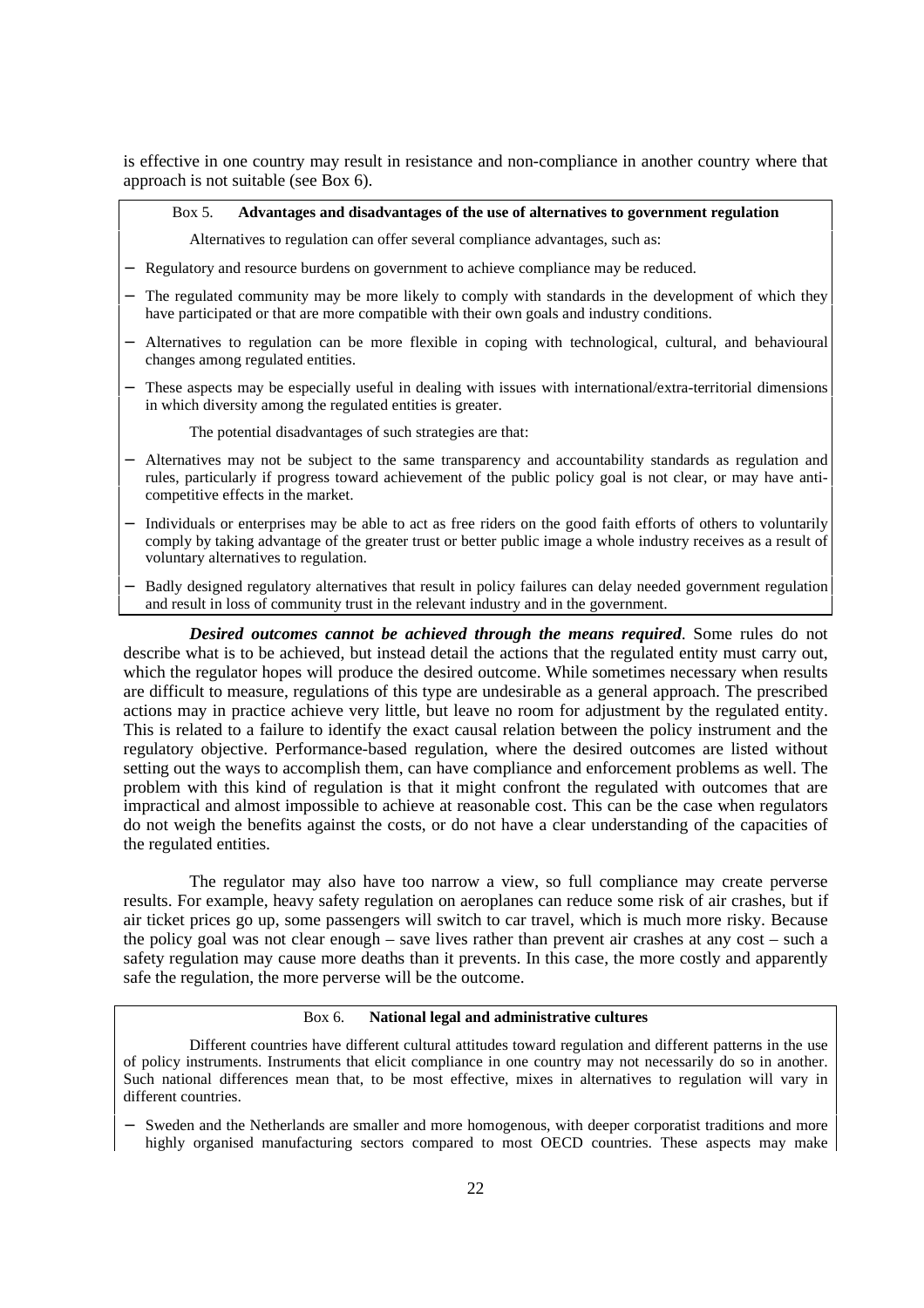is effective in one country may result in resistance and non-compliance in another country where that approach is not suitable (see Box 6).

## Box 5. **Advantages and disadvantages of the use of alternatives to government regulation**

Alternatives to regulation can offer several compliance advantages, such as:

- − Regulatory and resource burdens on government to achieve compliance may be reduced.
- − The regulated community may be more likely to comply with standards in the development of which they have participated or that are more compatible with their own goals and industry conditions.
- − Alternatives to regulation can be more flexible in coping with technological, cultural, and behavioural changes among regulated entities.
- − These aspects may be especially useful in dealing with issues with international/extra-territorial dimensions in which diversity among the regulated entities is greater.

The potential disadvantages of such strategies are that:

- − Alternatives may not be subject to the same transparency and accountability standards as regulation and rules, particularly if progress toward achievement of the public policy goal is not clear, or may have anticompetitive effects in the market.
- Individuals or enterprises may be able to act as free riders on the good faith efforts of others to voluntarily comply by taking advantage of the greater trust or better public image a whole industry receives as a result of voluntary alternatives to regulation.
- Badly designed regulatory alternatives that result in policy failures can delay needed government regulation and result in loss of community trust in the relevant industry and in the government.

*Desired outcomes cannot be achieved through the means required*. Some rules do not describe what is to be achieved, but instead detail the actions that the regulated entity must carry out, which the regulator hopes will produce the desired outcome. While sometimes necessary when results are difficult to measure, regulations of this type are undesirable as a general approach. The prescribed actions may in practice achieve very little, but leave no room for adjustment by the regulated entity. This is related to a failure to identify the exact causal relation between the policy instrument and the regulatory objective. Performance-based regulation, where the desired outcomes are listed without setting out the ways to accomplish them, can have compliance and enforcement problems as well. The problem with this kind of regulation is that it might confront the regulated with outcomes that are impractical and almost impossible to achieve at reasonable cost. This can be the case when regulators do not weigh the benefits against the costs, or do not have a clear understanding of the capacities of the regulated entities.

The regulator may also have too narrow a view, so full compliance may create perverse results. For example, heavy safety regulation on aeroplanes can reduce some risk of air crashes, but if air ticket prices go up, some passengers will switch to car travel, which is much more risky. Because the policy goal was not clear enough – save lives rather than prevent air crashes at any cost – such a safety regulation may cause more deaths than it prevents. In this case, the more costly and apparently safe the regulation, the more perverse will be the outcome.

### Box 6. **National legal and administrative cultures**

Different countries have different cultural attitudes toward regulation and different patterns in the use of policy instruments. Instruments that elicit compliance in one country may not necessarily do so in another. Such national differences mean that, to be most effective, mixes in alternatives to regulation will vary in different countries.

Sweden and the Netherlands are smaller and more homogenous, with deeper corporatist traditions and more highly organised manufacturing sectors compared to most OECD countries. These aspects may make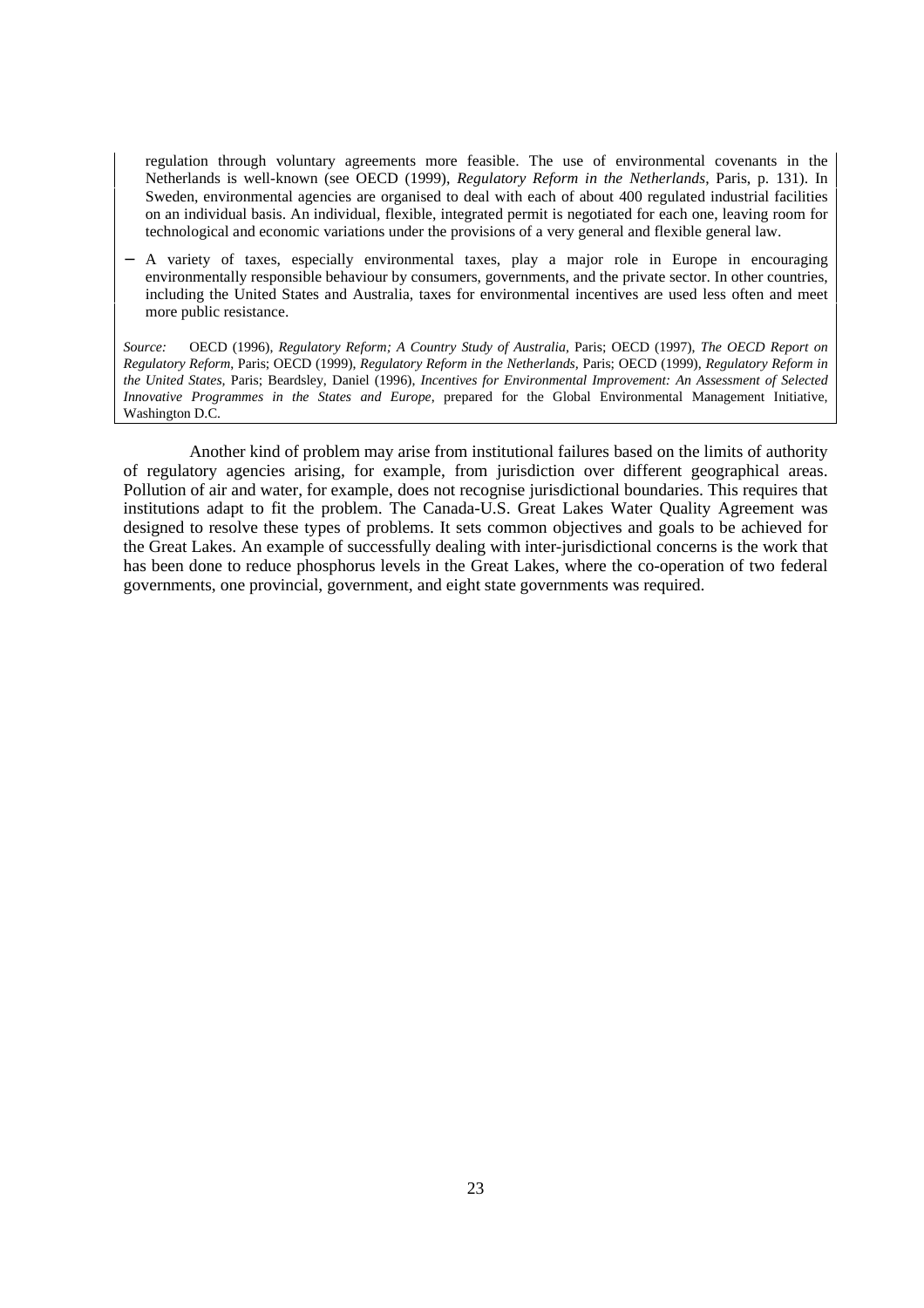regulation through voluntary agreements more feasible. The use of environmental covenants in the Netherlands is well-known (see OECD (1999), *Regulatory Reform in the Netherlands*, Paris, p. 131). In Sweden, environmental agencies are organised to deal with each of about 400 regulated industrial facilities on an individual basis. An individual, flexible, integrated permit is negotiated for each one, leaving room for technological and economic variations under the provisions of a very general and flexible general law.

− A variety of taxes, especially environmental taxes, play a major role in Europe in encouraging environmentally responsible behaviour by consumers, governments, and the private sector. In other countries, including the United States and Australia, taxes for environmental incentives are used less often and meet more public resistance.

*Source:* OECD (1996), *Regulatory Reform; A Country Study of Australia,* Paris; OECD (1997), *The OECD Report on Regulatory Reform*, Paris; OECD (1999), *Regulatory Reform in the Netherlands,* Paris; OECD (1999), *Regulatory Reform in the United States,* Paris; Beardsley, Daniel (1996), *Incentives for Environmental Improvement: An Assessment of Selected Innovative Programmes in the States and Europe*, prepared for the Global Environmental Management Initiative, Washington D.C.

Another kind of problem may arise from institutional failures based on the limits of authority of regulatory agencies arising, for example, from jurisdiction over different geographical areas. Pollution of air and water, for example, does not recognise jurisdictional boundaries. This requires that institutions adapt to fit the problem. The Canada-U.S. Great Lakes Water Quality Agreement was designed to resolve these types of problems. It sets common objectives and goals to be achieved for the Great Lakes. An example of successfully dealing with inter-jurisdictional concerns is the work that has been done to reduce phosphorus levels in the Great Lakes, where the co-operation of two federal governments, one provincial, government, and eight state governments was required.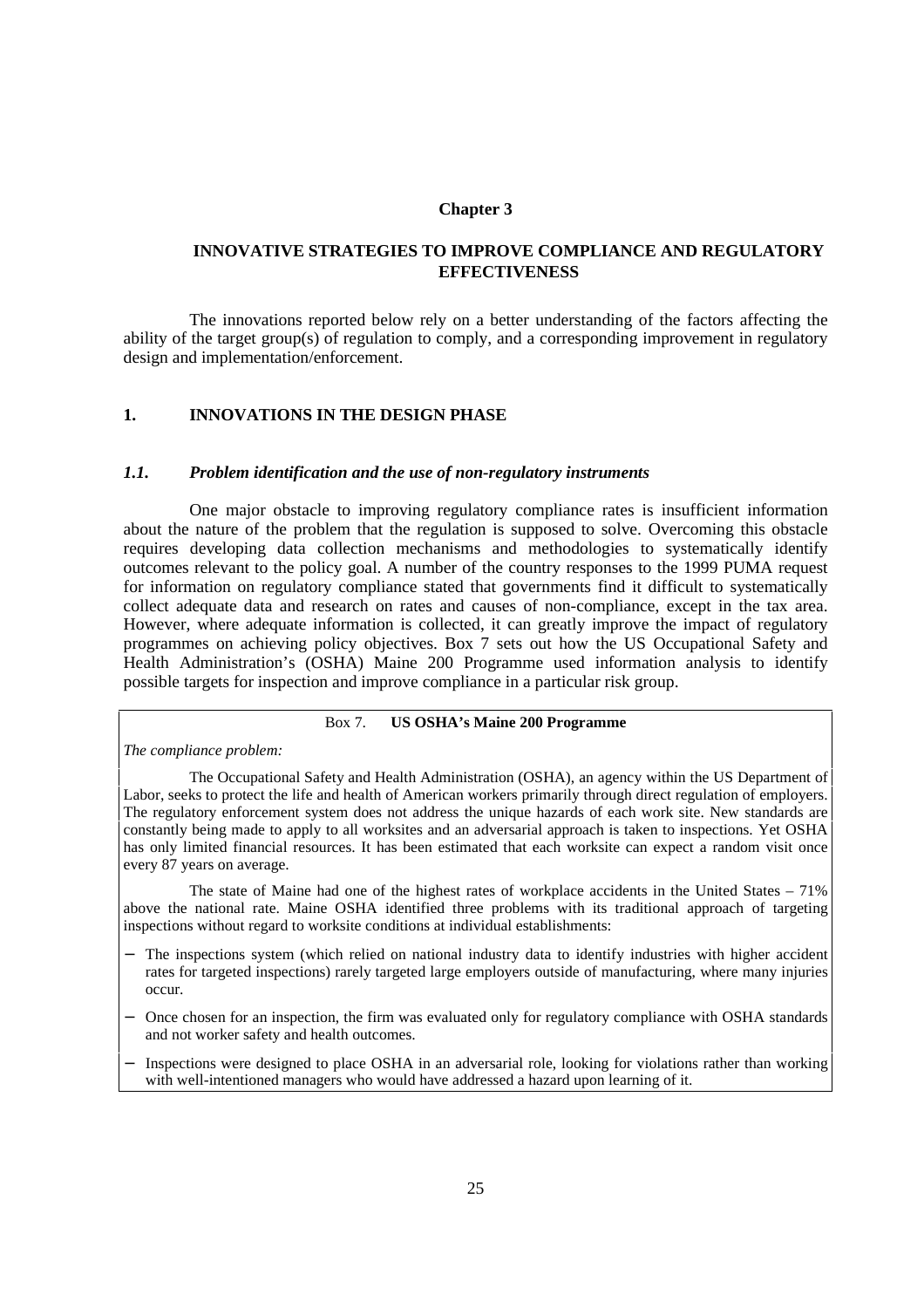## **Chapter 3**

## **INNOVATIVE STRATEGIES TO IMPROVE COMPLIANCE AND REGULATORY EFFECTIVENESS**

The innovations reported below rely on a better understanding of the factors affecting the ability of the target group(s) of regulation to comply, and a corresponding improvement in regulatory design and implementation/enforcement.

## **1. INNOVATIONS IN THE DESIGN PHASE**

## *1.1. Problem identification and the use of non-regulatory instruments*

One major obstacle to improving regulatory compliance rates is insufficient information about the nature of the problem that the regulation is supposed to solve. Overcoming this obstacle requires developing data collection mechanisms and methodologies to systematically identify outcomes relevant to the policy goal. A number of the country responses to the 1999 PUMA request for information on regulatory compliance stated that governments find it difficult to systematically collect adequate data and research on rates and causes of non-compliance, except in the tax area. However, where adequate information is collected, it can greatly improve the impact of regulatory programmes on achieving policy objectives. Box 7 sets out how the US Occupational Safety and Health Administration's (OSHA) Maine 200 Programme used information analysis to identify possible targets for inspection and improve compliance in a particular risk group.

## Box 7. **US OSHA's Maine 200 Programme**

*The compliance problem:*

The Occupational Safety and Health Administration (OSHA), an agency within the US Department of Labor, seeks to protect the life and health of American workers primarily through direct regulation of employers. The regulatory enforcement system does not address the unique hazards of each work site. New standards are constantly being made to apply to all worksites and an adversarial approach is taken to inspections. Yet OSHA has only limited financial resources. It has been estimated that each worksite can expect a random visit once every 87 years on average.

The state of Maine had one of the highest rates of workplace accidents in the United States  $-71\%$ above the national rate. Maine OSHA identified three problems with its traditional approach of targeting inspections without regard to worksite conditions at individual establishments:

- The inspections system (which relied on national industry data to identify industries with higher accident rates for targeted inspections) rarely targeted large employers outside of manufacturing, where many injuries occur.
- − Once chosen for an inspection, the firm was evaluated only for regulatory compliance with OSHA standards and not worker safety and health outcomes.
- Inspections were designed to place OSHA in an adversarial role, looking for violations rather than working with well-intentioned managers who would have addressed a hazard upon learning of it.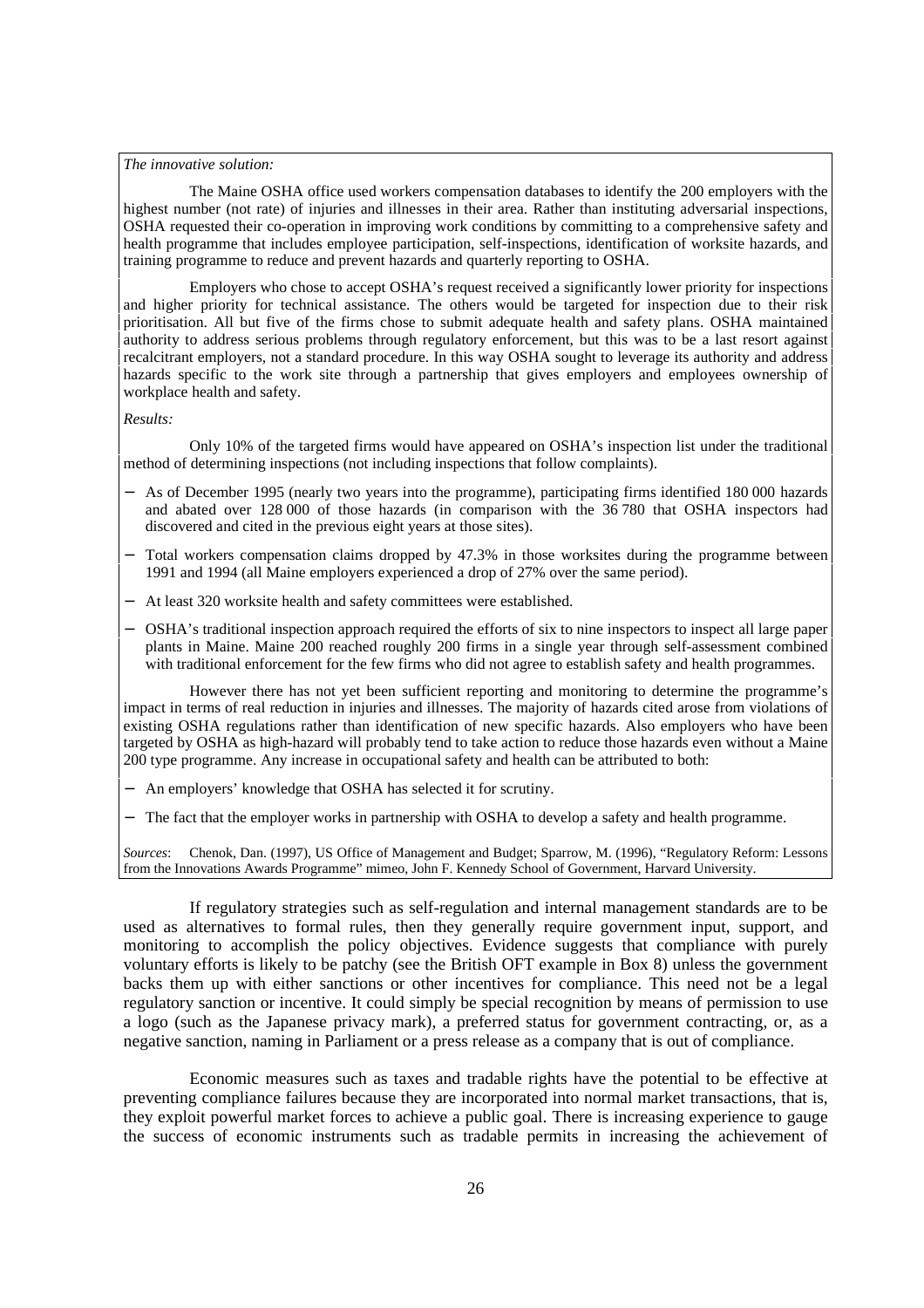#### *The innovative solution:*

The Maine OSHA office used workers compensation databases to identify the 200 employers with the highest number (not rate) of injuries and illnesses in their area. Rather than instituting adversarial inspections, OSHA requested their co-operation in improving work conditions by committing to a comprehensive safety and health programme that includes employee participation, self-inspections, identification of worksite hazards, and training programme to reduce and prevent hazards and quarterly reporting to OSHA.

Employers who chose to accept OSHA's request received a significantly lower priority for inspections and higher priority for technical assistance. The others would be targeted for inspection due to their risk prioritisation. All but five of the firms chose to submit adequate health and safety plans. OSHA maintained authority to address serious problems through regulatory enforcement, but this was to be a last resort against recalcitrant employers, not a standard procedure. In this way OSHA sought to leverage its authority and address hazards specific to the work site through a partnership that gives employers and employees ownership of workplace health and safety.

#### *Results:*

Only 10% of the targeted firms would have appeared on OSHA's inspection list under the traditional method of determining inspections (not including inspections that follow complaints).

- − As of December 1995 (nearly two years into the programme), participating firms identified 180 000 hazards and abated over 128 000 of those hazards (in comparison with the 36 780 that OSHA inspectors had discovered and cited in the previous eight years at those sites).
- Total workers compensation claims dropped by 47.3% in those worksites during the programme between 1991 and 1994 (all Maine employers experienced a drop of 27% over the same period).
- − At least 320 worksite health and safety committees were established.
- − OSHA's traditional inspection approach required the efforts of six to nine inspectors to inspect all large paper plants in Maine. Maine 200 reached roughly 200 firms in a single year through self-assessment combined with traditional enforcement for the few firms who did not agree to establish safety and health programmes.

However there has not yet been sufficient reporting and monitoring to determine the programme's impact in terms of real reduction in injuries and illnesses. The majority of hazards cited arose from violations of existing OSHA regulations rather than identification of new specific hazards. Also employers who have been targeted by OSHA as high-hazard will probably tend to take action to reduce those hazards even without a Maine 200 type programme. Any increase in occupational safety and health can be attributed to both:

- − An employers' knowledge that OSHA has selected it for scrutiny.
- The fact that the employer works in partnership with OSHA to develop a safety and health programme.

*Sources*: Chenok, Dan. (1997), US Office of Management and Budget; Sparrow, M. (1996), "Regulatory Reform: Lessons from the Innovations Awards Programme" mimeo, John F. Kennedy School of Government, Harvard University.

If regulatory strategies such as self-regulation and internal management standards are to be used as alternatives to formal rules, then they generally require government input, support, and monitoring to accomplish the policy objectives. Evidence suggests that compliance with purely voluntary efforts is likely to be patchy (see the British OFT example in Box 8) unless the government backs them up with either sanctions or other incentives for compliance. This need not be a legal regulatory sanction or incentive. It could simply be special recognition by means of permission to use a logo (such as the Japanese privacy mark), a preferred status for government contracting, or, as a negative sanction, naming in Parliament or a press release as a company that is out of compliance.

Economic measures such as taxes and tradable rights have the potential to be effective at preventing compliance failures because they are incorporated into normal market transactions, that is, they exploit powerful market forces to achieve a public goal. There is increasing experience to gauge the success of economic instruments such as tradable permits in increasing the achievement of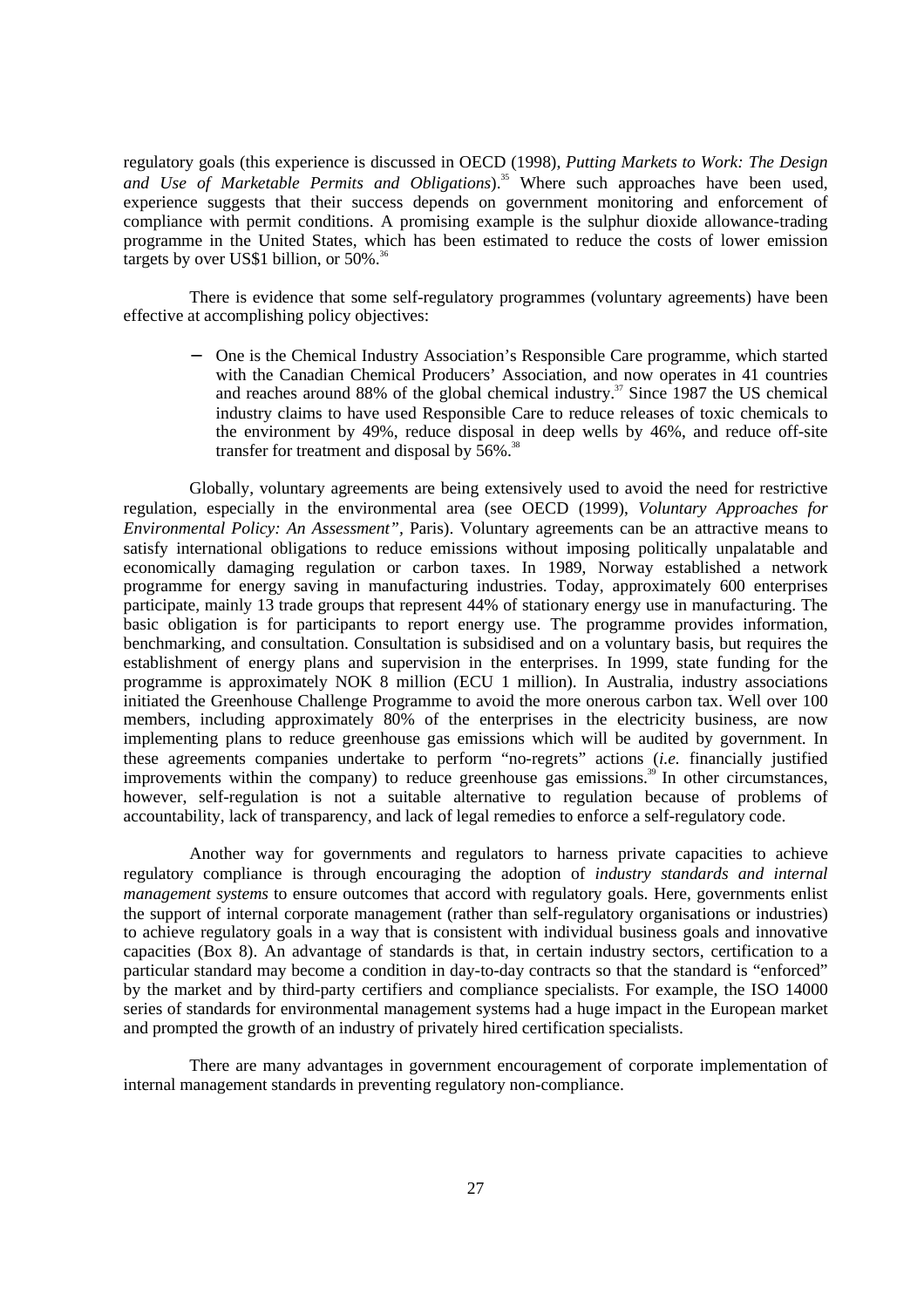regulatory goals (this experience is discussed in OECD (1998), *Putting Markets to Work: The Design* and Use of Marketable Permits and Obligations).<sup>35</sup> Where such approaches have been used, experience suggests that their success depends on government monitoring and enforcement of compliance with permit conditions. A promising example is the sulphur dioxide allowance-trading programme in the United States, which has been estimated to reduce the costs of lower emission targets by over US\$1 billion, or 50%.<sup>36</sup>

There is evidence that some self-regulatory programmes (voluntary agreements) have been effective at accomplishing policy objectives:

− One is the Chemical Industry Association's Responsible Care programme, which started with the Canadian Chemical Producers' Association, and now operates in 41 countries and reaches around 88% of the global chemical industry.<sup>37</sup> Since 1987 the US chemical industry claims to have used Responsible Care to reduce releases of toxic chemicals to the environment by 49%, reduce disposal in deep wells by 46%, and reduce off-site transfer for treatment and disposal by  $56\%$ .<sup>38</sup>

Globally, voluntary agreements are being extensively used to avoid the need for restrictive regulation, especially in the environmental area (see OECD (1999), *Voluntary Approaches for Environmental Policy: An Assessment",* Paris). Voluntary agreements can be an attractive means to satisfy international obligations to reduce emissions without imposing politically unpalatable and economically damaging regulation or carbon taxes. In 1989, Norway established a network programme for energy saving in manufacturing industries. Today, approximately 600 enterprises participate, mainly 13 trade groups that represent 44% of stationary energy use in manufacturing. The basic obligation is for participants to report energy use. The programme provides information, benchmarking, and consultation. Consultation is subsidised and on a voluntary basis, but requires the establishment of energy plans and supervision in the enterprises. In 1999, state funding for the programme is approximately NOK 8 million (ECU 1 million). In Australia, industry associations initiated the Greenhouse Challenge Programme to avoid the more onerous carbon tax. Well over 100 members, including approximately 80% of the enterprises in the electricity business, are now implementing plans to reduce greenhouse gas emissions which will be audited by government. In these agreements companies undertake to perform "no-regrets" actions (*i.e.* financially justified improvements within the company) to reduce greenhouse gas emissions.<sup>39</sup> In other circumstances, however, self-regulation is not a suitable alternative to regulation because of problems of accountability, lack of transparency, and lack of legal remedies to enforce a self-regulatory code.

Another way for governments and regulators to harness private capacities to achieve regulatory compliance is through encouraging the adoption of *industry standards and internal management systems* to ensure outcomes that accord with regulatory goals. Here, governments enlist the support of internal corporate management (rather than self-regulatory organisations or industries) to achieve regulatory goals in a way that is consistent with individual business goals and innovative capacities (Box 8). An advantage of standards is that, in certain industry sectors, certification to a particular standard may become a condition in day-to-day contracts so that the standard is "enforced" by the market and by third-party certifiers and compliance specialists. For example, the ISO 14000 series of standards for environmental management systems had a huge impact in the European market and prompted the growth of an industry of privately hired certification specialists.

There are many advantages in government encouragement of corporate implementation of internal management standards in preventing regulatory non-compliance.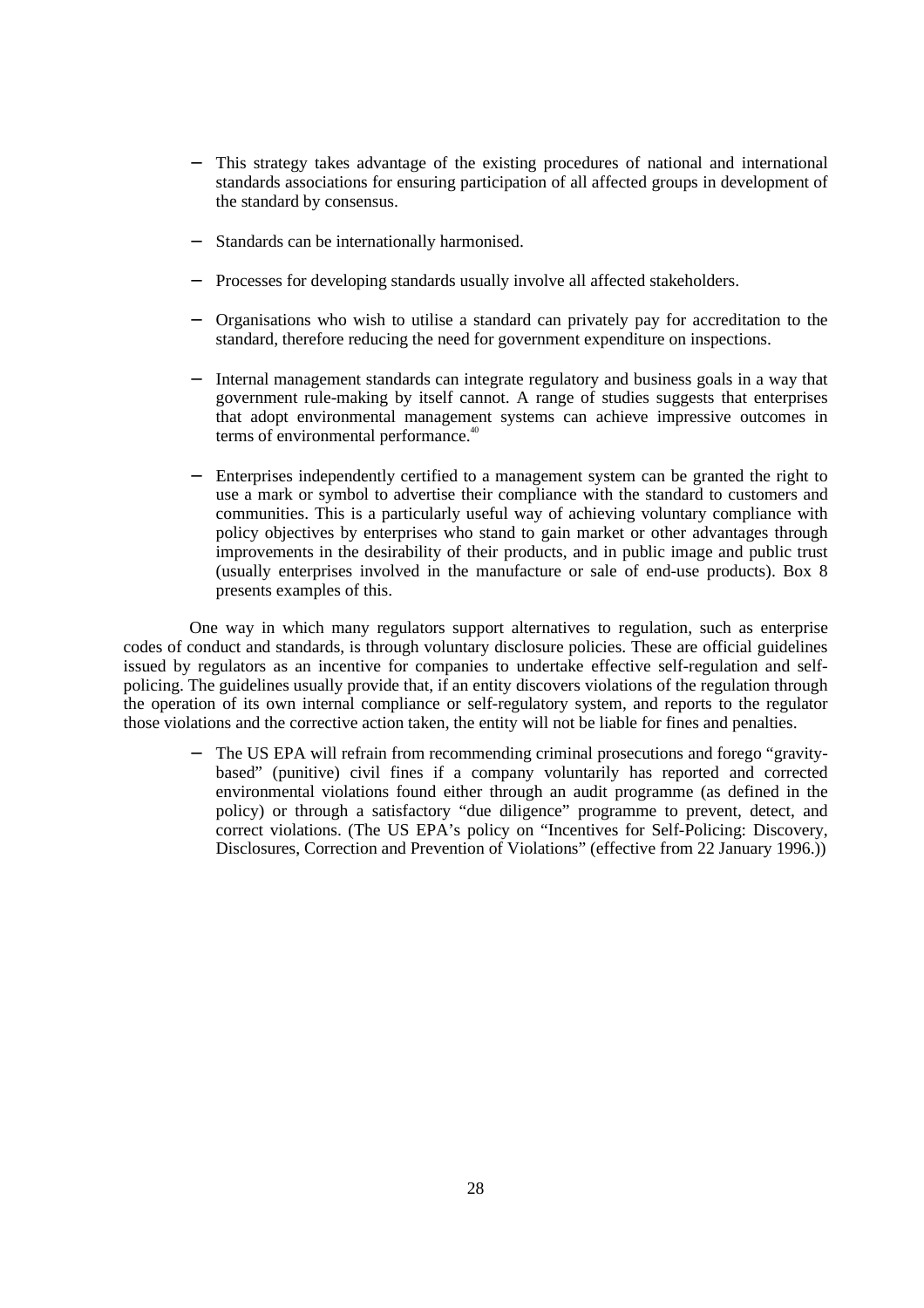- − This strategy takes advantage of the existing procedures of national and international standards associations for ensuring participation of all affected groups in development of the standard by consensus.
- Standards can be internationally harmonised.
- − Processes for developing standards usually involve all affected stakeholders.
- − Organisations who wish to utilise a standard can privately pay for accreditation to the standard, therefore reducing the need for government expenditure on inspections.
- − Internal management standards can integrate regulatory and business goals in a way that government rule-making by itself cannot. A range of studies suggests that enterprises that adopt environmental management systems can achieve impressive outcomes in terms of environmental performance.<sup>40</sup>
- − Enterprises independently certified to a management system can be granted the right to use a mark or symbol to advertise their compliance with the standard to customers and communities. This is a particularly useful way of achieving voluntary compliance with policy objectives by enterprises who stand to gain market or other advantages through improvements in the desirability of their products, and in public image and public trust (usually enterprises involved in the manufacture or sale of end-use products). Box 8 presents examples of this.

One way in which many regulators support alternatives to regulation, such as enterprise codes of conduct and standards, is through voluntary disclosure policies. These are official guidelines issued by regulators as an incentive for companies to undertake effective self-regulation and selfpolicing. The guidelines usually provide that, if an entity discovers violations of the regulation through the operation of its own internal compliance or self-regulatory system, and reports to the regulator those violations and the corrective action taken, the entity will not be liable for fines and penalties.

The US EPA will refrain from recommending criminal prosecutions and forego "gravitybased" (punitive) civil fines if a company voluntarily has reported and corrected environmental violations found either through an audit programme (as defined in the policy) or through a satisfactory "due diligence" programme to prevent, detect, and correct violations. (The US EPA's policy on "Incentives for Self-Policing: Discovery, Disclosures, Correction and Prevention of Violations" (effective from 22 January 1996.))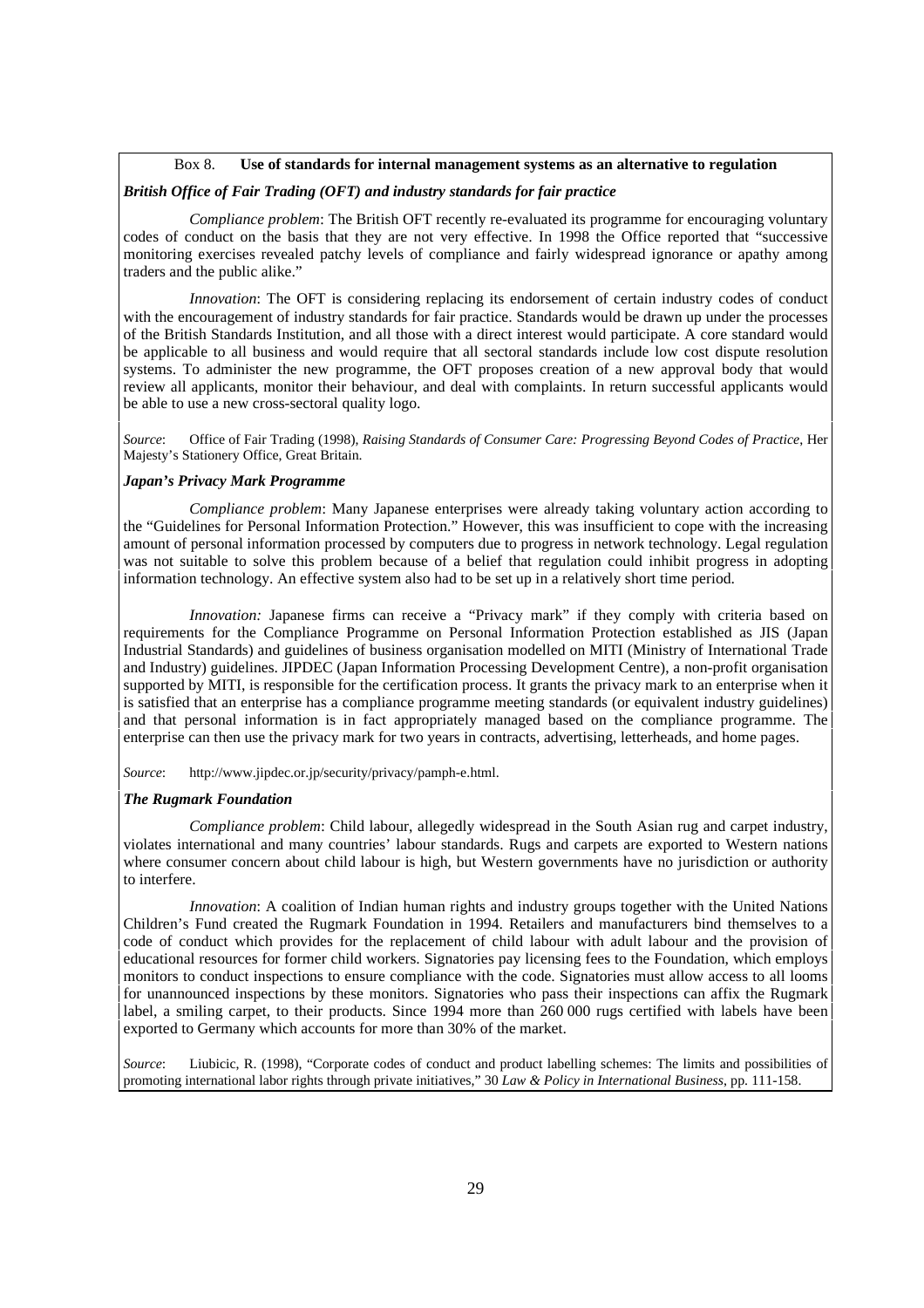### Box 8. **Use of standards for internal management systems as an alternative to regulation**

#### *British Office of Fair Trading (OFT) and industry standards for fair practice*

*Compliance problem*: The British OFT recently re-evaluated its programme for encouraging voluntary codes of conduct on the basis that they are not very effective. In 1998 the Office reported that "successive monitoring exercises revealed patchy levels of compliance and fairly widespread ignorance or apathy among traders and the public alike."

*Innovation*: The OFT is considering replacing its endorsement of certain industry codes of conduct with the encouragement of industry standards for fair practice. Standards would be drawn up under the processes of the British Standards Institution, and all those with a direct interest would participate. A core standard would be applicable to all business and would require that all sectoral standards include low cost dispute resolution systems. To administer the new programme, the OFT proposes creation of a new approval body that would review all applicants, monitor their behaviour, and deal with complaints. In return successful applicants would be able to use a new cross-sectoral quality logo.

*Source*: Office of Fair Trading (1998), *Raising Standards of Consumer Care: Progressing Beyond Codes of Practice*, Her Majesty's Stationery Office, Great Britain.

#### *Japan's Privacy Mark Programme*

*Compliance problem*: Many Japanese enterprises were already taking voluntary action according to the "Guidelines for Personal Information Protection." However, this was insufficient to cope with the increasing amount of personal information processed by computers due to progress in network technology. Legal regulation was not suitable to solve this problem because of a belief that regulation could inhibit progress in adopting information technology. An effective system also had to be set up in a relatively short time period.

*Innovation:* Japanese firms can receive a "Privacy mark" if they comply with criteria based on requirements for the Compliance Programme on Personal Information Protection established as JIS (Japan Industrial Standards) and guidelines of business organisation modelled on MITI (Ministry of International Trade and Industry) guidelines. JIPDEC (Japan Information Processing Development Centre), a non-profit organisation supported by MITI, is responsible for the certification process. It grants the privacy mark to an enterprise when it is satisfied that an enterprise has a compliance programme meeting standards (or equivalent industry guidelines) and that personal information is in fact appropriately managed based on the compliance programme. The enterprise can then use the privacy mark for two years in contracts, advertising, letterheads, and home pages.

*Source*: http://www.jipdec.or.jp/security/privacy/pamph-e.html.

#### *The Rugmark Foundation*

*Compliance problem*: Child labour, allegedly widespread in the South Asian rug and carpet industry, violates international and many countries' labour standards. Rugs and carpets are exported to Western nations where consumer concern about child labour is high, but Western governments have no jurisdiction or authority to interfere.

*Innovation*: A coalition of Indian human rights and industry groups together with the United Nations Children's Fund created the Rugmark Foundation in 1994. Retailers and manufacturers bind themselves to a code of conduct which provides for the replacement of child labour with adult labour and the provision of educational resources for former child workers. Signatories pay licensing fees to the Foundation, which employs monitors to conduct inspections to ensure compliance with the code. Signatories must allow access to all looms for unannounced inspections by these monitors. Signatories who pass their inspections can affix the Rugmark label, a smiling carpet, to their products. Since 1994 more than 260 000 rugs certified with labels have been exported to Germany which accounts for more than 30% of the market.

Liubicic, R. (1998), "Corporate codes of conduct and product labelling schemes: The limits and possibilities of promoting international labor rights through private initiatives," 30 *Law & Policy in International Business*, pp. 111-158.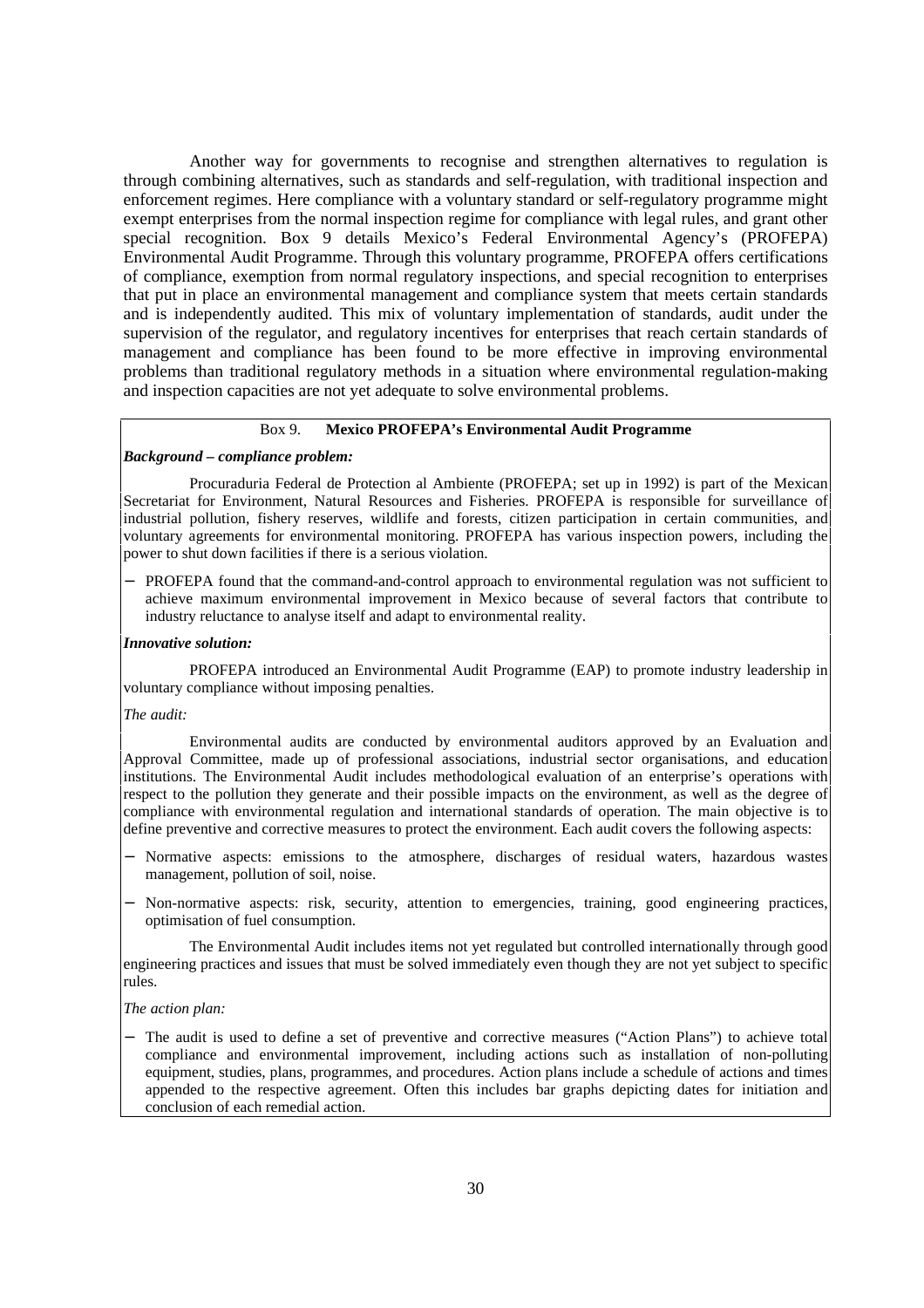Another way for governments to recognise and strengthen alternatives to regulation is through combining alternatives, such as standards and self-regulation, with traditional inspection and enforcement regimes. Here compliance with a voluntary standard or self-regulatory programme might exempt enterprises from the normal inspection regime for compliance with legal rules, and grant other special recognition. Box 9 details Mexico's Federal Environmental Agency's (PROFEPA) Environmental Audit Programme. Through this voluntary programme, PROFEPA offers certifications of compliance, exemption from normal regulatory inspections, and special recognition to enterprises that put in place an environmental management and compliance system that meets certain standards and is independently audited. This mix of voluntary implementation of standards, audit under the supervision of the regulator, and regulatory incentives for enterprises that reach certain standards of management and compliance has been found to be more effective in improving environmental problems than traditional regulatory methods in a situation where environmental regulation-making and inspection capacities are not yet adequate to solve environmental problems.

### Box 9. **Mexico PROFEPA's Environmental Audit Programme**

#### *Background – compliance problem:*

Procuraduria Federal de Protection al Ambiente (PROFEPA; set up in 1992) is part of the Mexican Secretariat for Environment, Natural Resources and Fisheries. PROFEPA is responsible for surveillance of industrial pollution, fishery reserves, wildlife and forests, citizen participation in certain communities, and voluntary agreements for environmental monitoring. PROFEPA has various inspection powers, including the power to shut down facilities if there is a serious violation.

PROFEPA found that the command-and-control approach to environmental regulation was not sufficient to achieve maximum environmental improvement in Mexico because of several factors that contribute to industry reluctance to analyse itself and adapt to environmental reality.

#### *Innovative solution:*

PROFEPA introduced an Environmental Audit Programme (EAP) to promote industry leadership in voluntary compliance without imposing penalties.

#### *The audit:*

Environmental audits are conducted by environmental auditors approved by an Evaluation and Approval Committee, made up of professional associations, industrial sector organisations, and education institutions. The Environmental Audit includes methodological evaluation of an enterprise's operations with respect to the pollution they generate and their possible impacts on the environment, as well as the degree of compliance with environmental regulation and international standards of operation. The main objective is to define preventive and corrective measures to protect the environment. Each audit covers the following aspects:

- − Normative aspects: emissions to the atmosphere, discharges of residual waters, hazardous wastes management, pollution of soil, noise.
- − Non-normative aspects: risk, security, attention to emergencies, training, good engineering practices, optimisation of fuel consumption.

The Environmental Audit includes items not yet regulated but controlled internationally through good engineering practices and issues that must be solved immediately even though they are not yet subject to specific rules.

#### *The action plan:*

The audit is used to define a set of preventive and corrective measures ("Action Plans") to achieve total compliance and environmental improvement, including actions such as installation of non-polluting equipment, studies, plans, programmes, and procedures. Action plans include a schedule of actions and times appended to the respective agreement. Often this includes bar graphs depicting dates for initiation and conclusion of each remedial action.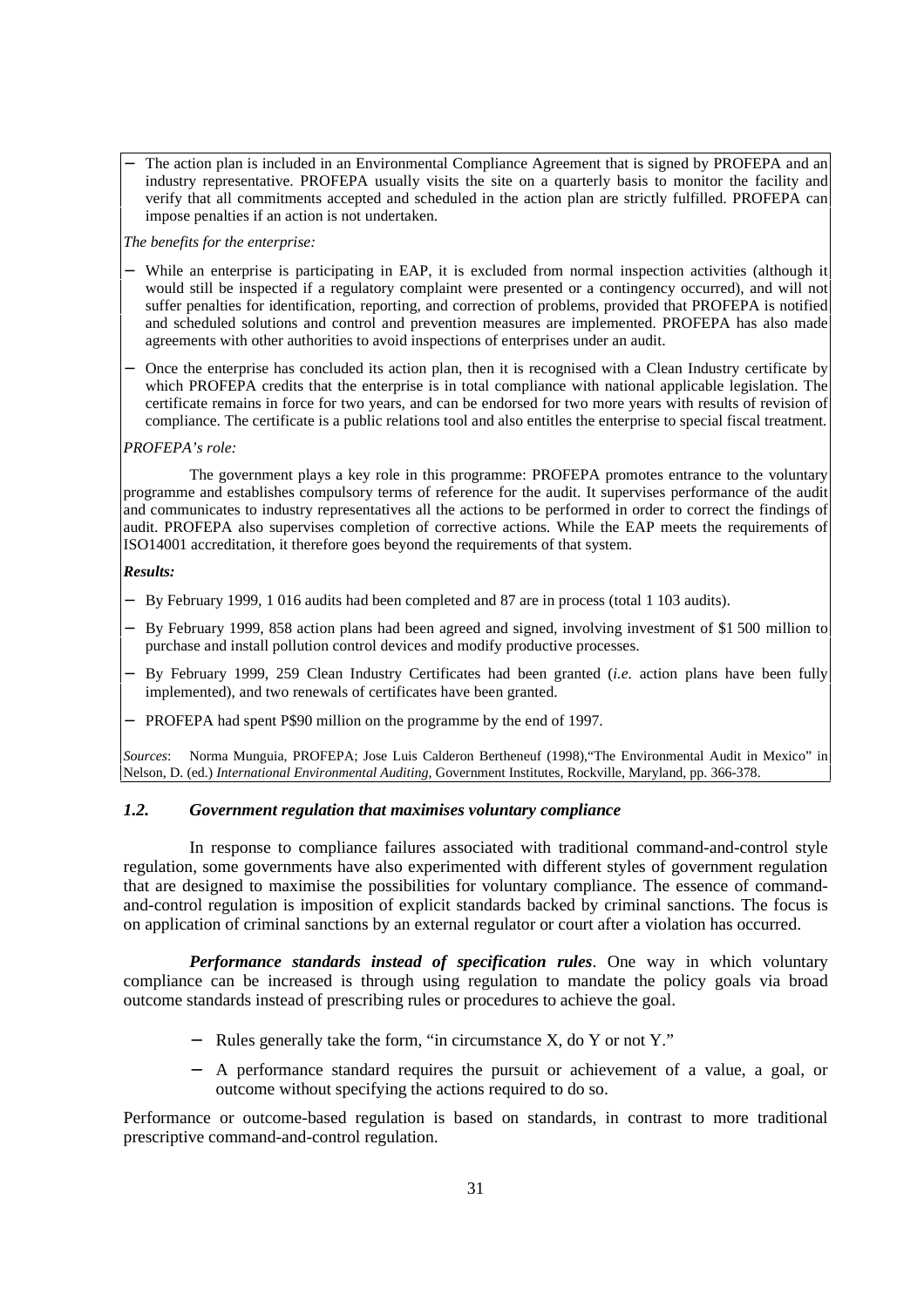The action plan is included in an Environmental Compliance Agreement that is signed by PROFEPA and an industry representative. PROFEPA usually visits the site on a quarterly basis to monitor the facility and verify that all commitments accepted and scheduled in the action plan are strictly fulfilled. PROFEPA can impose penalties if an action is not undertaken.

*The benefits for the enterprise:*

- While an enterprise is participating in EAP, it is excluded from normal inspection activities (although it would still be inspected if a regulatory complaint were presented or a contingency occurred), and will not suffer penalties for identification, reporting, and correction of problems, provided that PROFEPA is notified and scheduled solutions and control and prevention measures are implemented. PROFEPA has also made agreements with other authorities to avoid inspections of enterprises under an audit.
- − Once the enterprise has concluded its action plan, then it is recognised with a Clean Industry certificate by which PROFEPA credits that the enterprise is in total compliance with national applicable legislation. The certificate remains in force for two years, and can be endorsed for two more years with results of revision of compliance. The certificate is a public relations tool and also entitles the enterprise to special fiscal treatment.

#### *PROFEPA's role:*

The government plays a key role in this programme: PROFEPA promotes entrance to the voluntary programme and establishes compulsory terms of reference for the audit. It supervises performance of the audit and communicates to industry representatives all the actions to be performed in order to correct the findings of audit. PROFEPA also supervises completion of corrective actions. While the EAP meets the requirements of ISO14001 accreditation, it therefore goes beyond the requirements of that system.

#### *Results:*

- − By February 1999, 1 016 audits had been completed and 87 are in process (total 1 103 audits).
- − By February 1999, 858 action plans had been agreed and signed, involving investment of \$1 500 million to purchase and install pollution control devices and modify productive processes.
- − By February 1999, 259 Clean Industry Certificates had been granted (*i.e.* action plans have been fully implemented), and two renewals of certificates have been granted.
- − PROFEPA had spent P\$90 million on the programme by the end of 1997.

*Sources*: Norma Munguia, PROFEPA; Jose Luis Calderon Bertheneuf (1998),"The Environmental Audit in Mexico" in Nelson, D. (ed.) *International Environmental Auditing*, Government Institutes, Rockville, Maryland, pp. 366-378.

## *1.2. Government regulation that maximises voluntary compliance*

In response to compliance failures associated with traditional command-and-control style regulation, some governments have also experimented with different styles of government regulation that are designed to maximise the possibilities for voluntary compliance. The essence of commandand-control regulation is imposition of explicit standards backed by criminal sanctions. The focus is on application of criminal sanctions by an external regulator or court after a violation has occurred.

*Performance standards instead of specification rules*. One way in which voluntary compliance can be increased is through using regulation to mandate the policy goals via broad outcome standards instead of prescribing rules or procedures to achieve the goal.

- − Rules generally take the form, "in circumstance X, do Y or not Y."
- − A performance standard requires the pursuit or achievement of a value, a goal, or outcome without specifying the actions required to do so.

Performance or outcome-based regulation is based on standards, in contrast to more traditional prescriptive command-and-control regulation.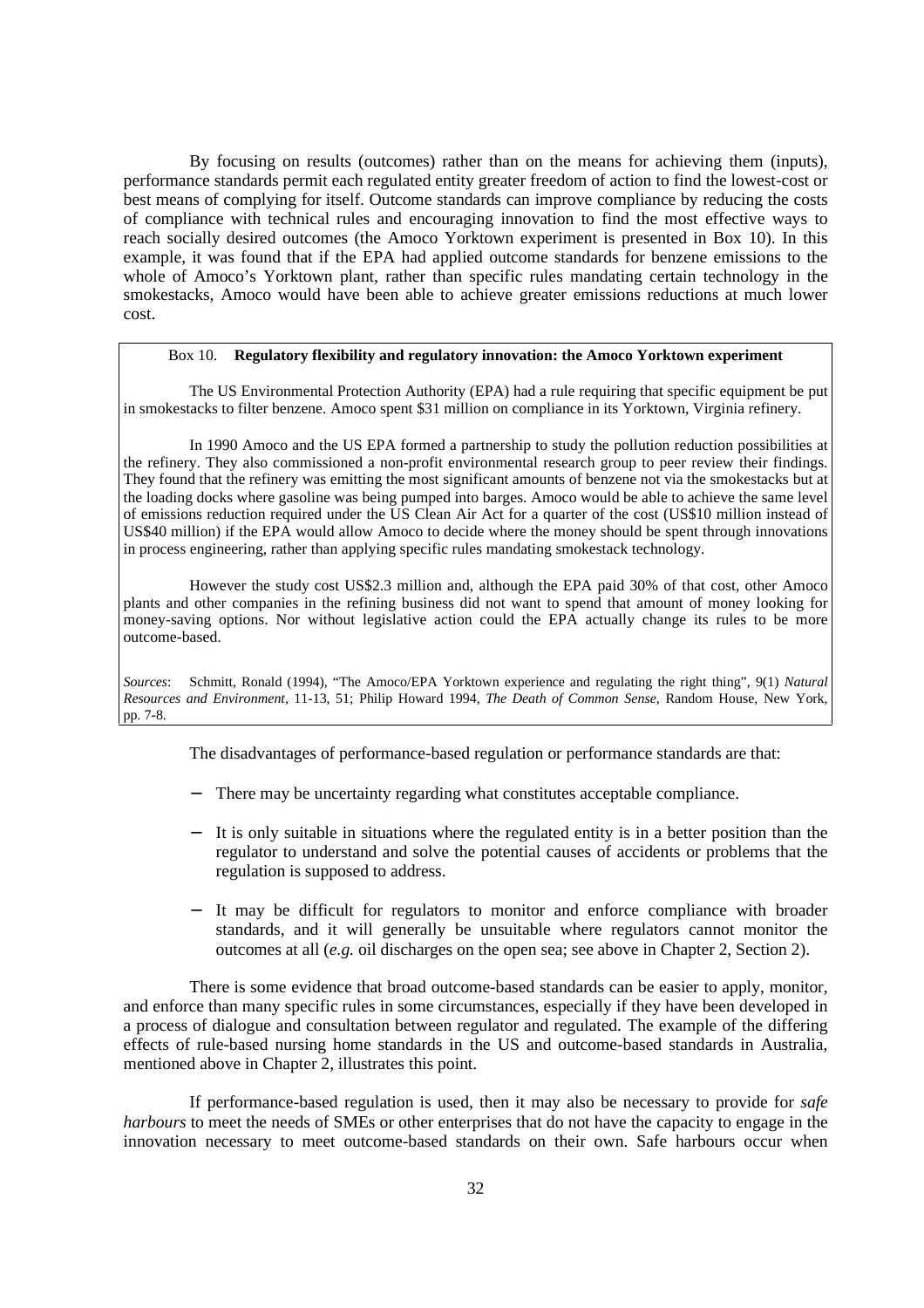By focusing on results (outcomes) rather than on the means for achieving them (inputs), performance standards permit each regulated entity greater freedom of action to find the lowest-cost or best means of complying for itself. Outcome standards can improve compliance by reducing the costs of compliance with technical rules and encouraging innovation to find the most effective ways to reach socially desired outcomes (the Amoco Yorktown experiment is presented in Box 10). In this example, it was found that if the EPA had applied outcome standards for benzene emissions to the whole of Amoco's Yorktown plant, rather than specific rules mandating certain technology in the smokestacks, Amoco would have been able to achieve greater emissions reductions at much lower cost.

## Box 10. **Regulatory flexibility and regulatory innovation: the Amoco Yorktown experiment**

The US Environmental Protection Authority (EPA) had a rule requiring that specific equipment be put in smokestacks to filter benzene. Amoco spent \$31 million on compliance in its Yorktown, Virginia refinery.

In 1990 Amoco and the US EPA formed a partnership to study the pollution reduction possibilities at the refinery. They also commissioned a non-profit environmental research group to peer review their findings. They found that the refinery was emitting the most significant amounts of benzene not via the smokestacks but at the loading docks where gasoline was being pumped into barges. Amoco would be able to achieve the same level of emissions reduction required under the US Clean Air Act for a quarter of the cost (US\$10 million instead of US\$40 million) if the EPA would allow Amoco to decide where the money should be spent through innovations in process engineering, rather than applying specific rules mandating smokestack technology.

However the study cost US\$2.3 million and, although the EPA paid 30% of that cost, other Amoco plants and other companies in the refining business did not want to spend that amount of money looking for money-saving options. Nor without legislative action could the EPA actually change its rules to be more outcome-based.

*Sources*: Schmitt, Ronald (1994), "The Amoco/EPA Yorktown experience and regulating the right thing", 9(1) *Natural Resources and Environment*, 11-13, 51; Philip Howard 1994, *The Death of Common Sense*, Random House, New York, pp. 7-8.

The disadvantages of performance-based regulation or performance standards are that:

- − There may be uncertainty regarding what constitutes acceptable compliance.
- It is only suitable in situations where the regulated entity is in a better position than the regulator to understand and solve the potential causes of accidents or problems that the regulation is supposed to address.
- − It may be difficult for regulators to monitor and enforce compliance with broader standards, and it will generally be unsuitable where regulators cannot monitor the outcomes at all (*e.g.* oil discharges on the open sea; see above in Chapter 2, Section 2).

There is some evidence that broad outcome-based standards can be easier to apply, monitor, and enforce than many specific rules in some circumstances, especially if they have been developed in a process of dialogue and consultation between regulator and regulated. The example of the differing effects of rule-based nursing home standards in the US and outcome-based standards in Australia, mentioned above in Chapter 2, illustrates this point.

If performance-based regulation is used, then it may also be necessary to provide for *safe harbours* to meet the needs of SMEs or other enterprises that do not have the capacity to engage in the innovation necessary to meet outcome-based standards on their own. Safe harbours occur when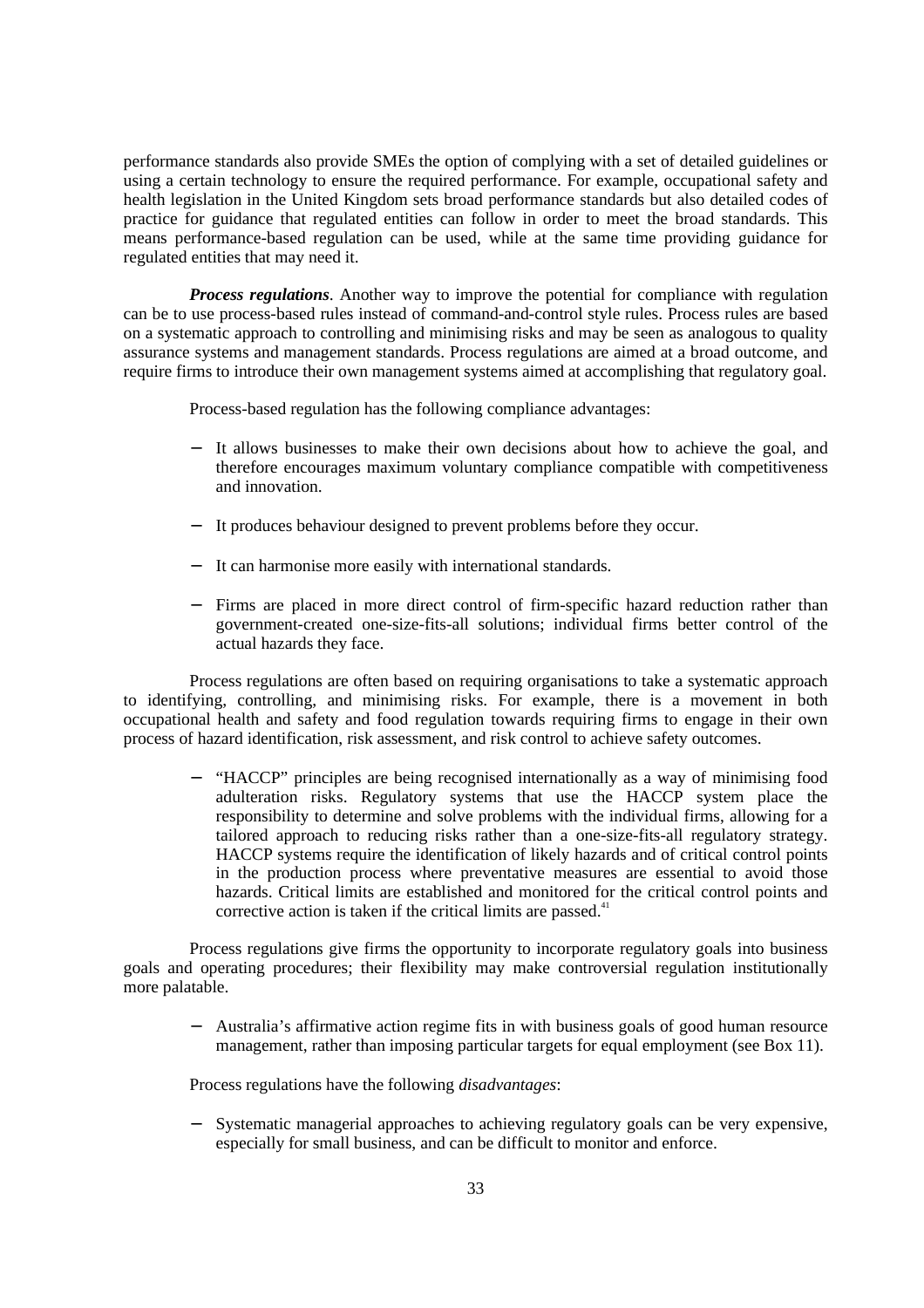performance standards also provide SMEs the option of complying with a set of detailed guidelines or using a certain technology to ensure the required performance. For example, occupational safety and health legislation in the United Kingdom sets broad performance standards but also detailed codes of practice for guidance that regulated entities can follow in order to meet the broad standards. This means performance-based regulation can be used, while at the same time providing guidance for regulated entities that may need it.

*Process regulations*. Another way to improve the potential for compliance with regulation can be to use process-based rules instead of command-and-control style rules. Process rules are based on a systematic approach to controlling and minimising risks and may be seen as analogous to quality assurance systems and management standards. Process regulations are aimed at a broad outcome, and require firms to introduce their own management systems aimed at accomplishing that regulatory goal.

Process-based regulation has the following compliance advantages:

- − It allows businesses to make their own decisions about how to achieve the goal, and therefore encourages maximum voluntary compliance compatible with competitiveness and innovation.
- − It produces behaviour designed to prevent problems before they occur.
- − It can harmonise more easily with international standards.
- − Firms are placed in more direct control of firm-specific hazard reduction rather than government-created one-size-fits-all solutions; individual firms better control of the actual hazards they face.

Process regulations are often based on requiring organisations to take a systematic approach to identifying, controlling, and minimising risks. For example, there is a movement in both occupational health and safety and food regulation towards requiring firms to engage in their own process of hazard identification, risk assessment, and risk control to achieve safety outcomes.

− "HACCP" principles are being recognised internationally as a way of minimising food adulteration risks. Regulatory systems that use the HACCP system place the responsibility to determine and solve problems with the individual firms, allowing for a tailored approach to reducing risks rather than a one-size-fits-all regulatory strategy. HACCP systems require the identification of likely hazards and of critical control points in the production process where preventative measures are essential to avoid those hazards. Critical limits are established and monitored for the critical control points and corrective action is taken if the critical limits are passed.<sup>41</sup>

Process regulations give firms the opportunity to incorporate regulatory goals into business goals and operating procedures; their flexibility may make controversial regulation institutionally more palatable.

− Australia's affirmative action regime fits in with business goals of good human resource management, rather than imposing particular targets for equal employment (see Box 11).

Process regulations have the following *disadvantages*:

− Systematic managerial approaches to achieving regulatory goals can be very expensive, especially for small business, and can be difficult to monitor and enforce.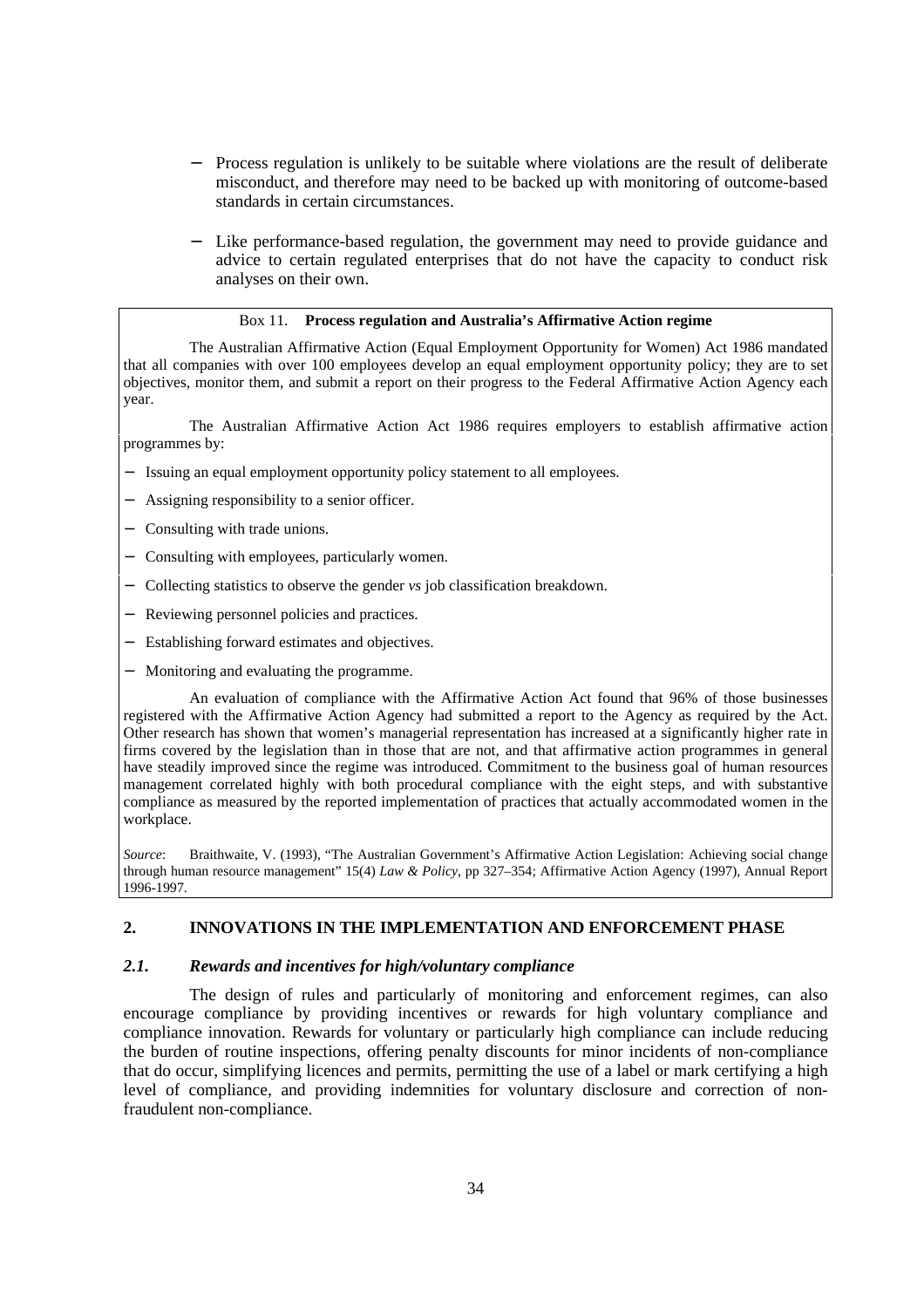- − Process regulation is unlikely to be suitable where violations are the result of deliberate misconduct, and therefore may need to be backed up with monitoring of outcome-based standards in certain circumstances.
- Like performance-based regulation, the government may need to provide guidance and advice to certain regulated enterprises that do not have the capacity to conduct risk analyses on their own.

## Box 11. **Process regulation and Australia's Affirmative Action regime**

The Australian Affirmative Action (Equal Employment Opportunity for Women) Act 1986 mandated that all companies with over 100 employees develop an equal employment opportunity policy; they are to set objectives, monitor them, and submit a report on their progress to the Federal Affirmative Action Agency each year.

The Australian Affirmative Action Act 1986 requires employers to establish affirmative action programmes by:

- − Issuing an equal employment opportunity policy statement to all employees.
- − Assigning responsibility to a senior officer.
- − Consulting with trade unions.
- − Consulting with employees, particularly women.
- − Collecting statistics to observe the gender *vs* job classification breakdown.
- − Reviewing personnel policies and practices.
- − Establishing forward estimates and objectives.
- − Monitoring and evaluating the programme.

An evaluation of compliance with the Affirmative Action Act found that 96% of those businesses registered with the Affirmative Action Agency had submitted a report to the Agency as required by the Act. Other research has shown that women's managerial representation has increased at a significantly higher rate in firms covered by the legislation than in those that are not, and that affirmative action programmes in general have steadily improved since the regime was introduced. Commitment to the business goal of human resources management correlated highly with both procedural compliance with the eight steps, and with substantive compliance as measured by the reported implementation of practices that actually accommodated women in the workplace.

*Source*: Braithwaite, V. (1993), "The Australian Government's Affirmative Action Legislation: Achieving social change through human resource management" 15(4) *Law & Policy*, pp 327–354; Affirmative Action Agency (1997), Annual Report 1996-1997.

## **2. INNOVATIONS IN THE IMPLEMENTATION AND ENFORCEMENT PHASE**

## *2.1. Rewards and incentives for high/voluntary compliance*

The design of rules and particularly of monitoring and enforcement regimes, can also encourage compliance by providing incentives or rewards for high voluntary compliance and compliance innovation. Rewards for voluntary or particularly high compliance can include reducing the burden of routine inspections, offering penalty discounts for minor incidents of non-compliance that do occur, simplifying licences and permits, permitting the use of a label or mark certifying a high level of compliance, and providing indemnities for voluntary disclosure and correction of nonfraudulent non-compliance.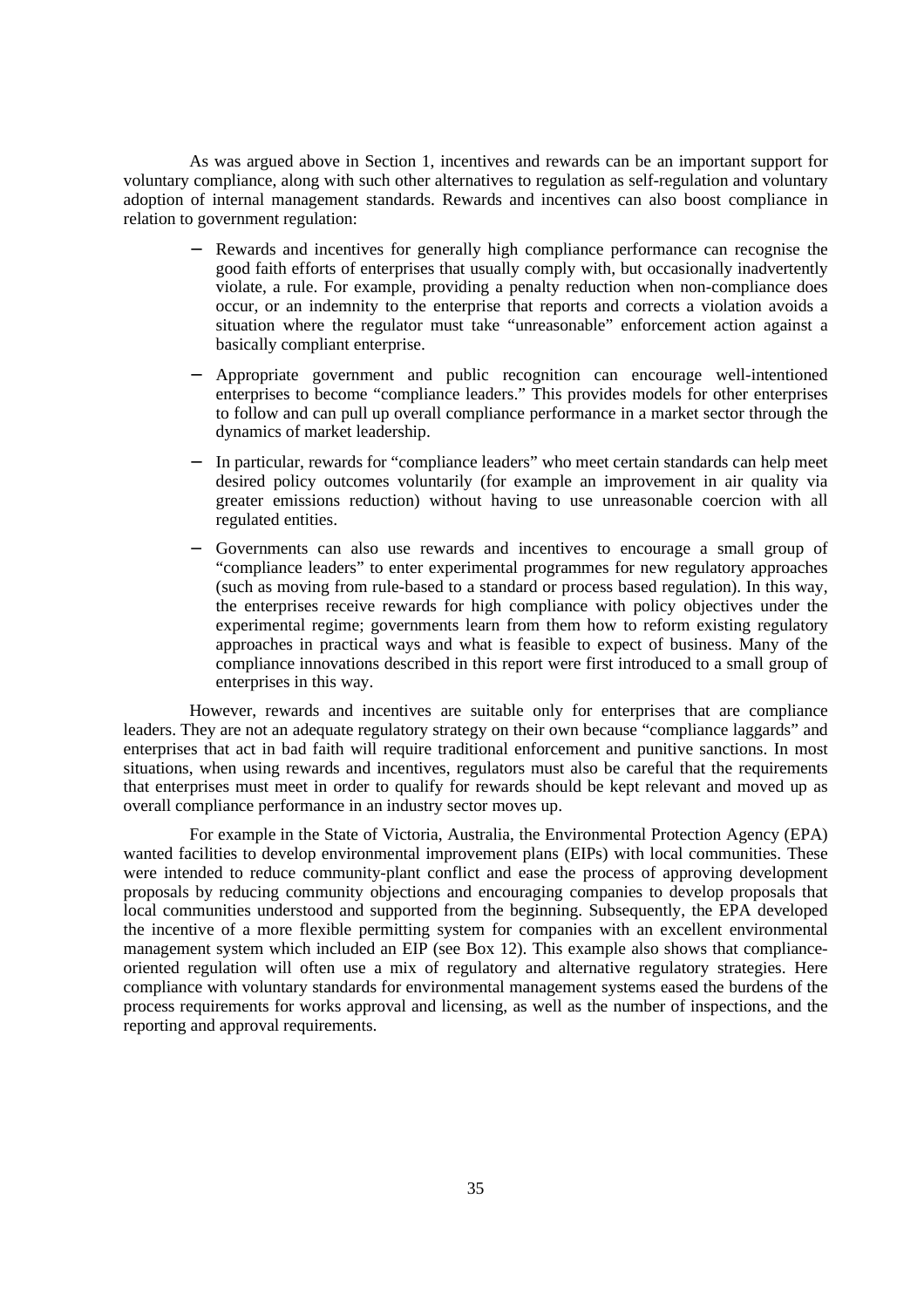As was argued above in Section 1, incentives and rewards can be an important support for voluntary compliance, along with such other alternatives to regulation as self-regulation and voluntary adoption of internal management standards. Rewards and incentives can also boost compliance in relation to government regulation:

- − Rewards and incentives for generally high compliance performance can recognise the good faith efforts of enterprises that usually comply with, but occasionally inadvertently violate, a rule. For example, providing a penalty reduction when non-compliance does occur, or an indemnity to the enterprise that reports and corrects a violation avoids a situation where the regulator must take "unreasonable" enforcement action against a basically compliant enterprise.
- − Appropriate government and public recognition can encourage well-intentioned enterprises to become "compliance leaders." This provides models for other enterprises to follow and can pull up overall compliance performance in a market sector through the dynamics of market leadership.
- − In particular, rewards for "compliance leaders" who meet certain standards can help meet desired policy outcomes voluntarily (for example an improvement in air quality via greater emissions reduction) without having to use unreasonable coercion with all regulated entities.
- − Governments can also use rewards and incentives to encourage a small group of "compliance leaders" to enter experimental programmes for new regulatory approaches (such as moving from rule-based to a standard or process based regulation). In this way, the enterprises receive rewards for high compliance with policy objectives under the experimental regime; governments learn from them how to reform existing regulatory approaches in practical ways and what is feasible to expect of business. Many of the compliance innovations described in this report were first introduced to a small group of enterprises in this way.

However, rewards and incentives are suitable only for enterprises that are compliance leaders. They are not an adequate regulatory strategy on their own because "compliance laggards" and enterprises that act in bad faith will require traditional enforcement and punitive sanctions. In most situations, when using rewards and incentives, regulators must also be careful that the requirements that enterprises must meet in order to qualify for rewards should be kept relevant and moved up as overall compliance performance in an industry sector moves up.

For example in the State of Victoria, Australia, the Environmental Protection Agency (EPA) wanted facilities to develop environmental improvement plans (EIPs) with local communities. These were intended to reduce community-plant conflict and ease the process of approving development proposals by reducing community objections and encouraging companies to develop proposals that local communities understood and supported from the beginning. Subsequently, the EPA developed the incentive of a more flexible permitting system for companies with an excellent environmental management system which included an EIP (see Box 12). This example also shows that complianceoriented regulation will often use a mix of regulatory and alternative regulatory strategies. Here compliance with voluntary standards for environmental management systems eased the burdens of the process requirements for works approval and licensing, as well as the number of inspections, and the reporting and approval requirements.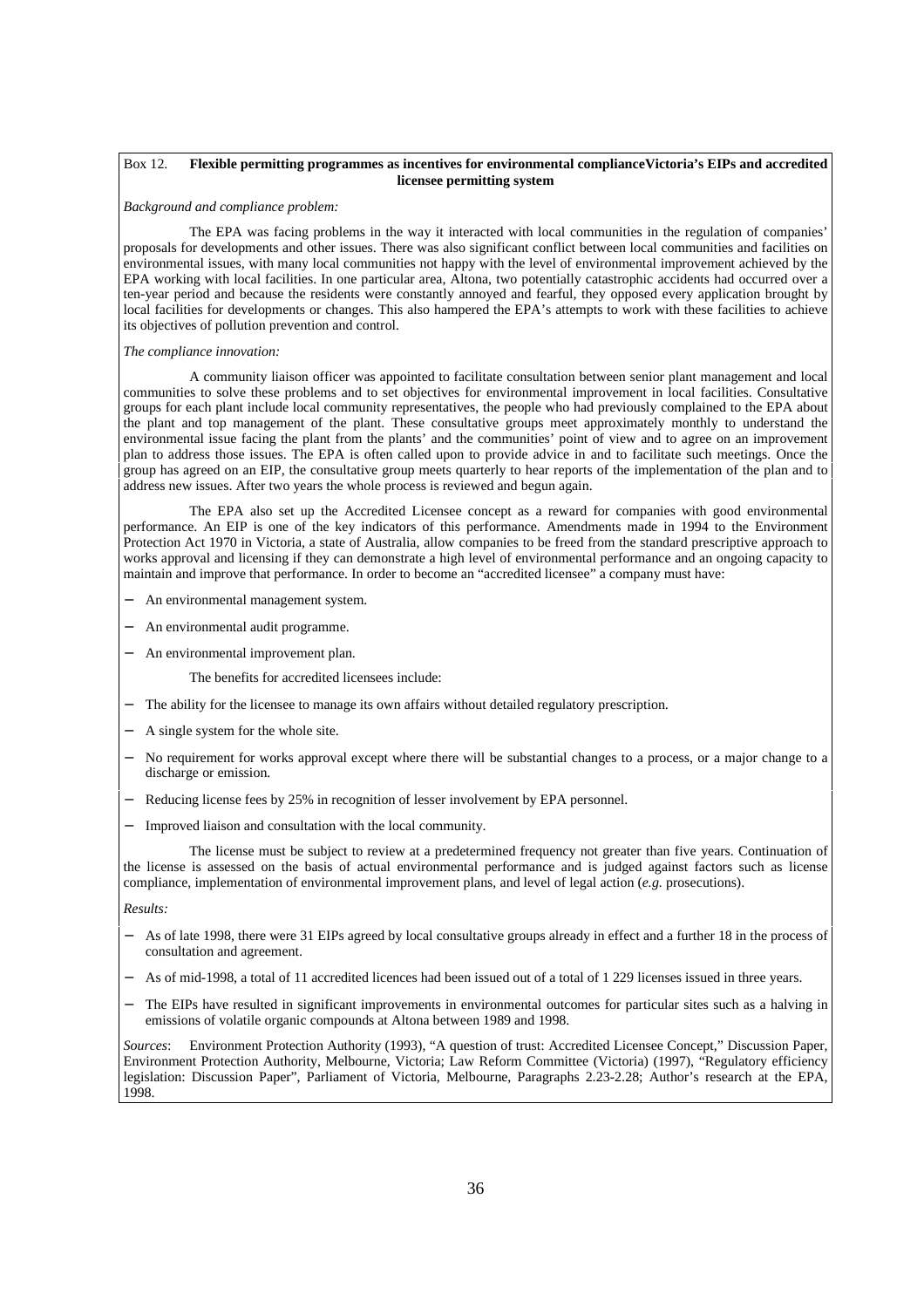#### Box 12. **Flexible permitting programmes as incentives for environmental complianceVictoria's EIPs and accredited licensee permitting system**

#### *Background and compliance problem:*

The EPA was facing problems in the way it interacted with local communities in the regulation of companies' proposals for developments and other issues. There was also significant conflict between local communities and facilities on environmental issues, with many local communities not happy with the level of environmental improvement achieved by the EPA working with local facilities. In one particular area, Altona, two potentially catastrophic accidents had occurred over a ten-year period and because the residents were constantly annoyed and fearful, they opposed every application brought by local facilities for developments or changes. This also hampered the EPA's attempts to work with these facilities to achieve its objectives of pollution prevention and control.

#### *The compliance innovation:*

A community liaison officer was appointed to facilitate consultation between senior plant management and local communities to solve these problems and to set objectives for environmental improvement in local facilities. Consultative groups for each plant include local community representatives, the people who had previously complained to the EPA about the plant and top management of the plant. These consultative groups meet approximately monthly to understand the environmental issue facing the plant from the plants' and the communities' point of view and to agree on an improvement plan to address those issues. The EPA is often called upon to provide advice in and to facilitate such meetings. Once the group has agreed on an EIP, the consultative group meets quarterly to hear reports of the implementation of the plan and to address new issues. After two years the whole process is reviewed and begun again.

The EPA also set up the Accredited Licensee concept as a reward for companies with good environmental performance. An EIP is one of the key indicators of this performance. Amendments made in 1994 to the Environment Protection Act 1970 in Victoria, a state of Australia, allow companies to be freed from the standard prescriptive approach to works approval and licensing if they can demonstrate a high level of environmental performance and an ongoing capacity to maintain and improve that performance. In order to become an "accredited licensee" a company must have:

- − An environmental management system.
- − An environmental audit programme.
- − An environmental improvement plan.
	- The benefits for accredited licensees include:
- − The ability for the licensee to manage its own affairs without detailed regulatory prescription.
- − A single system for the whole site.
- No requirement for works approval except where there will be substantial changes to a process, or a major change to a discharge or emission.
- Reducing license fees by 25% in recognition of lesser involvement by EPA personnel.
- − Improved liaison and consultation with the local community.

The license must be subject to review at a predetermined frequency not greater than five years. Continuation of the license is assessed on the basis of actual environmental performance and is judged against factors such as license compliance, implementation of environmental improvement plans, and level of legal action (*e.g.* prosecutions).

#### *Results:*

- As of late 1998, there were 31 EIPs agreed by local consultative groups already in effect and a further 18 in the process of consultation and agreement.
- − As of mid-1998, a total of 11 accredited licences had been issued out of a total of 1 229 licenses issued in three years.
- The EIPs have resulted in significant improvements in environmental outcomes for particular sites such as a halving in emissions of volatile organic compounds at Altona between 1989 and 1998.

*Sources*: Environment Protection Authority (1993), "A question of trust: Accredited Licensee Concept," Discussion Paper, Environment Protection Authority, Melbourne, Victoria; Law Reform Committee (Victoria) (1997), "Regulatory efficiency legislation: Discussion Paper", Parliament of Victoria, Melbourne, Paragraphs 2.23-2.28; Author's research at the EPA, 1998.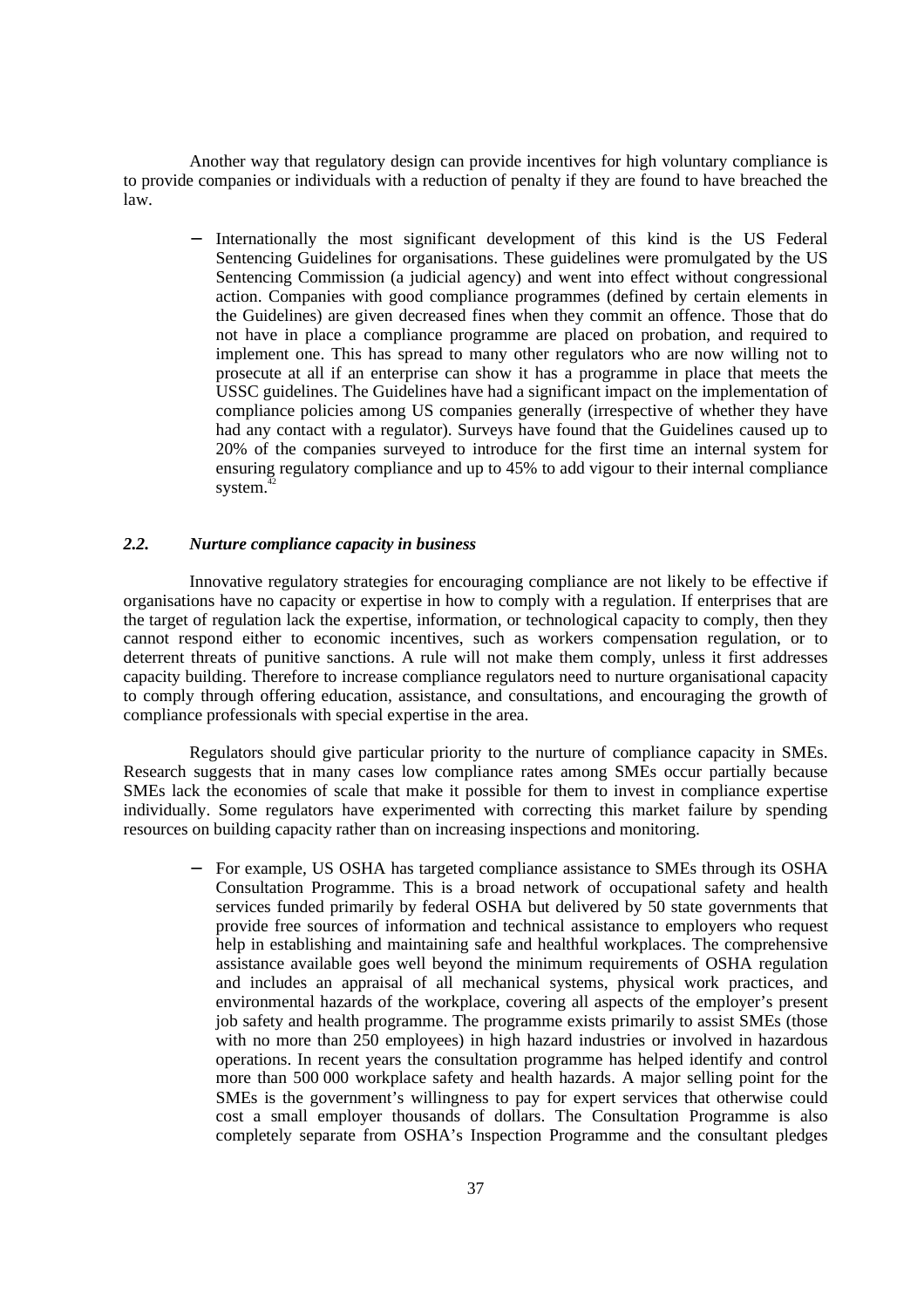Another way that regulatory design can provide incentives for high voluntary compliance is to provide companies or individuals with a reduction of penalty if they are found to have breached the law.

− Internationally the most significant development of this kind is the US Federal Sentencing Guidelines for organisations. These guidelines were promulgated by the US Sentencing Commission (a judicial agency) and went into effect without congressional action. Companies with good compliance programmes (defined by certain elements in the Guidelines) are given decreased fines when they commit an offence. Those that do not have in place a compliance programme are placed on probation, and required to implement one. This has spread to many other regulators who are now willing not to prosecute at all if an enterprise can show it has a programme in place that meets the USSC guidelines. The Guidelines have had a significant impact on the implementation of compliance policies among US companies generally (irrespective of whether they have had any contact with a regulator). Surveys have found that the Guidelines caused up to 20% of the companies surveyed to introduce for the first time an internal system for ensuring regulatory compliance and up to 45% to add vigour to their internal compliance system. $\frac{4}{4}$ 

## *2.2. Nurture compliance capacity in business*

Innovative regulatory strategies for encouraging compliance are not likely to be effective if organisations have no capacity or expertise in how to comply with a regulation. If enterprises that are the target of regulation lack the expertise, information, or technological capacity to comply, then they cannot respond either to economic incentives, such as workers compensation regulation, or to deterrent threats of punitive sanctions. A rule will not make them comply, unless it first addresses capacity building. Therefore to increase compliance regulators need to nurture organisational capacity to comply through offering education, assistance, and consultations, and encouraging the growth of compliance professionals with special expertise in the area.

Regulators should give particular priority to the nurture of compliance capacity in SMEs. Research suggests that in many cases low compliance rates among SMEs occur partially because SMEs lack the economies of scale that make it possible for them to invest in compliance expertise individually. Some regulators have experimented with correcting this market failure by spending resources on building capacity rather than on increasing inspections and monitoring.

For example, US OSHA has targeted compliance assistance to SMEs through its OSHA Consultation Programme. This is a broad network of occupational safety and health services funded primarily by federal OSHA but delivered by 50 state governments that provide free sources of information and technical assistance to employers who request help in establishing and maintaining safe and healthful workplaces. The comprehensive assistance available goes well beyond the minimum requirements of OSHA regulation and includes an appraisal of all mechanical systems, physical work practices, and environmental hazards of the workplace, covering all aspects of the employer's present job safety and health programme. The programme exists primarily to assist SMEs (those with no more than 250 employees) in high hazard industries or involved in hazardous operations. In recent years the consultation programme has helped identify and control more than 500 000 workplace safety and health hazards. A major selling point for the SMEs is the government's willingness to pay for expert services that otherwise could cost a small employer thousands of dollars. The Consultation Programme is also completely separate from OSHA's Inspection Programme and the consultant pledges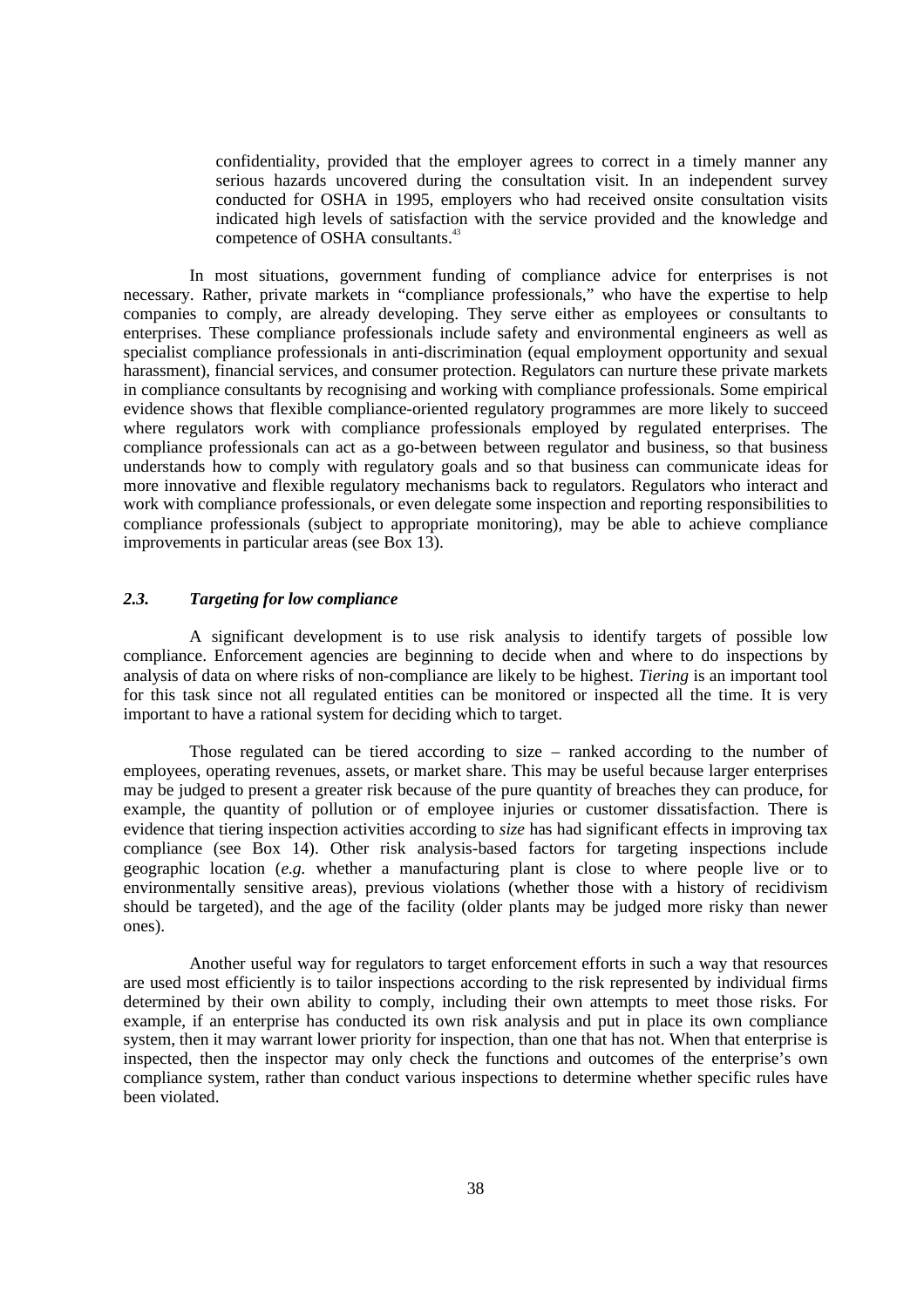confidentiality, provided that the employer agrees to correct in a timely manner any serious hazards uncovered during the consultation visit. In an independent survey conducted for OSHA in 1995, employers who had received onsite consultation visits indicated high levels of satisfaction with the service provided and the knowledge and competence of OSHA consultants.<sup>43</sup>

In most situations, government funding of compliance advice for enterprises is not necessary. Rather, private markets in "compliance professionals," who have the expertise to help companies to comply, are already developing. They serve either as employees or consultants to enterprises. These compliance professionals include safety and environmental engineers as well as specialist compliance professionals in anti-discrimination (equal employment opportunity and sexual harassment), financial services, and consumer protection. Regulators can nurture these private markets in compliance consultants by recognising and working with compliance professionals. Some empirical evidence shows that flexible compliance-oriented regulatory programmes are more likely to succeed where regulators work with compliance professionals employed by regulated enterprises. The compliance professionals can act as a go-between between regulator and business, so that business understands how to comply with regulatory goals and so that business can communicate ideas for more innovative and flexible regulatory mechanisms back to regulators. Regulators who interact and work with compliance professionals, or even delegate some inspection and reporting responsibilities to compliance professionals (subject to appropriate monitoring), may be able to achieve compliance improvements in particular areas (see Box 13).

# *2.3. Targeting for low compliance*

A significant development is to use risk analysis to identify targets of possible low compliance. Enforcement agencies are beginning to decide when and where to do inspections by analysis of data on where risks of non-compliance are likely to be highest. *Tiering* is an important tool for this task since not all regulated entities can be monitored or inspected all the time. It is very important to have a rational system for deciding which to target.

Those regulated can be tiered according to size – ranked according to the number of employees, operating revenues, assets, or market share. This may be useful because larger enterprises may be judged to present a greater risk because of the pure quantity of breaches they can produce, for example, the quantity of pollution or of employee injuries or customer dissatisfaction. There is evidence that tiering inspection activities according to *size* has had significant effects in improving tax compliance (see Box 14). Other risk analysis-based factors for targeting inspections include geographic location (*e.g.* whether a manufacturing plant is close to where people live or to environmentally sensitive areas), previous violations (whether those with a history of recidivism should be targeted), and the age of the facility (older plants may be judged more risky than newer ones).

Another useful way for regulators to target enforcement efforts in such a way that resources are used most efficiently is to tailor inspections according to the risk represented by individual firms determined by their own ability to comply, including their own attempts to meet those risks. For example, if an enterprise has conducted its own risk analysis and put in place its own compliance system, then it may warrant lower priority for inspection, than one that has not. When that enterprise is inspected, then the inspector may only check the functions and outcomes of the enterprise's own compliance system, rather than conduct various inspections to determine whether specific rules have been violated.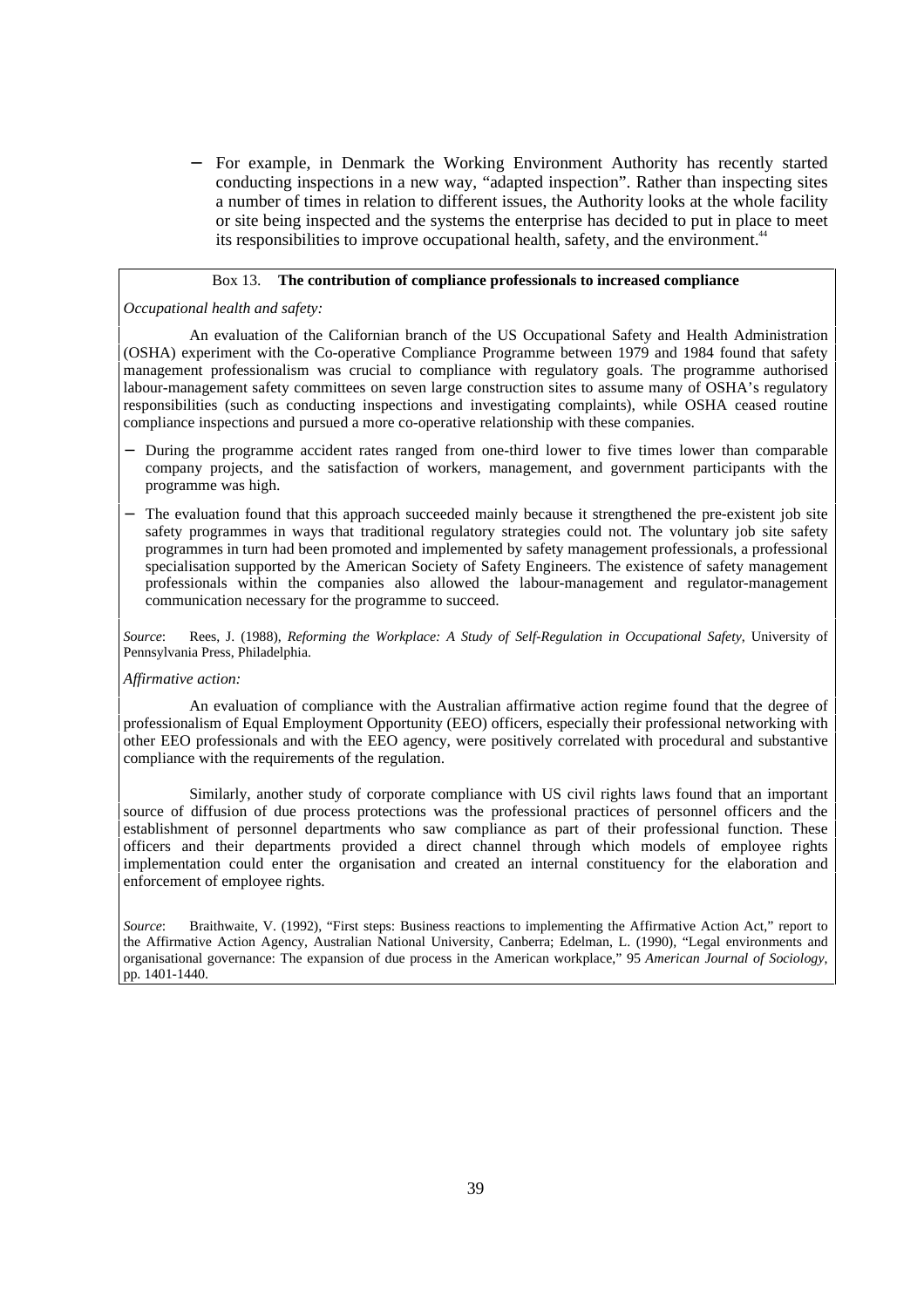− For example, in Denmark the Working Environment Authority has recently started conducting inspections in a new way, "adapted inspection". Rather than inspecting sites a number of times in relation to different issues, the Authority looks at the whole facility or site being inspected and the systems the enterprise has decided to put in place to meet its responsibilities to improve occupational health, safety, and the environment.<sup>44</sup>

## Box 13. **The contribution of compliance professionals to increased compliance**

*Occupational health and safety:*

An evaluation of the Californian branch of the US Occupational Safety and Health Administration (OSHA) experiment with the Co-operative Compliance Programme between 1979 and 1984 found that safety management professionalism was crucial to compliance with regulatory goals. The programme authorised labour-management safety committees on seven large construction sites to assume many of OSHA's regulatory responsibilities (such as conducting inspections and investigating complaints), while OSHA ceased routine compliance inspections and pursued a more co-operative relationship with these companies.

- During the programme accident rates ranged from one-third lower to five times lower than comparable company projects, and the satisfaction of workers, management, and government participants with the programme was high.
- The evaluation found that this approach succeeded mainly because it strengthened the pre-existent job site safety programmes in ways that traditional regulatory strategies could not. The voluntary job site safety programmes in turn had been promoted and implemented by safety management professionals, a professional specialisation supported by the American Society of Safety Engineers. The existence of safety management professionals within the companies also allowed the labour-management and regulator-management communication necessary for the programme to succeed.

*Source*: Rees, J. (1988), *Reforming the Workplace: A Study of Self-Regulation in Occupational Safety*, University of Pennsylvania Press, Philadelphia.

#### *Affirmative action:*

An evaluation of compliance with the Australian affirmative action regime found that the degree of professionalism of Equal Employment Opportunity (EEO) officers, especially their professional networking with other EEO professionals and with the EEO agency, were positively correlated with procedural and substantive compliance with the requirements of the regulation.

Similarly, another study of corporate compliance with US civil rights laws found that an important source of diffusion of due process protections was the professional practices of personnel officers and the establishment of personnel departments who saw compliance as part of their professional function. These officers and their departments provided a direct channel through which models of employee rights implementation could enter the organisation and created an internal constituency for the elaboration and enforcement of employee rights.

*Source*: Braithwaite, V. (1992), "First steps: Business reactions to implementing the Affirmative Action Act," report to the Affirmative Action Agency, Australian National University, Canberra; Edelman, L. (1990), "Legal environments and organisational governance: The expansion of due process in the American workplace," 95 *American Journal of Sociology*, pp. 1401-1440.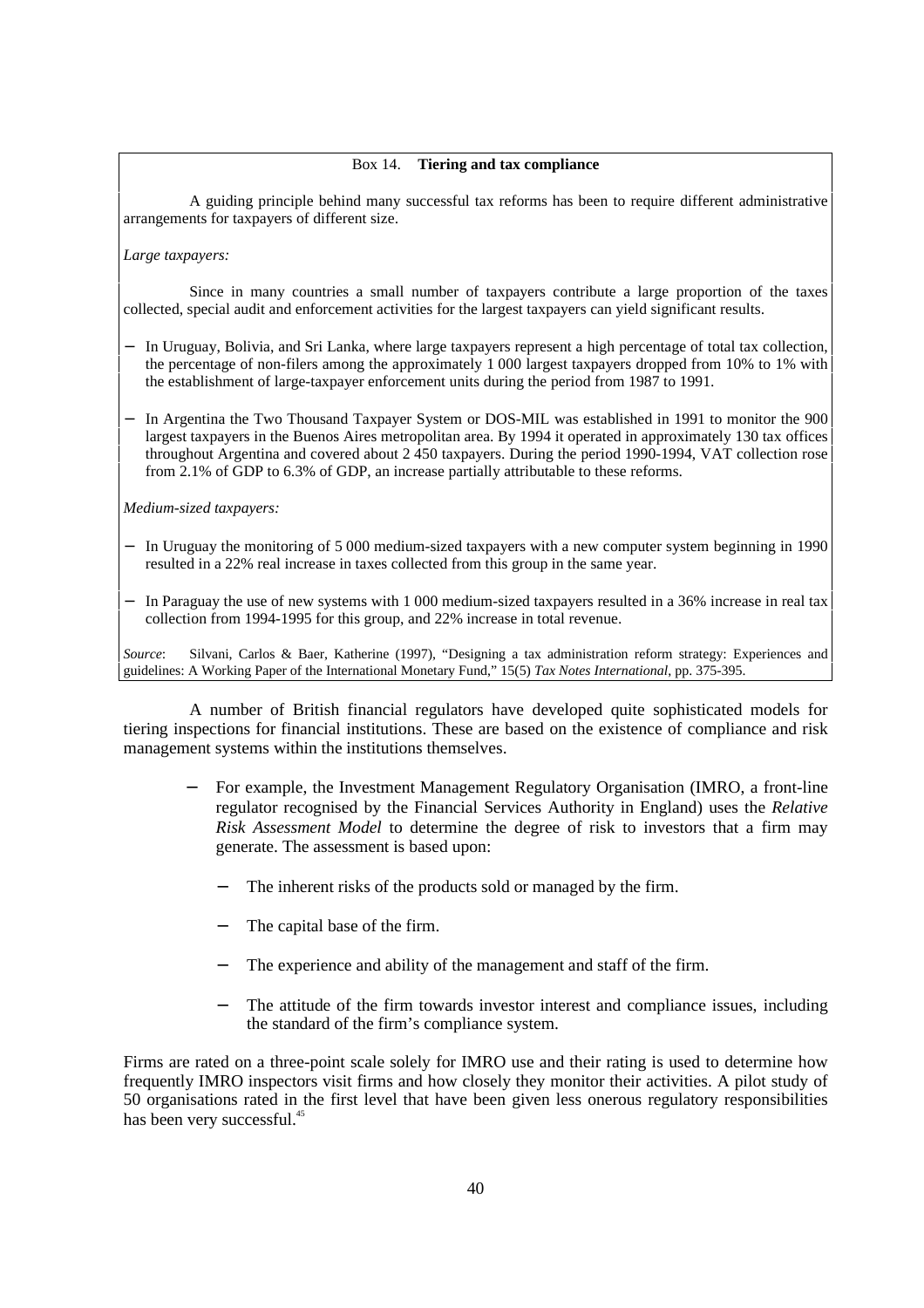#### Box 14. **Tiering and tax compliance**

A guiding principle behind many successful tax reforms has been to require different administrative arrangements for taxpayers of different size.

*Large taxpayers:*

Since in many countries a small number of taxpayers contribute a large proportion of the taxes collected, special audit and enforcement activities for the largest taxpayers can yield significant results.

- In Uruguay, Bolivia, and Sri Lanka, where large taxpayers represent a high percentage of total tax collection, the percentage of non-filers among the approximately 1 000 largest taxpayers dropped from 10% to 1% with the establishment of large-taxpayer enforcement units during the period from 1987 to 1991.
- − In Argentina the Two Thousand Taxpayer System or DOS-MIL was established in 1991 to monitor the 900 largest taxpayers in the Buenos Aires metropolitan area. By 1994 it operated in approximately 130 tax offices throughout Argentina and covered about 2 450 taxpayers. During the period 1990-1994, VAT collection rose from 2.1% of GDP to 6.3% of GDP, an increase partially attributable to these reforms.

*Medium-sized taxpayers:*

- − In Uruguay the monitoring of 5 000 medium-sized taxpayers with a new computer system beginning in 1990 resulted in a 22% real increase in taxes collected from this group in the same year.
- − In Paraguay the use of new systems with 1 000 medium-sized taxpayers resulted in a 36% increase in real tax collection from 1994-1995 for this group, and 22% increase in total revenue.

*Source*: Silvani, Carlos & Baer, Katherine (1997), "Designing a tax administration reform strategy: Experiences and guidelines: A Working Paper of the International Monetary Fund," 15(5) *Tax Notes International*, pp. 375-395.

A number of British financial regulators have developed quite sophisticated models for tiering inspections for financial institutions. These are based on the existence of compliance and risk management systems within the institutions themselves.

- − For example, the Investment Management Regulatory Organisation (IMRO, a front-line regulator recognised by the Financial Services Authority in England) uses the *Relative Risk Assessment Model* to determine the degree of risk to investors that a firm may generate. The assessment is based upon:
	- The inherent risks of the products sold or managed by the firm.
	- The capital base of the firm.
	- The experience and ability of the management and staff of the firm.
	- The attitude of the firm towards investor interest and compliance issues, including the standard of the firm's compliance system.

Firms are rated on a three-point scale solely for IMRO use and their rating is used to determine how frequently IMRO inspectors visit firms and how closely they monitor their activities. A pilot study of 50 organisations rated in the first level that have been given less onerous regulatory responsibilities has been very successful.<sup>45</sup>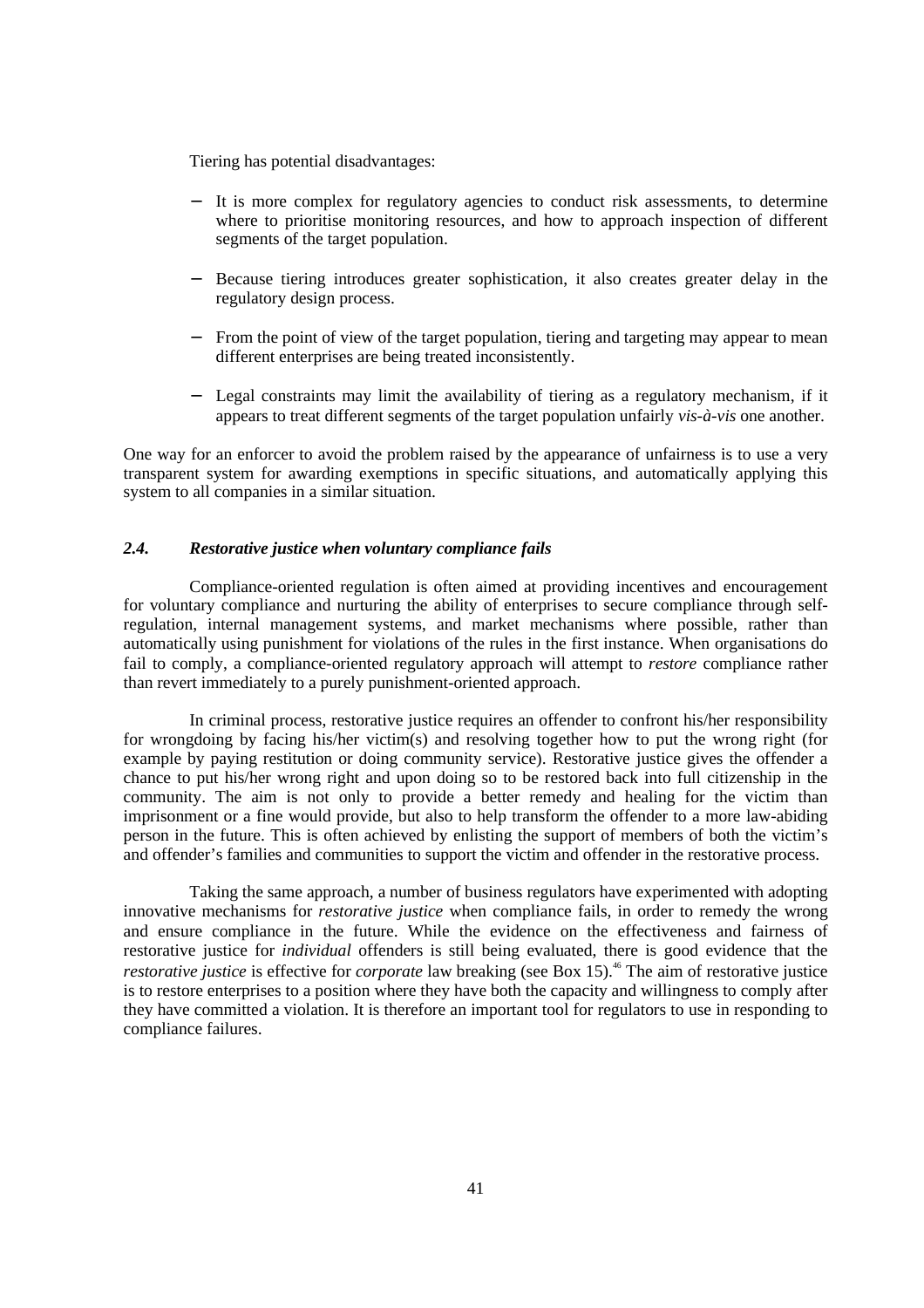Tiering has potential disadvantages:

- It is more complex for regulatory agencies to conduct risk assessments, to determine where to prioritise monitoring resources, and how to approach inspection of different segments of the target population.
- − Because tiering introduces greater sophistication, it also creates greater delay in the regulatory design process.
- − From the point of view of the target population, tiering and targeting may appear to mean different enterprises are being treated inconsistently.
- − Legal constraints may limit the availability of tiering as a regulatory mechanism, if it appears to treat different segments of the target population unfairly *vis-à-vis* one another.

One way for an enforcer to avoid the problem raised by the appearance of unfairness is to use a very transparent system for awarding exemptions in specific situations, and automatically applying this system to all companies in a similar situation.

## *2.4. Restorative justice when voluntary compliance fails*

Compliance-oriented regulation is often aimed at providing incentives and encouragement for voluntary compliance and nurturing the ability of enterprises to secure compliance through selfregulation, internal management systems, and market mechanisms where possible, rather than automatically using punishment for violations of the rules in the first instance. When organisations do fail to comply, a compliance-oriented regulatory approach will attempt to *restore* compliance rather than revert immediately to a purely punishment-oriented approach.

In criminal process, restorative justice requires an offender to confront his/her responsibility for wrongdoing by facing his/her victim(s) and resolving together how to put the wrong right (for example by paying restitution or doing community service). Restorative justice gives the offender a chance to put his/her wrong right and upon doing so to be restored back into full citizenship in the community. The aim is not only to provide a better remedy and healing for the victim than imprisonment or a fine would provide, but also to help transform the offender to a more law-abiding person in the future. This is often achieved by enlisting the support of members of both the victim's and offender's families and communities to support the victim and offender in the restorative process.

Taking the same approach, a number of business regulators have experimented with adopting innovative mechanisms for *restorative justice* when compliance fails, in order to remedy the wrong and ensure compliance in the future. While the evidence on the effectiveness and fairness of restorative justice for *individual* offenders is still being evaluated, there is good evidence that the *restorative* justice is effective for *corporate* law breaking (see Box 15).<sup>46</sup> The aim of restorative justice is to restore enterprises to a position where they have both the capacity and willingness to comply after they have committed a violation. It is therefore an important tool for regulators to use in responding to compliance failures.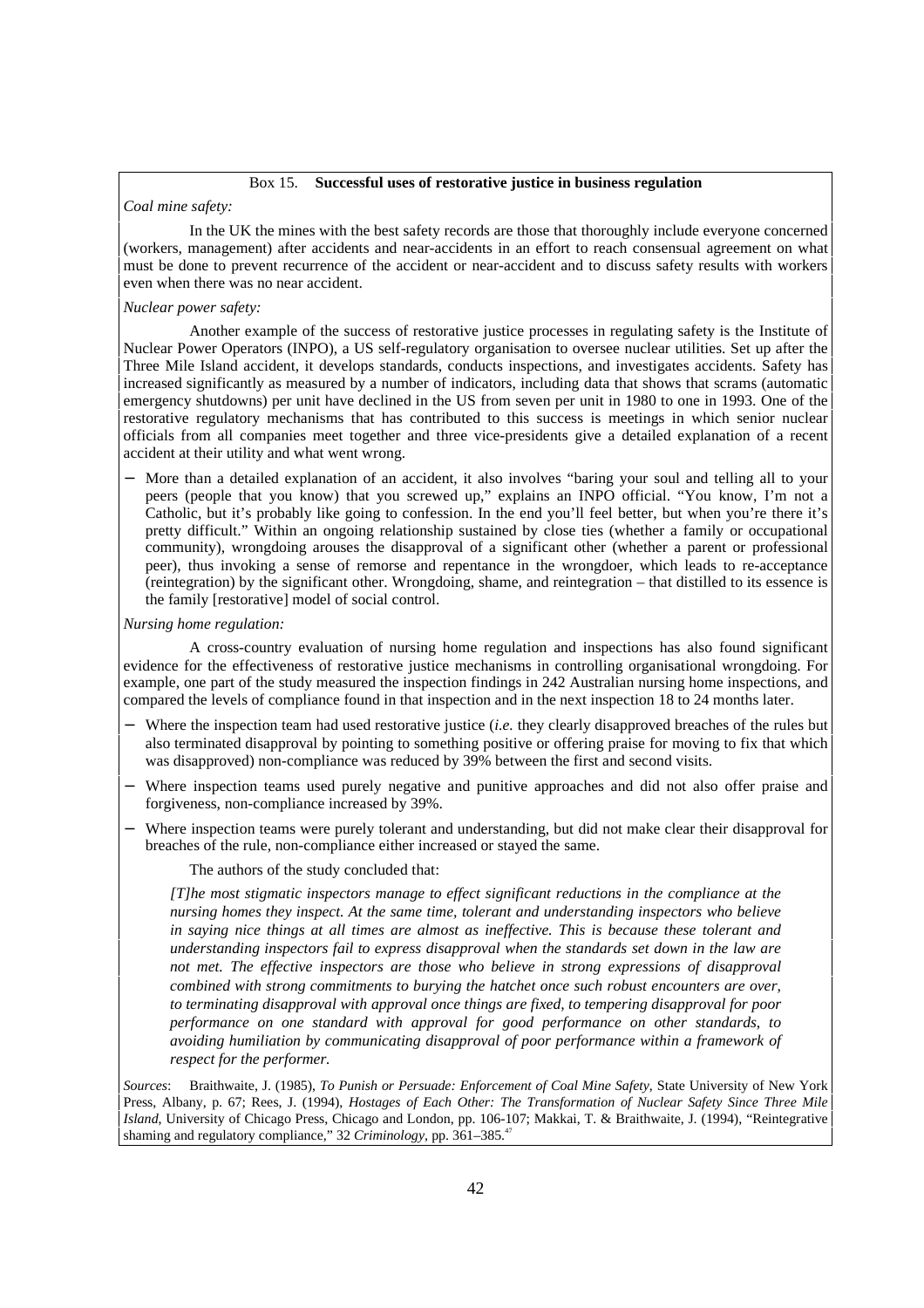#### Box 15. **Successful uses of restorative justice in business regulation**

#### *Coal mine safety:*

In the UK the mines with the best safety records are those that thoroughly include everyone concerned (workers, management) after accidents and near-accidents in an effort to reach consensual agreement on what must be done to prevent recurrence of the accident or near-accident and to discuss safety results with workers even when there was no near accident.

## *Nuclear power safety:*

Another example of the success of restorative justice processes in regulating safety is the Institute of Nuclear Power Operators (INPO), a US self-regulatory organisation to oversee nuclear utilities. Set up after the Three Mile Island accident, it develops standards, conducts inspections, and investigates accidents. Safety has increased significantly as measured by a number of indicators, including data that shows that scrams (automatic emergency shutdowns) per unit have declined in the US from seven per unit in 1980 to one in 1993. One of the restorative regulatory mechanisms that has contributed to this success is meetings in which senior nuclear officials from all companies meet together and three vice-presidents give a detailed explanation of a recent accident at their utility and what went wrong.

− More than a detailed explanation of an accident, it also involves "baring your soul and telling all to your peers (people that you know) that you screwed up," explains an INPO official. "You know, I'm not a Catholic, but it's probably like going to confession. In the end you'll feel better, but when you're there it's pretty difficult." Within an ongoing relationship sustained by close ties (whether a family or occupational community), wrongdoing arouses the disapproval of a significant other (whether a parent or professional peer), thus invoking a sense of remorse and repentance in the wrongdoer, which leads to re-acceptance (reintegration) by the significant other. Wrongdoing, shame, and reintegration – that distilled to its essence is the family [restorative] model of social control.

#### *Nursing home regulation:*

A cross-country evaluation of nursing home regulation and inspections has also found significant evidence for the effectiveness of restorative justice mechanisms in controlling organisational wrongdoing. For example, one part of the study measured the inspection findings in 242 Australian nursing home inspections, and compared the levels of compliance found in that inspection and in the next inspection 18 to 24 months later.

- − Where the inspection team had used restorative justice (*i.e.* they clearly disapproved breaches of the rules but also terminated disapproval by pointing to something positive or offering praise for moving to fix that which was disapproved) non-compliance was reduced by 39% between the first and second visits.
- Where inspection teams used purely negative and punitive approaches and did not also offer praise and forgiveness, non-compliance increased by 39%.
- Where inspection teams were purely tolerant and understanding, but did not make clear their disapproval for breaches of the rule, non-compliance either increased or stayed the same.

The authors of the study concluded that:

*[T]he most stigmatic inspectors manage to effect significant reductions in the compliance at the nursing homes they inspect. At the same time, tolerant and understanding inspectors who believe in saying nice things at all times are almost as ineffective. This is because these tolerant and understanding inspectors fail to express disapproval when the standards set down in the law are not met. The effective inspectors are those who believe in strong expressions of disapproval combined with strong commitments to burying the hatchet once such robust encounters are over, to terminating disapproval with approval once things are fixed, to tempering disapproval for poor performance on one standard with approval for good performance on other standards, to avoiding humiliation by communicating disapproval of poor performance within a framework of respect for the performer.*

*Sources*: Braithwaite, J. (1985), *To Punish or Persuade: Enforcement of Coal Mine Safety*, State University of New York Press, Albany, p. 67; Rees, J. (1994), *Hostages of Each Other: The Transformation of Nuclear Safety Since Three Mile Island*, University of Chicago Press, Chicago and London, pp. 106-107; Makkai, T. & Braithwaite, J. (1994), "Reintegrative shaming and regulatory compliance," 32 *Criminology*, pp. 361–385.<sup>4</sup>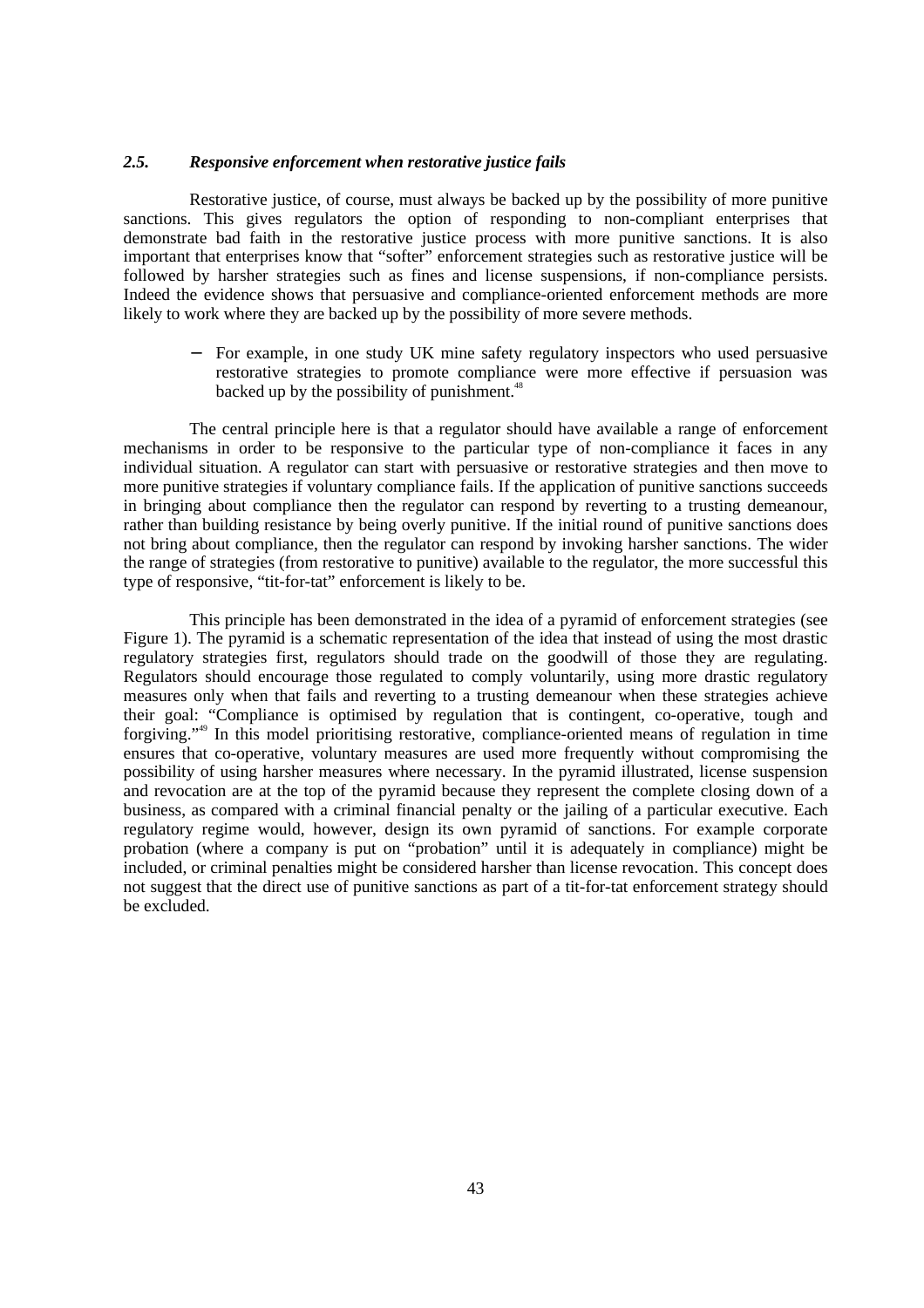## *2.5. Responsive enforcement when restorative justice fails*

Restorative justice, of course, must always be backed up by the possibility of more punitive sanctions. This gives regulators the option of responding to non-compliant enterprises that demonstrate bad faith in the restorative justice process with more punitive sanctions. It is also important that enterprises know that "softer" enforcement strategies such as restorative justice will be followed by harsher strategies such as fines and license suspensions, if non-compliance persists. Indeed the evidence shows that persuasive and compliance-oriented enforcement methods are more likely to work where they are backed up by the possibility of more severe methods.

− For example, in one study UK mine safety regulatory inspectors who used persuasive restorative strategies to promote compliance were more effective if persuasion was backed up by the possibility of punishment. $48$ 

The central principle here is that a regulator should have available a range of enforcement mechanisms in order to be responsive to the particular type of non-compliance it faces in any individual situation. A regulator can start with persuasive or restorative strategies and then move to more punitive strategies if voluntary compliance fails. If the application of punitive sanctions succeeds in bringing about compliance then the regulator can respond by reverting to a trusting demeanour, rather than building resistance by being overly punitive. If the initial round of punitive sanctions does not bring about compliance, then the regulator can respond by invoking harsher sanctions. The wider the range of strategies (from restorative to punitive) available to the regulator, the more successful this type of responsive, "tit-for-tat" enforcement is likely to be.

This principle has been demonstrated in the idea of a pyramid of enforcement strategies (see Figure 1). The pyramid is a schematic representation of the idea that instead of using the most drastic regulatory strategies first, regulators should trade on the goodwill of those they are regulating. Regulators should encourage those regulated to comply voluntarily, using more drastic regulatory measures only when that fails and reverting to a trusting demeanour when these strategies achieve their goal: "Compliance is optimised by regulation that is contingent, co-operative, tough and forgiving." 49 In this model prioritising restorative, compliance-oriented means of regulation in time ensures that co-operative, voluntary measures are used more frequently without compromising the possibility of using harsher measures where necessary. In the pyramid illustrated, license suspension and revocation are at the top of the pyramid because they represent the complete closing down of a business, as compared with a criminal financial penalty or the jailing of a particular executive. Each regulatory regime would, however, design its own pyramid of sanctions. For example corporate probation (where a company is put on "probation" until it is adequately in compliance) might be included, or criminal penalties might be considered harsher than license revocation. This concept does not suggest that the direct use of punitive sanctions as part of a tit-for-tat enforcement strategy should be excluded.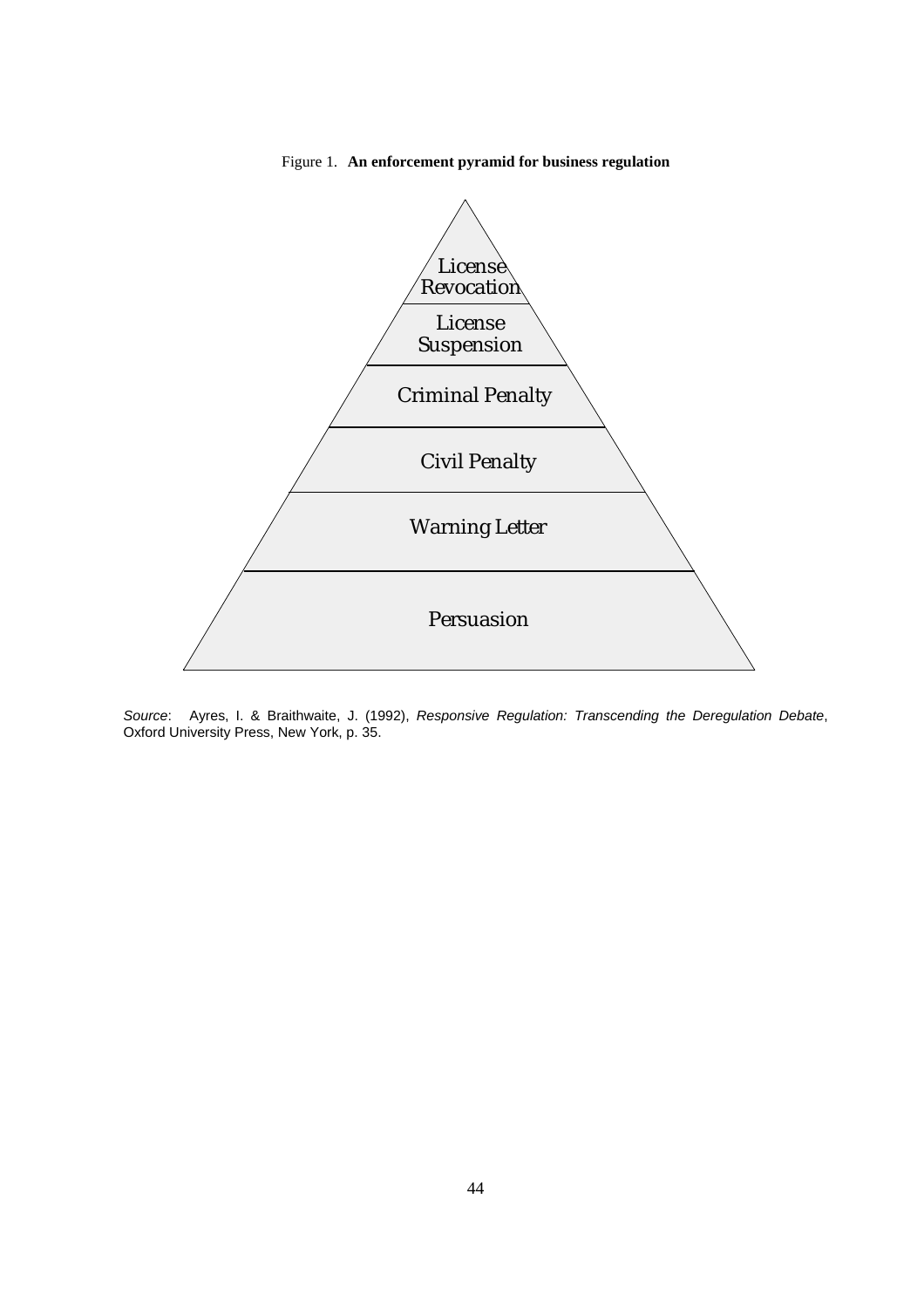Figure 1. **An enforcement pyramid for business regulation**



Source: Ayres, I. & Braithwaite, J. (1992), Responsive Regulation: Transcending the Deregulation Debate, Oxford University Press, New York, p. 35.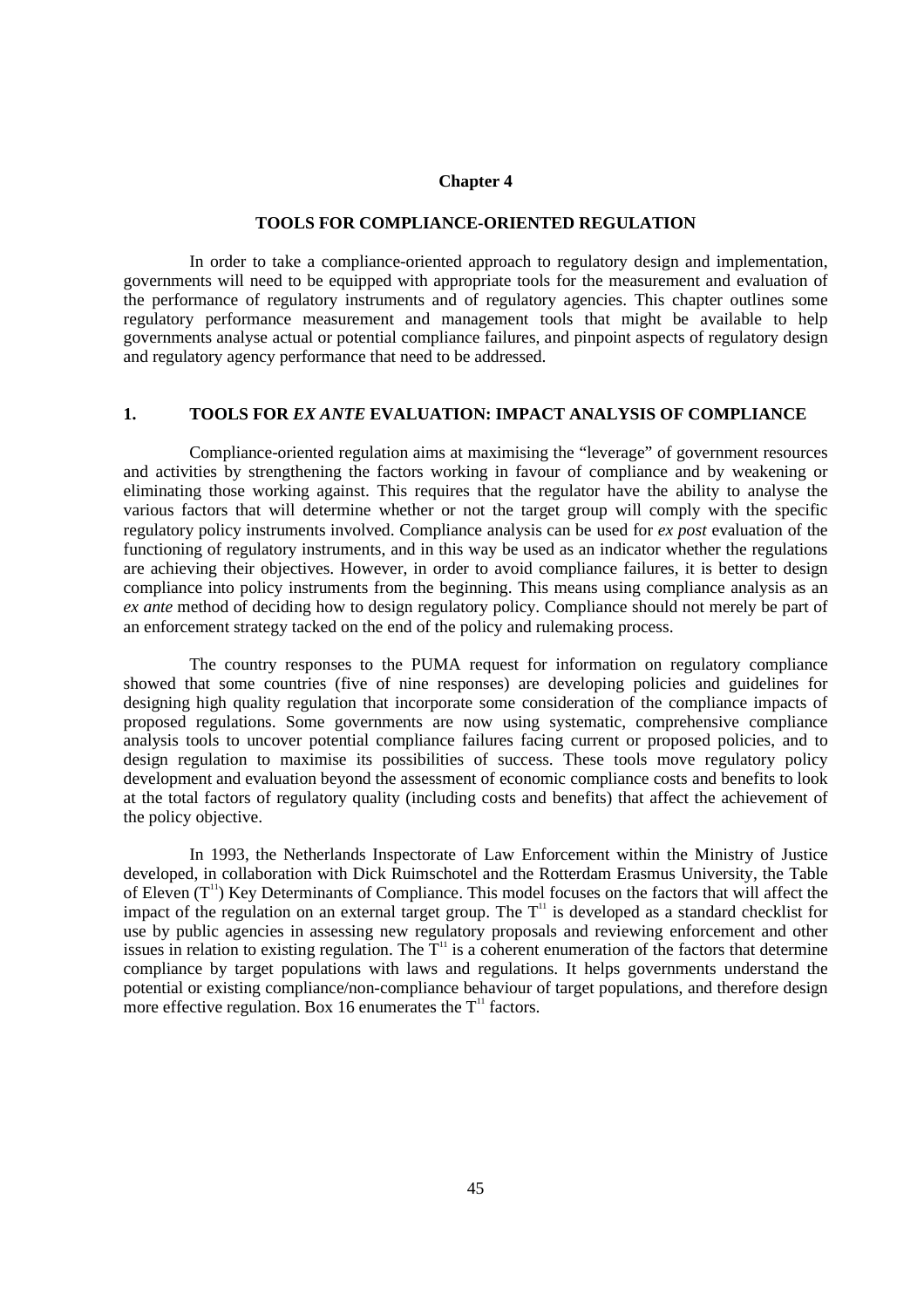## **Chapter 4**

#### **TOOLS FOR COMPLIANCE-ORIENTED REGULATION**

In order to take a compliance-oriented approach to regulatory design and implementation, governments will need to be equipped with appropriate tools for the measurement and evaluation of the performance of regulatory instruments and of regulatory agencies. This chapter outlines some regulatory performance measurement and management tools that might be available to help governments analyse actual or potential compliance failures, and pinpoint aspects of regulatory design and regulatory agency performance that need to be addressed.

# **1. TOOLS FOR** *EX ANTE* **EVALUATION: IMPACT ANALYSIS OF COMPLIANCE**

Compliance-oriented regulation aims at maximising the "leverage" of government resources and activities by strengthening the factors working in favour of compliance and by weakening or eliminating those working against. This requires that the regulator have the ability to analyse the various factors that will determine whether or not the target group will comply with the specific regulatory policy instruments involved. Compliance analysis can be used for *ex post* evaluation of the functioning of regulatory instruments, and in this way be used as an indicator whether the regulations are achieving their objectives. However, in order to avoid compliance failures, it is better to design compliance into policy instruments from the beginning. This means using compliance analysis as an *ex ante* method of deciding how to design regulatory policy. Compliance should not merely be part of an enforcement strategy tacked on the end of the policy and rulemaking process.

The country responses to the PUMA request for information on regulatory compliance showed that some countries (five of nine responses) are developing policies and guidelines for designing high quality regulation that incorporate some consideration of the compliance impacts of proposed regulations. Some governments are now using systematic, comprehensive compliance analysis tools to uncover potential compliance failures facing current or proposed policies, and to design regulation to maximise its possibilities of success. These tools move regulatory policy development and evaluation beyond the assessment of economic compliance costs and benefits to look at the total factors of regulatory quality (including costs and benefits) that affect the achievement of the policy objective.

In 1993, the Netherlands Inspectorate of Law Enforcement within the Ministry of Justice developed, in collaboration with Dick Ruimschotel and the Rotterdam Erasmus University, the Table of Eleven  $(T<sup>11</sup>)$  Key Determinants of Compliance. This model focuses on the factors that will affect the impact of the regulation on an external target group. The  $T<sup>11</sup>$  is developed as a standard checklist for use by public agencies in assessing new regulatory proposals and reviewing enforcement and other issues in relation to existing regulation. The  $T<sup>11</sup>$  is a coherent enumeration of the factors that determine compliance by target populations with laws and regulations. It helps governments understand the potential or existing compliance/non-compliance behaviour of target populations, and therefore design more effective regulation. Box 16 enumerates the  $T<sup>11</sup>$  factors.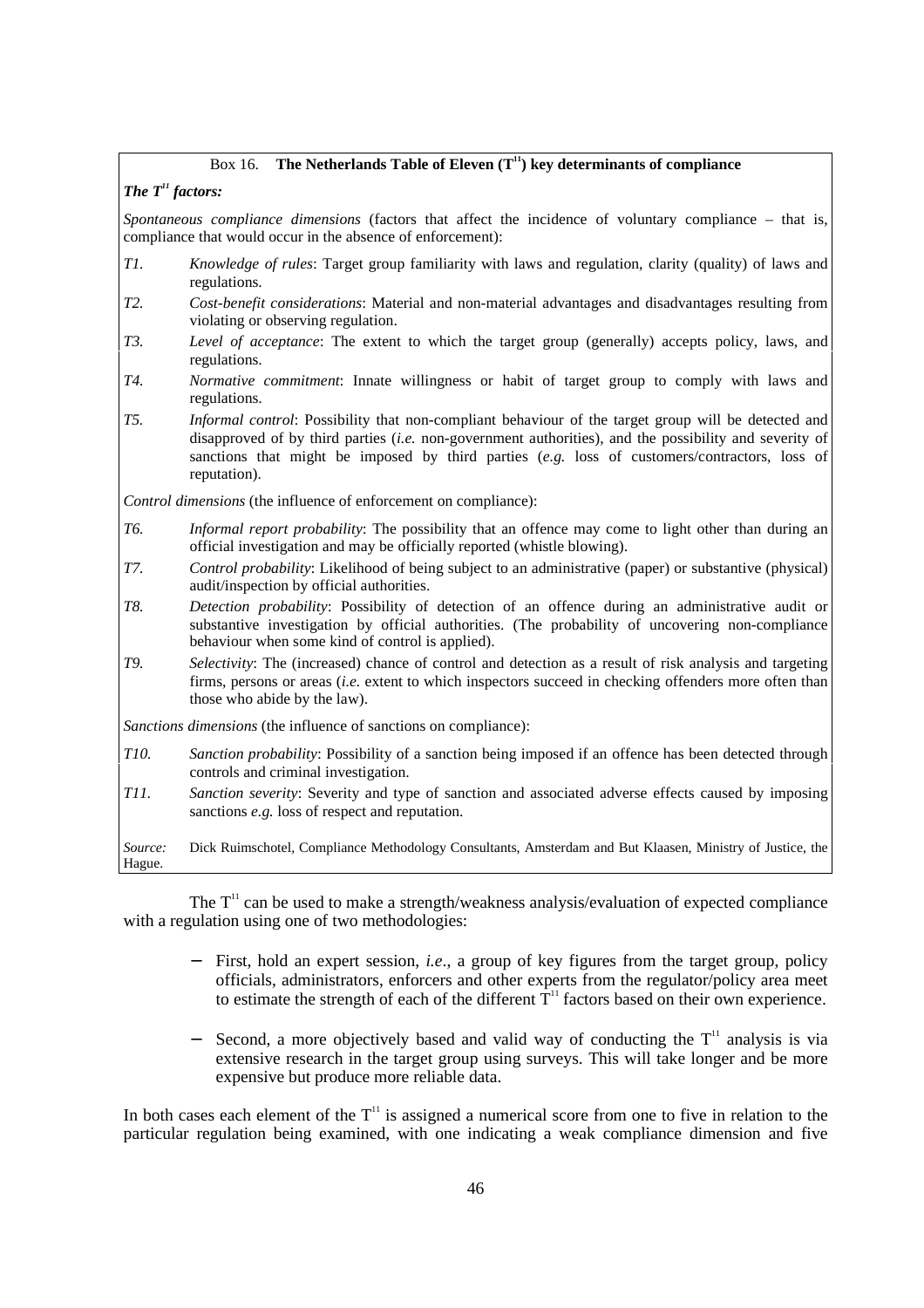# Box 16. **The Netherlands Table of Eleven (T<sup>11</sup>) key determinants of compliance**

# *The T11 factors:*

*Spontaneous compliance dimensions* (factors that affect the incidence of voluntary compliance – that is, compliance that would occur in the absence of enforcement):

- *T1. Knowledge of rules*: Target group familiarity with laws and regulation, clarity (quality) of laws and regulations.
- *T2. Cost-benefit considerations*: Material and non-material advantages and disadvantages resulting from violating or observing regulation.
- *T3. Level of acceptance*: The extent to which the target group (generally) accepts policy, laws, and regulations.
- *T4. Normative commitment*: Innate willingness or habit of target group to comply with laws and regulations.
- *T5. Informal control*: Possibility that non-compliant behaviour of the target group will be detected and disapproved of by third parties (*i.e.* non-government authorities), and the possibility and severity of sanctions that might be imposed by third parties (*e.g.* loss of customers/contractors, loss of reputation).

*Control dimensions* (the influence of enforcement on compliance):

- *T6. Informal report probability*: The possibility that an offence may come to light other than during an official investigation and may be officially reported (whistle blowing).
- *T7. Control probability*: Likelihood of being subject to an administrative (paper) or substantive (physical) audit/inspection by official authorities.
- *T8. Detection probability*: Possibility of detection of an offence during an administrative audit or substantive investigation by official authorities. (The probability of uncovering non-compliance behaviour when some kind of control is applied).
- *T9. Selectivity*: The (increased) chance of control and detection as a result of risk analysis and targeting firms, persons or areas (*i.e.* extent to which inspectors succeed in checking offenders more often than those who abide by the law).
- *Sanctions dimensions* (the influence of sanctions on compliance):
- *T10. Sanction probability*: Possibility of a sanction being imposed if an offence has been detected through controls and criminal investigation.
- *T11. Sanction severity*: Severity and type of sanction and associated adverse effects caused by imposing sanctions *e.g.* loss of respect and reputation.

*Source:* Dick Ruimschotel, Compliance Methodology Consultants, Amsterdam and But Klaasen, Ministry of Justice, the Hague.

The  $T<sup>11</sup>$  can be used to make a strength/weakness analysis/evaluation of expected compliance with a regulation using one of two methodologies:

- First, hold an expert session, *i.e.*, a group of key figures from the target group, policy officials, administrators, enforcers and other experts from the regulator/policy area meet to estimate the strength of each of the different  $T<sup>11</sup>$  factors based on their own experience.
- Second, a more objectively based and valid way of conducting the  $T<sup>11</sup>$  analysis is via extensive research in the target group using surveys. This will take longer and be more expensive but produce more reliable data.

In both cases each element of the  $T<sup>11</sup>$  is assigned a numerical score from one to five in relation to the particular regulation being examined, with one indicating a weak compliance dimension and five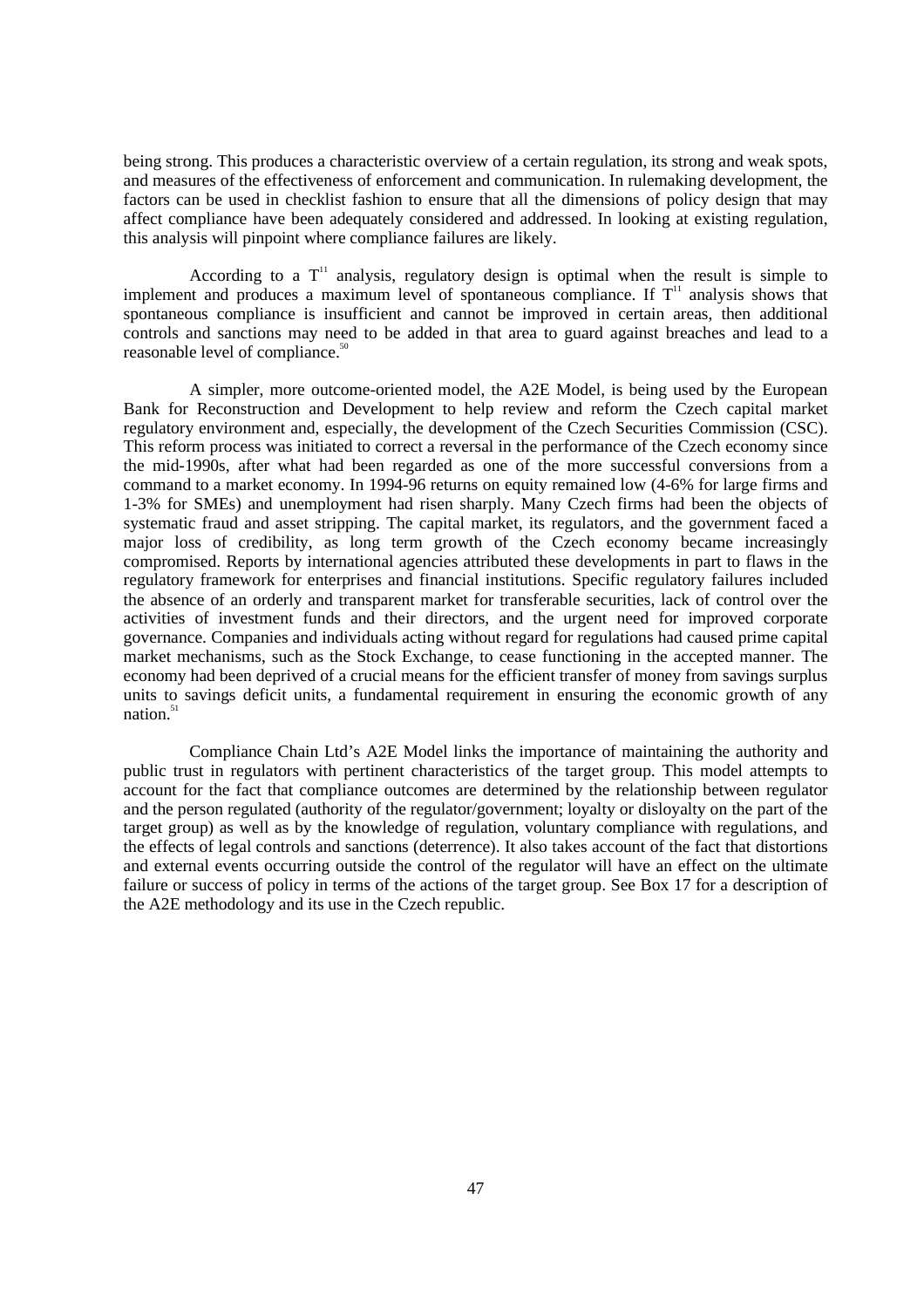being strong. This produces a characteristic overview of a certain regulation, its strong and weak spots, and measures of the effectiveness of enforcement and communication. In rulemaking development, the factors can be used in checklist fashion to ensure that all the dimensions of policy design that may affect compliance have been adequately considered and addressed. In looking at existing regulation, this analysis will pinpoint where compliance failures are likely.

According to a  $T<sup>11</sup>$  analysis, regulatory design is optimal when the result is simple to implement and produces a maximum level of spontaneous compliance. If  $T<sup>11</sup>$  analysis shows that spontaneous compliance is insufficient and cannot be improved in certain areas, then additional controls and sanctions may need to be added in that area to guard against breaches and lead to a reasonable level of compliance.<sup>50</sup>

A simpler, more outcome-oriented model, the A2E Model, is being used by the European Bank for Reconstruction and Development to help review and reform the Czech capital market regulatory environment and, especially, the development of the Czech Securities Commission (CSC). This reform process was initiated to correct a reversal in the performance of the Czech economy since the mid-1990s, after what had been regarded as one of the more successful conversions from a command to a market economy. In 1994-96 returns on equity remained low (4-6% for large firms and 1-3% for SMEs) and unemployment had risen sharply. Many Czech firms had been the objects of systematic fraud and asset stripping. The capital market, its regulators, and the government faced a major loss of credibility, as long term growth of the Czech economy became increasingly compromised. Reports by international agencies attributed these developments in part to flaws in the regulatory framework for enterprises and financial institutions. Specific regulatory failures included the absence of an orderly and transparent market for transferable securities, lack of control over the activities of investment funds and their directors, and the urgent need for improved corporate governance. Companies and individuals acting without regard for regulations had caused prime capital market mechanisms, such as the Stock Exchange, to cease functioning in the accepted manner. The economy had been deprived of a crucial means for the efficient transfer of money from savings surplus units to savings deficit units, a fundamental requirement in ensuring the economic growth of any nation.<sup>51</sup>

Compliance Chain Ltd's A2E Model links the importance of maintaining the authority and public trust in regulators with pertinent characteristics of the target group. This model attempts to account for the fact that compliance outcomes are determined by the relationship between regulator and the person regulated (authority of the regulator/government; loyalty or disloyalty on the part of the target group) as well as by the knowledge of regulation, voluntary compliance with regulations, and the effects of legal controls and sanctions (deterrence). It also takes account of the fact that distortions and external events occurring outside the control of the regulator will have an effect on the ultimate failure or success of policy in terms of the actions of the target group. See Box 17 for a description of the A2E methodology and its use in the Czech republic.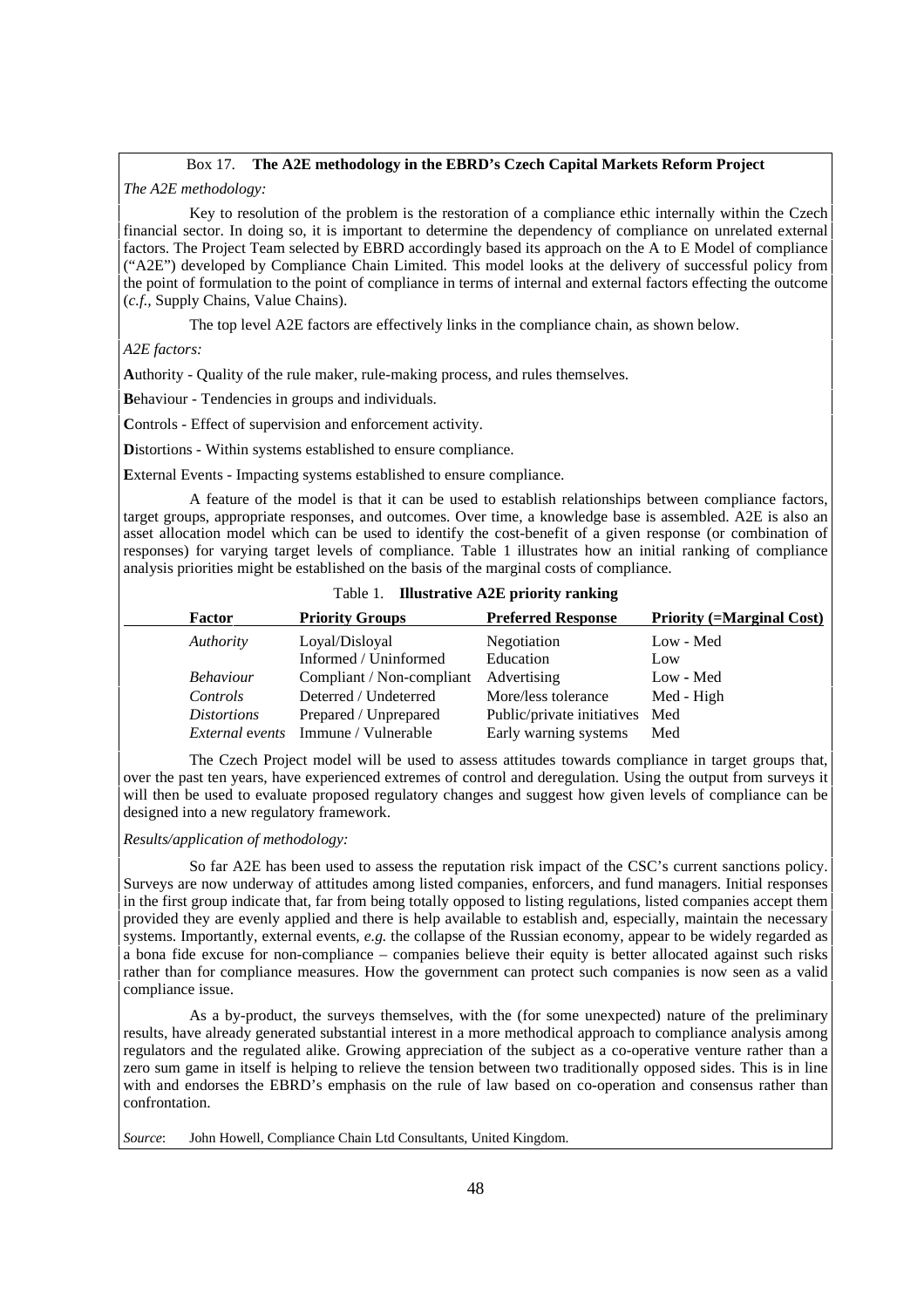# Box 17. **The A2E methodology in the EBRD's Czech Capital Markets Reform Project**

*The A2E methodology:*

Key to resolution of the problem is the restoration of a compliance ethic internally within the Czech financial sector. In doing so, it is important to determine the dependency of compliance on unrelated external factors. The Project Team selected by EBRD accordingly based its approach on the A to E Model of compliance ("A2E") developed by Compliance Chain Limited. This model looks at the delivery of successful policy from the point of formulation to the point of compliance in terms of internal and external factors effecting the outcome (*c.f.,* Supply Chains, Value Chains).

The top level A2E factors are effectively links in the compliance chain, as shown below.

*A2E factors:*

**A**uthority - Quality of the rule maker, rule-making process, and rules themselves.

**B**ehaviour - Tendencies in groups and individuals.

**C**ontrols - Effect of supervision and enforcement activity.

**D**istortions - Within systems established to ensure compliance.

**E**xternal Events - Impacting systems established to ensure compliance.

A feature of the model is that it can be used to establish relationships between compliance factors, target groups, appropriate responses, and outcomes. Over time, a knowledge base is assembled. A2E is also an asset allocation model which can be used to identify the cost-benefit of a given response (or combination of responses) for varying target levels of compliance. Table 1 illustrates how an initial ranking of compliance analysis priorities might be established on the basis of the marginal costs of compliance.

| <b>Illustrative A2E priority ranking</b><br>Table 1. |                           |                            |                                  |
|------------------------------------------------------|---------------------------|----------------------------|----------------------------------|
| Factor                                               | <b>Priority Groups</b>    | <b>Preferred Response</b>  | <b>Priority (=Marginal Cost)</b> |
| Authority                                            | Loyal/Disloyal            | Negotiation                | Low - Med                        |
|                                                      | Informed / Uninformed     | Education                  | Low                              |
| <b>Behaviour</b>                                     | Compliant / Non-compliant | Advertising                | Low - Med                        |
| <i>Controls</i>                                      | Deterred / Undeterred     | More/less tolerance        | Med - High                       |
| <i>Distortions</i>                                   | Prepared / Unprepared     | Public/private initiatives | Med                              |
| External events                                      | Immune / Vulnerable       | Early warning systems      | Med                              |

The Czech Project model will be used to assess attitudes towards compliance in target groups that, over the past ten years, have experienced extremes of control and deregulation. Using the output from surveys it will then be used to evaluate proposed regulatory changes and suggest how given levels of compliance can be designed into a new regulatory framework.

## *Results/application of methodology:*

So far A2E has been used to assess the reputation risk impact of the CSC's current sanctions policy. Surveys are now underway of attitudes among listed companies, enforcers, and fund managers. Initial responses in the first group indicate that, far from being totally opposed to listing regulations, listed companies accept them provided they are evenly applied and there is help available to establish and, especially, maintain the necessary systems. Importantly, external events, *e.g.* the collapse of the Russian economy, appear to be widely regarded as a bona fide excuse for non-compliance – companies believe their equity is better allocated against such risks rather than for compliance measures. How the government can protect such companies is now seen as a valid compliance issue.

As a by-product, the surveys themselves, with the (for some unexpected) nature of the preliminary results, have already generated substantial interest in a more methodical approach to compliance analysis among regulators and the regulated alike. Growing appreciation of the subject as a co-operative venture rather than a zero sum game in itself is helping to relieve the tension between two traditionally opposed sides. This is in line with and endorses the EBRD's emphasis on the rule of law based on co-operation and consensus rather than confrontation.

*Source*: John Howell, Compliance Chain Ltd Consultants, United Kingdom.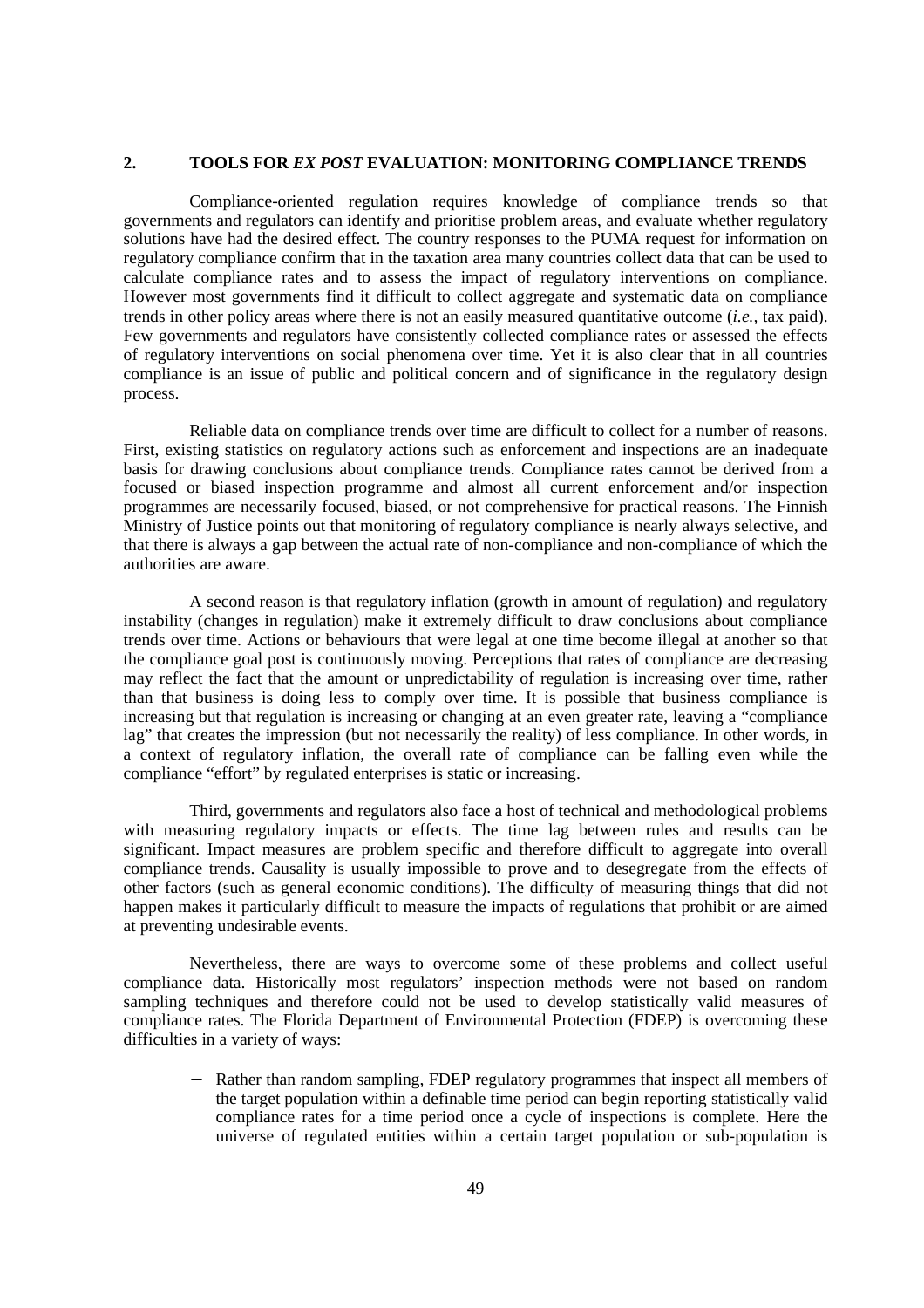# **2. TOOLS FOR** *EX POST* **EVALUATION: MONITORING COMPLIANCE TRENDS**

Compliance-oriented regulation requires knowledge of compliance trends so that governments and regulators can identify and prioritise problem areas, and evaluate whether regulatory solutions have had the desired effect. The country responses to the PUMA request for information on regulatory compliance confirm that in the taxation area many countries collect data that can be used to calculate compliance rates and to assess the impact of regulatory interventions on compliance. However most governments find it difficult to collect aggregate and systematic data on compliance trends in other policy areas where there is not an easily measured quantitative outcome (*i.e.,* tax paid). Few governments and regulators have consistently collected compliance rates or assessed the effects of regulatory interventions on social phenomena over time. Yet it is also clear that in all countries compliance is an issue of public and political concern and of significance in the regulatory design process.

Reliable data on compliance trends over time are difficult to collect for a number of reasons. First, existing statistics on regulatory actions such as enforcement and inspections are an inadequate basis for drawing conclusions about compliance trends. Compliance rates cannot be derived from a focused or biased inspection programme and almost all current enforcement and/or inspection programmes are necessarily focused, biased, or not comprehensive for practical reasons. The Finnish Ministry of Justice points out that monitoring of regulatory compliance is nearly always selective, and that there is always a gap between the actual rate of non-compliance and non-compliance of which the authorities are aware.

A second reason is that regulatory inflation (growth in amount of regulation) and regulatory instability (changes in regulation) make it extremely difficult to draw conclusions about compliance trends over time. Actions or behaviours that were legal at one time become illegal at another so that the compliance goal post is continuously moving. Perceptions that rates of compliance are decreasing may reflect the fact that the amount or unpredictability of regulation is increasing over time, rather than that business is doing less to comply over time. It is possible that business compliance is increasing but that regulation is increasing or changing at an even greater rate, leaving a "compliance lag" that creates the impression (but not necessarily the reality) of less compliance. In other words, in a context of regulatory inflation, the overall rate of compliance can be falling even while the compliance "effort" by regulated enterprises is static or increasing.

Third, governments and regulators also face a host of technical and methodological problems with measuring regulatory impacts or effects. The time lag between rules and results can be significant. Impact measures are problem specific and therefore difficult to aggregate into overall compliance trends. Causality is usually impossible to prove and to desegregate from the effects of other factors (such as general economic conditions). The difficulty of measuring things that did not happen makes it particularly difficult to measure the impacts of regulations that prohibit or are aimed at preventing undesirable events.

Nevertheless, there are ways to overcome some of these problems and collect useful compliance data. Historically most regulators' inspection methods were not based on random sampling techniques and therefore could not be used to develop statistically valid measures of compliance rates. The Florida Department of Environmental Protection (FDEP) is overcoming these difficulties in a variety of ways:

− Rather than random sampling, FDEP regulatory programmes that inspect all members of the target population within a definable time period can begin reporting statistically valid compliance rates for a time period once a cycle of inspections is complete. Here the universe of regulated entities within a certain target population or sub-population is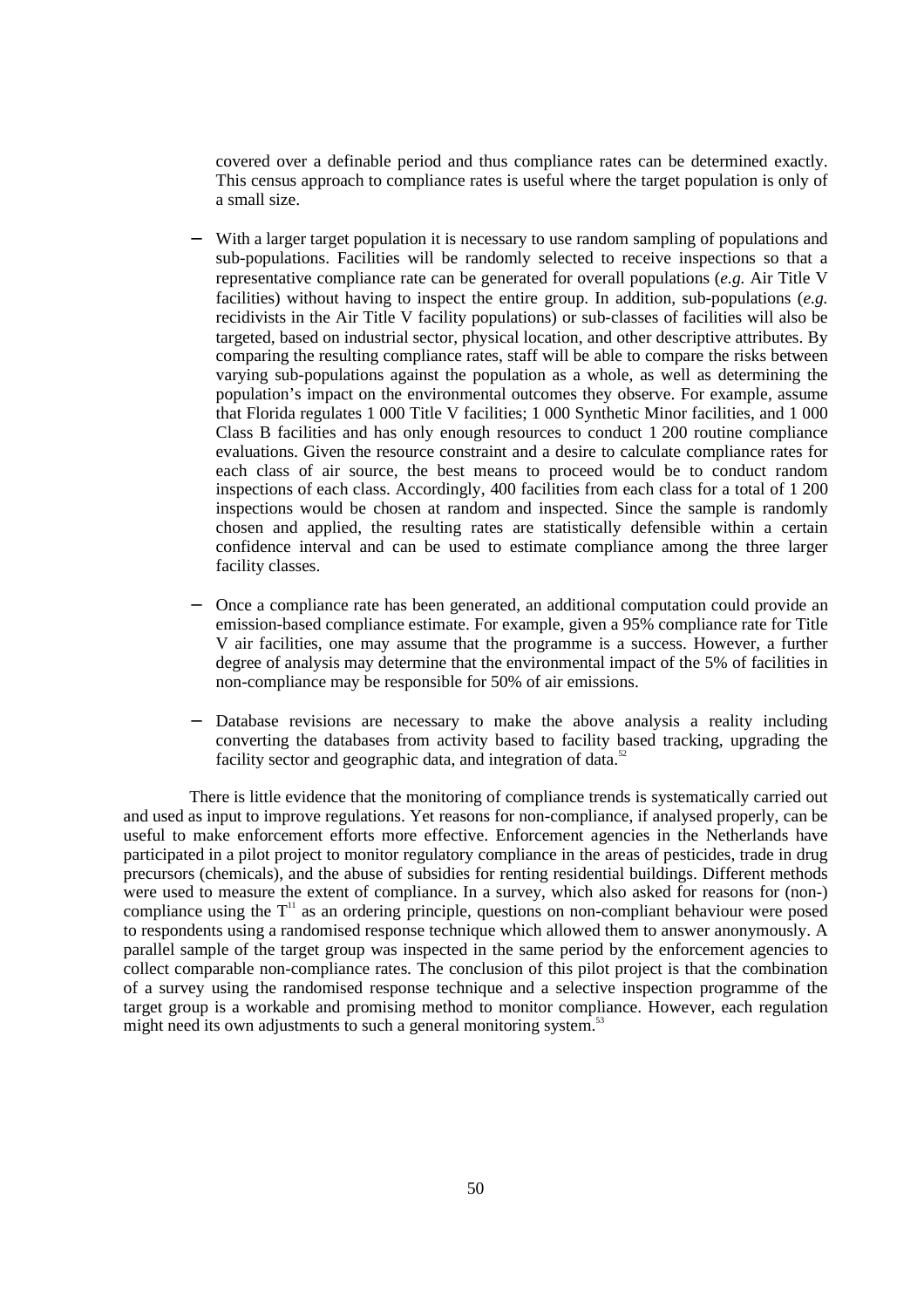covered over a definable period and thus compliance rates can be determined exactly. This census approach to compliance rates is useful where the target population is only of a small size.

- With a larger target population it is necessary to use random sampling of populations and sub-populations. Facilities will be randomly selected to receive inspections so that a representative compliance rate can be generated for overall populations (*e.g.* Air Title V facilities) without having to inspect the entire group. In addition, sub-populations (*e.g.* recidivists in the Air Title V facility populations) or sub-classes of facilities will also be targeted, based on industrial sector, physical location, and other descriptive attributes. By comparing the resulting compliance rates, staff will be able to compare the risks between varying sub-populations against the population as a whole, as well as determining the population's impact on the environmental outcomes they observe. For example, assume that Florida regulates 1 000 Title V facilities; 1 000 Synthetic Minor facilities, and 1 000 Class B facilities and has only enough resources to conduct 1 200 routine compliance evaluations. Given the resource constraint and a desire to calculate compliance rates for each class of air source, the best means to proceed would be to conduct random inspections of each class. Accordingly, 400 facilities from each class for a total of 1 200 inspections would be chosen at random and inspected. Since the sample is randomly chosen and applied, the resulting rates are statistically defensible within a certain confidence interval and can be used to estimate compliance among the three larger facility classes.
- − Once a compliance rate has been generated, an additional computation could provide an emission-based compliance estimate. For example, given a 95% compliance rate for Title V air facilities, one may assume that the programme is a success. However, a further degree of analysis may determine that the environmental impact of the 5% of facilities in non-compliance may be responsible for 50% of air emissions.
- − Database revisions are necessary to make the above analysis a reality including converting the databases from activity based to facility based tracking, upgrading the facility sector and geographic data, and integration of data.<sup>52</sup>

There is little evidence that the monitoring of compliance trends is systematically carried out and used as input to improve regulations. Yet reasons for non-compliance, if analysed properly, can be useful to make enforcement efforts more effective. Enforcement agencies in the Netherlands have participated in a pilot project to monitor regulatory compliance in the areas of pesticides, trade in drug precursors (chemicals), and the abuse of subsidies for renting residential buildings. Different methods were used to measure the extent of compliance. In a survey, which also asked for reasons for (non-) compliance using the  $T<sup>11</sup>$  as an ordering principle, questions on non-compliant behaviour were posed to respondents using a randomised response technique which allowed them to answer anonymously. A parallel sample of the target group was inspected in the same period by the enforcement agencies to collect comparable non-compliance rates. The conclusion of this pilot project is that the combination of a survey using the randomised response technique and a selective inspection programme of the target group is a workable and promising method to monitor compliance. However, each regulation might need its own adjustments to such a general monitoring system.<sup>53</sup>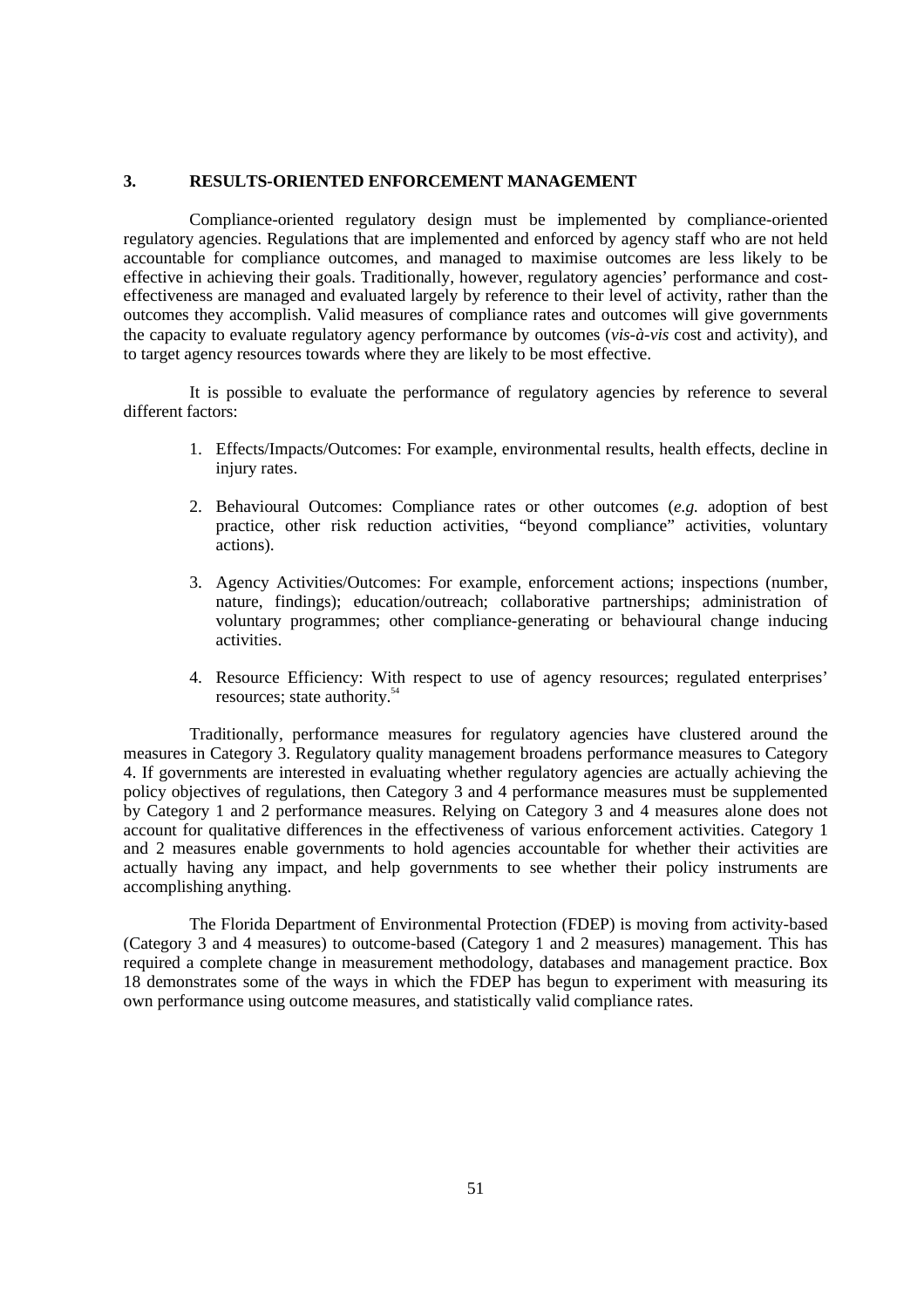# **3. RESULTS-ORIENTED ENFORCEMENT MANAGEMENT**

Compliance-oriented regulatory design must be implemented by compliance-oriented regulatory agencies. Regulations that are implemented and enforced by agency staff who are not held accountable for compliance outcomes, and managed to maximise outcomes are less likely to be effective in achieving their goals. Traditionally, however, regulatory agencies' performance and costeffectiveness are managed and evaluated largely by reference to their level of activity, rather than the outcomes they accomplish. Valid measures of compliance rates and outcomes will give governments the capacity to evaluate regulatory agency performance by outcomes (*vis-à-vis* cost and activity), and to target agency resources towards where they are likely to be most effective.

It is possible to evaluate the performance of regulatory agencies by reference to several different factors:

- 1. Effects/Impacts/Outcomes: For example, environmental results, health effects, decline in injury rates.
- 2. Behavioural Outcomes: Compliance rates or other outcomes (*e.g.* adoption of best practice, other risk reduction activities, "beyond compliance" activities, voluntary actions).
- 3. Agency Activities/Outcomes: For example, enforcement actions; inspections (number, nature, findings); education/outreach; collaborative partnerships; administration of voluntary programmes; other compliance-generating or behavioural change inducing activities.
- 4. Resource Efficiency: With respect to use of agency resources; regulated enterprises' resources; state authority.<sup>54</sup>

Traditionally, performance measures for regulatory agencies have clustered around the measures in Category 3. Regulatory quality management broadens performance measures to Category 4. If governments are interested in evaluating whether regulatory agencies are actually achieving the policy objectives of regulations, then Category 3 and 4 performance measures must be supplemented by Category 1 and 2 performance measures. Relying on Category 3 and 4 measures alone does not account for qualitative differences in the effectiveness of various enforcement activities. Category 1 and 2 measures enable governments to hold agencies accountable for whether their activities are actually having any impact, and help governments to see whether their policy instruments are accomplishing anything.

The Florida Department of Environmental Protection (FDEP) is moving from activity-based (Category 3 and 4 measures) to outcome-based (Category 1 and 2 measures) management. This has required a complete change in measurement methodology, databases and management practice. Box 18 demonstrates some of the ways in which the FDEP has begun to experiment with measuring its own performance using outcome measures, and statistically valid compliance rates.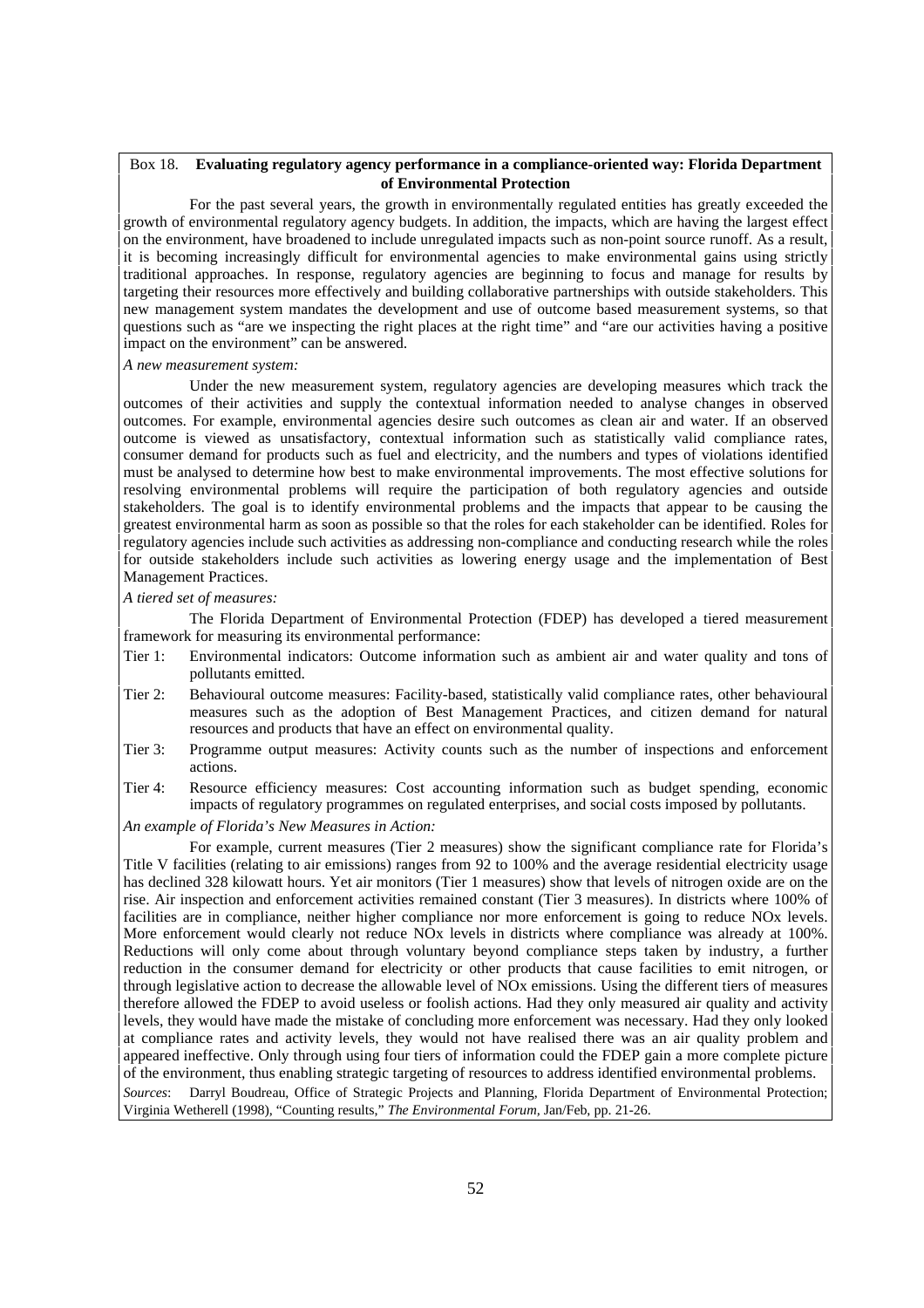## Box 18. **Evaluating regulatory agency performance in a compliance-oriented way: Florida Department of Environmental Protection**

For the past several years, the growth in environmentally regulated entities has greatly exceeded the growth of environmental regulatory agency budgets. In addition, the impacts, which are having the largest effect on the environment, have broadened to include unregulated impacts such as non-point source runoff. As a result, it is becoming increasingly difficult for environmental agencies to make environmental gains using strictly traditional approaches. In response, regulatory agencies are beginning to focus and manage for results by targeting their resources more effectively and building collaborative partnerships with outside stakeholders. This new management system mandates the development and use of outcome based measurement systems, so that questions such as "are we inspecting the right places at the right time" and "are our activities having a positive impact on the environment" can be answered.

#### *A new measurement system:*

Under the new measurement system, regulatory agencies are developing measures which track the outcomes of their activities and supply the contextual information needed to analyse changes in observed outcomes. For example, environmental agencies desire such outcomes as clean air and water. If an observed outcome is viewed as unsatisfactory, contextual information such as statistically valid compliance rates, consumer demand for products such as fuel and electricity, and the numbers and types of violations identified must be analysed to determine how best to make environmental improvements. The most effective solutions for resolving environmental problems will require the participation of both regulatory agencies and outside stakeholders. The goal is to identify environmental problems and the impacts that appear to be causing the greatest environmental harm as soon as possible so that the roles for each stakeholder can be identified. Roles for regulatory agencies include such activities as addressing non-compliance and conducting research while the roles for outside stakeholders include such activities as lowering energy usage and the implementation of Best Management Practices.

#### *A tiered set of measures:*

The Florida Department of Environmental Protection (FDEP) has developed a tiered measurement framework for measuring its environmental performance:

- Tier 1: Environmental indicators: Outcome information such as ambient air and water quality and tons of pollutants emitted.
- Tier 2: Behavioural outcome measures: Facility-based, statistically valid compliance rates, other behavioural measures such as the adoption of Best Management Practices, and citizen demand for natural resources and products that have an effect on environmental quality.
- Tier 3: Programme output measures: Activity counts such as the number of inspections and enforcement actions.
- Tier 4: Resource efficiency measures: Cost accounting information such as budget spending, economic impacts of regulatory programmes on regulated enterprises, and social costs imposed by pollutants.

## *An example of Florida's New Measures in Action:*

For example, current measures (Tier 2 measures) show the significant compliance rate for Florida's Title V facilities (relating to air emissions) ranges from 92 to 100% and the average residential electricity usage has declined 328 kilowatt hours. Yet air monitors (Tier 1 measures) show that levels of nitrogen oxide are on the rise. Air inspection and enforcement activities remained constant (Tier 3 measures). In districts where 100% of facilities are in compliance, neither higher compliance nor more enforcement is going to reduce NOx levels. More enforcement would clearly not reduce NO<sub>x</sub> levels in districts where compliance was already at 100%. Reductions will only come about through voluntary beyond compliance steps taken by industry, a further reduction in the consumer demand for electricity or other products that cause facilities to emit nitrogen, or through legislative action to decrease the allowable level of NOx emissions. Using the different tiers of measures therefore allowed the FDEP to avoid useless or foolish actions. Had they only measured air quality and activity levels, they would have made the mistake of concluding more enforcement was necessary. Had they only looked at compliance rates and activity levels, they would not have realised there was an air quality problem and appeared ineffective. Only through using four tiers of information could the FDEP gain a more complete picture of the environment, thus enabling strategic targeting of resources to address identified environmental problems. *Sources*: Darryl Boudreau, Office of Strategic Projects and Planning, Florida Department of Environmental Protection;

Virginia Wetherell (1998), "Counting results," *The Environmental Forum,* Jan/Feb, pp. 21-26.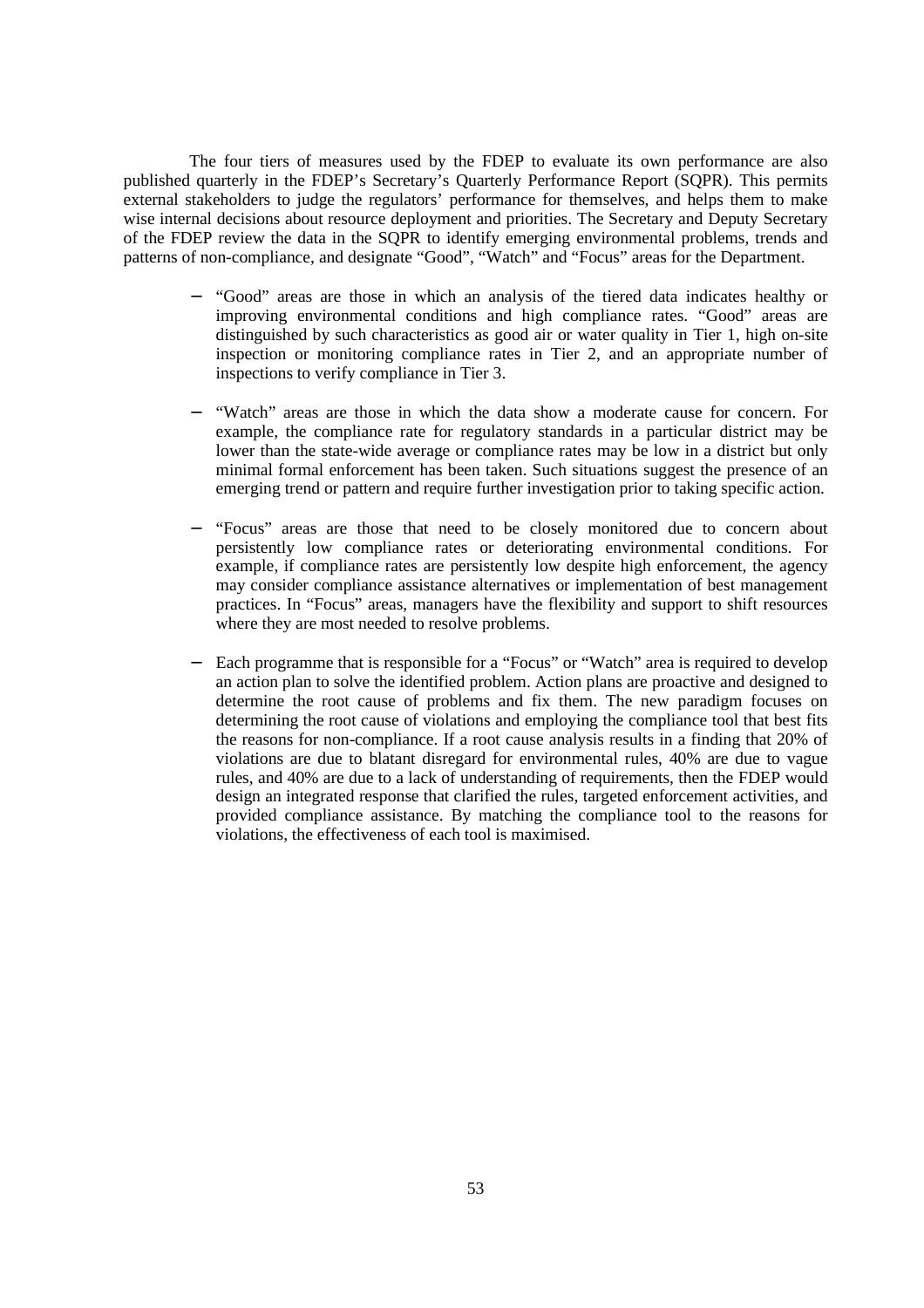The four tiers of measures used by the FDEP to evaluate its own performance are also published quarterly in the FDEP's Secretary's Quarterly Performance Report (SQPR). This permits external stakeholders to judge the regulators' performance for themselves, and helps them to make wise internal decisions about resource deployment and priorities. The Secretary and Deputy Secretary of the FDEP review the data in the SQPR to identify emerging environmental problems, trends and patterns of non-compliance, and designate "Good", "Watch" and "Focus" areas for the Department.

- − "Good" areas are those in which an analysis of the tiered data indicates healthy or improving environmental conditions and high compliance rates. "Good" areas are distinguished by such characteristics as good air or water quality in Tier 1, high on-site inspection or monitoring compliance rates in Tier 2, and an appropriate number of inspections to verify compliance in Tier 3.
- − "Watch" areas are those in which the data show a moderate cause for concern. For example, the compliance rate for regulatory standards in a particular district may be lower than the state-wide average or compliance rates may be low in a district but only minimal formal enforcement has been taken. Such situations suggest the presence of an emerging trend or pattern and require further investigation prior to taking specific action.
- − "Focus" areas are those that need to be closely monitored due to concern about persistently low compliance rates or deteriorating environmental conditions. For example, if compliance rates are persistently low despite high enforcement, the agency may consider compliance assistance alternatives or implementation of best management practices. In "Focus" areas, managers have the flexibility and support to shift resources where they are most needed to resolve problems.
- − Each programme that is responsible for a "Focus" or "Watch" area is required to develop an action plan to solve the identified problem. Action plans are proactive and designed to determine the root cause of problems and fix them. The new paradigm focuses on determining the root cause of violations and employing the compliance tool that best fits the reasons for non-compliance. If a root cause analysis results in a finding that 20% of violations are due to blatant disregard for environmental rules, 40% are due to vague rules, and 40% are due to a lack of understanding of requirements, then the FDEP would design an integrated response that clarified the rules, targeted enforcement activities, and provided compliance assistance. By matching the compliance tool to the reasons for violations, the effectiveness of each tool is maximised.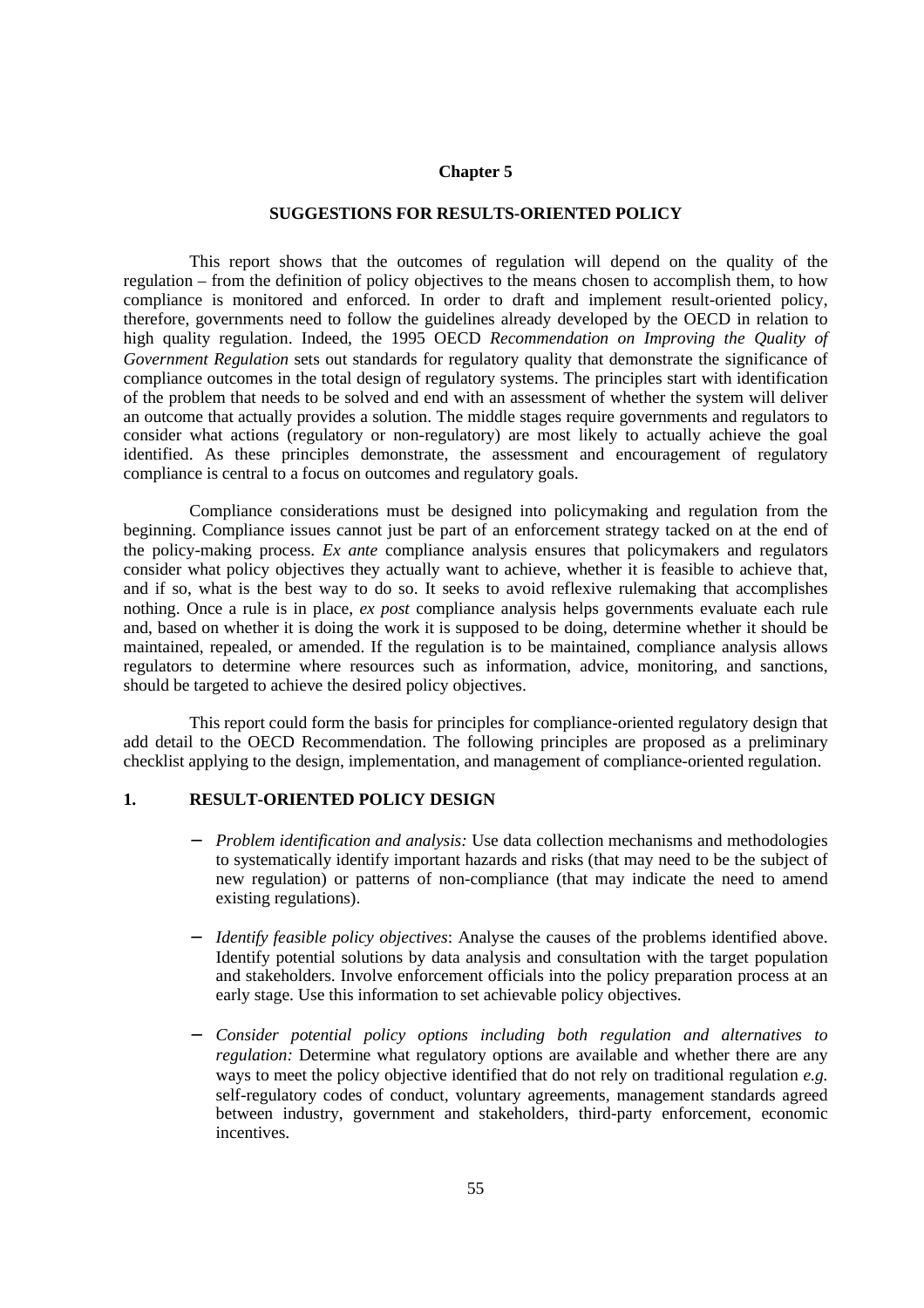## **Chapter 5**

# **SUGGESTIONS FOR RESULTS-ORIENTED POLICY**

This report shows that the outcomes of regulation will depend on the quality of the regulation – from the definition of policy objectives to the means chosen to accomplish them, to how compliance is monitored and enforced. In order to draft and implement result-oriented policy, therefore, governments need to follow the guidelines already developed by the OECD in relation to high quality regulation. Indeed, the 1995 OECD *Recommendation on Improving the Quality of Government Regulation* sets out standards for regulatory quality that demonstrate the significance of compliance outcomes in the total design of regulatory systems. The principles start with identification of the problem that needs to be solved and end with an assessment of whether the system will deliver an outcome that actually provides a solution. The middle stages require governments and regulators to consider what actions (regulatory or non-regulatory) are most likely to actually achieve the goal identified. As these principles demonstrate, the assessment and encouragement of regulatory compliance is central to a focus on outcomes and regulatory goals.

Compliance considerations must be designed into policymaking and regulation from the beginning. Compliance issues cannot just be part of an enforcement strategy tacked on at the end of the policy-making process. *Ex ante* compliance analysis ensures that policymakers and regulators consider what policy objectives they actually want to achieve, whether it is feasible to achieve that, and if so, what is the best way to do so. It seeks to avoid reflexive rulemaking that accomplishes nothing. Once a rule is in place, *ex post* compliance analysis helps governments evaluate each rule and, based on whether it is doing the work it is supposed to be doing, determine whether it should be maintained, repealed, or amended. If the regulation is to be maintained, compliance analysis allows regulators to determine where resources such as information, advice, monitoring, and sanctions, should be targeted to achieve the desired policy objectives.

This report could form the basis for principles for compliance-oriented regulatory design that add detail to the OECD Recommendation. The following principles are proposed as a preliminary checklist applying to the design, implementation, and management of compliance-oriented regulation.

# **1. RESULT-ORIENTED POLICY DESIGN**

- − *Problem identification and analysis:* Use data collection mechanisms and methodologies to systematically identify important hazards and risks (that may need to be the subject of new regulation) or patterns of non-compliance (that may indicate the need to amend existing regulations).
- − *Identify feasible policy objectives*: Analyse the causes of the problems identified above. Identify potential solutions by data analysis and consultation with the target population and stakeholders. Involve enforcement officials into the policy preparation process at an early stage. Use this information to set achievable policy objectives.
- − *Consider potential policy options including both regulation and alternatives to regulation:* Determine what regulatory options are available and whether there are any ways to meet the policy objective identified that do not rely on traditional regulation *e.g.* self-regulatory codes of conduct, voluntary agreements, management standards agreed between industry, government and stakeholders, third-party enforcement, economic incentives.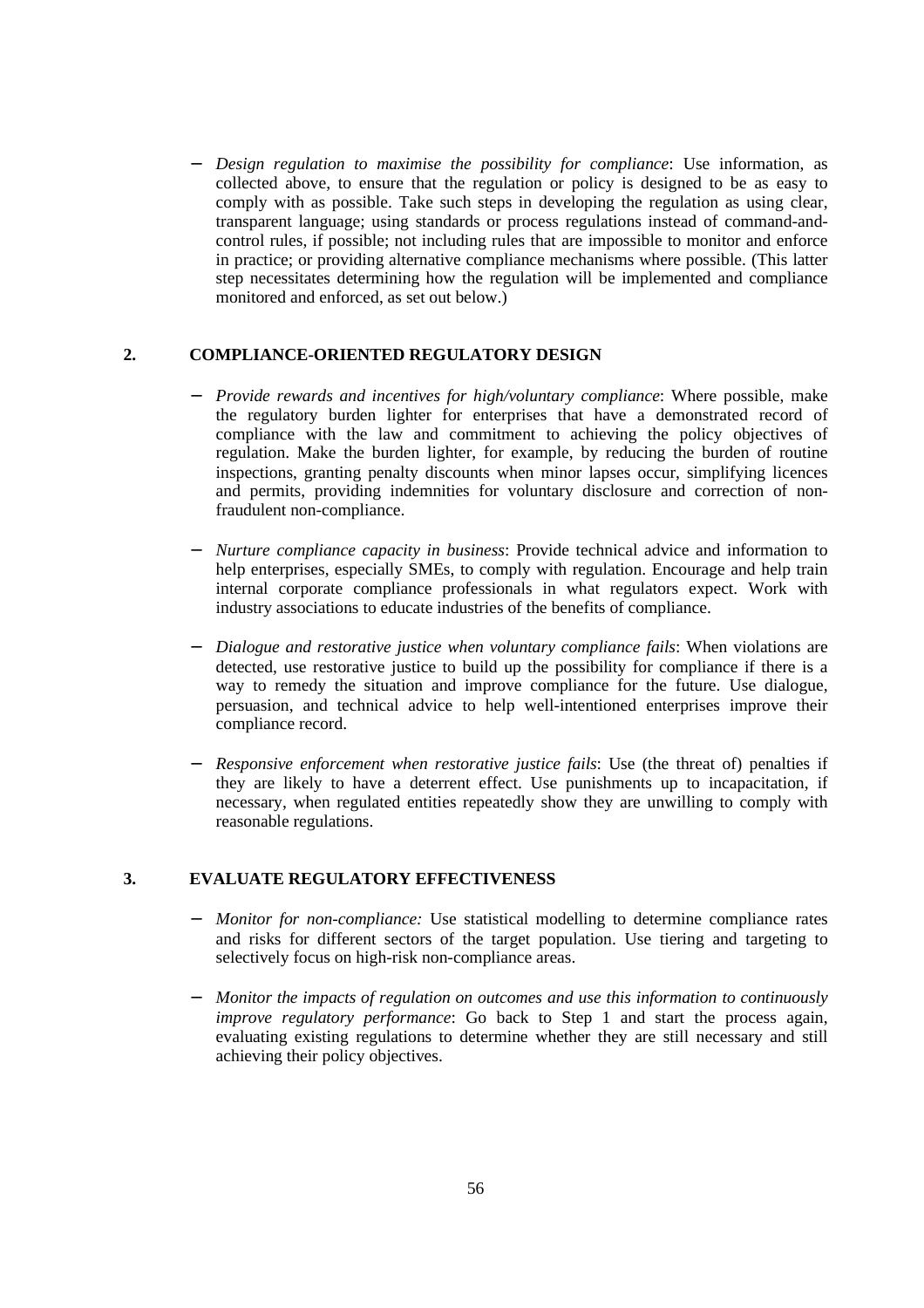− *Design regulation to maximise the possibility for compliance*: Use information, as collected above, to ensure that the regulation or policy is designed to be as easy to comply with as possible. Take such steps in developing the regulation as using clear, transparent language; using standards or process regulations instead of command-andcontrol rules, if possible; not including rules that are impossible to monitor and enforce in practice; or providing alternative compliance mechanisms where possible. (This latter step necessitates determining how the regulation will be implemented and compliance monitored and enforced, as set out below.)

## **2. COMPLIANCE-ORIENTED REGULATORY DESIGN**

- − *Provide rewards and incentives for high/voluntary compliance*: Where possible, make the regulatory burden lighter for enterprises that have a demonstrated record of compliance with the law and commitment to achieving the policy objectives of regulation. Make the burden lighter, for example, by reducing the burden of routine inspections, granting penalty discounts when minor lapses occur, simplifying licences and permits, providing indemnities for voluntary disclosure and correction of nonfraudulent non-compliance.
- − *Nurture compliance capacity in business*: Provide technical advice and information to help enterprises, especially SMEs, to comply with regulation. Encourage and help train internal corporate compliance professionals in what regulators expect. Work with industry associations to educate industries of the benefits of compliance.
- − *Dialogue and restorative justice when voluntary compliance fails*: When violations are detected, use restorative justice to build up the possibility for compliance if there is a way to remedy the situation and improve compliance for the future. Use dialogue, persuasion, and technical advice to help well-intentioned enterprises improve their compliance record.
- *Responsive enforcement when restorative justice fails*: Use (the threat of) penalties if they are likely to have a deterrent effect. Use punishments up to incapacitation, if necessary, when regulated entities repeatedly show they are unwilling to comply with reasonable regulations.

# **3. EVALUATE REGULATORY EFFECTIVENESS**

- − *Monitor for non-compliance:* Use statistical modelling to determine compliance rates and risks for different sectors of the target population. Use tiering and targeting to selectively focus on high-risk non-compliance areas.
- − *Monitor the impacts of regulation on outcomes and use this information to continuously improve regulatory performance*: Go back to Step 1 and start the process again, evaluating existing regulations to determine whether they are still necessary and still achieving their policy objectives.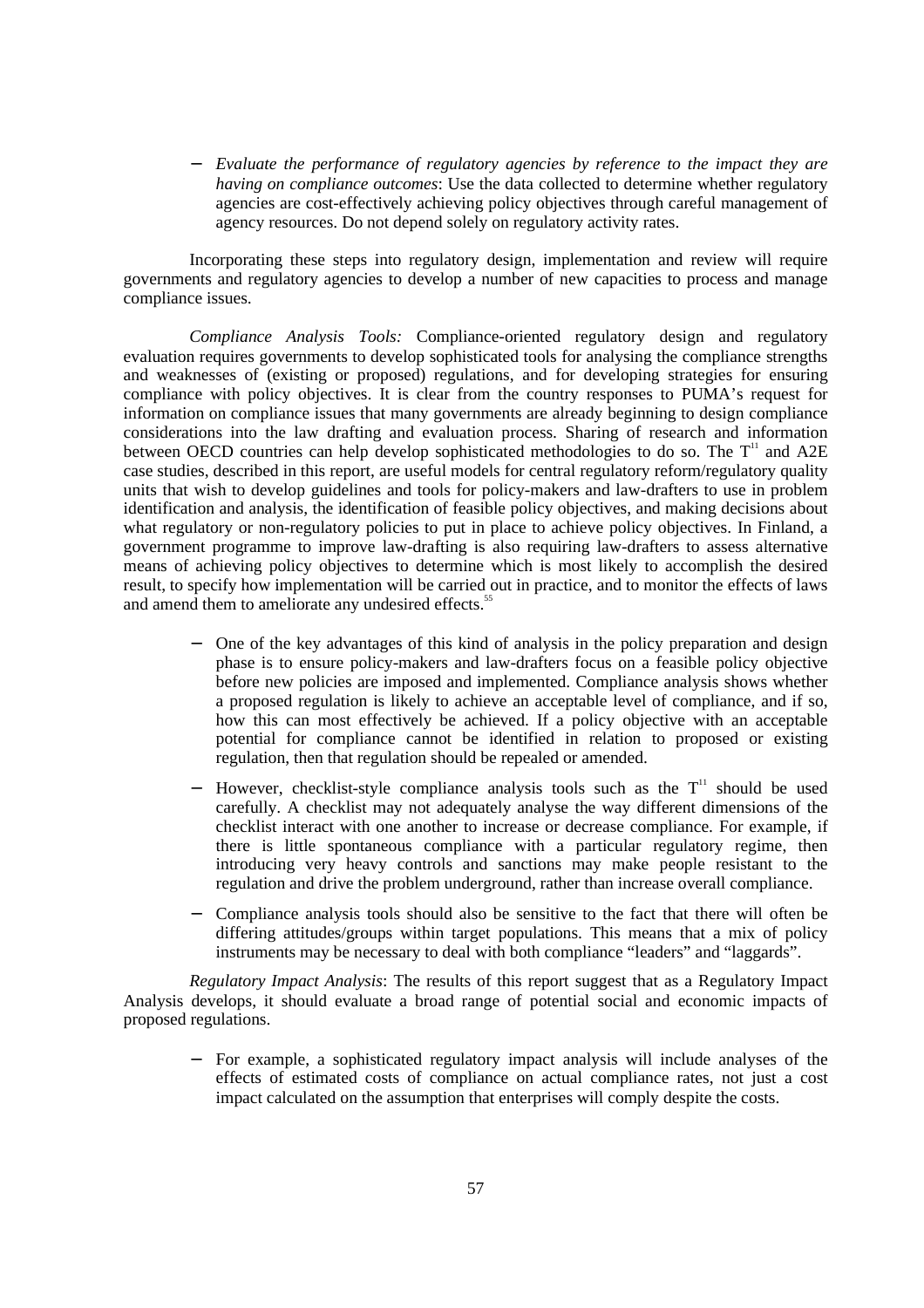− *Evaluate the performance of regulatory agencies by reference to the impact they are having on compliance outcomes*: Use the data collected to determine whether regulatory agencies are cost-effectively achieving policy objectives through careful management of agency resources. Do not depend solely on regulatory activity rates.

Incorporating these steps into regulatory design, implementation and review will require governments and regulatory agencies to develop a number of new capacities to process and manage compliance issues.

*Compliance Analysis Tools:* Compliance-oriented regulatory design and regulatory evaluation requires governments to develop sophisticated tools for analysing the compliance strengths and weaknesses of (existing or proposed) regulations, and for developing strategies for ensuring compliance with policy objectives. It is clear from the country responses to PUMA's request for information on compliance issues that many governments are already beginning to design compliance considerations into the law drafting and evaluation process. Sharing of research and information between OECD countries can help develop sophisticated methodologies to do so. The  $T<sup>11</sup>$  and A2E case studies, described in this report, are useful models for central regulatory reform/regulatory quality units that wish to develop guidelines and tools for policy-makers and law-drafters to use in problem identification and analysis, the identification of feasible policy objectives, and making decisions about what regulatory or non-regulatory policies to put in place to achieve policy objectives. In Finland, a government programme to improve law-drafting is also requiring law-drafters to assess alternative means of achieving policy objectives to determine which is most likely to accomplish the desired result, to specify how implementation will be carried out in practice, and to monitor the effects of laws and amend them to ameliorate any undesired effects.<sup>55</sup>

- − One of the key advantages of this kind of analysis in the policy preparation and design phase is to ensure policy-makers and law-drafters focus on a feasible policy objective before new policies are imposed and implemented. Compliance analysis shows whether a proposed regulation is likely to achieve an acceptable level of compliance, and if so, how this can most effectively be achieved. If a policy objective with an acceptable potential for compliance cannot be identified in relation to proposed or existing regulation, then that regulation should be repealed or amended.
- $-$  However, checklist-style compliance analysis tools such as the  $T<sup>11</sup>$  should be used carefully. A checklist may not adequately analyse the way different dimensions of the checklist interact with one another to increase or decrease compliance. For example, if there is little spontaneous compliance with a particular regulatory regime, then introducing very heavy controls and sanctions may make people resistant to the regulation and drive the problem underground, rather than increase overall compliance.
- − Compliance analysis tools should also be sensitive to the fact that there will often be differing attitudes/groups within target populations. This means that a mix of policy instruments may be necessary to deal with both compliance "leaders" and "laggards".

*Regulatory Impact Analysis*: The results of this report suggest that as a Regulatory Impact Analysis develops, it should evaluate a broad range of potential social and economic impacts of proposed regulations.

− For example, a sophisticated regulatory impact analysis will include analyses of the effects of estimated costs of compliance on actual compliance rates, not just a cost impact calculated on the assumption that enterprises will comply despite the costs.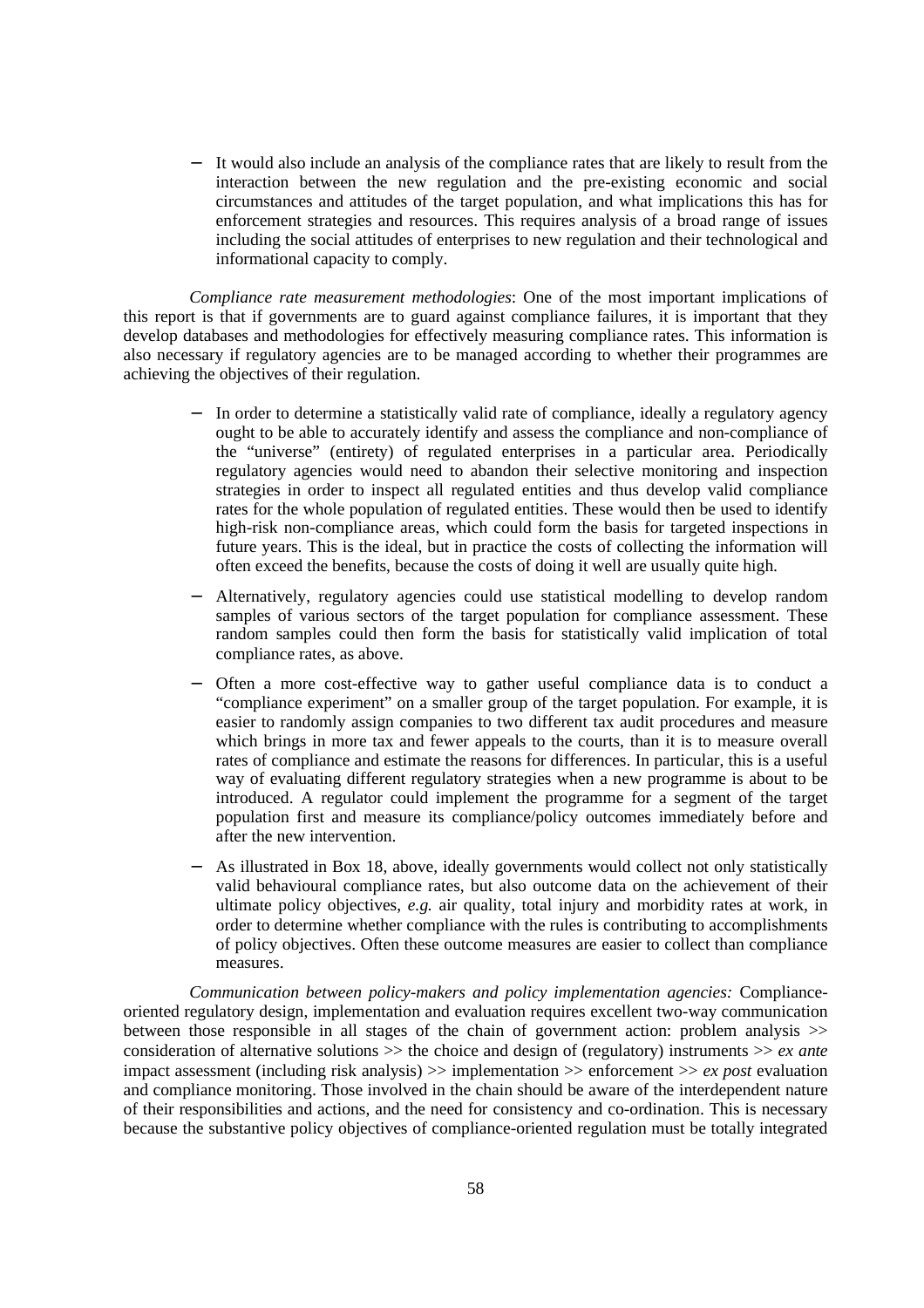− It would also include an analysis of the compliance rates that are likely to result from the interaction between the new regulation and the pre-existing economic and social circumstances and attitudes of the target population, and what implications this has for enforcement strategies and resources. This requires analysis of a broad range of issues including the social attitudes of enterprises to new regulation and their technological and informational capacity to comply.

*Compliance rate measurement methodologies*: One of the most important implications of this report is that if governments are to guard against compliance failures, it is important that they develop databases and methodologies for effectively measuring compliance rates. This information is also necessary if regulatory agencies are to be managed according to whether their programmes are achieving the objectives of their regulation.

- − In order to determine a statistically valid rate of compliance, ideally a regulatory agency ought to be able to accurately identify and assess the compliance and non-compliance of the "universe" (entirety) of regulated enterprises in a particular area. Periodically regulatory agencies would need to abandon their selective monitoring and inspection strategies in order to inspect all regulated entities and thus develop valid compliance rates for the whole population of regulated entities. These would then be used to identify high-risk non-compliance areas, which could form the basis for targeted inspections in future years. This is the ideal, but in practice the costs of collecting the information will often exceed the benefits, because the costs of doing it well are usually quite high.
- − Alternatively, regulatory agencies could use statistical modelling to develop random samples of various sectors of the target population for compliance assessment. These random samples could then form the basis for statistically valid implication of total compliance rates, as above.
- − Often a more cost-effective way to gather useful compliance data is to conduct a "compliance experiment" on a smaller group of the target population. For example, it is easier to randomly assign companies to two different tax audit procedures and measure which brings in more tax and fewer appeals to the courts, than it is to measure overall rates of compliance and estimate the reasons for differences. In particular, this is a useful way of evaluating different regulatory strategies when a new programme is about to be introduced. A regulator could implement the programme for a segment of the target population first and measure its compliance/policy outcomes immediately before and after the new intervention.
- − As illustrated in Box 18, above, ideally governments would collect not only statistically valid behavioural compliance rates, but also outcome data on the achievement of their ultimate policy objectives, *e.g.* air quality, total injury and morbidity rates at work, in order to determine whether compliance with the rules is contributing to accomplishments of policy objectives. Often these outcome measures are easier to collect than compliance measures.

*Communication between policy-makers and policy implementation agencies:* Complianceoriented regulatory design, implementation and evaluation requires excellent two-way communication between those responsible in all stages of the chain of government action: problem analysis >> consideration of alternative solutions >> the choice and design of (regulatory) instruments >> *ex ante* impact assessment (including risk analysis) >> implementation >> enforcement >> *ex post* evaluation and compliance monitoring. Those involved in the chain should be aware of the interdependent nature of their responsibilities and actions, and the need for consistency and co-ordination. This is necessary because the substantive policy objectives of compliance-oriented regulation must be totally integrated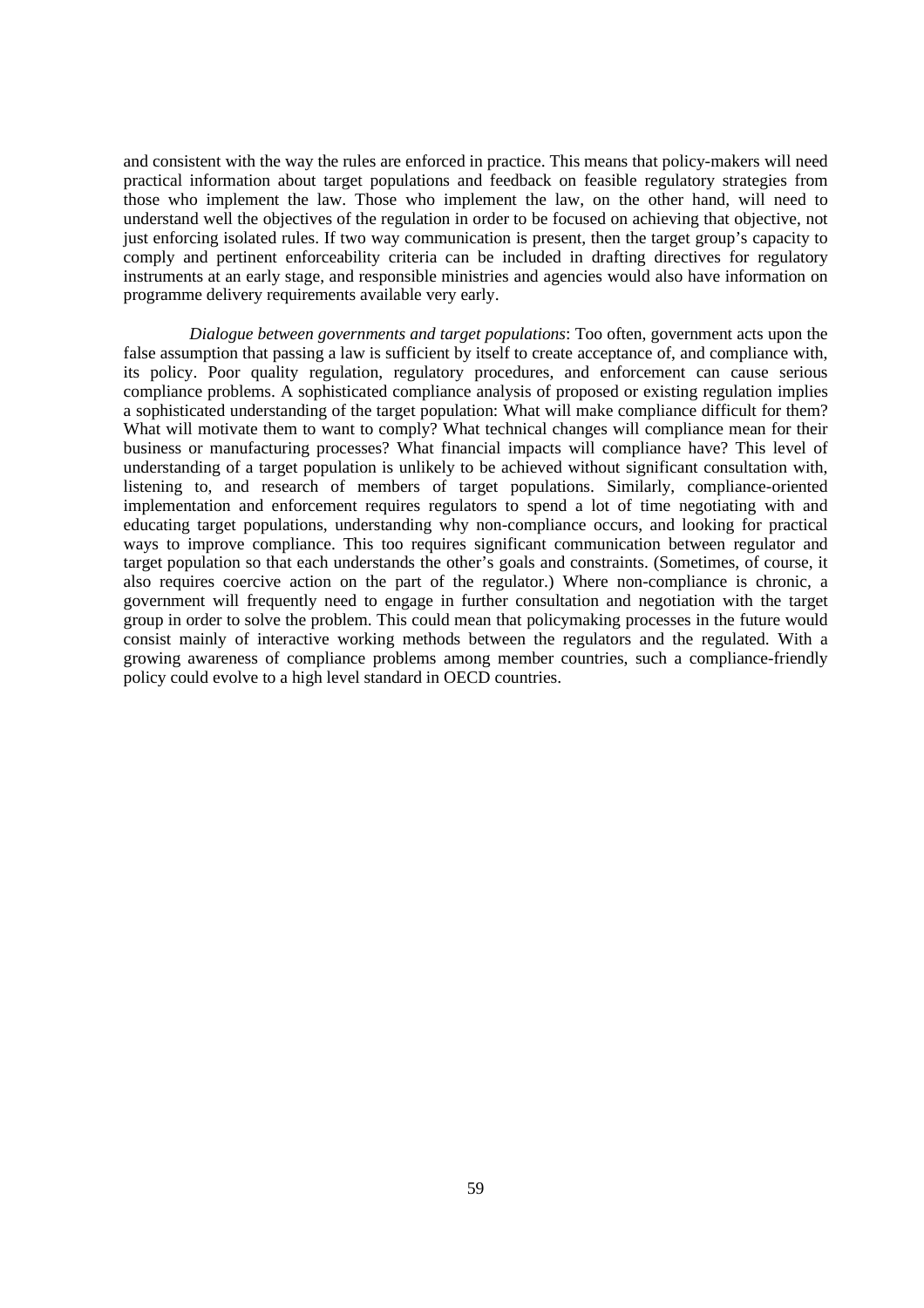and consistent with the way the rules are enforced in practice. This means that policy-makers will need practical information about target populations and feedback on feasible regulatory strategies from those who implement the law. Those who implement the law, on the other hand, will need to understand well the objectives of the regulation in order to be focused on achieving that objective, not just enforcing isolated rules. If two way communication is present, then the target group's capacity to comply and pertinent enforceability criteria can be included in drafting directives for regulatory instruments at an early stage, and responsible ministries and agencies would also have information on programme delivery requirements available very early.

*Dialogue between governments and target populations*: Too often, government acts upon the false assumption that passing a law is sufficient by itself to create acceptance of, and compliance with, its policy. Poor quality regulation, regulatory procedures, and enforcement can cause serious compliance problems. A sophisticated compliance analysis of proposed or existing regulation implies a sophisticated understanding of the target population: What will make compliance difficult for them? What will motivate them to want to comply? What technical changes will compliance mean for their business or manufacturing processes? What financial impacts will compliance have? This level of understanding of a target population is unlikely to be achieved without significant consultation with, listening to, and research of members of target populations. Similarly, compliance-oriented implementation and enforcement requires regulators to spend a lot of time negotiating with and educating target populations, understanding why non-compliance occurs, and looking for practical ways to improve compliance. This too requires significant communication between regulator and target population so that each understands the other's goals and constraints. (Sometimes, of course, it also requires coercive action on the part of the regulator.) Where non-compliance is chronic, a government will frequently need to engage in further consultation and negotiation with the target group in order to solve the problem. This could mean that policymaking processes in the future would consist mainly of interactive working methods between the regulators and the regulated. With a growing awareness of compliance problems among member countries, such a compliance-friendly policy could evolve to a high level standard in OECD countries.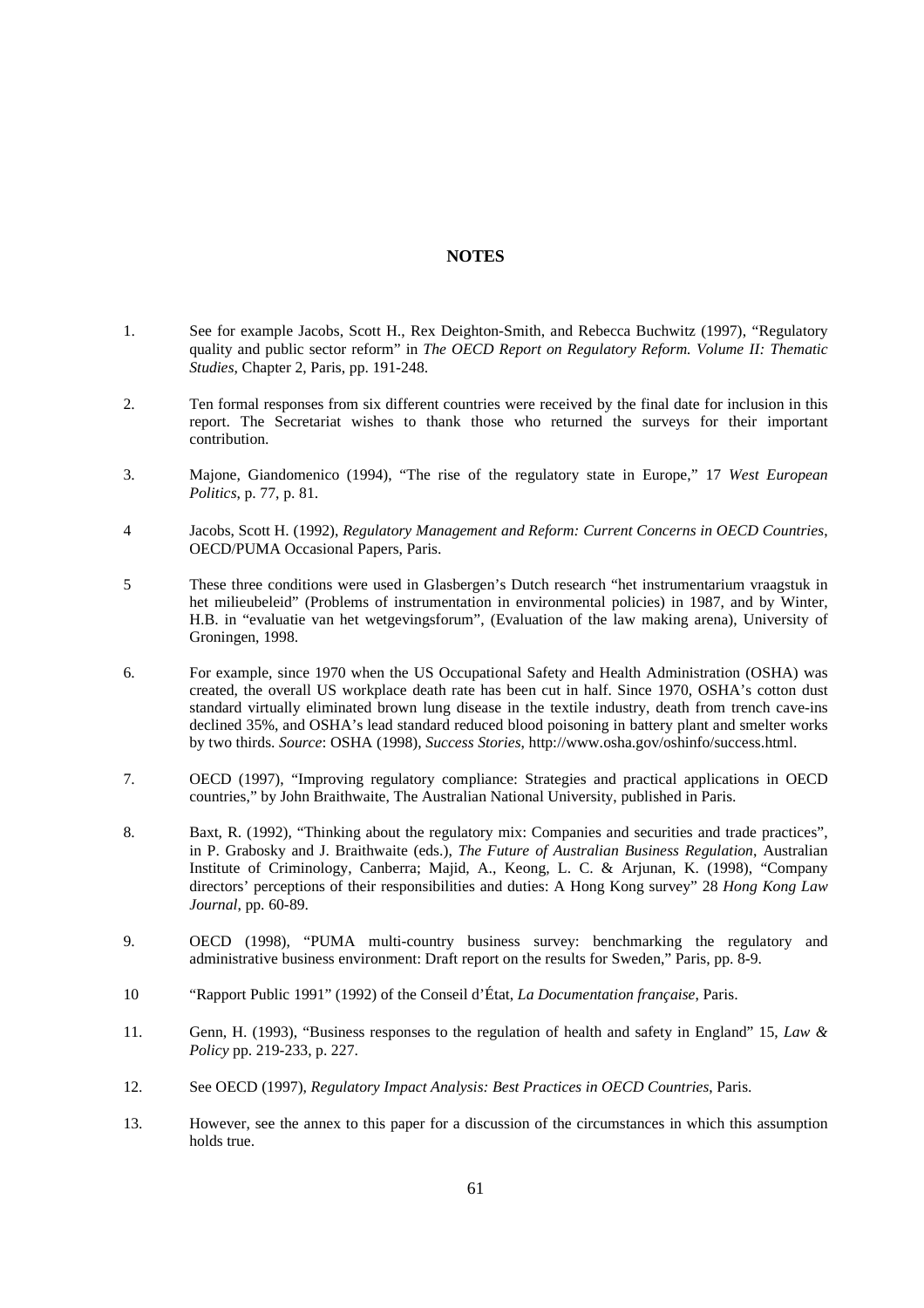#### **NOTES**

- 1. See for example Jacobs, Scott H., Rex Deighton-Smith, and Rebecca Buchwitz (1997), "Regulatory quality and public sector reform" in *The OECD Report on Regulatory Reform. Volume II: Thematic Studies*, Chapter 2, Paris, pp. 191-248.
- 2. Ten formal responses from six different countries were received by the final date for inclusion in this report. The Secretariat wishes to thank those who returned the surveys for their important contribution.
- 3. Majone, Giandomenico (1994), "The rise of the regulatory state in Europe," 17 *West European Politics*, p. 77, p. 81.
- 4 Jacobs, Scott H. (1992), *Regulatory Management and Reform: Current Concerns in OECD Countries*, OECD/PUMA Occasional Papers, Paris.
- 5 These three conditions were used in Glasbergen's Dutch research "het instrumentarium vraagstuk in het milieubeleid" (Problems of instrumentation in environmental policies) in 1987, and by Winter, H.B. in "evaluatie van het wetgevingsforum", (Evaluation of the law making arena), University of Groningen, 1998.
- 6. For example, since 1970 when the US Occupational Safety and Health Administration (OSHA) was created, the overall US workplace death rate has been cut in half. Since 1970, OSHA's cotton dust standard virtually eliminated brown lung disease in the textile industry, death from trench cave-ins declined 35%, and OSHA's lead standard reduced blood poisoning in battery plant and smelter works by two thirds. *Source*: OSHA (1998), *Success Stories*, http://www.osha.gov/oshinfo/success.html.
- 7. OECD (1997), "Improving regulatory compliance: Strategies and practical applications in OECD countries," by John Braithwaite, The Australian National University, published in Paris.
- 8. Baxt, R. (1992), "Thinking about the regulatory mix: Companies and securities and trade practices". in P. Grabosky and J. Braithwaite (eds.), *The Future of Australian Business Regulation*, Australian Institute of Criminology, Canberra; Majid, A., Keong, L. C. & Arjunan, K. (1998), "Company directors' perceptions of their responsibilities and duties: A Hong Kong survey" 28 *Hong Kong Law Journal*, pp. 60-89.
- 9. OECD (1998), "PUMA multi-country business survey: benchmarking the regulatory and administrative business environment: Draft report on the results for Sweden," Paris, pp. 8-9.
- 10 "Rapport Public 1991" (1992) of the Conseil d'État, *La Documentation française*, Paris.
- 11. Genn, H. (1993), "Business responses to the regulation of health and safety in England" 15, *Law & Policy* pp. 219-233, p. 227.
- 12. See OECD (1997), *Regulatory Impact Analysis: Best Practices in OECD Countries*, Paris.
- 13. However, see the annex to this paper for a discussion of the circumstances in which this assumption holds true.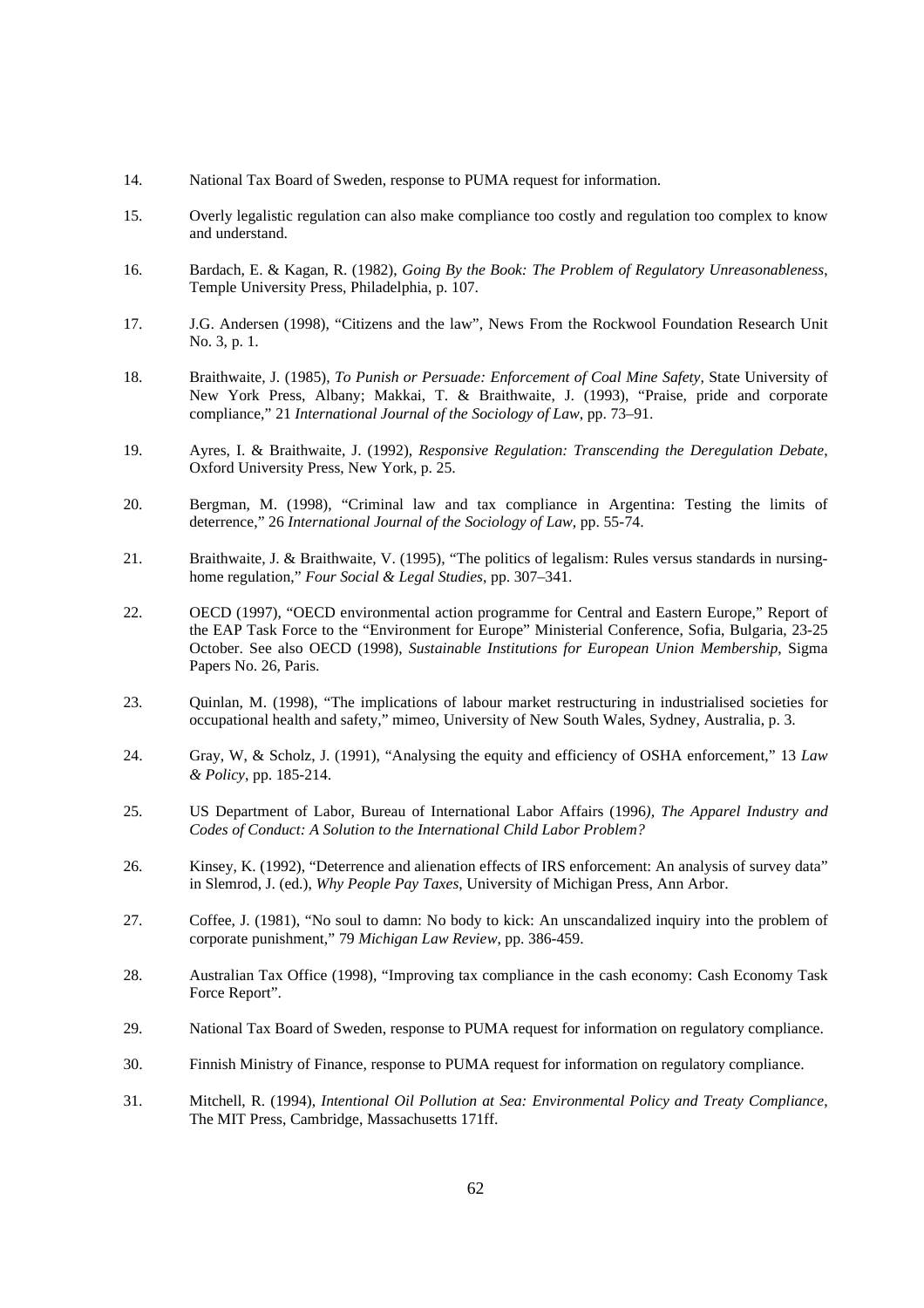- 14. National Tax Board of Sweden, response to PUMA request for information.
- 15. Overly legalistic regulation can also make compliance too costly and regulation too complex to know and understand.
- 16. Bardach, E. & Kagan, R. (1982), *Going By the Book: The Problem of Regulatory Unreasonableness*, Temple University Press, Philadelphia, p. 107.
- 17. J.G. Andersen (1998), "Citizens and the law", News From the Rockwool Foundation Research Unit No. 3, p. 1.
- 18. Braithwaite, J. (1985), *To Punish or Persuade: Enforcement of Coal Mine Safety*, State University of New York Press, Albany; Makkai, T. & Braithwaite, J. (1993), "Praise, pride and corporate compliance," 21 *International Journal of the Sociology of Law*, pp. 73–91.
- 19. Ayres, I. & Braithwaite, J. (1992), *Responsive Regulation: Transcending the Deregulation Debate*, Oxford University Press, New York, p. 25.
- 20. Bergman, M. (1998), "Criminal law and tax compliance in Argentina: Testing the limits of deterrence," 26 *International Journal of the Sociology of Law*, pp. 55-74.
- 21. Braithwaite, J. & Braithwaite, V. (1995), "The politics of legalism: Rules versus standards in nursinghome regulation," *Four Social & Legal Studies*, pp. 307–341.
- 22. OECD (1997), "OECD environmental action programme for Central and Eastern Europe," Report of the EAP Task Force to the "Environment for Europe" Ministerial Conference, Sofia, Bulgaria, 23-25 October. See also OECD (1998), *Sustainable Institutions for European Union Membership*, Sigma Papers No. 26, Paris.
- 23. Quinlan, M. (1998), "The implications of labour market restructuring in industrialised societies for occupational health and safety," mimeo, University of New South Wales, Sydney, Australia, p. 3.
- 24. Gray, W, & Scholz, J. (1991), "Analysing the equity and efficiency of OSHA enforcement," 13 *Law & Policy*, pp. 185-214.
- 25. US Department of Labor, Bureau of International Labor Affairs (1996*), The Apparel Industry and Codes of Conduct: A Solution to the International Child Labor Problem?*
- 26. Kinsey, K. (1992), "Deterrence and alienation effects of IRS enforcement: An analysis of survey data" in Slemrod, J. (ed.), *Why People Pay Taxes*, University of Michigan Press, Ann Arbor.
- 27. Coffee, J. (1981), "No soul to damn: No body to kick: An unscandalized inquiry into the problem of corporate punishment," 79 *Michigan Law Review*, pp. 386-459.
- 28. Australian Tax Office (1998), "Improving tax compliance in the cash economy: Cash Economy Task Force Report".
- 29. National Tax Board of Sweden, response to PUMA request for information on regulatory compliance.
- 30. Finnish Ministry of Finance, response to PUMA request for information on regulatory compliance.
- 31. Mitchell, R. (1994), *Intentional Oil Pollution at Sea: Environmental Policy and Treaty Compliance*, The MIT Press, Cambridge, Massachusetts 171ff.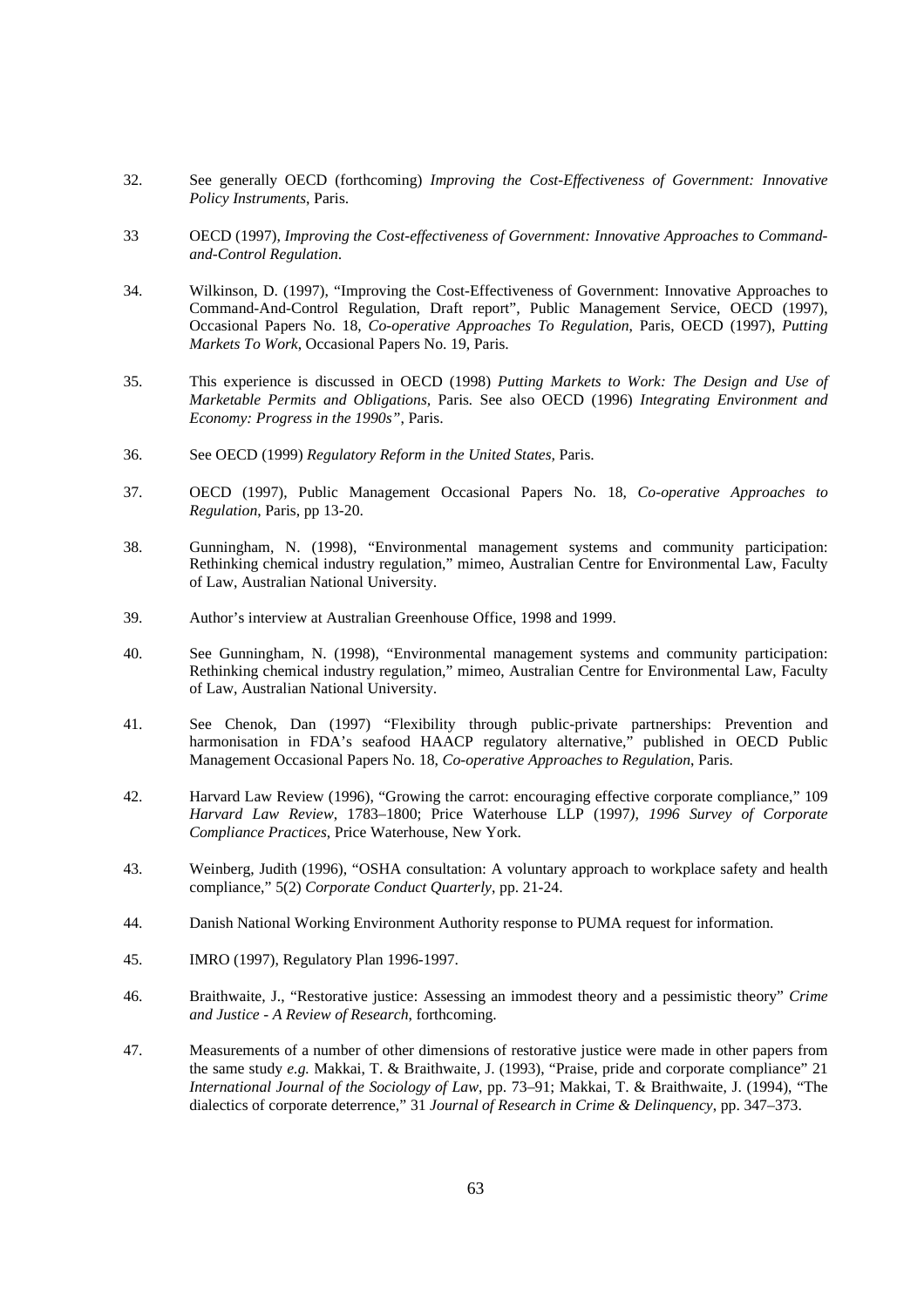- 32. See generally OECD (forthcoming) *Improving the Cost-Effectiveness of Government: Innovative Policy Instruments*, Paris.
- 33 OECD (1997), *Improving the Cost-effectiveness of Government: Innovative Approaches to Commandand-Control Regulation*.
- 34. Wilkinson, D. (1997), "Improving the Cost-Effectiveness of Government: Innovative Approaches to Command-And-Control Regulation, Draft report", Public Management Service, OECD (1997), Occasional Papers No. 18, *Co-operative Approaches To Regulation*, Paris, OECD (1997), *Putting Markets To Work*, Occasional Papers No. 19, Paris.
- 35. This experience is discussed in OECD (1998) *Putting Markets to Work: The Design and Use of Marketable Permits and Obligations,* Paris*.* See also OECD (1996) *Integrating Environment and Economy: Progress in the 1990s"*, Paris.
- 36. See OECD (1999) *Regulatory Reform in the United States,* Paris.
- 37. OECD (1997), Public Management Occasional Papers No. 18, *Co-operative Approaches to Regulation*, Paris, pp 13-20.
- 38. Gunningham, N. (1998), "Environmental management systems and community participation: Rethinking chemical industry regulation," mimeo, Australian Centre for Environmental Law, Faculty of Law, Australian National University.
- 39. Author's interview at Australian Greenhouse Office, 1998 and 1999.
- 40. See Gunningham, N. (1998), "Environmental management systems and community participation: Rethinking chemical industry regulation," mimeo, Australian Centre for Environmental Law, Faculty of Law, Australian National University.
- 41. See Chenok, Dan (1997) "Flexibility through public-private partnerships: Prevention and harmonisation in FDA's seafood HAACP regulatory alternative," published in OECD Public Management Occasional Papers No. 18, *Co-operative Approaches to Regulation*, Paris.
- 42. Harvard Law Review (1996), "Growing the carrot: encouraging effective corporate compliance," 109 *Harvard Law Review*, 1783–1800; Price Waterhouse LLP (1997*), 1996 Survey of Corporate Compliance Practices*, Price Waterhouse, New York.
- 43. Weinberg, Judith (1996), "OSHA consultation: A voluntary approach to workplace safety and health compliance," 5(2) *Corporate Conduct Quarterly*, pp. 21-24.
- 44. Danish National Working Environment Authority response to PUMA request for information.
- 45. IMRO (1997), Regulatory Plan 1996-1997.
- 46. Braithwaite, J., "Restorative justice: Assessing an immodest theory and a pessimistic theory" *Crime and Justice - A Review of Research*, forthcoming.
- 47. Measurements of a number of other dimensions of restorative justice were made in other papers from the same study *e.g.* Makkai, T. & Braithwaite, J. (1993), "Praise, pride and corporate compliance" 21 *International Journal of the Sociology of Law*, pp. 73–91; Makkai, T. & Braithwaite, J. (1994), "The dialectics of corporate deterrence," 31 *Journal of Research in Crime & Delinquency*, pp. 347–373.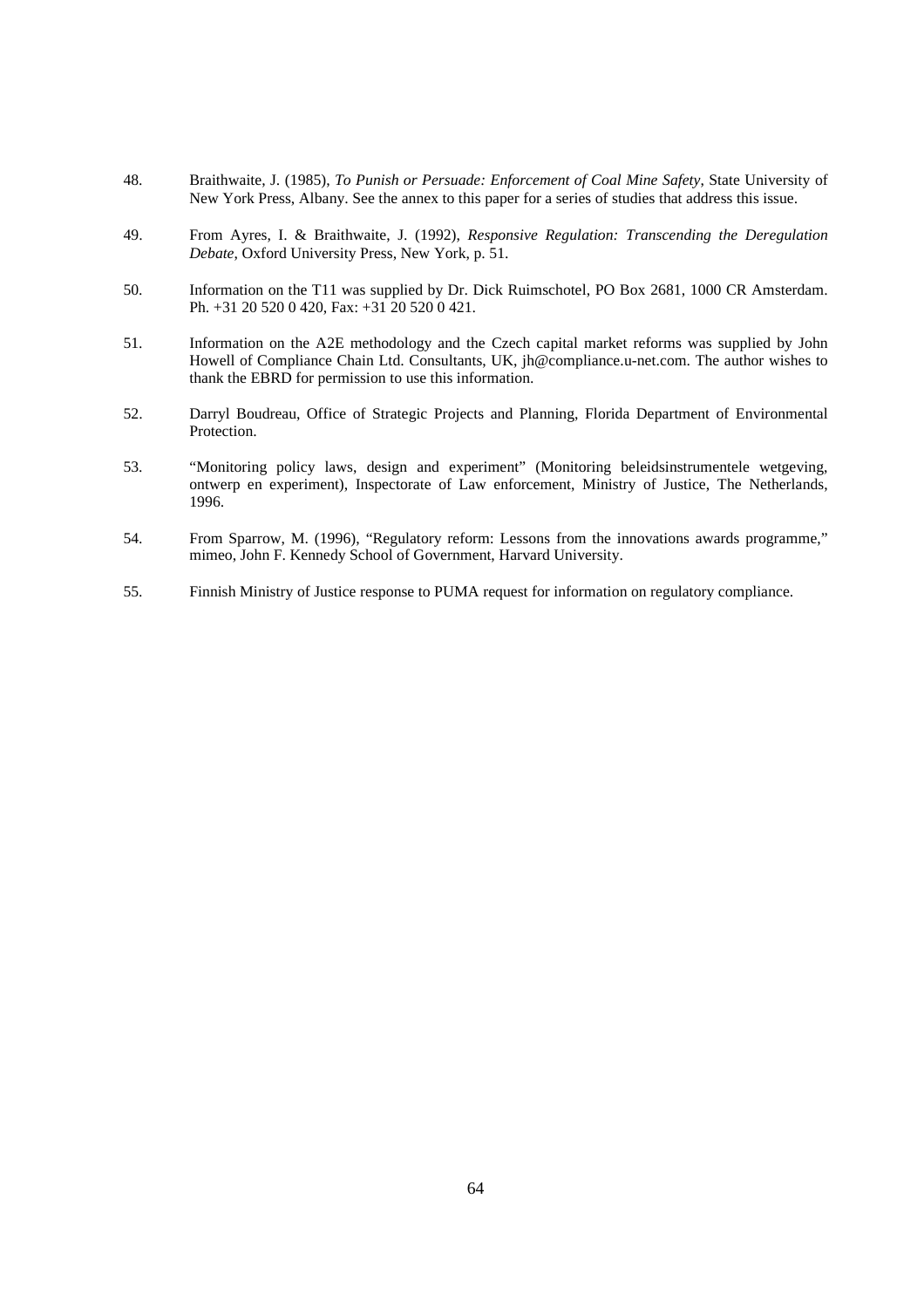- 48. Braithwaite, J. (1985), *To Punish or Persuade: Enforcement of Coal Mine Safety*, State University of New York Press, Albany. See the annex to this paper for a series of studies that address this issue.
- 49. From Ayres, I. & Braithwaite, J. (1992), *Responsive Regulation: Transcending the Deregulation Debate*, Oxford University Press, New York, p. 51.
- 50. Information on the T11 was supplied by Dr. Dick Ruimschotel, PO Box 2681, 1000 CR Amsterdam. Ph. +31 20 520 0 420, Fax: +31 20 520 0 421.
- 51. Information on the A2E methodology and the Czech capital market reforms was supplied by John Howell of Compliance Chain Ltd. Consultants, UK, jh@compliance.u-net.com. The author wishes to thank the EBRD for permission to use this information.
- 52. Darryl Boudreau, Office of Strategic Projects and Planning, Florida Department of Environmental Protection.
- 53. "Monitoring policy laws, design and experiment" (Monitoring beleidsinstrumentele wetgeving, ontwerp en experiment), Inspectorate of Law enforcement, Ministry of Justice, The Netherlands, 1996.
- 54. From Sparrow, M. (1996), "Regulatory reform: Lessons from the innovations awards programme," mimeo, John F. Kennedy School of Government, Harvard University.
- 55. Finnish Ministry of Justice response to PUMA request for information on regulatory compliance.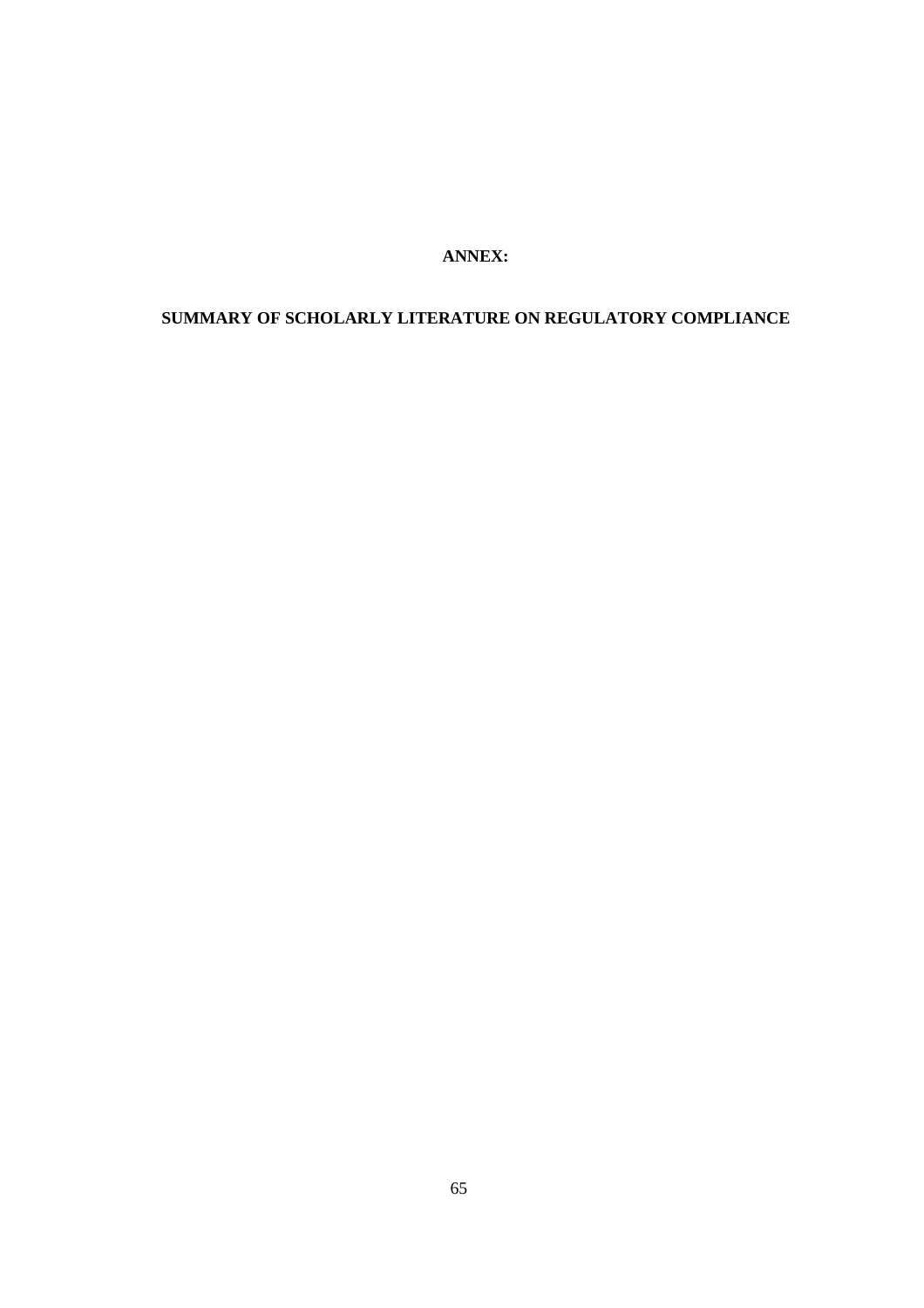**ANNEX:**

# **SUMMARY OF SCHOLARLY LITERATURE ON REGULATORY COMPLIANCE**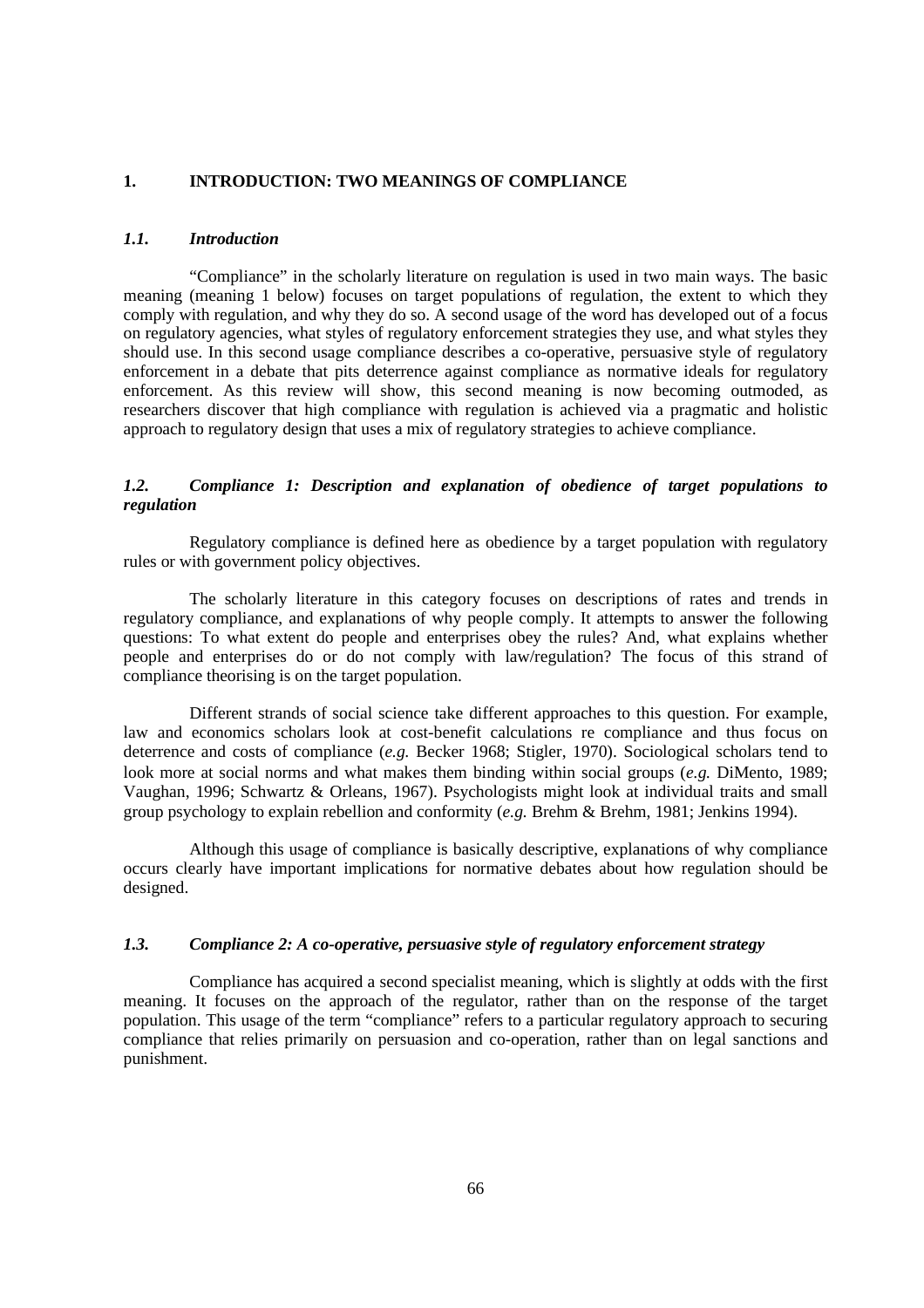## **1. INTRODUCTION: TWO MEANINGS OF COMPLIANCE**

## *1.1. Introduction*

"Compliance" in the scholarly literature on regulation is used in two main ways. The basic meaning (meaning 1 below) focuses on target populations of regulation, the extent to which they comply with regulation, and why they do so. A second usage of the word has developed out of a focus on regulatory agencies, what styles of regulatory enforcement strategies they use, and what styles they should use. In this second usage compliance describes a co-operative, persuasive style of regulatory enforcement in a debate that pits deterrence against compliance as normative ideals for regulatory enforcement. As this review will show, this second meaning is now becoming outmoded, as researchers discover that high compliance with regulation is achieved via a pragmatic and holistic approach to regulatory design that uses a mix of regulatory strategies to achieve compliance.

# *1.2. Compliance 1: Description and explanation of obedience of target populations to regulation*

Regulatory compliance is defined here as obedience by a target population with regulatory rules or with government policy objectives.

The scholarly literature in this category focuses on descriptions of rates and trends in regulatory compliance, and explanations of why people comply. It attempts to answer the following questions: To what extent do people and enterprises obey the rules? And, what explains whether people and enterprises do or do not comply with law/regulation? The focus of this strand of compliance theorising is on the target population.

Different strands of social science take different approaches to this question. For example, law and economics scholars look at cost-benefit calculations re compliance and thus focus on deterrence and costs of compliance (*e.g.* Becker 1968; Stigler, 1970). Sociological scholars tend to look more at social norms and what makes them binding within social groups (*e.g.* DiMento, 1989; Vaughan, 1996; Schwartz & Orleans, 1967). Psychologists might look at individual traits and small group psychology to explain rebellion and conformity (*e.g.* Brehm & Brehm, 1981; Jenkins 1994).

Although this usage of compliance is basically descriptive, explanations of why compliance occurs clearly have important implications for normative debates about how regulation should be designed.

## *1.3. Compliance 2: A co-operative, persuasive style of regulatory enforcement strategy*

Compliance has acquired a second specialist meaning, which is slightly at odds with the first meaning. It focuses on the approach of the regulator, rather than on the response of the target population. This usage of the term "compliance" refers to a particular regulatory approach to securing compliance that relies primarily on persuasion and co-operation, rather than on legal sanctions and punishment.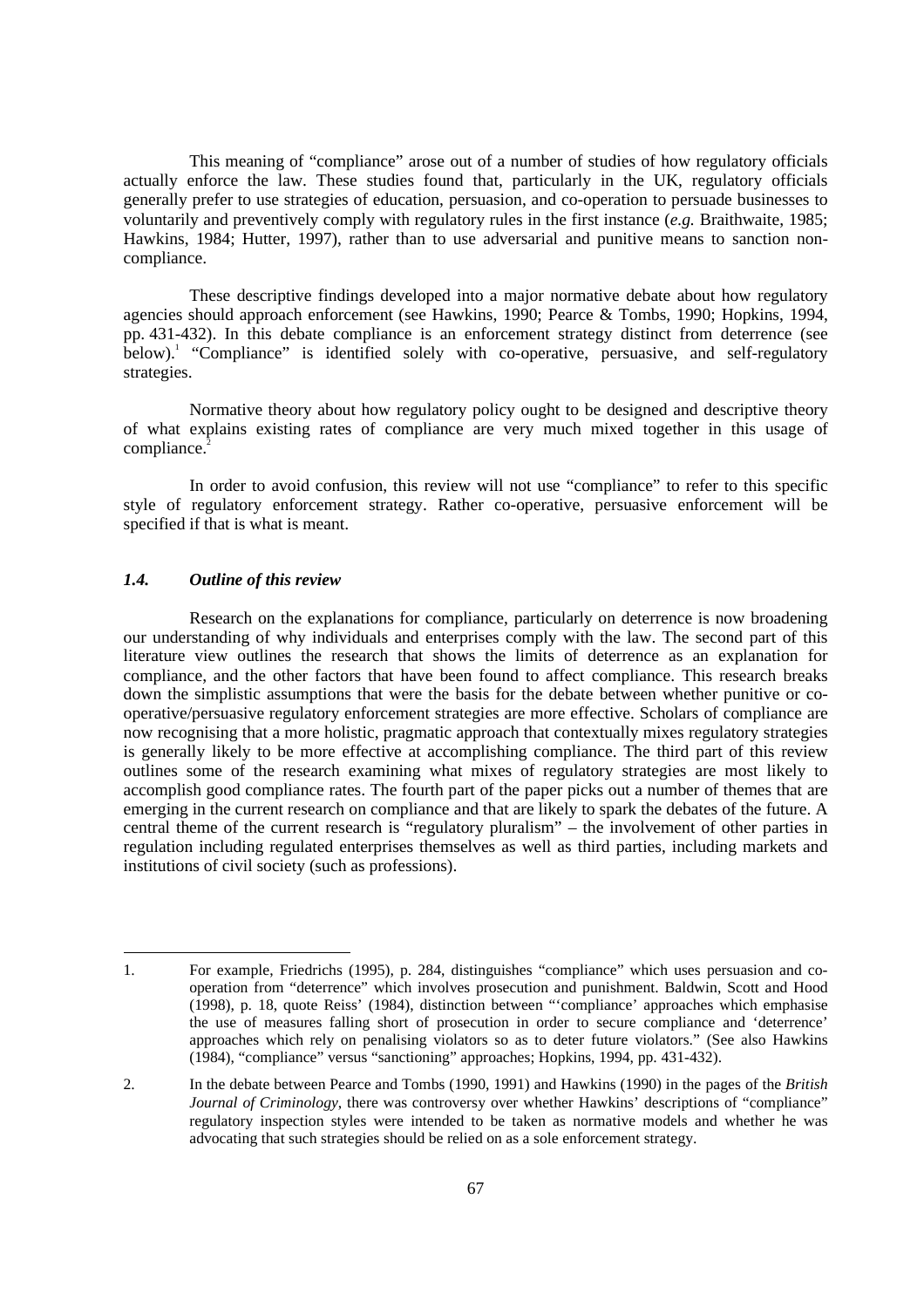This meaning of "compliance" arose out of a number of studies of how regulatory officials actually enforce the law. These studies found that, particularly in the UK, regulatory officials generally prefer to use strategies of education, persuasion, and co-operation to persuade businesses to voluntarily and preventively comply with regulatory rules in the first instance (*e.g.* Braithwaite, 1985; Hawkins, 1984; Hutter, 1997), rather than to use adversarial and punitive means to sanction noncompliance.

These descriptive findings developed into a major normative debate about how regulatory agencies should approach enforcement (see Hawkins, 1990; Pearce & Tombs, 1990; Hopkins, 1994, pp. 431-432). In this debate compliance is an enforcement strategy distinct from deterrence (see  $\text{below}.$ <sup>1</sup> "Compliance" is identified solely with co-operative, persuasive, and self-regulatory strategies.

Normative theory about how regulatory policy ought to be designed and descriptive theory of what explains existing rates of compliance are very much mixed together in this usage of compliance.<sup>2</sup>

In order to avoid confusion, this review will not use "compliance" to refer to this specific style of regulatory enforcement strategy. Rather co-operative, persuasive enforcement will be specified if that is what is meant.

## *1.4. Outline of this review*

j

Research on the explanations for compliance, particularly on deterrence is now broadening our understanding of why individuals and enterprises comply with the law. The second part of this literature view outlines the research that shows the limits of deterrence as an explanation for compliance, and the other factors that have been found to affect compliance. This research breaks down the simplistic assumptions that were the basis for the debate between whether punitive or cooperative/persuasive regulatory enforcement strategies are more effective. Scholars of compliance are now recognising that a more holistic, pragmatic approach that contextually mixes regulatory strategies is generally likely to be more effective at accomplishing compliance. The third part of this review outlines some of the research examining what mixes of regulatory strategies are most likely to accomplish good compliance rates. The fourth part of the paper picks out a number of themes that are emerging in the current research on compliance and that are likely to spark the debates of the future. A central theme of the current research is "regulatory pluralism" – the involvement of other parties in regulation including regulated enterprises themselves as well as third parties, including markets and institutions of civil society (such as professions).

<sup>1.</sup> For example, Friedrichs (1995), p. 284, distinguishes "compliance" which uses persuasion and cooperation from "deterrence" which involves prosecution and punishment. Baldwin, Scott and Hood (1998), p. 18, quote Reiss' (1984), distinction between "'compliance' approaches which emphasise the use of measures falling short of prosecution in order to secure compliance and 'deterrence' approaches which rely on penalising violators so as to deter future violators." (See also Hawkins (1984), "compliance" versus "sanctioning" approaches; Hopkins, 1994, pp. 431-432).

<sup>2.</sup> In the debate between Pearce and Tombs (1990, 1991) and Hawkins (1990) in the pages of the *British Journal of Criminology*, there was controversy over whether Hawkins' descriptions of "compliance" regulatory inspection styles were intended to be taken as normative models and whether he was advocating that such strategies should be relied on as a sole enforcement strategy.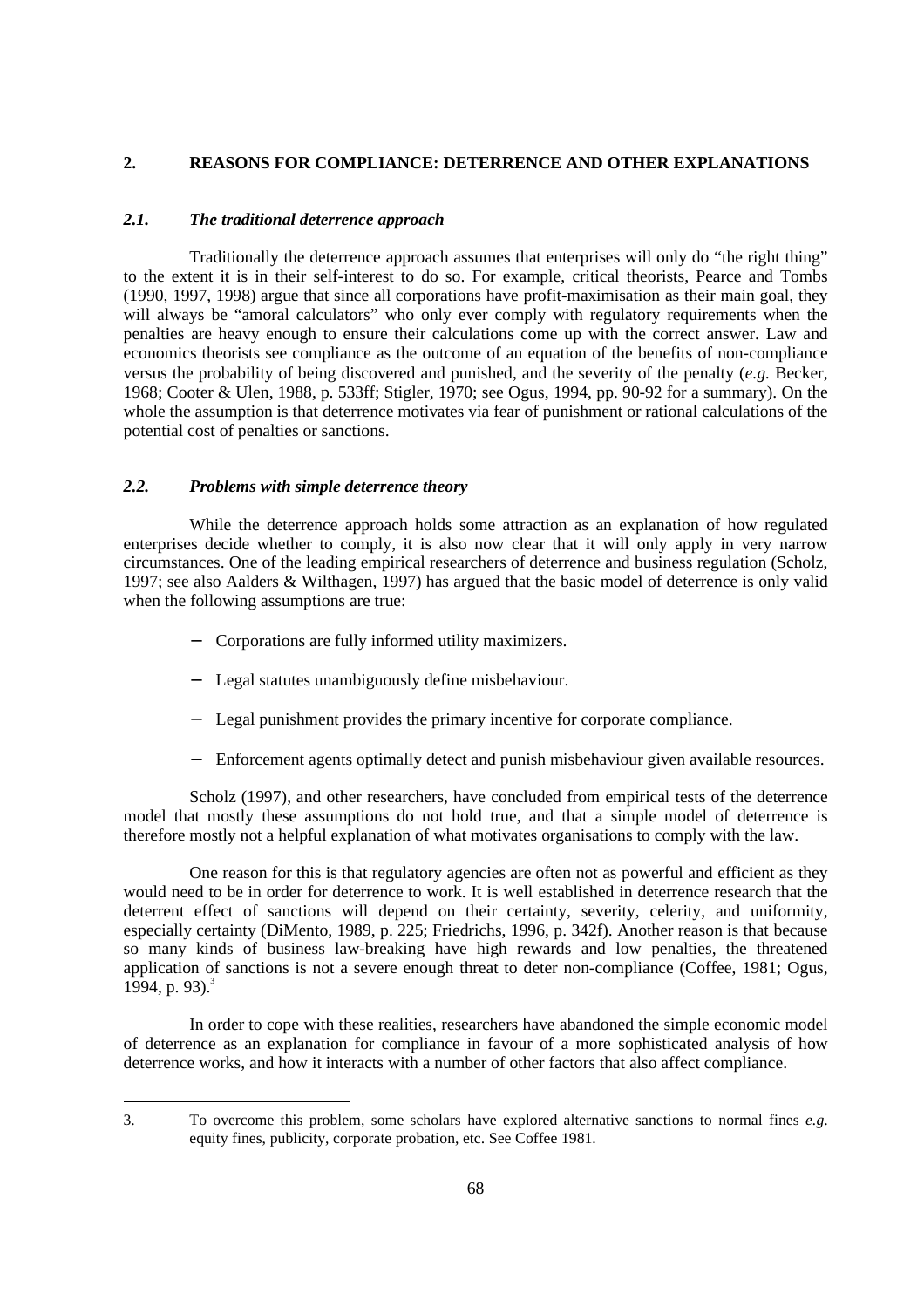# **2. REASONS FOR COMPLIANCE: DETERRENCE AND OTHER EXPLANATIONS**

## *2.1. The traditional deterrence approach*

Traditionally the deterrence approach assumes that enterprises will only do "the right thing" to the extent it is in their self-interest to do so. For example, critical theorists, Pearce and Tombs (1990, 1997, 1998) argue that since all corporations have profit-maximisation as their main goal, they will always be "amoral calculators" who only ever comply with regulatory requirements when the penalties are heavy enough to ensure their calculations come up with the correct answer. Law and economics theorists see compliance as the outcome of an equation of the benefits of non-compliance versus the probability of being discovered and punished, and the severity of the penalty (*e.g.* Becker, 1968; Cooter & Ulen, 1988, p. 533ff; Stigler, 1970; see Ogus, 1994, pp. 90-92 for a summary). On the whole the assumption is that deterrence motivates via fear of punishment or rational calculations of the potential cost of penalties or sanctions.

# *2.2. Problems with simple deterrence theory*

j

While the deterrence approach holds some attraction as an explanation of how regulated enterprises decide whether to comply, it is also now clear that it will only apply in very narrow circumstances. One of the leading empirical researchers of deterrence and business regulation (Scholz, 1997; see also Aalders & Wilthagen, 1997) has argued that the basic model of deterrence is only valid when the following assumptions are true:

- − Corporations are fully informed utility maximizers.
- − Legal statutes unambiguously define misbehaviour.
- − Legal punishment provides the primary incentive for corporate compliance.
- − Enforcement agents optimally detect and punish misbehaviour given available resources.

Scholz (1997), and other researchers, have concluded from empirical tests of the deterrence model that mostly these assumptions do not hold true, and that a simple model of deterrence is therefore mostly not a helpful explanation of what motivates organisations to comply with the law.

One reason for this is that regulatory agencies are often not as powerful and efficient as they would need to be in order for deterrence to work. It is well established in deterrence research that the deterrent effect of sanctions will depend on their certainty, severity, celerity, and uniformity, especially certainty (DiMento, 1989, p. 225; Friedrichs, 1996, p. 342f). Another reason is that because so many kinds of business law-breaking have high rewards and low penalties, the threatened application of sanctions is not a severe enough threat to deter non-compliance (Coffee, 1981; Ogus,  $1994$ , p. 93).<sup>3</sup>

In order to cope with these realities, researchers have abandoned the simple economic model of deterrence as an explanation for compliance in favour of a more sophisticated analysis of how deterrence works, and how it interacts with a number of other factors that also affect compliance.

<sup>3.</sup> To overcome this problem, some scholars have explored alternative sanctions to normal fines *e.g*. equity fines, publicity, corporate probation, etc. See Coffee 1981.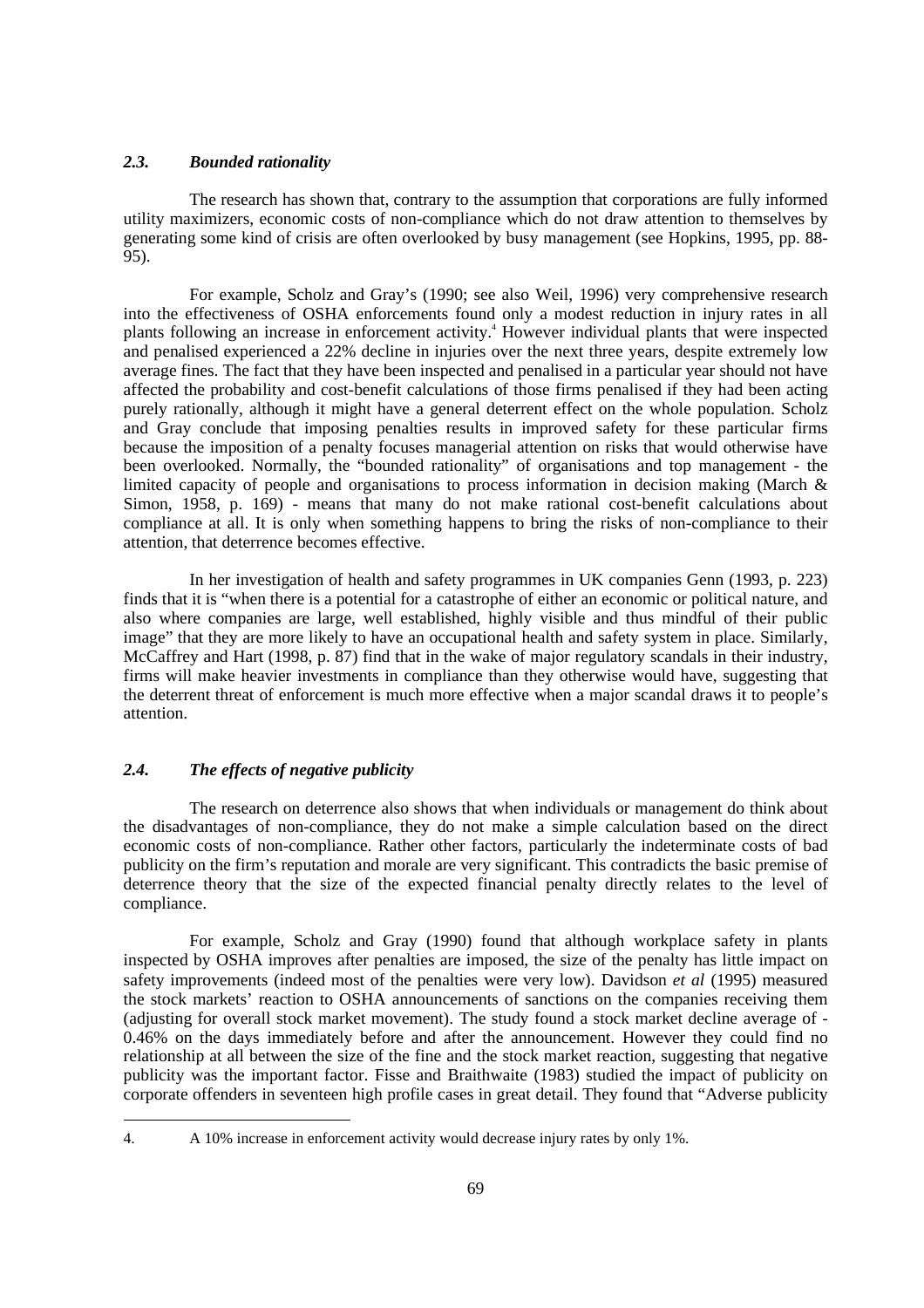## *2.3. Bounded rationality*

The research has shown that, contrary to the assumption that corporations are fully informed utility maximizers, economic costs of non-compliance which do not draw attention to themselves by generating some kind of crisis are often overlooked by busy management (see Hopkins, 1995, pp. 88- 95).

For example, Scholz and Gray's (1990; see also Weil, 1996) very comprehensive research into the effectiveness of OSHA enforcements found only a modest reduction in injury rates in all plants following an increase in enforcement activity.<sup>4</sup> However individual plants that were inspected and penalised experienced a 22% decline in injuries over the next three years, despite extremely low average fines. The fact that they have been inspected and penalised in a particular year should not have affected the probability and cost-benefit calculations of those firms penalised if they had been acting purely rationally, although it might have a general deterrent effect on the whole population. Scholz and Gray conclude that imposing penalties results in improved safety for these particular firms because the imposition of a penalty focuses managerial attention on risks that would otherwise have been overlooked. Normally, the "bounded rationality" of organisations and top management - the limited capacity of people and organisations to process information in decision making (March & Simon, 1958, p. 169) - means that many do not make rational cost-benefit calculations about compliance at all. It is only when something happens to bring the risks of non-compliance to their attention, that deterrence becomes effective.

In her investigation of health and safety programmes in UK companies Genn (1993, p. 223) finds that it is "when there is a potential for a catastrophe of either an economic or political nature, and also where companies are large, well established, highly visible and thus mindful of their public image" that they are more likely to have an occupational health and safety system in place. Similarly, McCaffrey and Hart (1998, p. 87) find that in the wake of major regulatory scandals in their industry, firms will make heavier investments in compliance than they otherwise would have, suggesting that the deterrent threat of enforcement is much more effective when a major scandal draws it to people's attention.

# *2.4. The effects of negative publicity*

 $\overline{a}$ 

The research on deterrence also shows that when individuals or management do think about the disadvantages of non-compliance, they do not make a simple calculation based on the direct economic costs of non-compliance. Rather other factors, particularly the indeterminate costs of bad publicity on the firm's reputation and morale are very significant. This contradicts the basic premise of deterrence theory that the size of the expected financial penalty directly relates to the level of compliance.

For example, Scholz and Gray (1990) found that although workplace safety in plants inspected by OSHA improves after penalties are imposed, the size of the penalty has little impact on safety improvements (indeed most of the penalties were very low). Davidson *et al* (1995) measured the stock markets' reaction to OSHA announcements of sanctions on the companies receiving them (adjusting for overall stock market movement). The study found a stock market decline average of - 0.46% on the days immediately before and after the announcement. However they could find no relationship at all between the size of the fine and the stock market reaction, suggesting that negative publicity was the important factor. Fisse and Braithwaite (1983) studied the impact of publicity on corporate offenders in seventeen high profile cases in great detail. They found that "Adverse publicity

<sup>4.</sup> A 10% increase in enforcement activity would decrease injury rates by only 1%.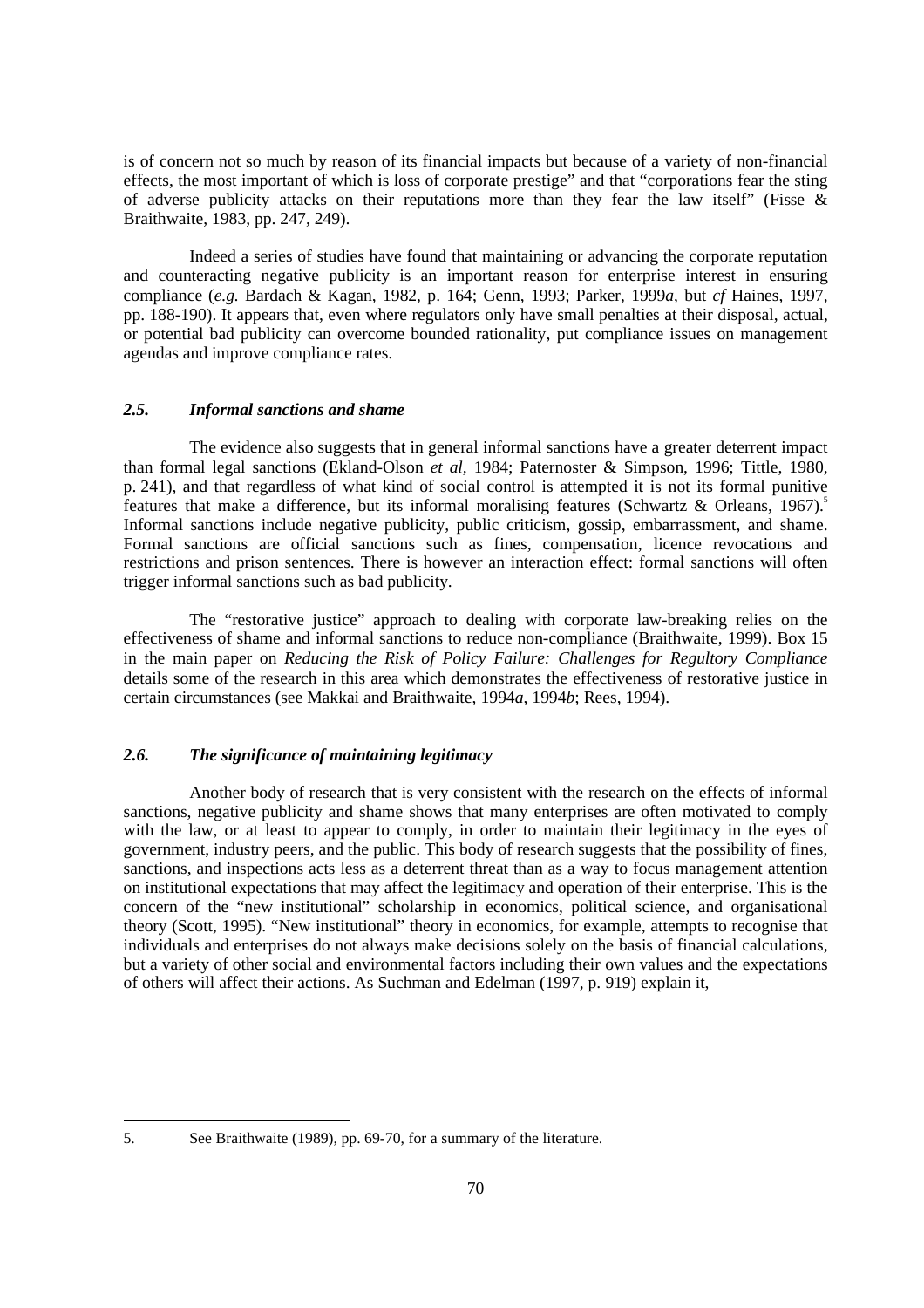is of concern not so much by reason of its financial impacts but because of a variety of non-financial effects, the most important of which is loss of corporate prestige" and that "corporations fear the sting of adverse publicity attacks on their reputations more than they fear the law itself" (Fisse  $\&$ Braithwaite, 1983, pp. 247, 249).

Indeed a series of studies have found that maintaining or advancing the corporate reputation and counteracting negative publicity is an important reason for enterprise interest in ensuring compliance (*e.g.* Bardach & Kagan, 1982, p. 164; Genn, 1993; Parker, 1999*a*, but *cf* Haines, 1997, pp. 188-190). It appears that, even where regulators only have small penalties at their disposal, actual, or potential bad publicity can overcome bounded rationality, put compliance issues on management agendas and improve compliance rates.

# *2.5. Informal sanctions and shame*

The evidence also suggests that in general informal sanctions have a greater deterrent impact than formal legal sanctions (Ekland-Olson *et al,* 1984; Paternoster & Simpson, 1996; Tittle, 1980, p. 241), and that regardless of what kind of social control is attempted it is not its formal punitive features that make a difference, but its informal moralising features (Schwartz & Orleans, 1967).<sup>5</sup> Informal sanctions include negative publicity, public criticism, gossip, embarrassment, and shame. Formal sanctions are official sanctions such as fines, compensation, licence revocations and restrictions and prison sentences. There is however an interaction effect: formal sanctions will often trigger informal sanctions such as bad publicity.

The "restorative justice" approach to dealing with corporate law-breaking relies on the effectiveness of shame and informal sanctions to reduce non-compliance (Braithwaite, 1999). Box 15 in the main paper on *Reducing the Risk of Policy Failure: Challenges for Regultory Compliance* details some of the research in this area which demonstrates the effectiveness of restorative justice in certain circumstances (see Makkai and Braithwaite, 1994*a*, 1994*b*; Rees, 1994).

# *2.6. The significance of maintaining legitimacy*

Another body of research that is very consistent with the research on the effects of informal sanctions, negative publicity and shame shows that many enterprises are often motivated to comply with the law, or at least to appear to comply, in order to maintain their legitimacy in the eyes of government, industry peers, and the public. This body of research suggests that the possibility of fines, sanctions, and inspections acts less as a deterrent threat than as a way to focus management attention on institutional expectations that may affect the legitimacy and operation of their enterprise. This is the concern of the "new institutional" scholarship in economics, political science, and organisational theory (Scott, 1995). "New institutional" theory in economics, for example, attempts to recognise that individuals and enterprises do not always make decisions solely on the basis of financial calculations, but a variety of other social and environmental factors including their own values and the expectations of others will affect their actions. As Suchman and Edelman (1997, p. 919) explain it,

 $\overline{a}$ 

<sup>5.</sup> See Braithwaite (1989), pp. 69-70, for a summary of the literature.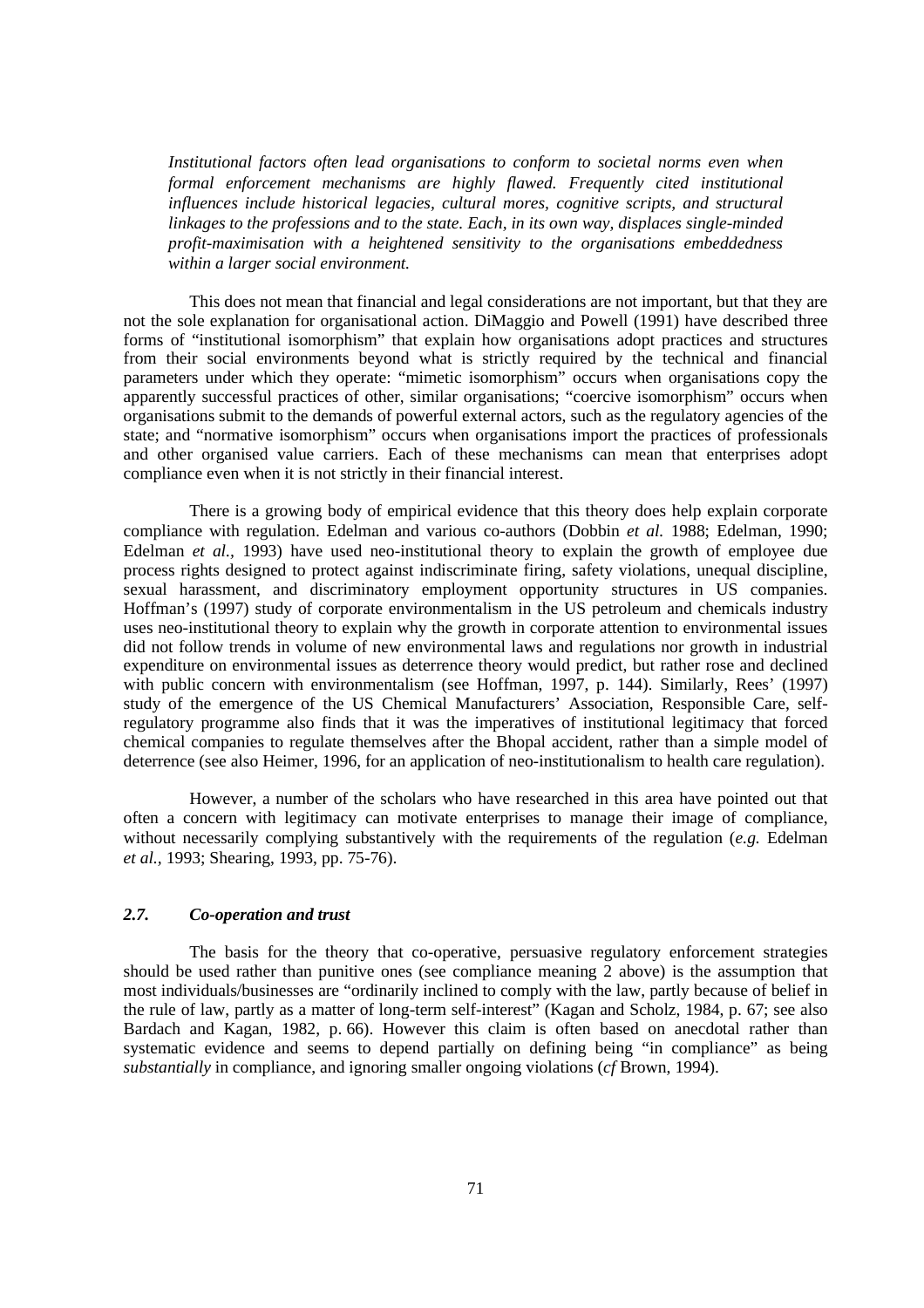*Institutional factors often lead organisations to conform to societal norms even when formal enforcement mechanisms are highly flawed. Frequently cited institutional influences include historical legacies, cultural mores, cognitive scripts, and structural linkages to the professions and to the state. Each, in its own way, displaces single-minded profit-maximisation with a heightened sensitivity to the organisations embeddedness within a larger social environment.*

This does not mean that financial and legal considerations are not important, but that they are not the sole explanation for organisational action. DiMaggio and Powell (1991) have described three forms of "institutional isomorphism" that explain how organisations adopt practices and structures from their social environments beyond what is strictly required by the technical and financial parameters under which they operate: "mimetic isomorphism" occurs when organisations copy the apparently successful practices of other, similar organisations; "coercive isomorphism" occurs when organisations submit to the demands of powerful external actors, such as the regulatory agencies of the state; and "normative isomorphism" occurs when organisations import the practices of professionals and other organised value carriers. Each of these mechanisms can mean that enterprises adopt compliance even when it is not strictly in their financial interest.

There is a growing body of empirical evidence that this theory does help explain corporate compliance with regulation. Edelman and various co-authors (Dobbin *et al.* 1988; Edelman, 1990; Edelman *et al.,* 1993) have used neo-institutional theory to explain the growth of employee due process rights designed to protect against indiscriminate firing, safety violations, unequal discipline, sexual harassment, and discriminatory employment opportunity structures in US companies. Hoffman's (1997) study of corporate environmentalism in the US petroleum and chemicals industry uses neo-institutional theory to explain why the growth in corporate attention to environmental issues did not follow trends in volume of new environmental laws and regulations nor growth in industrial expenditure on environmental issues as deterrence theory would predict, but rather rose and declined with public concern with environmentalism (see Hoffman, 1997, p. 144). Similarly, Rees' (1997) study of the emergence of the US Chemical Manufacturers' Association, Responsible Care, selfregulatory programme also finds that it was the imperatives of institutional legitimacy that forced chemical companies to regulate themselves after the Bhopal accident, rather than a simple model of deterrence (see also Heimer, 1996, for an application of neo-institutionalism to health care regulation).

However, a number of the scholars who have researched in this area have pointed out that often a concern with legitimacy can motivate enterprises to manage their image of compliance, without necessarily complying substantively with the requirements of the regulation (*e.g.* Edelman *et al.,* 1993; Shearing, 1993, pp. 75-76).

# *2.7. Co-operation and trust*

The basis for the theory that co-operative, persuasive regulatory enforcement strategies should be used rather than punitive ones (see compliance meaning 2 above) is the assumption that most individuals/businesses are "ordinarily inclined to comply with the law, partly because of belief in the rule of law, partly as a matter of long-term self-interest" (Kagan and Scholz, 1984, p. 67; see also Bardach and Kagan, 1982, p. 66). However this claim is often based on anecdotal rather than systematic evidence and seems to depend partially on defining being "in compliance" as being *substantially* in compliance, and ignoring smaller ongoing violations (*cf* Brown, 1994).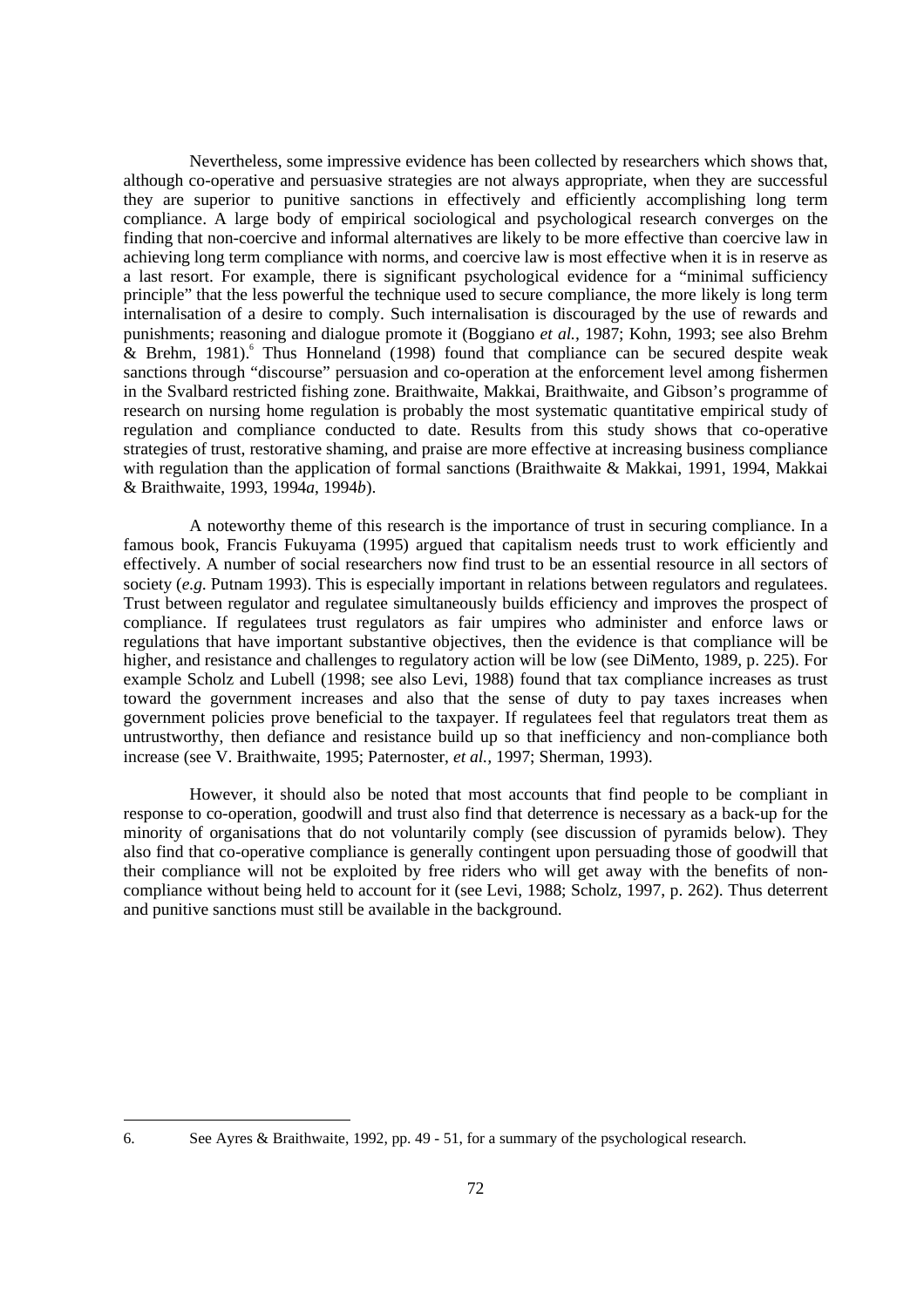Nevertheless, some impressive evidence has been collected by researchers which shows that, although co-operative and persuasive strategies are not always appropriate, when they are successful they are superior to punitive sanctions in effectively and efficiently accomplishing long term compliance. A large body of empirical sociological and psychological research converges on the finding that non-coercive and informal alternatives are likely to be more effective than coercive law in achieving long term compliance with norms, and coercive law is most effective when it is in reserve as a last resort. For example, there is significant psychological evidence for a "minimal sufficiency principle" that the less powerful the technique used to secure compliance, the more likely is long term internalisation of a desire to comply. Such internalisation is discouraged by the use of rewards and punishments; reasoning and dialogue promote it (Boggiano *et al.,* 1987; Kohn, 1993; see also Brehm & Brehm, 1981).<sup>6</sup> Thus Honneland (1998) found that compliance can be secured despite weak sanctions through "discourse" persuasion and co-operation at the enforcement level among fishermen in the Svalbard restricted fishing zone. Braithwaite, Makkai, Braithwaite, and Gibson's programme of research on nursing home regulation is probably the most systematic quantitative empirical study of regulation and compliance conducted to date. Results from this study shows that co-operative strategies of trust, restorative shaming, and praise are more effective at increasing business compliance with regulation than the application of formal sanctions (Braithwaite & Makkai, 1991, 1994, Makkai & Braithwaite, 1993, 1994*a*, 1994*b*).

A noteworthy theme of this research is the importance of trust in securing compliance. In a famous book, Francis Fukuyama (1995) argued that capitalism needs trust to work efficiently and effectively. A number of social researchers now find trust to be an essential resource in all sectors of society (*e.g.* Putnam 1993). This is especially important in relations between regulators and regulatees. Trust between regulator and regulatee simultaneously builds efficiency and improves the prospect of compliance. If regulatees trust regulators as fair umpires who administer and enforce laws or regulations that have important substantive objectives, then the evidence is that compliance will be higher, and resistance and challenges to regulatory action will be low (see DiMento, 1989, p. 225). For example Scholz and Lubell (1998; see also Levi, 1988) found that tax compliance increases as trust toward the government increases and also that the sense of duty to pay taxes increases when government policies prove beneficial to the taxpayer. If regulatees feel that regulators treat them as untrustworthy, then defiance and resistance build up so that inefficiency and non-compliance both increase (see V. Braithwaite, 1995; Paternoster, *et al.,* 1997; Sherman, 1993).

However, it should also be noted that most accounts that find people to be compliant in response to co-operation, goodwill and trust also find that deterrence is necessary as a back-up for the minority of organisations that do not voluntarily comply (see discussion of pyramids below). They also find that co-operative compliance is generally contingent upon persuading those of goodwill that their compliance will not be exploited by free riders who will get away with the benefits of noncompliance without being held to account for it (see Levi, 1988; Scholz, 1997, p. 262). Thus deterrent and punitive sanctions must still be available in the background.

 $\overline{a}$ 

<sup>6.</sup> See Ayres & Braithwaite, 1992, pp. 49 - 51, for a summary of the psychological research.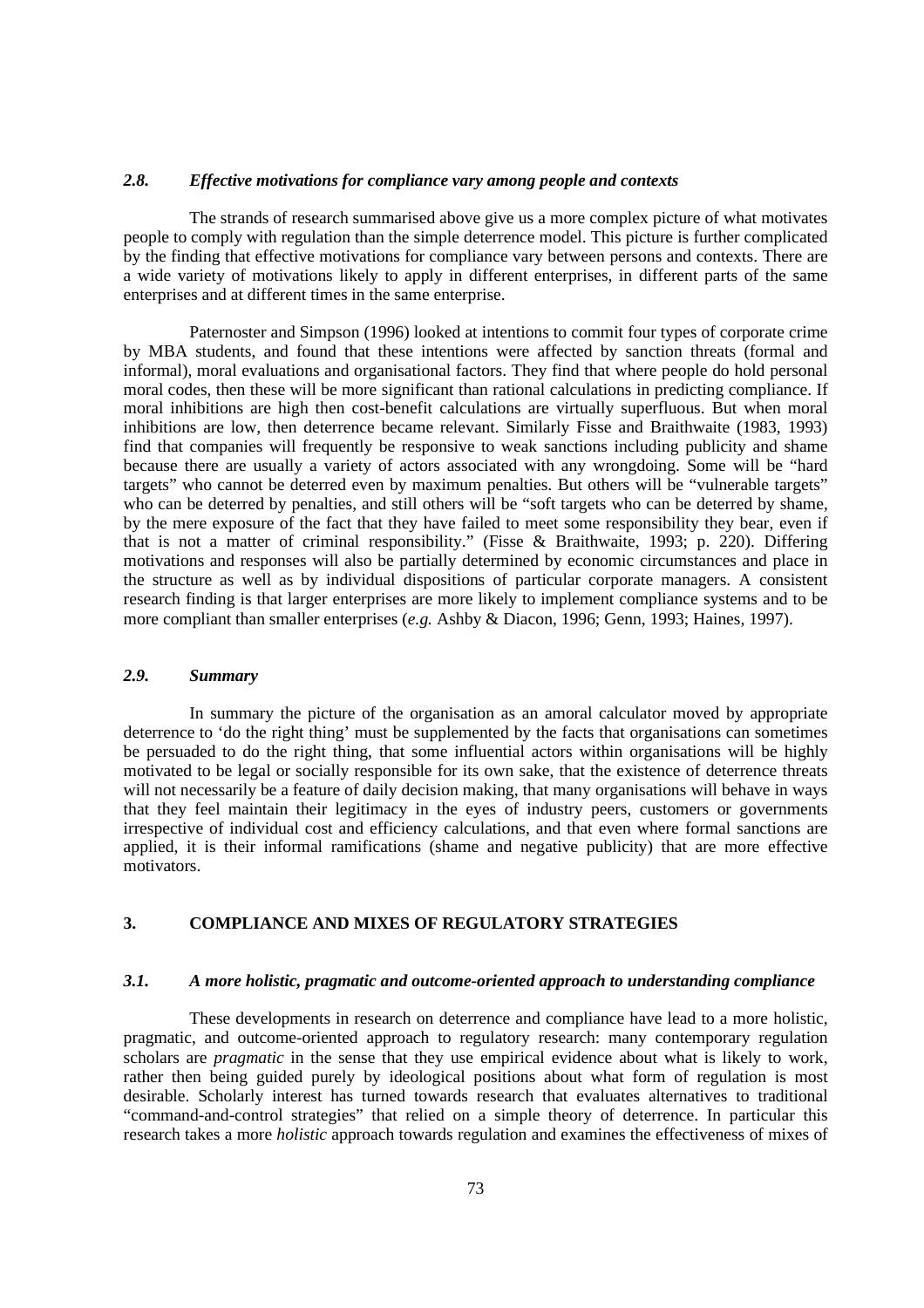# *2.8. Effective motivations for compliance vary among people and contexts*

The strands of research summarised above give us a more complex picture of what motivates people to comply with regulation than the simple deterrence model. This picture is further complicated by the finding that effective motivations for compliance vary between persons and contexts. There are a wide variety of motivations likely to apply in different enterprises, in different parts of the same enterprises and at different times in the same enterprise.

Paternoster and Simpson (1996) looked at intentions to commit four types of corporate crime by MBA students, and found that these intentions were affected by sanction threats (formal and informal), moral evaluations and organisational factors. They find that where people do hold personal moral codes, then these will be more significant than rational calculations in predicting compliance. If moral inhibitions are high then cost-benefit calculations are virtually superfluous. But when moral inhibitions are low, then deterrence became relevant. Similarly Fisse and Braithwaite (1983, 1993) find that companies will frequently be responsive to weak sanctions including publicity and shame because there are usually a variety of actors associated with any wrongdoing. Some will be "hard targets" who cannot be deterred even by maximum penalties. But others will be "vulnerable targets" who can be deterred by penalties, and still others will be "soft targets who can be deterred by shame, by the mere exposure of the fact that they have failed to meet some responsibility they bear, even if that is not a matter of criminal responsibility." (Fisse & Braithwaite, 1993; p. 220). Differing motivations and responses will also be partially determined by economic circumstances and place in the structure as well as by individual dispositions of particular corporate managers. A consistent research finding is that larger enterprises are more likely to implement compliance systems and to be more compliant than smaller enterprises (*e.g.* Ashby & Diacon, 1996; Genn, 1993; Haines, 1997).

#### *2.9. Summary*

In summary the picture of the organisation as an amoral calculator moved by appropriate deterrence to 'do the right thing' must be supplemented by the facts that organisations can sometimes be persuaded to do the right thing, that some influential actors within organisations will be highly motivated to be legal or socially responsible for its own sake, that the existence of deterrence threats will not necessarily be a feature of daily decision making, that many organisations will behave in ways that they feel maintain their legitimacy in the eyes of industry peers, customers or governments irrespective of individual cost and efficiency calculations, and that even where formal sanctions are applied, it is their informal ramifications (shame and negative publicity) that are more effective motivators.

# **3. COMPLIANCE AND MIXES OF REGULATORY STRATEGIES**

# *3.1. A more holistic, pragmatic and outcome-oriented approach to understanding compliance*

These developments in research on deterrence and compliance have lead to a more holistic, pragmatic, and outcome-oriented approach to regulatory research: many contemporary regulation scholars are *pragmatic* in the sense that they use empirical evidence about what is likely to work, rather then being guided purely by ideological positions about what form of regulation is most desirable. Scholarly interest has turned towards research that evaluates alternatives to traditional "command-and-control strategies" that relied on a simple theory of deterrence. In particular this research takes a more *holistic* approach towards regulation and examines the effectiveness of mixes of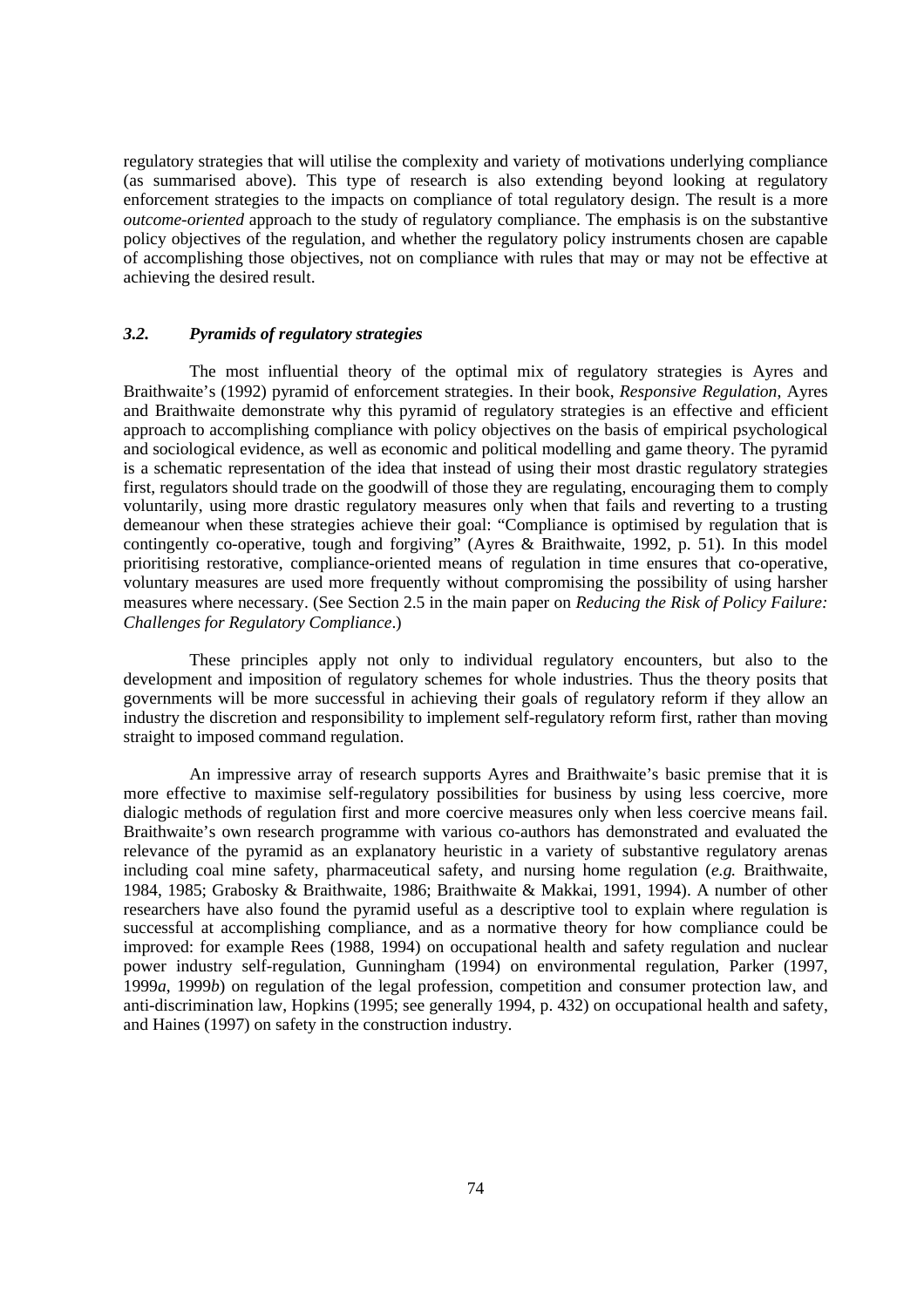regulatory strategies that will utilise the complexity and variety of motivations underlying compliance (as summarised above). This type of research is also extending beyond looking at regulatory enforcement strategies to the impacts on compliance of total regulatory design. The result is a more *outcome-oriented* approach to the study of regulatory compliance. The emphasis is on the substantive policy objectives of the regulation, and whether the regulatory policy instruments chosen are capable of accomplishing those objectives, not on compliance with rules that may or may not be effective at achieving the desired result.

# *3.2. Pyramids of regulatory strategies*

The most influential theory of the optimal mix of regulatory strategies is Ayres and Braithwaite's (1992) pyramid of enforcement strategies. In their book, *Responsive Regulation*, Ayres and Braithwaite demonstrate why this pyramid of regulatory strategies is an effective and efficient approach to accomplishing compliance with policy objectives on the basis of empirical psychological and sociological evidence, as well as economic and political modelling and game theory. The pyramid is a schematic representation of the idea that instead of using their most drastic regulatory strategies first, regulators should trade on the goodwill of those they are regulating, encouraging them to comply voluntarily, using more drastic regulatory measures only when that fails and reverting to a trusting demeanour when these strategies achieve their goal: "Compliance is optimised by regulation that is contingently co-operative, tough and forgiving" (Ayres & Braithwaite, 1992, p. 51). In this model prioritising restorative, compliance-oriented means of regulation in time ensures that co-operative, voluntary measures are used more frequently without compromising the possibility of using harsher measures where necessary. (See Section 2.5 in the main paper on *Reducing the Risk of Policy Failure: Challenges for Regulatory Compliance*.)

These principles apply not only to individual regulatory encounters, but also to the development and imposition of regulatory schemes for whole industries. Thus the theory posits that governments will be more successful in achieving their goals of regulatory reform if they allow an industry the discretion and responsibility to implement self-regulatory reform first, rather than moving straight to imposed command regulation.

An impressive array of research supports Ayres and Braithwaite's basic premise that it is more effective to maximise self-regulatory possibilities for business by using less coercive, more dialogic methods of regulation first and more coercive measures only when less coercive means fail. Braithwaite's own research programme with various co-authors has demonstrated and evaluated the relevance of the pyramid as an explanatory heuristic in a variety of substantive regulatory arenas including coal mine safety, pharmaceutical safety, and nursing home regulation (*e.g.* Braithwaite, 1984, 1985; Grabosky & Braithwaite, 1986; Braithwaite & Makkai, 1991, 1994). A number of other researchers have also found the pyramid useful as a descriptive tool to explain where regulation is successful at accomplishing compliance, and as a normative theory for how compliance could be improved: for example Rees (1988, 1994) on occupational health and safety regulation and nuclear power industry self-regulation, Gunningham (1994) on environmental regulation, Parker (1997, 1999*a*, 1999*b*) on regulation of the legal profession, competition and consumer protection law, and anti-discrimination law, Hopkins (1995; see generally 1994, p. 432) on occupational health and safety, and Haines (1997) on safety in the construction industry.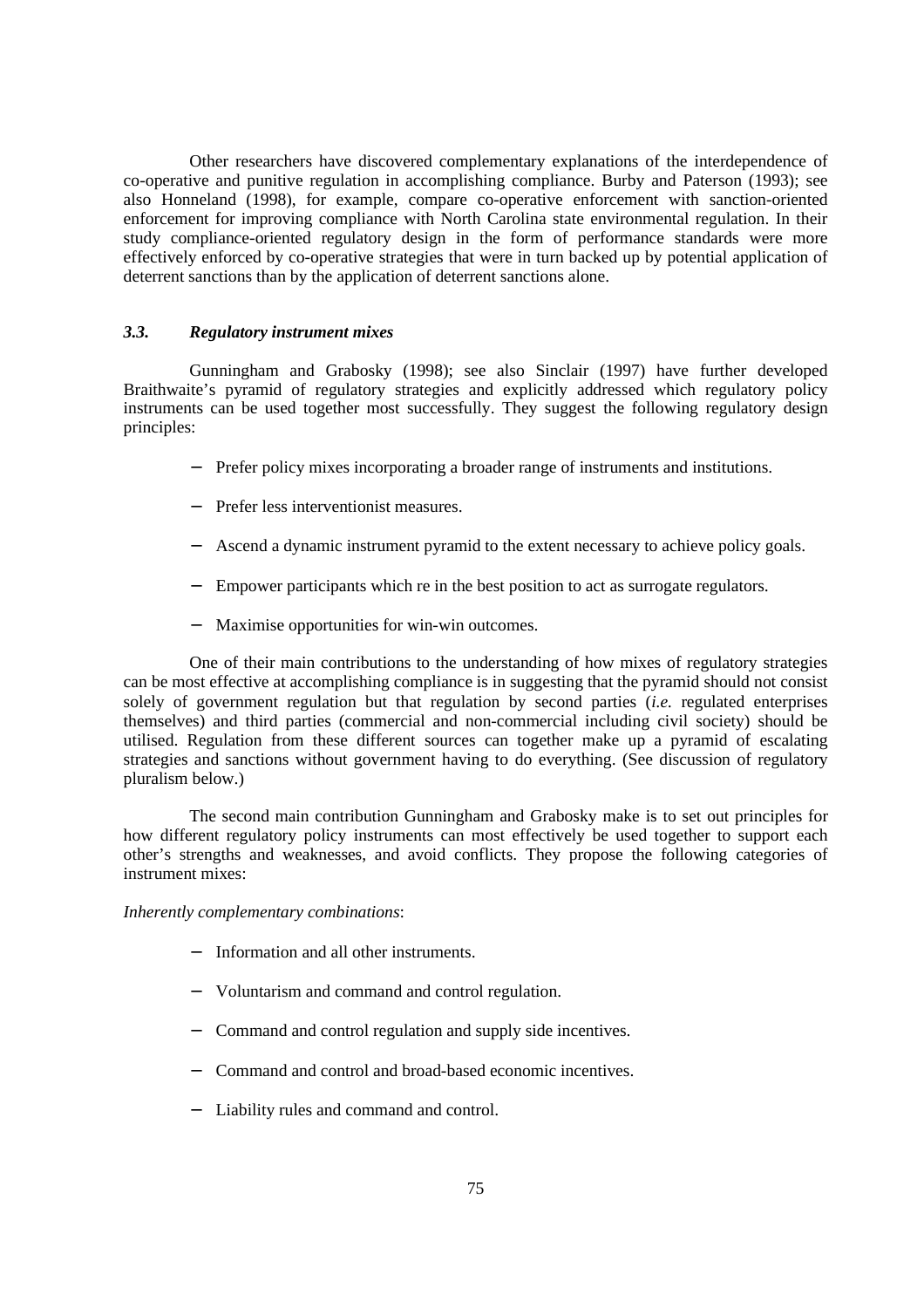Other researchers have discovered complementary explanations of the interdependence of co-operative and punitive regulation in accomplishing compliance. Burby and Paterson (1993); see also Honneland (1998), for example, compare co-operative enforcement with sanction-oriented enforcement for improving compliance with North Carolina state environmental regulation. In their study compliance-oriented regulatory design in the form of performance standards were more effectively enforced by co-operative strategies that were in turn backed up by potential application of deterrent sanctions than by the application of deterrent sanctions alone.

### *3.3. Regulatory instrument mixes*

Gunningham and Grabosky (1998); see also Sinclair (1997) have further developed Braithwaite's pyramid of regulatory strategies and explicitly addressed which regulatory policy instruments can be used together most successfully. They suggest the following regulatory design principles:

- − Prefer policy mixes incorporating a broader range of instruments and institutions.
- − Prefer less interventionist measures.
- − Ascend a dynamic instrument pyramid to the extent necessary to achieve policy goals.
- − Empower participants which re in the best position to act as surrogate regulators.
- − Maximise opportunities for win-win outcomes.

One of their main contributions to the understanding of how mixes of regulatory strategies can be most effective at accomplishing compliance is in suggesting that the pyramid should not consist solely of government regulation but that regulation by second parties (*i.e.* regulated enterprises themselves) and third parties (commercial and non-commercial including civil society) should be utilised. Regulation from these different sources can together make up a pyramid of escalating strategies and sanctions without government having to do everything. (See discussion of regulatory pluralism below.)

The second main contribution Gunningham and Grabosky make is to set out principles for how different regulatory policy instruments can most effectively be used together to support each other's strengths and weaknesses, and avoid conflicts. They propose the following categories of instrument mixes:

## *Inherently complementary combinations*:

- − Information and all other instruments.
- − Voluntarism and command and control regulation.
- − Command and control regulation and supply side incentives.
- − Command and control and broad-based economic incentives.
- − Liability rules and command and control.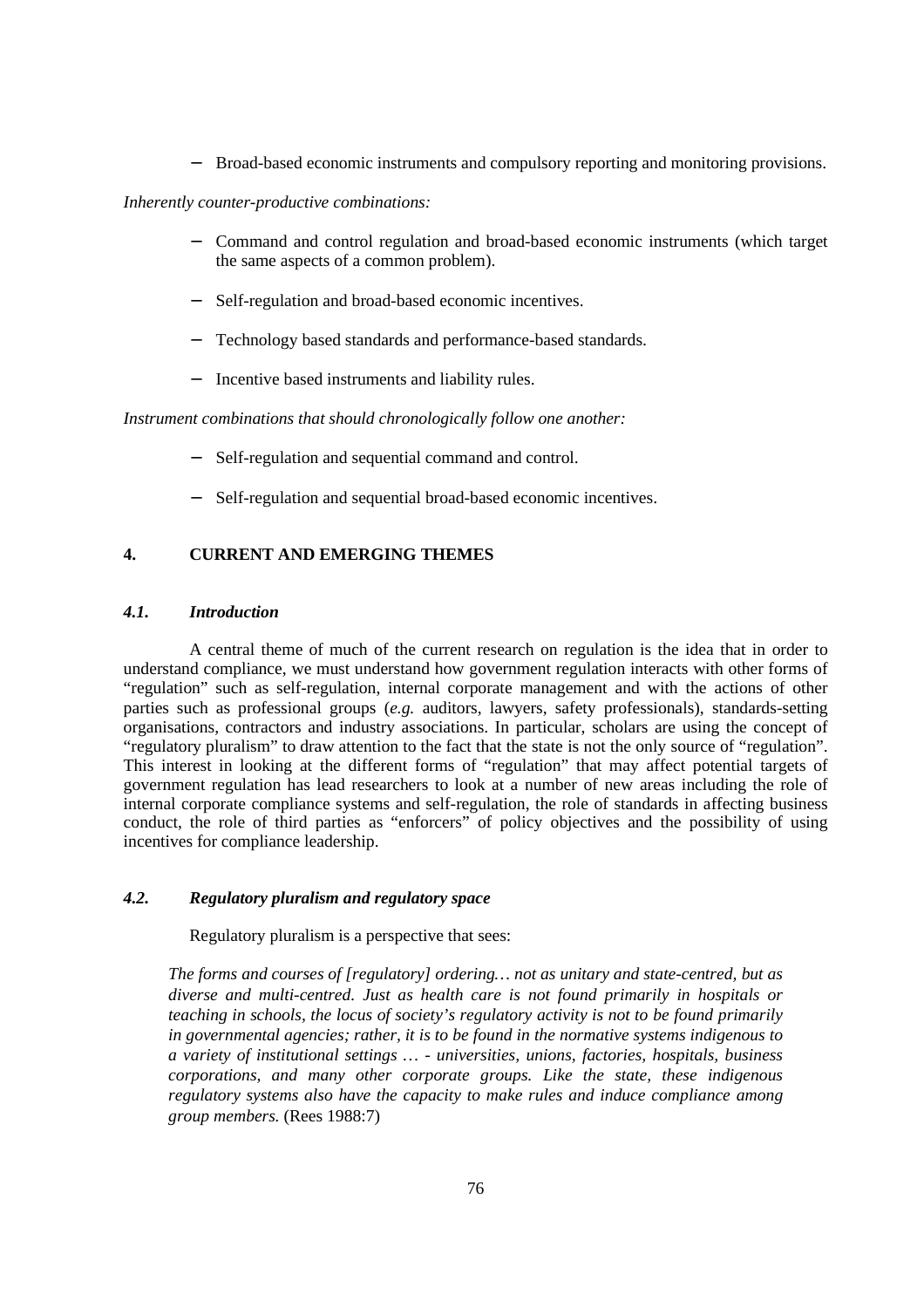− Broad-based economic instruments and compulsory reporting and monitoring provisions.

### *Inherently counter-productive combinations:*

- − Command and control regulation and broad-based economic instruments (which target the same aspects of a common problem).
- − Self-regulation and broad-based economic incentives.
- − Technology based standards and performance-based standards.
- − Incentive based instruments and liability rules.

*Instrument combinations that should chronologically follow one another:*

- − Self-regulation and sequential command and control.
- − Self-regulation and sequential broad-based economic incentives.

# **4. CURRENT AND EMERGING THEMES**

#### *4.1. Introduction*

A central theme of much of the current research on regulation is the idea that in order to understand compliance, we must understand how government regulation interacts with other forms of "regulation" such as self-regulation, internal corporate management and with the actions of other parties such as professional groups (*e.g.* auditors, lawyers, safety professionals), standards-setting organisations, contractors and industry associations. In particular, scholars are using the concept of "regulatory pluralism" to draw attention to the fact that the state is not the only source of "regulation". This interest in looking at the different forms of "regulation" that may affect potential targets of government regulation has lead researchers to look at a number of new areas including the role of internal corporate compliance systems and self-regulation, the role of standards in affecting business conduct, the role of third parties as "enforcers" of policy objectives and the possibility of using incentives for compliance leadership.

# *4.2. Regulatory pluralism and regulatory space*

Regulatory pluralism is a perspective that sees:

*The forms and courses of [regulatory] ordering… not as unitary and state-centred, but as diverse and multi-centred. Just as health care is not found primarily in hospitals or teaching in schools, the locus of society's regulatory activity is not to be found primarily in governmental agencies; rather, it is to be found in the normative systems indigenous to a variety of institutional settings … - universities, unions, factories, hospitals, business corporations, and many other corporate groups. Like the state, these indigenous regulatory systems also have the capacity to make rules and induce compliance among group members.* (Rees 1988:7)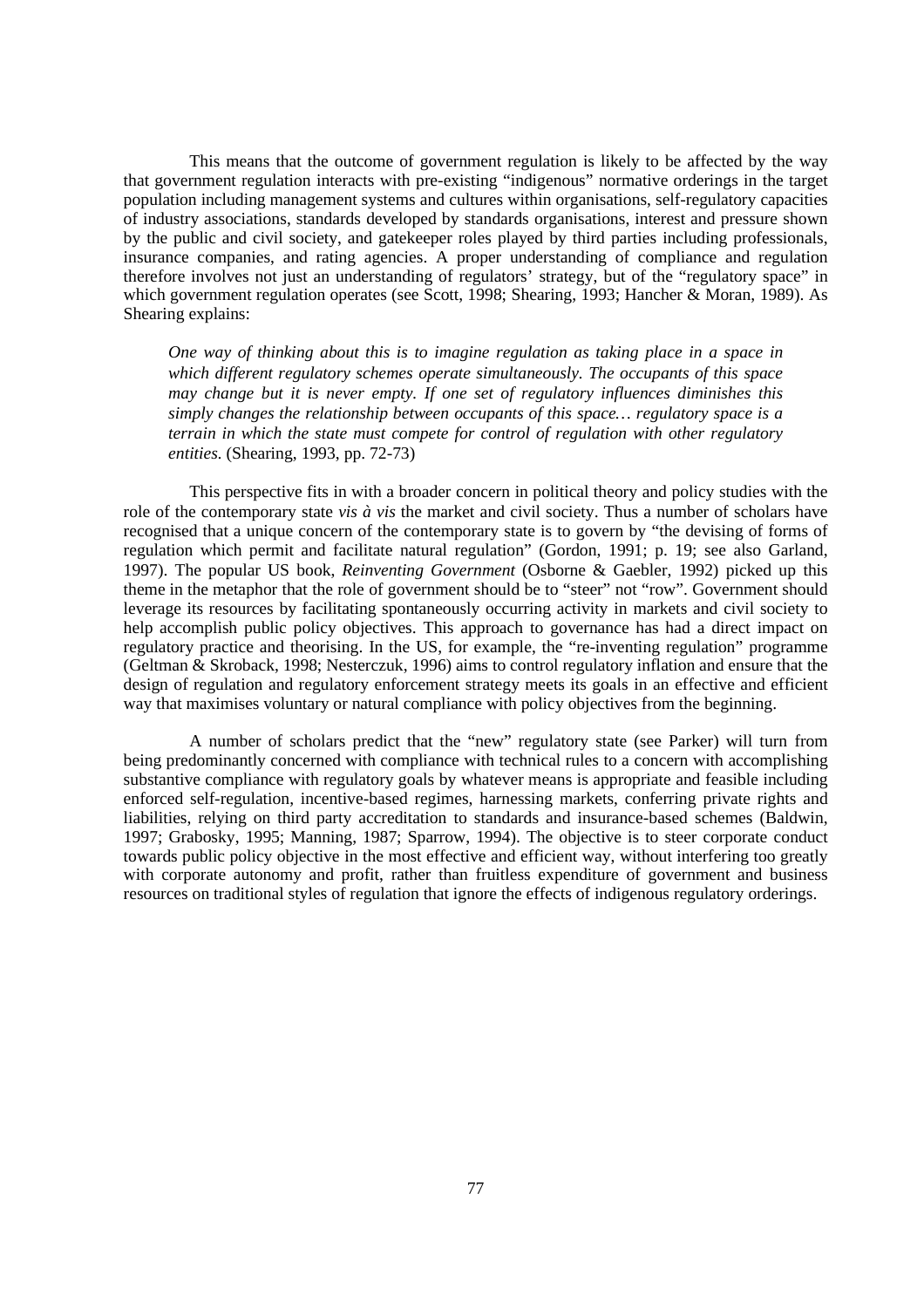This means that the outcome of government regulation is likely to be affected by the way that government regulation interacts with pre-existing "indigenous" normative orderings in the target population including management systems and cultures within organisations, self-regulatory capacities of industry associations, standards developed by standards organisations, interest and pressure shown by the public and civil society, and gatekeeper roles played by third parties including professionals, insurance companies, and rating agencies. A proper understanding of compliance and regulation therefore involves not just an understanding of regulators' strategy, but of the "regulatory space" in which government regulation operates (see Scott, 1998; Shearing, 1993; Hancher & Moran, 1989). As Shearing explains:

*One way of thinking about this is to imagine regulation as taking place in a space in which different regulatory schemes operate simultaneously. The occupants of this space may change but it is never empty. If one set of regulatory influences diminishes this simply changes the relationship between occupants of this space… regulatory space is a terrain in which the state must compete for control of regulation with other regulatory entities.* (Shearing, 1993, pp. 72-73)

This perspective fits in with a broader concern in political theory and policy studies with the role of the contemporary state *vis à vis* the market and civil society. Thus a number of scholars have recognised that a unique concern of the contemporary state is to govern by "the devising of forms of regulation which permit and facilitate natural regulation" (Gordon, 1991; p. 19; see also Garland, 1997). The popular US book, *Reinventing Government* (Osborne & Gaebler, 1992) picked up this theme in the metaphor that the role of government should be to "steer" not "row". Government should leverage its resources by facilitating spontaneously occurring activity in markets and civil society to help accomplish public policy objectives. This approach to governance has had a direct impact on regulatory practice and theorising. In the US, for example, the "re-inventing regulation" programme (Geltman & Skroback, 1998; Nesterczuk, 1996) aims to control regulatory inflation and ensure that the design of regulation and regulatory enforcement strategy meets its goals in an effective and efficient way that maximises voluntary or natural compliance with policy objectives from the beginning.

A number of scholars predict that the "new" regulatory state (see Parker) will turn from being predominantly concerned with compliance with technical rules to a concern with accomplishing substantive compliance with regulatory goals by whatever means is appropriate and feasible including enforced self-regulation, incentive-based regimes, harnessing markets, conferring private rights and liabilities, relying on third party accreditation to standards and insurance-based schemes (Baldwin, 1997; Grabosky, 1995; Manning, 1987; Sparrow, 1994). The objective is to steer corporate conduct towards public policy objective in the most effective and efficient way, without interfering too greatly with corporate autonomy and profit, rather than fruitless expenditure of government and business resources on traditional styles of regulation that ignore the effects of indigenous regulatory orderings.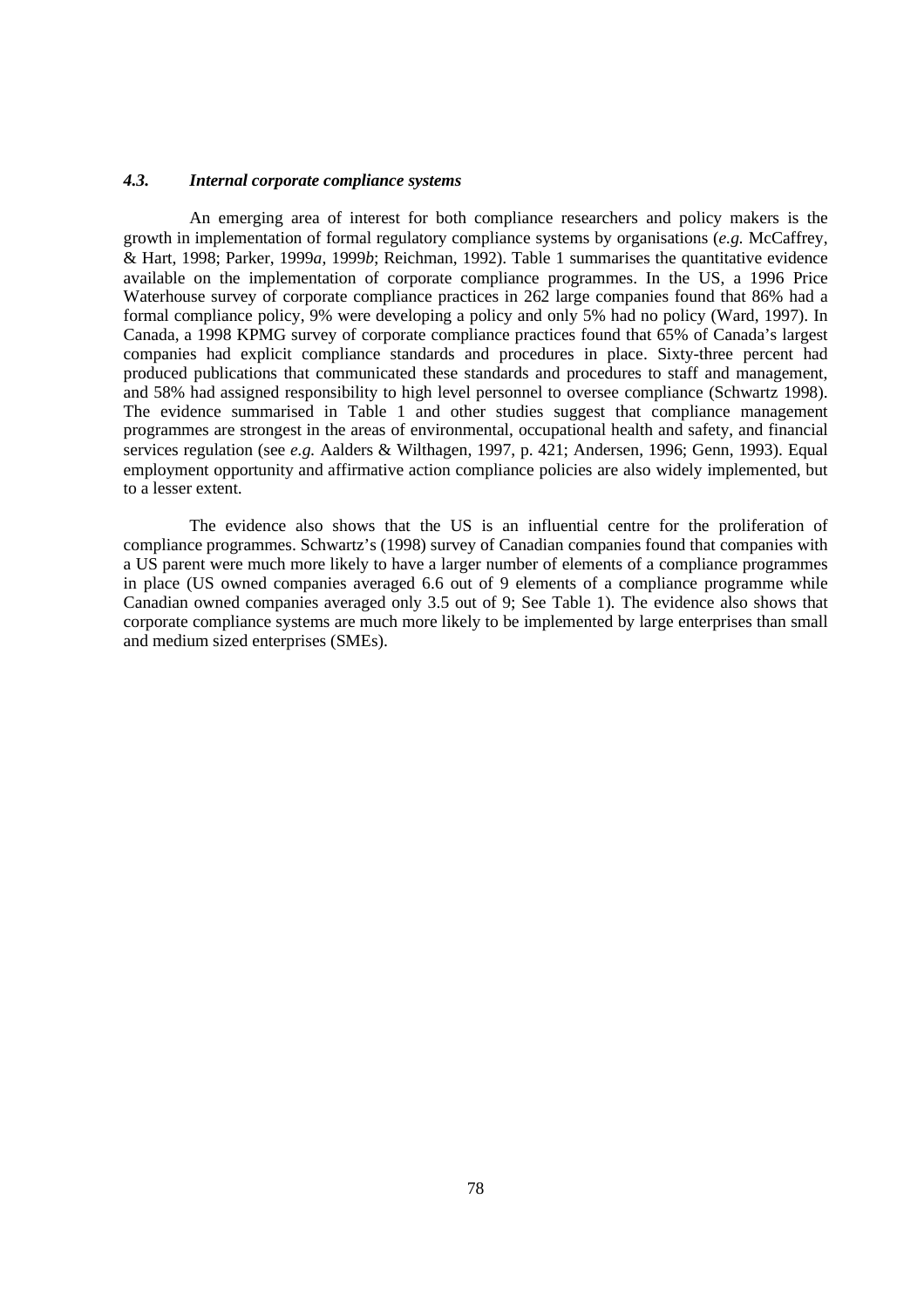# *4.3. Internal corporate compliance systems*

An emerging area of interest for both compliance researchers and policy makers is the growth in implementation of formal regulatory compliance systems by organisations (*e.g.* McCaffrey, & Hart, 1998; Parker, 1999*a*, 1999*b*; Reichman, 1992). Table 1 summarises the quantitative evidence available on the implementation of corporate compliance programmes. In the US, a 1996 Price Waterhouse survey of corporate compliance practices in 262 large companies found that 86% had a formal compliance policy, 9% were developing a policy and only 5% had no policy (Ward, 1997). In Canada, a 1998 KPMG survey of corporate compliance practices found that 65% of Canada's largest companies had explicit compliance standards and procedures in place. Sixty-three percent had produced publications that communicated these standards and procedures to staff and management, and 58% had assigned responsibility to high level personnel to oversee compliance (Schwartz 1998). The evidence summarised in Table 1 and other studies suggest that compliance management programmes are strongest in the areas of environmental, occupational health and safety, and financial services regulation (see *e.g.* Aalders & Wilthagen, 1997, p. 421; Andersen, 1996; Genn, 1993). Equal employment opportunity and affirmative action compliance policies are also widely implemented, but to a lesser extent.

The evidence also shows that the US is an influential centre for the proliferation of compliance programmes. Schwartz's (1998) survey of Canadian companies found that companies with a US parent were much more likely to have a larger number of elements of a compliance programmes in place (US owned companies averaged 6.6 out of 9 elements of a compliance programme while Canadian owned companies averaged only 3.5 out of 9; See Table 1). The evidence also shows that corporate compliance systems are much more likely to be implemented by large enterprises than small and medium sized enterprises (SMEs).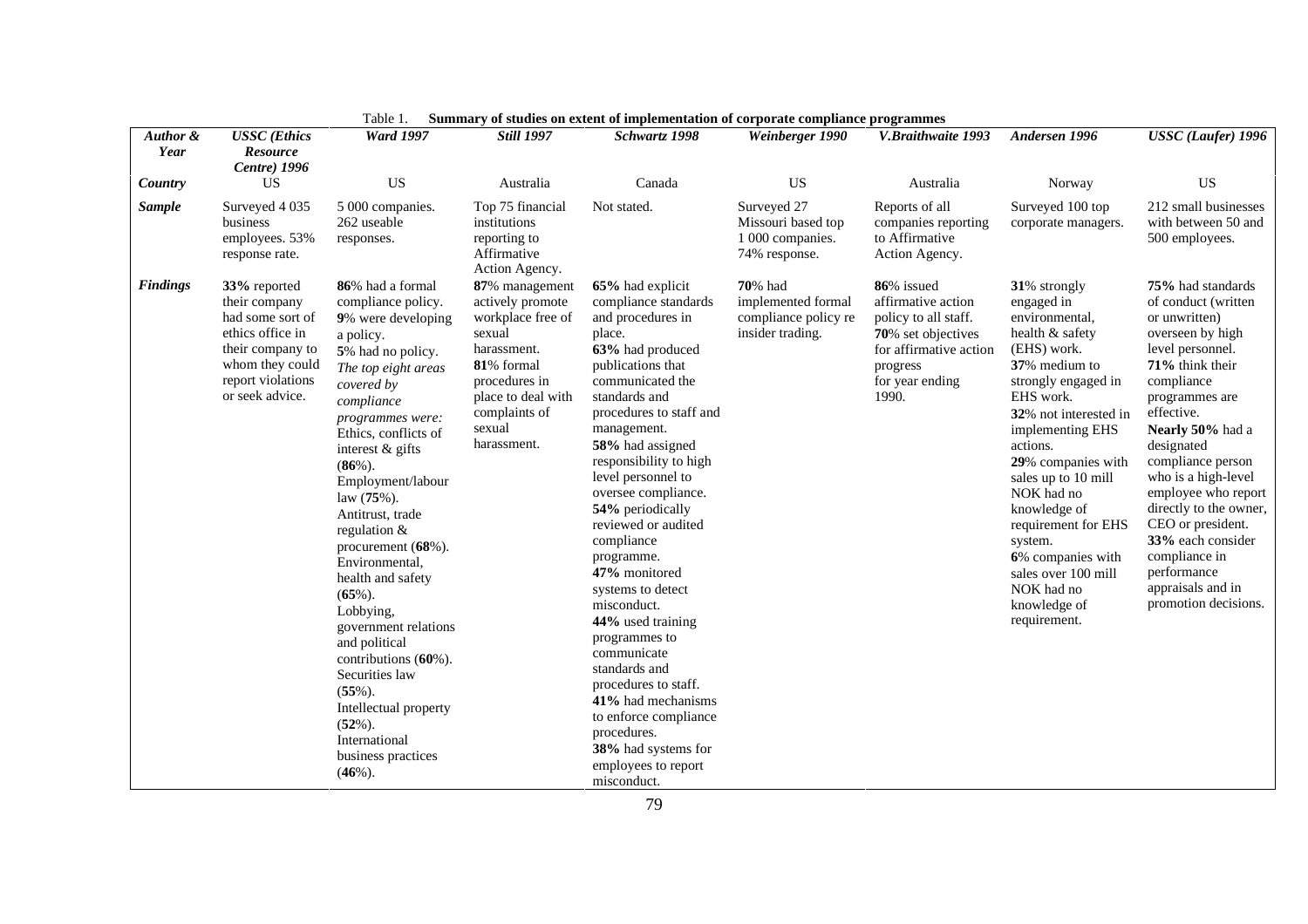| Author &        | <b>USSC</b> (Ethics                                                                                                                                  | <b>Ward 1997</b>                                                                                                                                                                                                                                                                                                                                                                                                                                                                                                                                                                                         | <b>Still 1997</b>                                                                                                                                                               | Schwartz <sub>1998</sub>                                                                                                                                                                                                                                                                                                                                                                                                                                                                                                                                                                                                                        | Weinberger 1990                                                                  | V.Braithwaite 1993                                                                                                                               | Andersen 1996                                                                                                                                                                                                                                                                                                                                                                                       | <b>USSC</b> (Laufer) 1996                                                                                                                                                                                                                                                                                                                                                                                                |
|-----------------|------------------------------------------------------------------------------------------------------------------------------------------------------|----------------------------------------------------------------------------------------------------------------------------------------------------------------------------------------------------------------------------------------------------------------------------------------------------------------------------------------------------------------------------------------------------------------------------------------------------------------------------------------------------------------------------------------------------------------------------------------------------------|---------------------------------------------------------------------------------------------------------------------------------------------------------------------------------|-------------------------------------------------------------------------------------------------------------------------------------------------------------------------------------------------------------------------------------------------------------------------------------------------------------------------------------------------------------------------------------------------------------------------------------------------------------------------------------------------------------------------------------------------------------------------------------------------------------------------------------------------|----------------------------------------------------------------------------------|--------------------------------------------------------------------------------------------------------------------------------------------------|-----------------------------------------------------------------------------------------------------------------------------------------------------------------------------------------------------------------------------------------------------------------------------------------------------------------------------------------------------------------------------------------------------|--------------------------------------------------------------------------------------------------------------------------------------------------------------------------------------------------------------------------------------------------------------------------------------------------------------------------------------------------------------------------------------------------------------------------|
| Year            | <b>Resource</b>                                                                                                                                      |                                                                                                                                                                                                                                                                                                                                                                                                                                                                                                                                                                                                          |                                                                                                                                                                                 |                                                                                                                                                                                                                                                                                                                                                                                                                                                                                                                                                                                                                                                 |                                                                                  |                                                                                                                                                  |                                                                                                                                                                                                                                                                                                                                                                                                     |                                                                                                                                                                                                                                                                                                                                                                                                                          |
|                 | <b>Centre</b> ) 1996                                                                                                                                 |                                                                                                                                                                                                                                                                                                                                                                                                                                                                                                                                                                                                          |                                                                                                                                                                                 |                                                                                                                                                                                                                                                                                                                                                                                                                                                                                                                                                                                                                                                 |                                                                                  |                                                                                                                                                  |                                                                                                                                                                                                                                                                                                                                                                                                     |                                                                                                                                                                                                                                                                                                                                                                                                                          |
| Country         | <b>US</b>                                                                                                                                            | <b>US</b>                                                                                                                                                                                                                                                                                                                                                                                                                                                                                                                                                                                                | Australia                                                                                                                                                                       | Canada                                                                                                                                                                                                                                                                                                                                                                                                                                                                                                                                                                                                                                          | <b>US</b>                                                                        | Australia                                                                                                                                        | Norway                                                                                                                                                                                                                                                                                                                                                                                              | <b>US</b>                                                                                                                                                                                                                                                                                                                                                                                                                |
| <b>Sample</b>   | Surveyed 4 035<br>business<br>employees. 53%<br>response rate.                                                                                       | 5 000 companies.<br>262 useable<br>responses.                                                                                                                                                                                                                                                                                                                                                                                                                                                                                                                                                            | Top 75 financial<br>institutions<br>reporting to<br>Affirmative<br>Action Agency.                                                                                               | Not stated.                                                                                                                                                                                                                                                                                                                                                                                                                                                                                                                                                                                                                                     | Surveyed 27<br>Missouri based top<br>1 000 companies.<br>74% response.           | Reports of all<br>companies reporting<br>to Affirmative<br>Action Agency.                                                                        | Surveyed 100 top<br>corporate managers.                                                                                                                                                                                                                                                                                                                                                             | 212 small businesses<br>with between 50 and<br>500 employees.                                                                                                                                                                                                                                                                                                                                                            |
| <b>Findings</b> | 33% reported<br>their company<br>had some sort of<br>ethics office in<br>their company to<br>whom they could<br>report violations<br>or seek advice. | 86% had a formal<br>compliance policy.<br>9% were developing<br>a policy.<br>5% had no policy.<br>The top eight areas<br>covered by<br>compliance<br>programmes were:<br>Ethics, conflicts of<br>interest & gifts<br>$(86\%)$ .<br>Employment/labour<br>$law (75%)$ .<br>Antitrust, trade<br>regulation $&$<br>procurement $(68\%)$ .<br>Environmental,<br>health and safety<br>$(65\%)$ .<br>Lobbying,<br>government relations<br>and political<br>contributions $(60\%)$ .<br>Securities law<br>$(55\%)$ .<br>Intellectual property<br>$(52\%)$ .<br>International<br>business practices<br>$(46\%)$ . | 87% management<br>actively promote<br>workplace free of<br>sexual<br>harassment.<br>81% formal<br>procedures in<br>place to deal with<br>complaints of<br>sexual<br>harassment. | 65% had explicit<br>compliance standards<br>and procedures in<br>place.<br>63% had produced<br>publications that<br>communicated the<br>standards and<br>procedures to staff and<br>management.<br>58% had assigned<br>responsibility to high<br>level personnel to<br>oversee compliance.<br>54% periodically<br>reviewed or audited<br>compliance<br>programme.<br>47% monitored<br>systems to detect<br>misconduct.<br>44% used training<br>programmes to<br>communicate<br>standards and<br>procedures to staff.<br>41% had mechanisms<br>to enforce compliance<br>procedures.<br>38% had systems for<br>employees to report<br>misconduct. | <b>70%</b> had<br>implemented formal<br>compliance policy re<br>insider trading. | 86% issued<br>affirmative action<br>policy to all staff.<br>70% set objectives<br>for affirmative action<br>progress<br>for year ending<br>1990. | 31% strongly<br>engaged in<br>environmental,<br>health & safety<br>(EHS) work.<br>37% medium to<br>strongly engaged in<br>EHS work.<br>32% not interested in<br>implementing EHS<br>actions.<br>29% companies with<br>sales up to 10 mill<br>NOK had no<br>knowledge of<br>requirement for EHS<br>system.<br>6% companies with<br>sales over 100 mill<br>NOK had no<br>knowledge of<br>requirement. | 75% had standards<br>of conduct (written<br>or unwritten)<br>overseen by high<br>level personnel.<br>71% think their<br>compliance<br>programmes are<br>effective.<br>Nearly 50% had a<br>designated<br>compliance person<br>who is a high-level<br>employee who report<br>directly to the owner,<br>CEO or president.<br>33% each consider<br>compliance in<br>performance<br>appraisals and in<br>promotion decisions. |

Table 1. **Summary of studies on extent of implementation of corporate compliance programmes**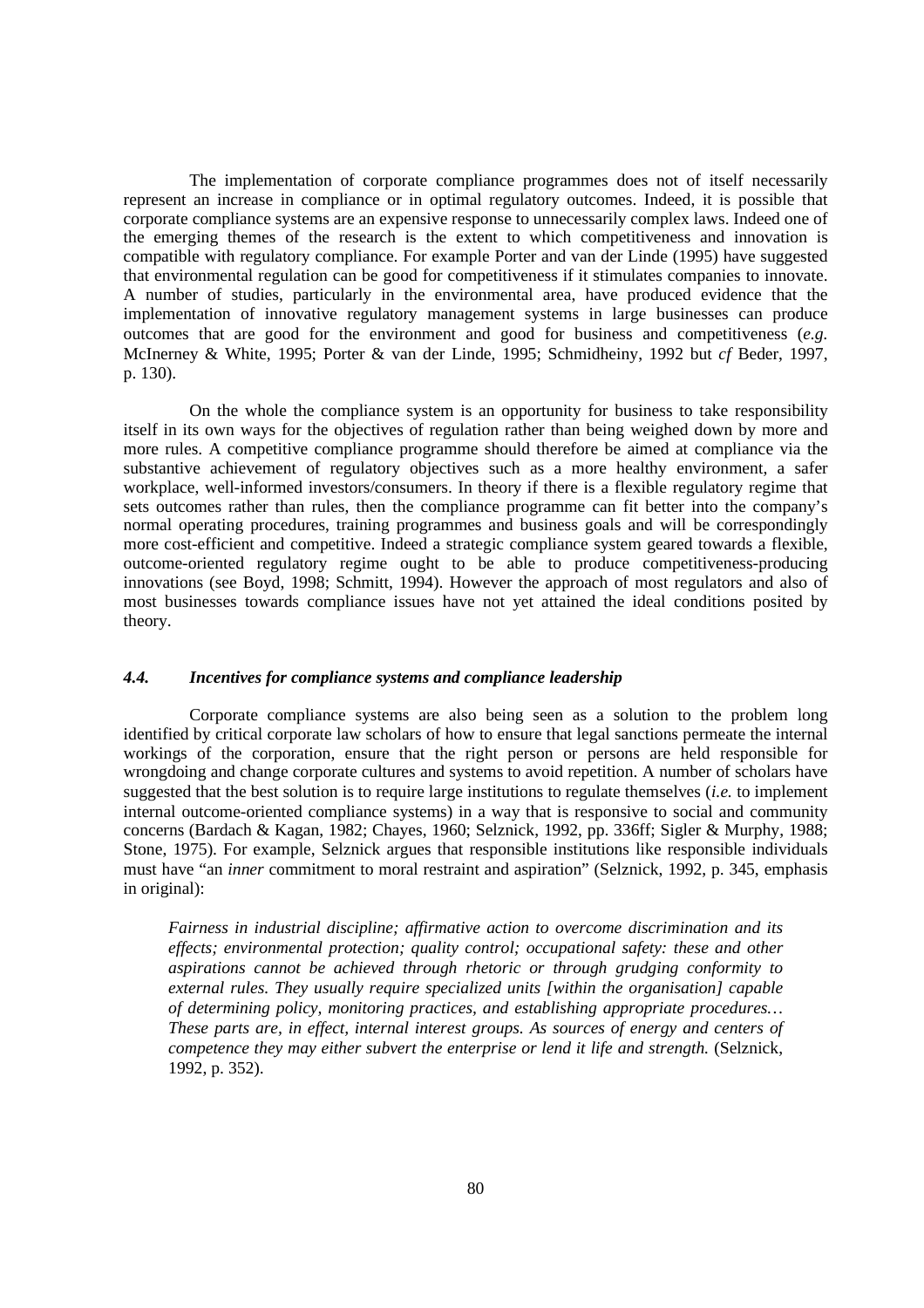The implementation of corporate compliance programmes does not of itself necessarily represent an increase in compliance or in optimal regulatory outcomes. Indeed, it is possible that corporate compliance systems are an expensive response to unnecessarily complex laws. Indeed one of the emerging themes of the research is the extent to which competitiveness and innovation is compatible with regulatory compliance. For example Porter and van der Linde (1995) have suggested that environmental regulation can be good for competitiveness if it stimulates companies to innovate. A number of studies, particularly in the environmental area, have produced evidence that the implementation of innovative regulatory management systems in large businesses can produce outcomes that are good for the environment and good for business and competitiveness (*e.g.* McInerney & White, 1995; Porter & van der Linde, 1995; Schmidheiny, 1992 but *cf* Beder, 1997, p. 130).

On the whole the compliance system is an opportunity for business to take responsibility itself in its own ways for the objectives of regulation rather than being weighed down by more and more rules. A competitive compliance programme should therefore be aimed at compliance via the substantive achievement of regulatory objectives such as a more healthy environment, a safer workplace, well-informed investors/consumers. In theory if there is a flexible regulatory regime that sets outcomes rather than rules, then the compliance programme can fit better into the company's normal operating procedures, training programmes and business goals and will be correspondingly more cost-efficient and competitive. Indeed a strategic compliance system geared towards a flexible, outcome-oriented regulatory regime ought to be able to produce competitiveness-producing innovations (see Boyd, 1998; Schmitt, 1994). However the approach of most regulators and also of most businesses towards compliance issues have not yet attained the ideal conditions posited by theory.

# *4.4. Incentives for compliance systems and compliance leadership*

Corporate compliance systems are also being seen as a solution to the problem long identified by critical corporate law scholars of how to ensure that legal sanctions permeate the internal workings of the corporation, ensure that the right person or persons are held responsible for wrongdoing and change corporate cultures and systems to avoid repetition. A number of scholars have suggested that the best solution is to require large institutions to regulate themselves (*i.e.* to implement internal outcome-oriented compliance systems) in a way that is responsive to social and community concerns (Bardach & Kagan, 1982; Chayes, 1960; Selznick, 1992, pp. 336ff; Sigler & Murphy, 1988; Stone, 1975). For example, Selznick argues that responsible institutions like responsible individuals must have "an *inner* commitment to moral restraint and aspiration" (Selznick, 1992, p. 345, emphasis in original):

*Fairness in industrial discipline; affirmative action to overcome discrimination and its effects; environmental protection; quality control; occupational safety: these and other aspirations cannot be achieved through rhetoric or through grudging conformity to external rules. They usually require specialized units [within the organisation] capable of determining policy, monitoring practices, and establishing appropriate procedures… These parts are, in effect, internal interest groups. As sources of energy and centers of competence they may either subvert the enterprise or lend it life and strength.* (Selznick, 1992, p. 352).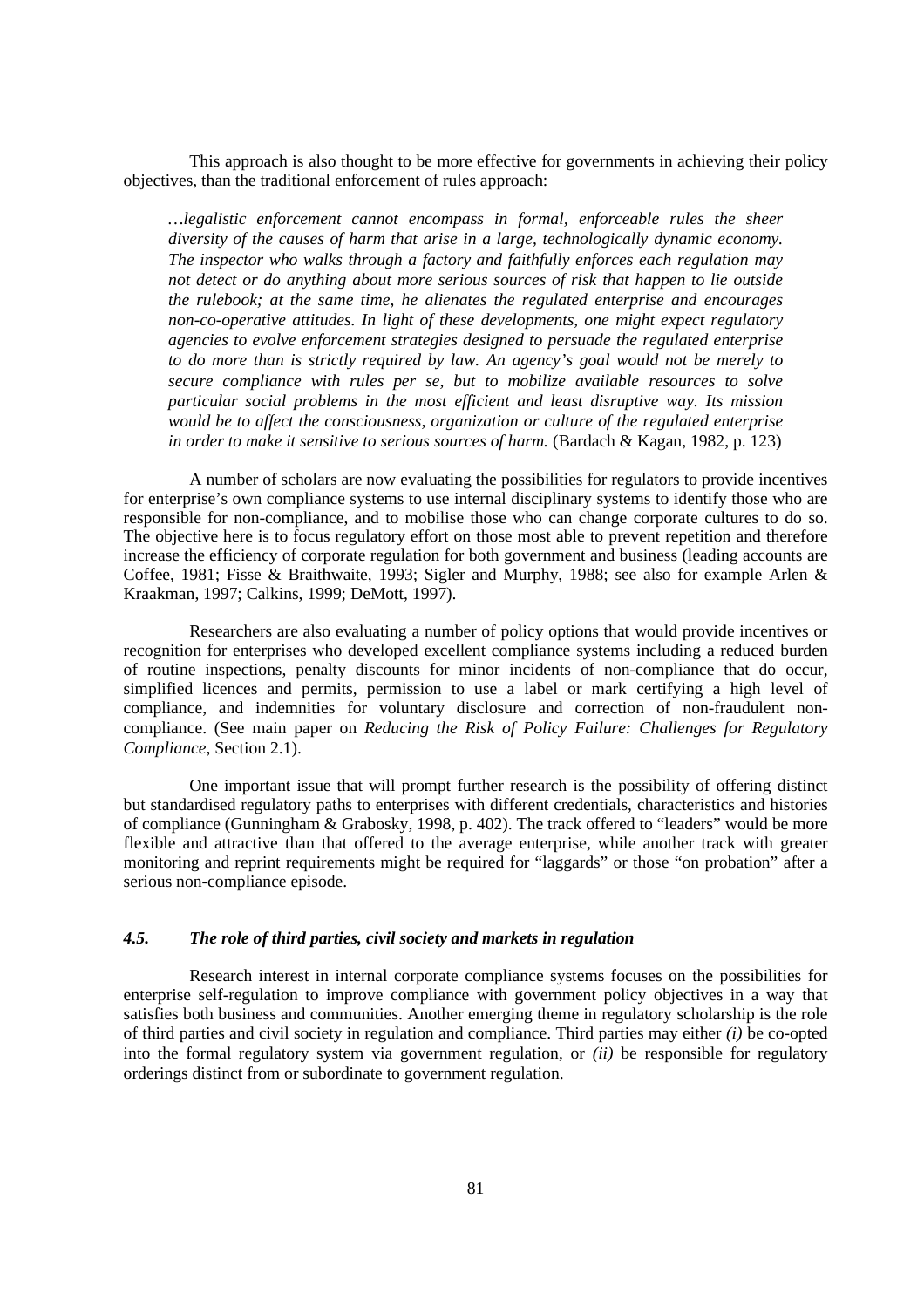This approach is also thought to be more effective for governments in achieving their policy objectives, than the traditional enforcement of rules approach:

*…legalistic enforcement cannot encompass in formal, enforceable rules the sheer diversity of the causes of harm that arise in a large, technologically dynamic economy. The inspector who walks through a factory and faithfully enforces each regulation may not detect or do anything about more serious sources of risk that happen to lie outside the rulebook; at the same time, he alienates the regulated enterprise and encourages non-co-operative attitudes. In light of these developments, one might expect regulatory agencies to evolve enforcement strategies designed to persuade the regulated enterprise to do more than is strictly required by law. An agency's goal would not be merely to secure compliance with rules per se, but to mobilize available resources to solve particular social problems in the most efficient and least disruptive way. Its mission would be to affect the consciousness, organization or culture of the regulated enterprise in order to make it sensitive to serious sources of harm.* (Bardach & Kagan, 1982, p. 123)

A number of scholars are now evaluating the possibilities for regulators to provide incentives for enterprise's own compliance systems to use internal disciplinary systems to identify those who are responsible for non-compliance, and to mobilise those who can change corporate cultures to do so. The objective here is to focus regulatory effort on those most able to prevent repetition and therefore increase the efficiency of corporate regulation for both government and business (leading accounts are Coffee, 1981; Fisse & Braithwaite, 1993; Sigler and Murphy, 1988; see also for example Arlen & Kraakman, 1997; Calkins, 1999; DeMott, 1997).

Researchers are also evaluating a number of policy options that would provide incentives or recognition for enterprises who developed excellent compliance systems including a reduced burden of routine inspections, penalty discounts for minor incidents of non-compliance that do occur, simplified licences and permits, permission to use a label or mark certifying a high level of compliance, and indemnities for voluntary disclosure and correction of non-fraudulent noncompliance. (See main paper on *Reducing the Risk of Policy Failure: Challenges for Regulatory Compliance,* Section 2.1).

One important issue that will prompt further research is the possibility of offering distinct but standardised regulatory paths to enterprises with different credentials, characteristics and histories of compliance (Gunningham & Grabosky, 1998, p. 402). The track offered to "leaders" would be more flexible and attractive than that offered to the average enterprise, while another track with greater monitoring and reprint requirements might be required for "laggards" or those "on probation" after a serious non-compliance episode.

## *4.5. The role of third parties, civil society and markets in regulation*

Research interest in internal corporate compliance systems focuses on the possibilities for enterprise self-regulation to improve compliance with government policy objectives in a way that satisfies both business and communities. Another emerging theme in regulatory scholarship is the role of third parties and civil society in regulation and compliance. Third parties may either *(i)* be co-opted into the formal regulatory system via government regulation, or *(ii)* be responsible for regulatory orderings distinct from or subordinate to government regulation.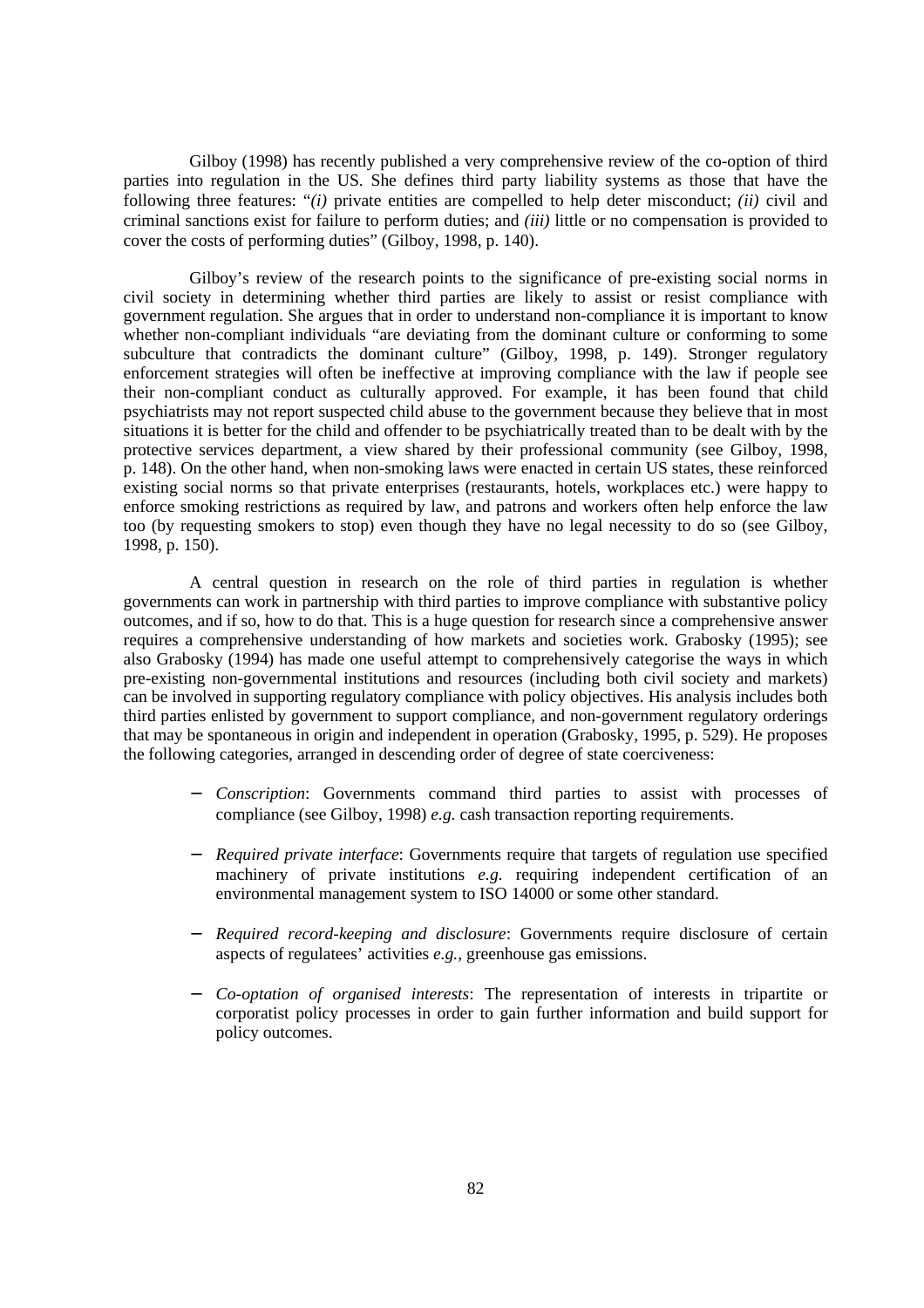Gilboy (1998) has recently published a very comprehensive review of the co-option of third parties into regulation in the US. She defines third party liability systems as those that have the following three features: "*(i)* private entities are compelled to help deter misconduct; *(ii)* civil and criminal sanctions exist for failure to perform duties; and *(iii)* little or no compensation is provided to cover the costs of performing duties" (Gilboy, 1998, p. 140).

Gilboy's review of the research points to the significance of pre-existing social norms in civil society in determining whether third parties are likely to assist or resist compliance with government regulation. She argues that in order to understand non-compliance it is important to know whether non-compliant individuals "are deviating from the dominant culture or conforming to some subculture that contradicts the dominant culture" (Gilboy, 1998, p. 149). Stronger regulatory enforcement strategies will often be ineffective at improving compliance with the law if people see their non-compliant conduct as culturally approved. For example, it has been found that child psychiatrists may not report suspected child abuse to the government because they believe that in most situations it is better for the child and offender to be psychiatrically treated than to be dealt with by the protective services department, a view shared by their professional community (see Gilboy, 1998, p. 148). On the other hand, when non-smoking laws were enacted in certain US states, these reinforced existing social norms so that private enterprises (restaurants, hotels, workplaces etc.) were happy to enforce smoking restrictions as required by law, and patrons and workers often help enforce the law too (by requesting smokers to stop) even though they have no legal necessity to do so (see Gilboy, 1998, p. 150).

A central question in research on the role of third parties in regulation is whether governments can work in partnership with third parties to improve compliance with substantive policy outcomes, and if so, how to do that. This is a huge question for research since a comprehensive answer requires a comprehensive understanding of how markets and societies work. Grabosky (1995); see also Grabosky (1994) has made one useful attempt to comprehensively categorise the ways in which pre-existing non-governmental institutions and resources (including both civil society and markets) can be involved in supporting regulatory compliance with policy objectives. His analysis includes both third parties enlisted by government to support compliance, and non-government regulatory orderings that may be spontaneous in origin and independent in operation (Grabosky, 1995, p. 529). He proposes the following categories, arranged in descending order of degree of state coerciveness:

- − *Conscription*: Governments command third parties to assist with processes of compliance (see Gilboy, 1998) *e.g.* cash transaction reporting requirements.
- − *Required private interface*: Governments require that targets of regulation use specified machinery of private institutions *e.g.* requiring independent certification of an environmental management system to ISO 14000 or some other standard.
- − *Required record-keeping and disclosure*: Governments require disclosure of certain aspects of regulatees' activities *e.g.,* greenhouse gas emissions.
- − *Co-optation of organised interests*: The representation of interests in tripartite or corporatist policy processes in order to gain further information and build support for policy outcomes.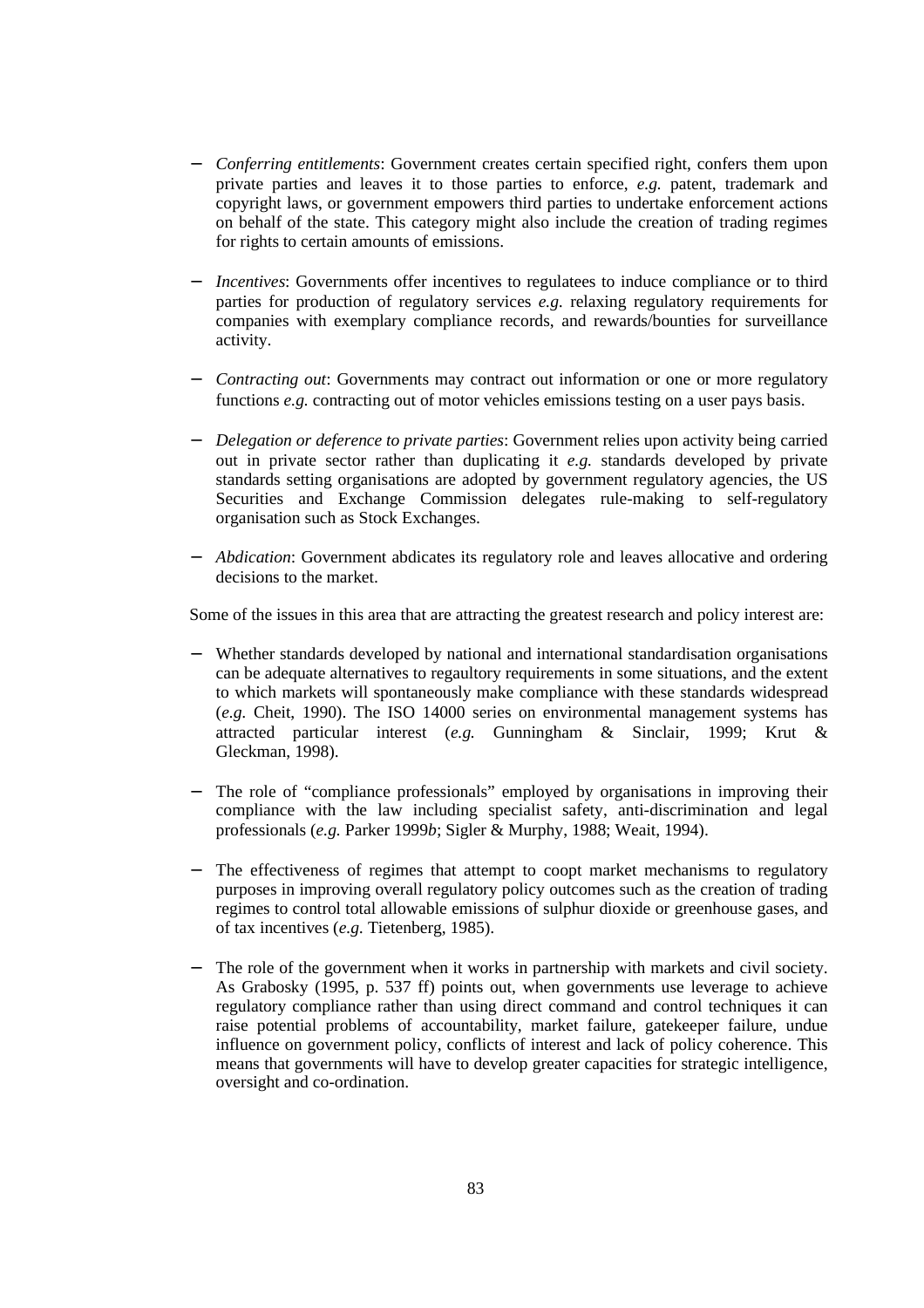- − *Conferring entitlements*: Government creates certain specified right, confers them upon private parties and leaves it to those parties to enforce, *e.g.* patent, trademark and copyright laws, or government empowers third parties to undertake enforcement actions on behalf of the state. This category might also include the creation of trading regimes for rights to certain amounts of emissions.
- − *Incentives*: Governments offer incentives to regulatees to induce compliance or to third parties for production of regulatory services *e.g.* relaxing regulatory requirements for companies with exemplary compliance records, and rewards/bounties for surveillance activity.
- − *Contracting out*: Governments may contract out information or one or more regulatory functions *e.g.* contracting out of motor vehicles emissions testing on a user pays basis.
- − *Delegation or deference to private parties*: Government relies upon activity being carried out in private sector rather than duplicating it *e.g.* standards developed by private standards setting organisations are adopted by government regulatory agencies, the US Securities and Exchange Commission delegates rule-making to self-regulatory organisation such as Stock Exchanges.
- *Abdication*: Government abdicates its regulatory role and leaves allocative and ordering decisions to the market.

Some of the issues in this area that are attracting the greatest research and policy interest are:

- − Whether standards developed by national and international standardisation organisations can be adequate alternatives to regaultory requirements in some situations, and the extent to which markets will spontaneously make compliance with these standards widespread (*e.g.* Cheit, 1990). The ISO 14000 series on environmental management systems has attracted particular interest (*e.g.* Gunningham & Sinclair, 1999; Krut & Gleckman, 1998).
- − The role of "compliance professionals" employed by organisations in improving their compliance with the law including specialist safety, anti-discrimination and legal professionals (*e.g.* Parker 1999*b*; Sigler & Murphy, 1988; Weait, 1994).
- The effectiveness of regimes that attempt to coopt market mechanisms to regulatory purposes in improving overall regulatory policy outcomes such as the creation of trading regimes to control total allowable emissions of sulphur dioxide or greenhouse gases, and of tax incentives (*e.g.* Tietenberg, 1985).
- − The role of the government when it works in partnership with markets and civil society. As Grabosky (1995, p. 537 ff) points out, when governments use leverage to achieve regulatory compliance rather than using direct command and control techniques it can raise potential problems of accountability, market failure, gatekeeper failure, undue influence on government policy, conflicts of interest and lack of policy coherence. This means that governments will have to develop greater capacities for strategic intelligence, oversight and co-ordination.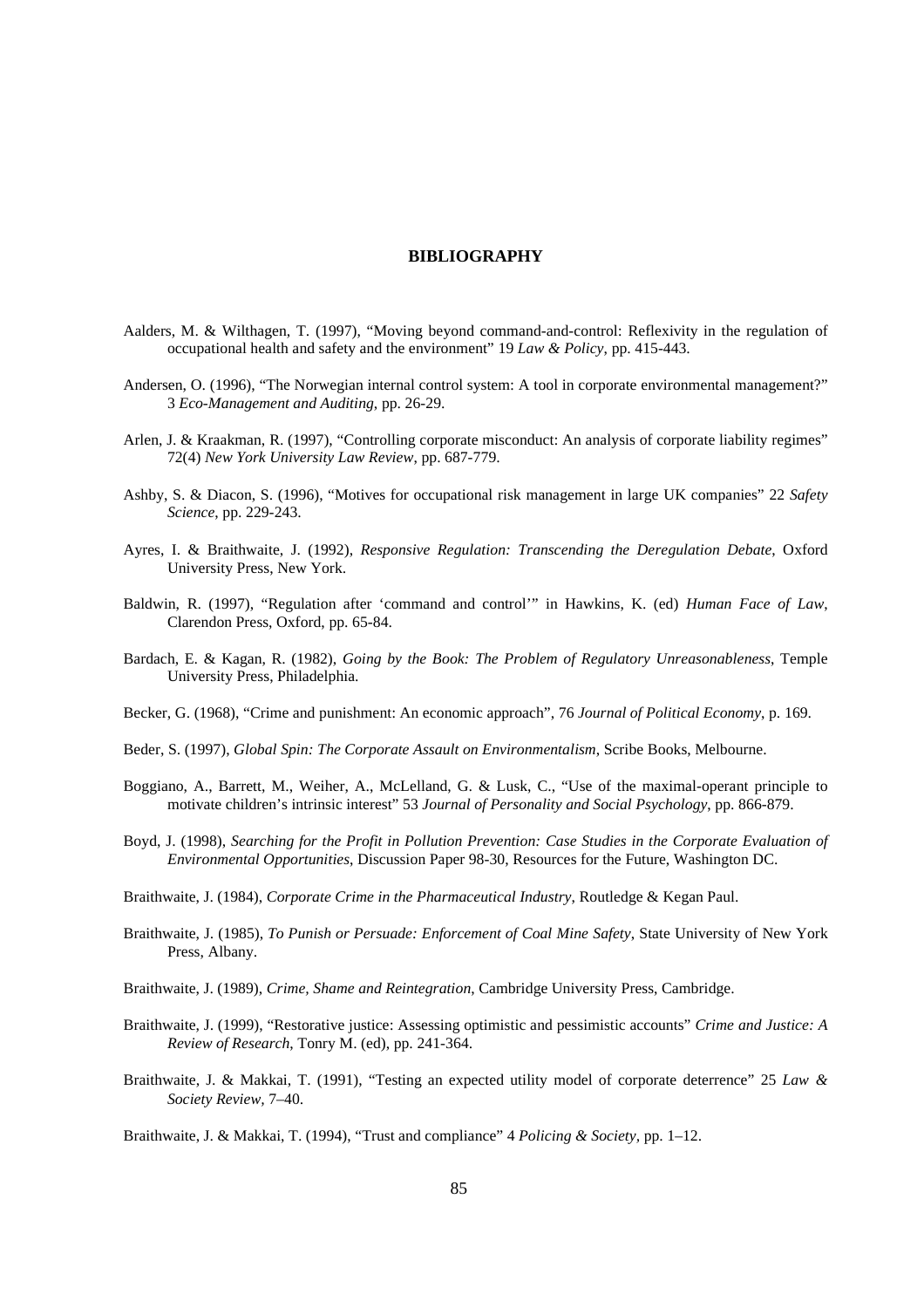#### **BIBLIOGRAPHY**

- Aalders, M. & Wilthagen, T. (1997), "Moving beyond command-and-control: Reflexivity in the regulation of occupational health and safety and the environment" 19 *Law & Policy*, pp. 415-443.
- Andersen, O. (1996), "The Norwegian internal control system: A tool in corporate environmental management?" 3 *Eco-Management and Auditing*, pp. 26-29.
- Arlen, J. & Kraakman, R. (1997), "Controlling corporate misconduct: An analysis of corporate liability regimes" 72(4) *New York University Law Review*, pp. 687-779.
- Ashby, S. & Diacon, S. (1996), "Motives for occupational risk management in large UK companies" 22 *Safety Science*, pp. 229-243.
- Ayres, I. & Braithwaite, J. (1992), *Responsive Regulation: Transcending the Deregulation Debate*, Oxford University Press, New York.
- Baldwin, R. (1997), "Regulation after 'command and control'" in Hawkins, K. (ed) *Human Face of Law*, Clarendon Press, Oxford, pp. 65-84.
- Bardach, E. & Kagan, R. (1982), *Going by the Book: The Problem of Regulatory Unreasonableness*, Temple University Press, Philadelphia.
- Becker, G. (1968), "Crime and punishment: An economic approach", 76 *Journal of Political Economy*, p. 169.
- Beder, S. (1997), *Global Spin: The Corporate Assault on Environmentalism*, Scribe Books, Melbourne.
- Boggiano, A., Barrett, M., Weiher, A., McLelland, G. & Lusk, C., "Use of the maximal-operant principle to motivate children's intrinsic interest" 53 *Journal of Personality and Social Psychology*, pp. 866-879.
- Boyd, J. (1998), *Searching for the Profit in Pollution Prevention: Case Studies in the Corporate Evaluation of Environmental Opportunities*, Discussion Paper 98-30, Resources for the Future, Washington DC.
- Braithwaite, J. (1984), *Corporate Crime in the Pharmaceutical Industry*, Routledge & Kegan Paul.
- Braithwaite, J. (1985), *To Punish or Persuade: Enforcement of Coal Mine Safety*, State University of New York Press, Albany.
- Braithwaite, J. (1989), *Crime, Shame and Reintegration*, Cambridge University Press, Cambridge.
- Braithwaite, J. (1999), "Restorative justice: Assessing optimistic and pessimistic accounts" *Crime and Justice: A Review of Research*, Tonry M. (ed), pp. 241-364.
- Braithwaite, J. & Makkai, T. (1991), "Testing an expected utility model of corporate deterrence" 25 *Law & Society Review,* 7–40.
- Braithwaite, J. & Makkai, T. (1994), "Trust and compliance" 4 *Policing & Society,* pp. 1–12.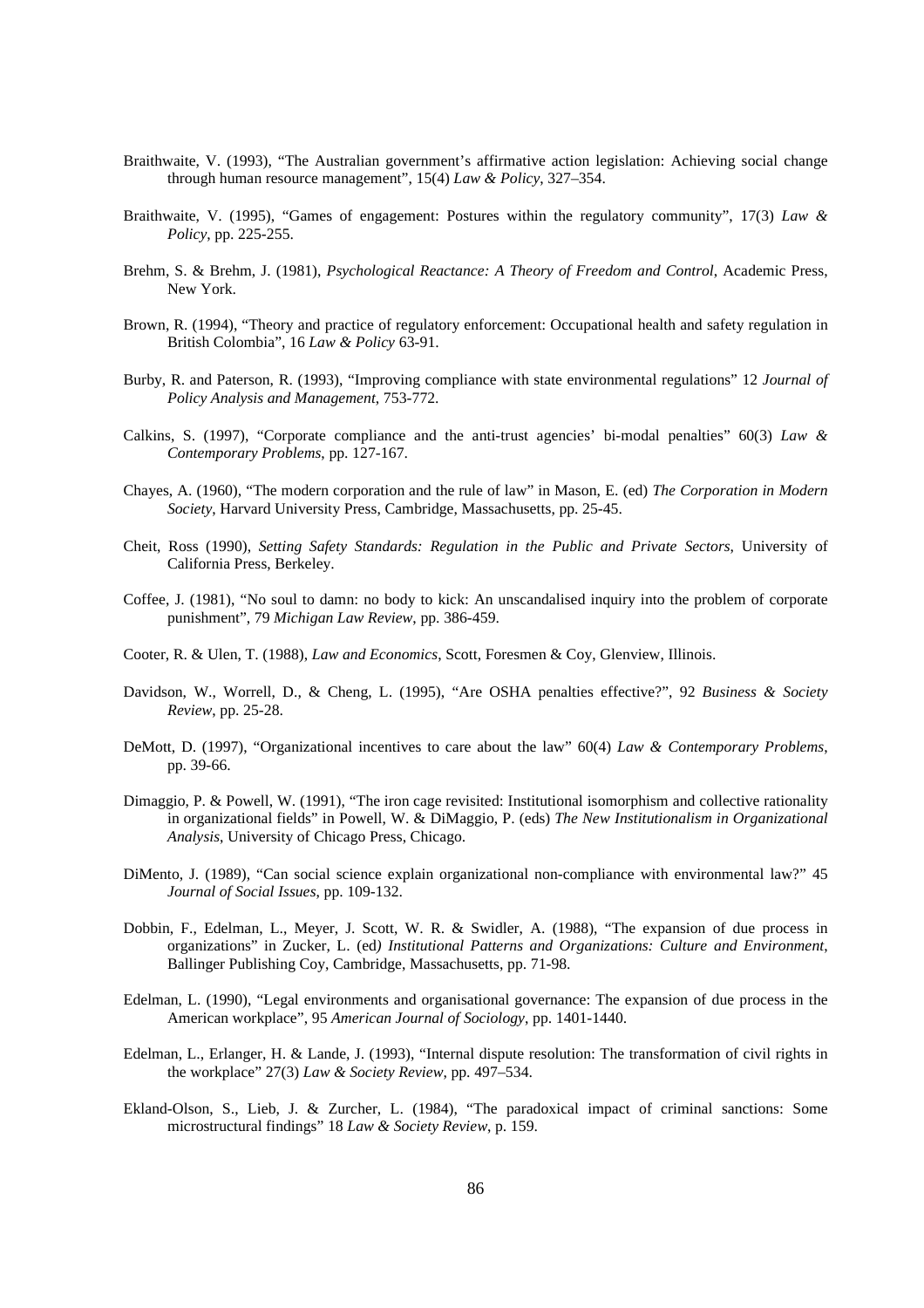- Braithwaite, V. (1993), "The Australian government's affirmative action legislation: Achieving social change through human resource management", 15(4) *Law & Policy*, 327–354.
- Braithwaite, V. (1995), "Games of engagement: Postures within the regulatory community", 17(3) *Law & Policy*, pp. 225-255.
- Brehm, S. & Brehm, J. (1981), *Psychological Reactance: A Theory of Freedom and Control*, Academic Press, New York.
- Brown, R. (1994), "Theory and practice of regulatory enforcement: Occupational health and safety regulation in British Colombia", 16 *Law & Policy* 63-91.
- Burby, R. and Paterson, R. (1993), "Improving compliance with state environmental regulations" 12 *Journal of Policy Analysis and Management*, 753-772.
- Calkins, S. (1997), "Corporate compliance and the anti-trust agencies' bi-modal penalties" 60(3) *Law & Contemporary Problems*, pp. 127-167.
- Chayes, A. (1960), "The modern corporation and the rule of law" in Mason, E. (ed) *The Corporation in Modern Society*, Harvard University Press, Cambridge, Massachusetts, pp. 25-45.
- Cheit, Ross (1990), *Setting Safety Standards: Regulation in the Public and Private Sectors*, University of California Press, Berkeley.
- Coffee, J. (1981), "No soul to damn: no body to kick: An unscandalised inquiry into the problem of corporate punishment", 79 *Michigan Law Review*, pp. 386-459.
- Cooter, R. & Ulen, T. (1988), *Law and Economics*, Scott, Foresmen & Coy, Glenview, Illinois.
- Davidson, W., Worrell, D., & Cheng, L. (1995), "Are OSHA penalties effective?", 92 *Business & Society Review*, pp. 25-28.
- DeMott, D. (1997), "Organizational incentives to care about the law" 60(4) *Law & Contemporary Problems*, pp. 39-66.
- Dimaggio, P. & Powell, W. (1991), "The iron cage revisited: Institutional isomorphism and collective rationality in organizational fields" in Powell, W. & DiMaggio, P. (eds) *The New Institutionalism in Organizational Analysis*, University of Chicago Press, Chicago.
- DiMento, J. (1989), "Can social science explain organizational non-compliance with environmental law?" 45 *Journal of Social Issues*, pp. 109-132.
- Dobbin, F., Edelman, L., Meyer, J. Scott, W. R. & Swidler, A. (1988), "The expansion of due process in organizations" in Zucker, L. (ed*) Institutional Patterns and Organizations: Culture and Environment*, Ballinger Publishing Coy, Cambridge, Massachusetts, pp. 71-98.
- Edelman, L. (1990), "Legal environments and organisational governance: The expansion of due process in the American workplace", 95 *American Journal of Sociology*, pp. 1401-1440.
- Edelman, L., Erlanger, H. & Lande, J. (1993), "Internal dispute resolution: The transformation of civil rights in the workplace" 27(3) *Law & Society Review*, pp. 497–534.
- Ekland-Olson, S., Lieb, J. & Zurcher, L. (1984), "The paradoxical impact of criminal sanctions: Some microstructural findings" 18 *Law & Society Review*, p. 159.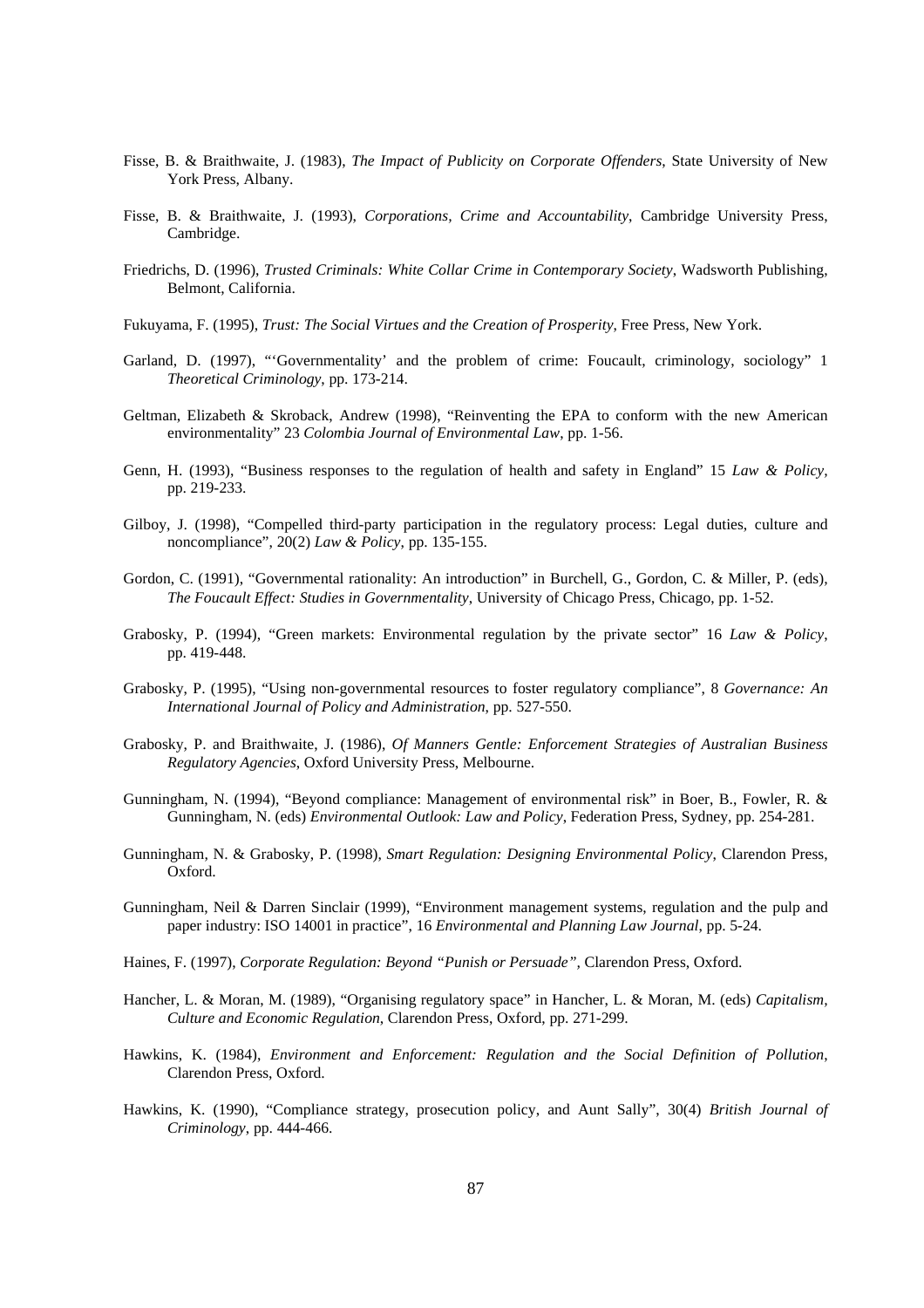- Fisse, B. & Braithwaite, J. (1983), *The Impact of Publicity on Corporate Offenders*, State University of New York Press, Albany.
- Fisse, B. & Braithwaite, J. (1993), *Corporations, Crime and Accountability*, Cambridge University Press, Cambridge.
- Friedrichs, D. (1996), *Trusted Criminals: White Collar Crime in Contemporary Society*, Wadsworth Publishing, Belmont, California.
- Fukuyama, F. (1995), *Trust: The Social Virtues and the Creation of Prosperity*, Free Press, New York.
- Garland, D. (1997), "'Governmentality' and the problem of crime: Foucault, criminology, sociology" 1 *Theoretical Criminology*, pp. 173-214.
- Geltman, Elizabeth & Skroback, Andrew (1998), "Reinventing the EPA to conform with the new American environmentality" 23 *Colombia Journal of Environmental Law*, pp. 1-56.
- Genn, H. (1993), "Business responses to the regulation of health and safety in England" 15 *Law & Policy,* pp. 219-233.
- Gilboy, J. (1998), "Compelled third-party participation in the regulatory process: Legal duties, culture and noncompliance", 20(2) *Law & Policy*, pp. 135-155.
- Gordon, C. (1991), "Governmental rationality: An introduction" in Burchell, G., Gordon, C. & Miller, P. (eds)*, The Foucault Effect: Studies in Governmentality*, University of Chicago Press, Chicago, pp. 1-52.
- Grabosky, P. (1994), "Green markets: Environmental regulation by the private sector" 16 *Law & Policy*, pp. 419-448.
- Grabosky, P. (1995), "Using non-governmental resources to foster regulatory compliance", 8 *Governance: An International Journal of Policy and Administration*, pp. 527-550.
- Grabosky, P. and Braithwaite, J. (1986), *Of Manners Gentle: Enforcement Strategies of Australian Business Regulatory Agencies*, Oxford University Press, Melbourne.
- Gunningham, N. (1994), "Beyond compliance: Management of environmental risk" in Boer, B., Fowler, R. & Gunningham, N. (eds) *Environmental Outlook: Law and Policy*, Federation Press, Sydney, pp. 254-281.
- Gunningham, N. & Grabosky, P. (1998), *Smart Regulation: Designing Environmental Policy*, Clarendon Press, Oxford.
- Gunningham, Neil & Darren Sinclair (1999), "Environment management systems, regulation and the pulp and paper industry: ISO 14001 in practice", 16 *Environmental and Planning Law Journal*, pp. 5-24.
- Haines, F. (1997), *Corporate Regulation: Beyond "Punish or Persuade",* Clarendon Press, Oxford.
- Hancher, L. & Moran, M. (1989), "Organising regulatory space" in Hancher, L. & Moran, M. (eds) *Capitalism, Culture and Economic Regulation*, Clarendon Press, Oxford, pp. 271-299.
- Hawkins, K. (1984), *Environment and Enforcement: Regulation and the Social Definition of Pollution*, Clarendon Press, Oxford.
- Hawkins, K. (1990), "Compliance strategy, prosecution policy, and Aunt Sally", 30(4) *British Journal of Criminology*, pp. 444-466.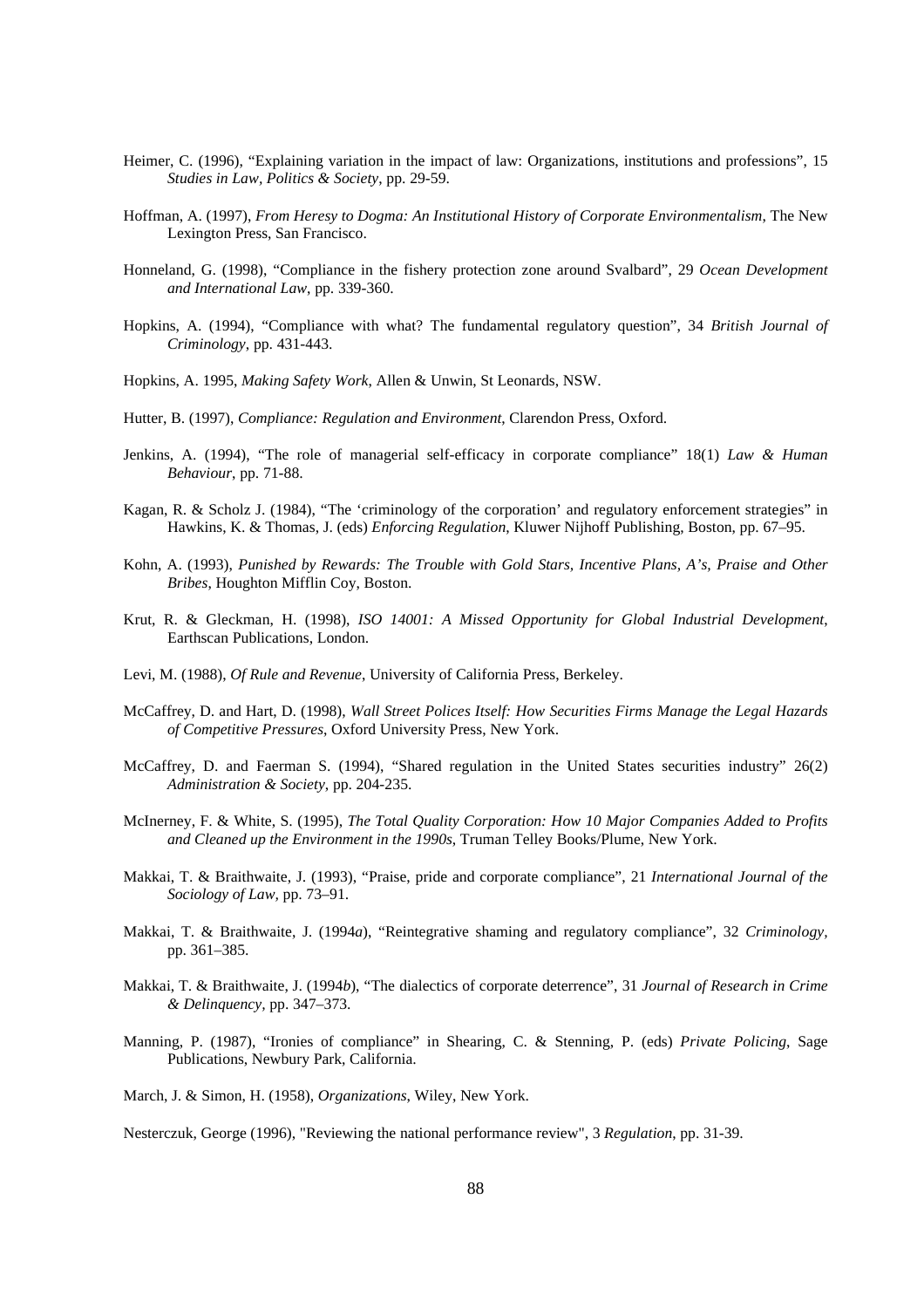- Heimer, C. (1996), "Explaining variation in the impact of law: Organizations, institutions and professions", 15 *Studies in Law, Politics & Society*, pp. 29-59.
- Hoffman, A. (1997), *From Heresy to Dogma: An Institutional History of Corporate Environmentalism*, The New Lexington Press, San Francisco.
- Honneland, G. (1998), "Compliance in the fishery protection zone around Svalbard", 29 *Ocean Development and International Law*, pp. 339-360.
- Hopkins, A. (1994), "Compliance with what? The fundamental regulatory question", 34 *British Journal of Criminology*, pp. 431-443.
- Hopkins, A. 1995, *Making Safety Work*, Allen & Unwin, St Leonards, NSW.
- Hutter, B. (1997), *Compliance: Regulation and Environment*, Clarendon Press, Oxford.
- Jenkins, A. (1994), "The role of managerial self-efficacy in corporate compliance" 18(1) *Law & Human Behaviour*, pp. 71-88.
- Kagan, R. & Scholz J. (1984), "The 'criminology of the corporation' and regulatory enforcement strategies" in Hawkins, K. & Thomas, J. (eds) *Enforcing Regulation*, Kluwer Nijhoff Publishing, Boston, pp. 67–95.
- Kohn, A. (1993), *Punished by Rewards: The Trouble with Gold Stars, Incentive Plans, A's, Praise and Other Bribes*, Houghton Mifflin Coy, Boston.
- Krut, R. & Gleckman, H. (1998), *ISO 14001: A Missed Opportunity for Global Industrial Development*, Earthscan Publications, London.
- Levi, M. (1988), *Of Rule and Revenue*, University of California Press, Berkeley.
- McCaffrey, D. and Hart, D. (1998), *Wall Street Polices Itself: How Securities Firms Manage the Legal Hazards of Competitive Pressures*, Oxford University Press, New York.
- McCaffrey, D. and Faerman S. (1994), "Shared regulation in the United States securities industry" 26(2) *Administration & Society*, pp. 204-235.
- McInerney, F. & White, S. (1995), *The Total Quality Corporation: How 10 Major Companies Added to Profits and Cleaned up the Environment in the 1990s*, Truman Telley Books/Plume, New York.
- Makkai, T. & Braithwaite, J. (1993), "Praise, pride and corporate compliance", 21 *International Journal of the Sociology of Law,* pp. 73–91.
- Makkai, T. & Braithwaite, J. (1994*a*), "Reintegrative shaming and regulatory compliance", 32 *Criminology,* pp. 361–385.
- Makkai, T. & Braithwaite, J. (1994*b*), "The dialectics of corporate deterrence", 31 *Journal of Research in Crime & Delinquency,* pp. 347–373.
- Manning, P. (1987), "Ironies of compliance" in Shearing, C. & Stenning, P. (eds) *Private Policing*, Sage Publications, Newbury Park, California.
- March, J. & Simon, H. (1958), *Organizations*, Wiley, New York.

Nesterczuk, George (1996), "Reviewing the national performance review", 3 *Regulation*, pp. 31-39.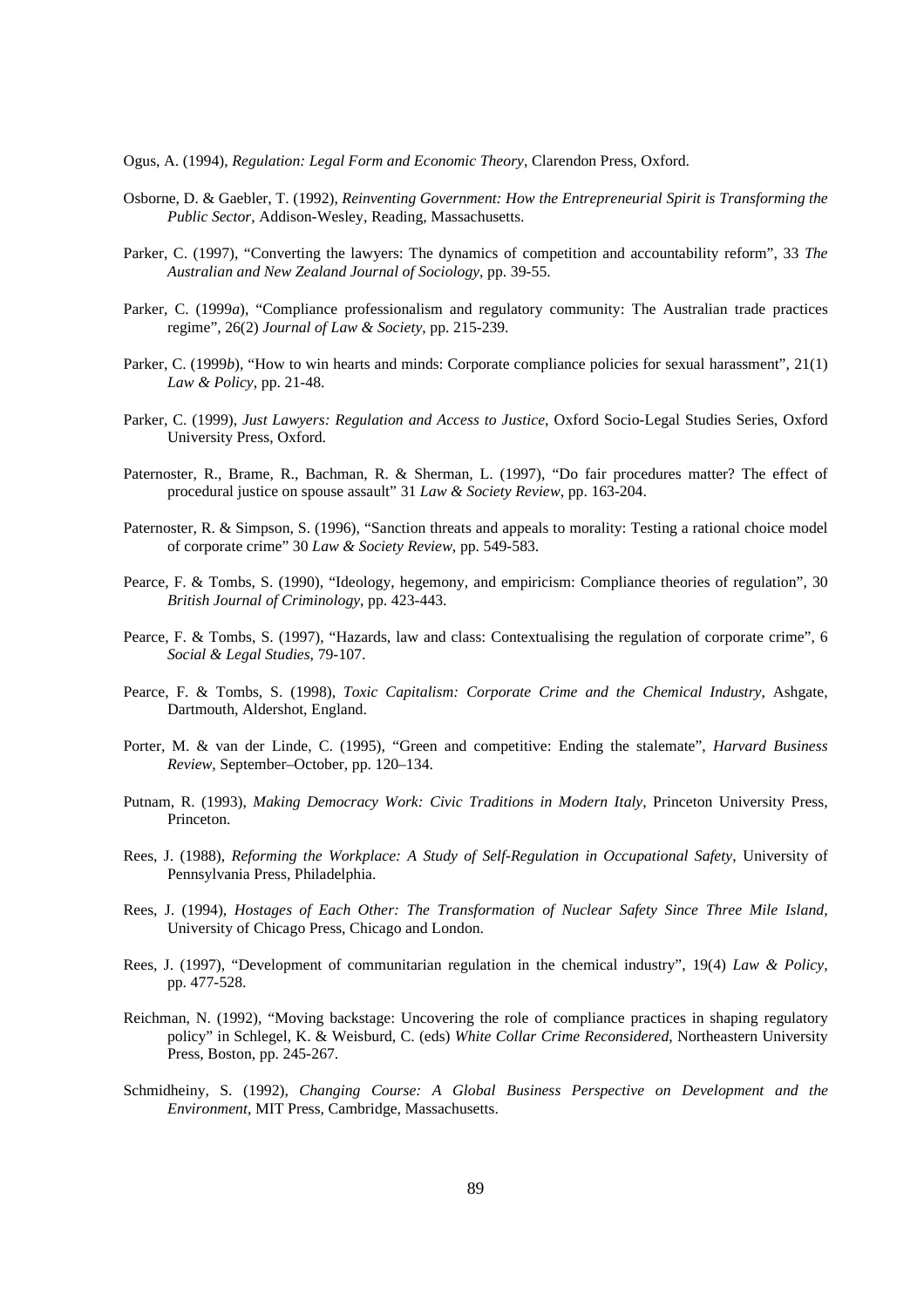Ogus, A. (1994), *Regulation: Legal Form and Economic Theory*, Clarendon Press, Oxford.

- Osborne, D. & Gaebler, T. (1992), *Reinventing Government: How the Entrepreneurial Spirit is Transforming the Public Sector*, Addison-Wesley, Reading, Massachusetts.
- Parker, C. (1997), "Converting the lawyers: The dynamics of competition and accountability reform", 33 *The Australian and New Zealand Journal of Sociology,* pp. 39-55.
- Parker, C. (1999*a*), "Compliance professionalism and regulatory community: The Australian trade practices regime", 26(2) *Journal of Law & Society*, pp. 215-239.
- Parker, C. (1999*b*), "How to win hearts and minds: Corporate compliance policies for sexual harassment", 21(1) *Law & Policy*, pp. 21-48.
- Parker, C. (1999), *Just Lawyers: Regulation and Access to Justice*, Oxford Socio-Legal Studies Series, Oxford University Press, Oxford.
- Paternoster, R., Brame, R., Bachman, R. & Sherman, L. (1997), "Do fair procedures matter? The effect of procedural justice on spouse assault" 31 *Law & Society Review*, pp. 163-204.
- Paternoster, R. & Simpson, S. (1996), "Sanction threats and appeals to morality: Testing a rational choice model of corporate crime" 30 *Law & Society Review*, pp. 549-583.
- Pearce, F. & Tombs, S. (1990), "Ideology, hegemony, and empiricism: Compliance theories of regulation", 30 *British Journal of Criminology*, pp. 423-443.
- Pearce, F. & Tombs, S. (1997), "Hazards, law and class: Contextualising the regulation of corporate crime", 6 *Social & Legal Studies*, 79-107.
- Pearce, F. & Tombs, S. (1998), *Toxic Capitalism: Corporate Crime and the Chemical Industry*, Ashgate, Dartmouth, Aldershot, England.
- Porter, M. & van der Linde, C. (1995), "Green and competitive: Ending the stalemate", *Harvard Business Review,* September–October, pp. 120–134.
- Putnam, R. (1993), *Making Democracy Work: Civic Traditions in Modern Italy*, Princeton University Press, Princeton.
- Rees, J. (1988), *Reforming the Workplace: A Study of Self-Regulation in Occupational Safety*, University of Pennsylvania Press, Philadelphia.
- Rees, J. (1994), *Hostages of Each Other: The Transformation of Nuclear Safety Since Three Mile Island*, University of Chicago Press, Chicago and London.
- Rees, J. (1997), "Development of communitarian regulation in the chemical industry", 19(4) *Law & Policy*, pp. 477-528.
- Reichman, N. (1992), "Moving backstage: Uncovering the role of compliance practices in shaping regulatory policy" in Schlegel, K. & Weisburd, C. (eds) *White Collar Crime Reconsidered*, Northeastern University Press, Boston, pp. 245-267.
- Schmidheiny, S. (1992), *Changing Course: A Global Business Perspective on Development and the Environment*, MIT Press, Cambridge, Massachusetts.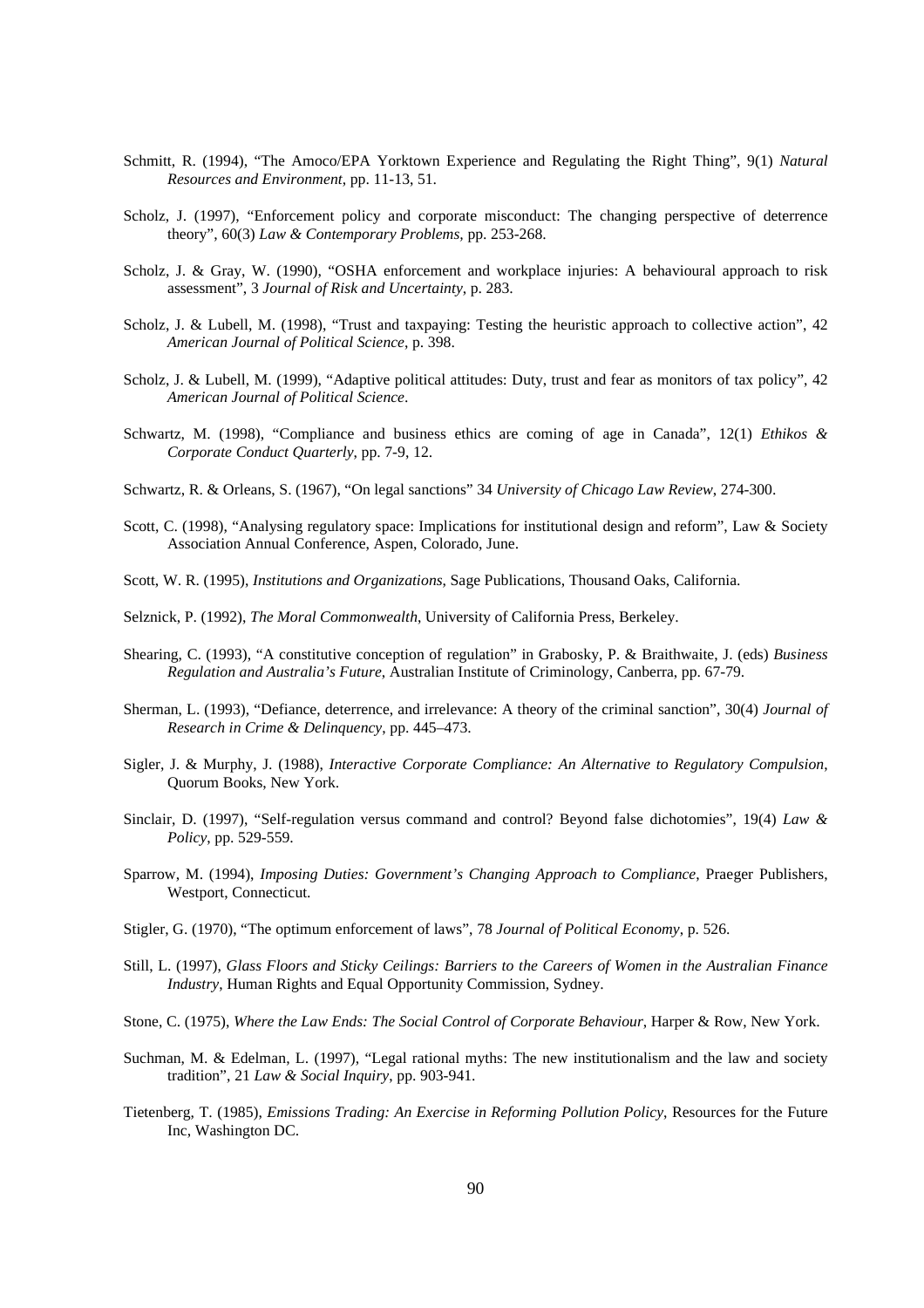- Schmitt, R. (1994), "The Amoco/EPA Yorktown Experience and Regulating the Right Thing", 9(1) *Natural Resources and Environment*, pp. 11-13, 51.
- Scholz, J. (1997), "Enforcement policy and corporate misconduct: The changing perspective of deterrence theory", 60(3) *Law & Contemporary Problems,* pp. 253-268.
- Scholz, J. & Gray, W. (1990), "OSHA enforcement and workplace injuries: A behavioural approach to risk assessment", 3 *Journal of Risk and Uncertainty*, p. 283.
- Scholz, J. & Lubell, M. (1998), "Trust and taxpaying: Testing the heuristic approach to collective action", 42 *American Journal of Political Science*, p. 398.
- Scholz, J. & Lubell, M. (1999), "Adaptive political attitudes: Duty, trust and fear as monitors of tax policy", 42 *American Journal of Political Science*.
- Schwartz, M. (1998), "Compliance and business ethics are coming of age in Canada", 12(1) *Ethikos & Corporate Conduct Quarterly*, pp. 7-9, 12.
- Schwartz, R. & Orleans, S. (1967), "On legal sanctions" 34 *University of Chicago Law Review*, 274-300.
- Scott, C. (1998), "Analysing regulatory space: Implications for institutional design and reform", Law & Society Association Annual Conference, Aspen, Colorado, June.
- Scott, W. R. (1995), *Institutions and Organizations*, Sage Publications, Thousand Oaks, California.
- Selznick, P. (1992), *The Moral Commonwealth*, University of California Press, Berkeley.
- Shearing, C. (1993), "A constitutive conception of regulation" in Grabosky, P. & Braithwaite, J. (eds) *Business Regulation and Australia's Future*, Australian Institute of Criminology, Canberra, pp. 67-79.
- Sherman, L. (1993), "Defiance, deterrence, and irrelevance: A theory of the criminal sanction", 30(4) *Journal of Research in Crime & Delinquency*, pp. 445–473.
- Sigler, J. & Murphy, J. (1988), *Interactive Corporate Compliance: An Alternative to Regulatory Compulsion*, Quorum Books, New York.
- Sinclair, D. (1997), "Self-regulation versus command and control? Beyond false dichotomies", 19(4) *Law & Policy*, pp. 529-559.
- Sparrow, M. (1994), *Imposing Duties: Government's Changing Approach to Compliance*, Praeger Publishers, Westport, Connecticut.
- Stigler, G. (1970), "The optimum enforcement of laws", 78 *Journal of Political Economy*, p. 526.
- Still, L. (1997), *Glass Floors and Sticky Ceilings: Barriers to the Careers of Women in the Australian Finance Industry*, Human Rights and Equal Opportunity Commission, Sydney.
- Stone, C. (1975), *Where the Law Ends: The Social Control of Corporate Behaviour*, Harper & Row, New York.
- Suchman, M. & Edelman, L. (1997), "Legal rational myths: The new institutionalism and the law and society tradition", 21 *Law & Social Inquiry*, pp. 903-941.
- Tietenberg, T. (1985), *Emissions Trading: An Exercise in Reforming Pollution Policy*, Resources for the Future Inc, Washington DC.